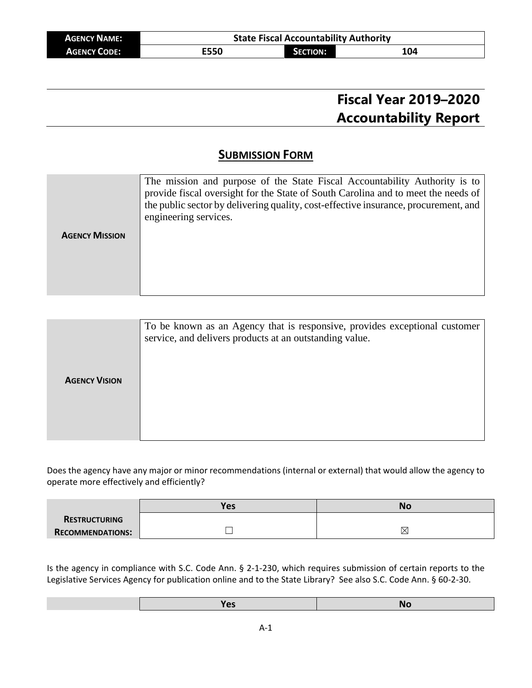| <b>AGENCY NAME:</b> |      |                 | <b>State Fiscal Accountability Authority</b> |
|---------------------|------|-----------------|----------------------------------------------|
| <b>AGENCY CODE:</b> | E550 | <b>SECTION:</b> | 104                                          |

# **Fiscal Year 2019–2020 Accountability Report**

# **SUBMISSION FORM**

|                       | The mission and purpose of the State Fiscal Accountability Authority is to<br>provide fiscal oversight for the State of South Carolina and to meet the needs of<br>the public sector by delivering quality, cost-effective insurance, procurement, and<br>engineering services. |
|-----------------------|---------------------------------------------------------------------------------------------------------------------------------------------------------------------------------------------------------------------------------------------------------------------------------|
| <b>AGENCY MISSION</b> |                                                                                                                                                                                                                                                                                 |
|                       |                                                                                                                                                                                                                                                                                 |
|                       |                                                                                                                                                                                                                                                                                 |
|                       |                                                                                                                                                                                                                                                                                 |

| <b>AGENCY VISION</b> | To be known as an Agency that is responsive, provides exceptional customer<br>service, and delivers products at an outstanding value. |
|----------------------|---------------------------------------------------------------------------------------------------------------------------------------|
|                      |                                                                                                                                       |

Does the agency have any major or minor recommendations (internal or external) that would allow the agency to operate more effectively and efficiently?

|                         | <b>Yes</b> | No     |
|-------------------------|------------|--------|
| <b>RESTRUCTURING</b>    |            |        |
| <b>RECOMMENDATIONS:</b> |            | ◡<br>∞ |

Is the agency in compliance with S.C. Code Ann. § 2‐1‐230, which requires submission of certain reports to the Legislative Services Agency for publication online and to the State Library? See also S.C. Code Ann. § 60‐2‐30.

|--|--|--|--|--|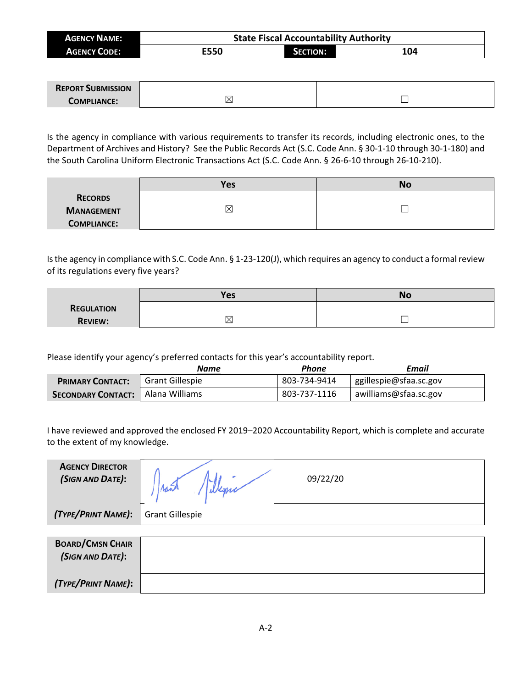| <b>AGENCY NAME:</b> |             | <b>State Fiscal Accountability Authority</b> |     |
|---------------------|-------------|----------------------------------------------|-----|
| <b>AGENCY CODE:</b> | <b>E550</b> | <b>SECTION:</b>                              | 104 |

| <b>REPORT SUBMISSION</b> |               |  |
|--------------------------|---------------|--|
| <b>COMPLIANCE:</b>       | IX.<br>$\sim$ |  |

Is the agency in compliance with various requirements to transfer its records, including electronic ones, to the Department of Archives and History? See the Public Records Act (S.C. Code Ann. § 30‐1‐10 through 30‐1‐180) and the South Carolina Uniform Electronic Transactions Act (S.C. Code Ann. § 26‐6‐10 through 26‐10‐210).

|                    | <b>Yes</b>  | No |
|--------------------|-------------|----|
| <b>RECORDS</b>     |             |    |
| <b>MANAGEMENT</b>  | $\boxtimes$ |    |
| <b>COMPLIANCE:</b> |             |    |

Is the agency in compliance with S.C. Code Ann. § 1-23-120(J), which requires an agency to conduct a formal review of its regulations every five years?

|                   | <b>Yes</b>  | No |
|-------------------|-------------|----|
| <b>REGULATION</b> |             |    |
| <b>REVIEW:</b>    | $\boxtimes$ | __ |

Please identify your agency's preferred contacts for this year's accountability report.

|                           | <b>Name</b>            | Phone        | Email                  |
|---------------------------|------------------------|--------------|------------------------|
| <b>PRIMARY CONTACT:</b>   | <b>Grant Gillespie</b> | 803-734-9414 | ggillespie@sfaa.sc.gov |
| <b>SECONDARY CONTACT:</b> | Alana Williams         | 803-737-1116 | awilliams@sfaa.sc.gov  |

I have reviewed and approved the enclosed FY 2019–2020 Accountability Report, which is complete and accurate to the extent of my knowledge.

| <b>AGENCY DIRECTOR</b><br>(SIGN AND DATE): | 09/22/20               |
|--------------------------------------------|------------------------|
| (TYPE/PRINT NAME):                         | <b>Grant Gillespie</b> |
|                                            |                        |
| <b>BOARD/CMSN CHAIR</b>                    |                        |
| (SIGN AND DATE):                           |                        |
|                                            |                        |
| (TYPE/PRINT NAME):                         |                        |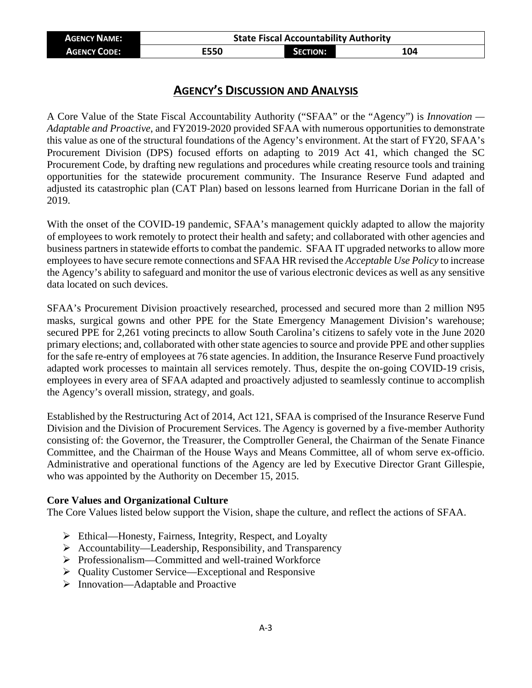| <b>AGENCY NAME:</b> |      | <b>State Fiscal Accountability Authority</b> |     |  |
|---------------------|------|----------------------------------------------|-----|--|
| <b>AGENCY CODE:</b> | E550 | <b>SECTION:</b>                              | 104 |  |

## **AGENCY'S DISCUSSION AND ANALYSIS**

A Core Value of the State Fiscal Accountability Authority ("SFAA" or the "Agency") is *Innovation — Adaptable and Proactive*, and FY2019-2020 provided SFAA with numerous opportunities to demonstrate this value as one of the structural foundations of the Agency's environment. At the start of FY20, SFAA's Procurement Division (DPS) focused efforts on adapting to 2019 Act 41, which changed the SC Procurement Code, by drafting new regulations and procedures while creating resource tools and training opportunities for the statewide procurement community. The Insurance Reserve Fund adapted and adjusted its catastrophic plan (CAT Plan) based on lessons learned from Hurricane Dorian in the fall of 2019.

With the onset of the COVID-19 pandemic, SFAA's management quickly adapted to allow the majority of employees to work remotely to protect their health and safety; and collaborated with other agencies and business partners in statewide efforts to combat the pandemic. SFAA IT upgraded networks to allow more employees to have secure remote connections and SFAA HR revised the *Acceptable Use Policy* to increase the Agency's ability to safeguard and monitor the use of various electronic devices as well as any sensitive data located on such devices.

SFAA's Procurement Division proactively researched, processed and secured more than 2 million N95 masks, surgical gowns and other PPE for the State Emergency Management Division's warehouse; secured PPE for 2,261 voting precincts to allow South Carolina's citizens to safely vote in the June 2020 primary elections; and, collaborated with other state agencies to source and provide PPE and other supplies for the safe re-entry of employees at 76 state agencies. In addition, the Insurance Reserve Fund proactively adapted work processes to maintain all services remotely. Thus, despite the on-going COVID-19 crisis, employees in every area of SFAA adapted and proactively adjusted to seamlessly continue to accomplish the Agency's overall mission, strategy, and goals.

Established by the Restructuring Act of 2014, Act 121, SFAA is comprised of the Insurance Reserve Fund Division and the Division of Procurement Services. The Agency is governed by a five-member Authority consisting of: the Governor, the Treasurer, the Comptroller General, the Chairman of the Senate Finance Committee, and the Chairman of the House Ways and Means Committee, all of whom serve ex-officio. Administrative and operational functions of the Agency are led by Executive Director Grant Gillespie, who was appointed by the Authority on December 15, 2015.

#### **Core Values and Organizational Culture**

The Core Values listed below support the Vision, shape the culture, and reflect the actions of SFAA.

- Ethical—Honesty, Fairness, Integrity, Respect, and Loyalty
- $\triangleright$  Accountability—Leadership, Responsibility, and Transparency
- ▶ Professionalism—Committed and well-trained Workforce
- Quality Customer Service—Exceptional and Responsive
- $\triangleright$  Innovation—Adaptable and Proactive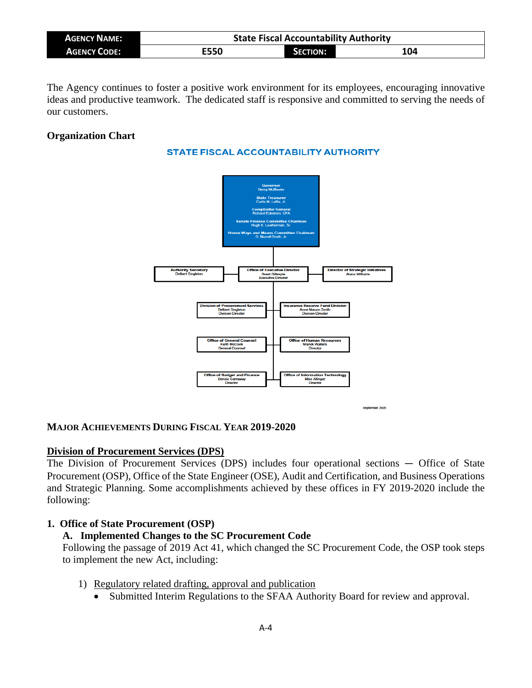| <b>AGENCY NAME:</b> | <b>State Fiscal Accountability Authority</b> |                 |     |  |  |  |  |
|---------------------|----------------------------------------------|-----------------|-----|--|--|--|--|
| <b>AGENCY CODE:</b> | E550                                         | <b>SECTION:</b> | 104 |  |  |  |  |

The Agency continues to foster a positive work environment for its employees, encouraging innovative ideas and productive teamwork. The dedicated staff is responsive and committed to serving the needs of our customers.

#### **Organization Chart**





#### **MAJOR ACHIEVEMENTS DURING FISCAL YEAR 2019-2020**

#### **Division of Procurement Services (DPS)**

The Division of Procurement Services (DPS) includes four operational sections — Office of State Procurement (OSP), Office of the State Engineer (OSE), Audit and Certification, and Business Operations and Strategic Planning. Some accomplishments achieved by these offices in FY 2019-2020 include the following:

#### **1. Office of State Procurement (OSP)**

#### **A. Implemented Changes to the SC Procurement Code**

Following the passage of 2019 Act 41, which changed the SC Procurement Code, the OSP took steps to implement the new Act, including:

- 1) Regulatory related drafting, approval and publication
	- Submitted Interim Regulations to the SFAA Authority Board for review and approval.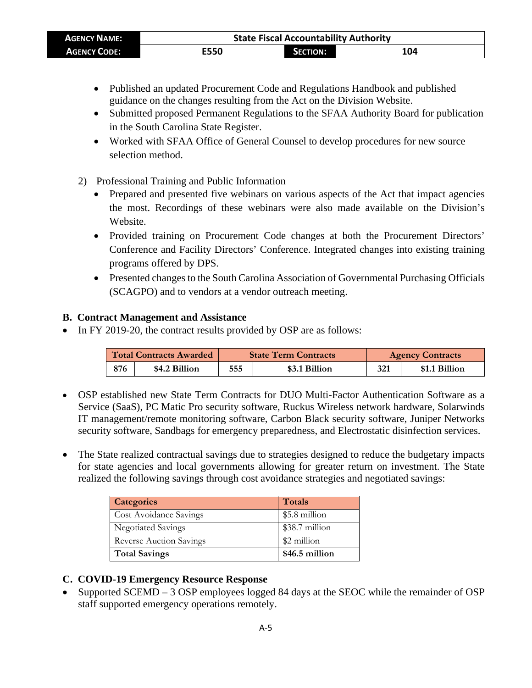| <b>AGENCY NAME:</b> | <b>State Fiscal Accountability Authority</b> |                 |     |  |  |  |  |  |
|---------------------|----------------------------------------------|-----------------|-----|--|--|--|--|--|
| <b>AGENCY CODE:</b> | E550                                         | <b>SECTION:</b> | 104 |  |  |  |  |  |

- Published an updated Procurement Code and Regulations Handbook and published guidance on the changes resulting from the Act on the Division Website.
- Submitted proposed Permanent Regulations to the SFAA Authority Board for publication in the South Carolina State Register.
- Worked with SFAA Office of General Counsel to develop procedures for new source selection method.

#### 2) Professional Training and Public Information

- Prepared and presented five webinars on various aspects of the Act that impact agencies the most. Recordings of these webinars were also made available on the Division's Website.
- Provided training on Procurement Code changes at both the Procurement Directors' Conference and Facility Directors' Conference. Integrated changes into existing training programs offered by DPS.
- Presented changes to the South Carolina Association of Governmental Purchasing Officials (SCAGPO) and to vendors at a vendor outreach meeting.

#### **B. Contract Management and Assistance**

• In FY 2019-20, the contract results provided by OSP are as follows:

| <b>Total Contracts Awarded</b> |               |     | <b>State Term Contracts</b> | <b>Agency Contracts</b> |               |  |
|--------------------------------|---------------|-----|-----------------------------|-------------------------|---------------|--|
| 876                            | \$4.2 Billion | 555 | \$3.1 Billion               | 321                     | \$1.1 Billion |  |

- OSP established new State Term Contracts for DUO Multi-Factor Authentication Software as a Service (SaaS), PC Matic Pro security software, Ruckus Wireless network hardware, Solarwinds IT management/remote monitoring software, Carbon Black security software, Juniper Networks security software, Sandbags for emergency preparedness, and Electrostatic disinfection services.
- The State realized contractual savings due to strategies designed to reduce the budgetary impacts for state agencies and local governments allowing for greater return on investment. The State realized the following savings through cost avoidance strategies and negotiated savings:

| <b>Categories</b>              | Totals         |
|--------------------------------|----------------|
| Cost Avoidance Savings         | \$5.8 million  |
| <b>Negotiated Savings</b>      | \$38.7 million |
| <b>Reverse Auction Savings</b> | \$2 million    |
| <b>Total Savings</b>           | \$46.5 million |

### **C. COVID-19 Emergency Resource Response**

• Supported SCEMD – 3 OSP employees logged 84 days at the SEOC while the remainder of OSP staff supported emergency operations remotely.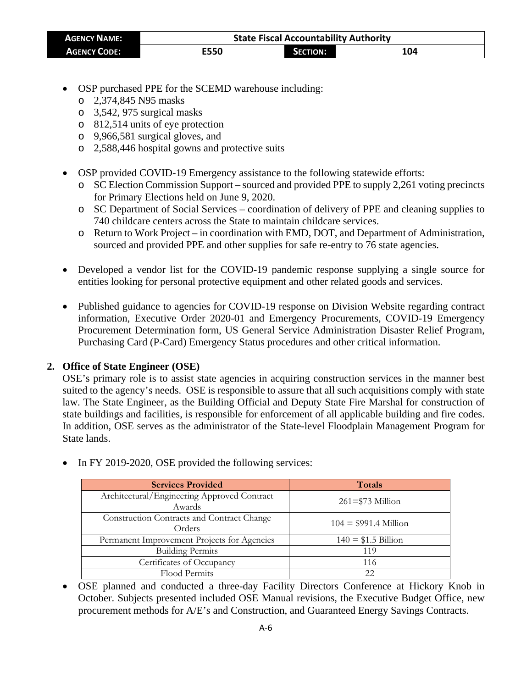| <b>AGENCY NAME:</b> | <b>State Fiscal Accountability Authority</b> |                 |     |  |  |  |  |
|---------------------|----------------------------------------------|-----------------|-----|--|--|--|--|
| <b>AGENCY CODE:</b> | E550                                         | <b>SECTION:</b> | 104 |  |  |  |  |

- OSP purchased PPE for the SCEMD warehouse including:
	- o 2,374,845 N95 masks
	- o 3,542, 975 surgical masks
	- o 812,514 units of eye protection
	- o 9,966,581 surgical gloves, and
	- o 2,588,446 hospital gowns and protective suits
- OSP provided COVID-19 Emergency assistance to the following statewide efforts:
	- o SC Election Commission Support sourced and provided PPE to supply 2,261 voting precincts for Primary Elections held on June 9, 2020.
	- o SC Department of Social Services coordination of delivery of PPE and cleaning supplies to 740 childcare centers across the State to maintain childcare services.
	- o Return to Work Project in coordination with EMD, DOT, and Department of Administration, sourced and provided PPE and other supplies for safe re-entry to 76 state agencies.
- Developed a vendor list for the COVID-19 pandemic response supplying a single source for entities looking for personal protective equipment and other related goods and services.
- Published guidance to agencies for COVID-19 response on Division Website regarding contract information, Executive Order 2020-01 and Emergency Procurements, COVID-19 Emergency Procurement Determination form, US General Service Administration Disaster Relief Program, Purchasing Card (P-Card) Emergency Status procedures and other critical information.

#### **2. Office of State Engineer (OSE)**

OSE's primary role is to assist state agencies in acquiring construction services in the manner best suited to the agency's needs. OSE is responsible to assure that all such acquisitions comply with state law. The State Engineer, as the Building Official and Deputy State Fire Marshal for construction of state buildings and facilities, is responsible for enforcement of all applicable building and fire codes. In addition, OSE serves as the administrator of the State-level Floodplain Management Program for State lands.

| <b>Services Provided</b>                                    | <b>Totals</b>          |
|-------------------------------------------------------------|------------------------|
| Architectural/Engineering Approved Contract<br>Awards       | $261 = $73$ Million    |
| <b>Construction Contracts and Contract Change</b><br>Orders | $104 = $991.4$ Million |
| Permanent Improvement Projects for Agencies                 | $140 = $1.5$ Billion   |
| <b>Building Permits</b>                                     | 119                    |
| Certificates of Occupancy                                   | 116                    |
| Flood Permits                                               | 22                     |

In FY 2019-2020, OSE provided the following services:

 OSE planned and conducted a three-day Facility Directors Conference at Hickory Knob in October. Subjects presented included OSE Manual revisions, the Executive Budget Office, new procurement methods for A/E's and Construction, and Guaranteed Energy Savings Contracts.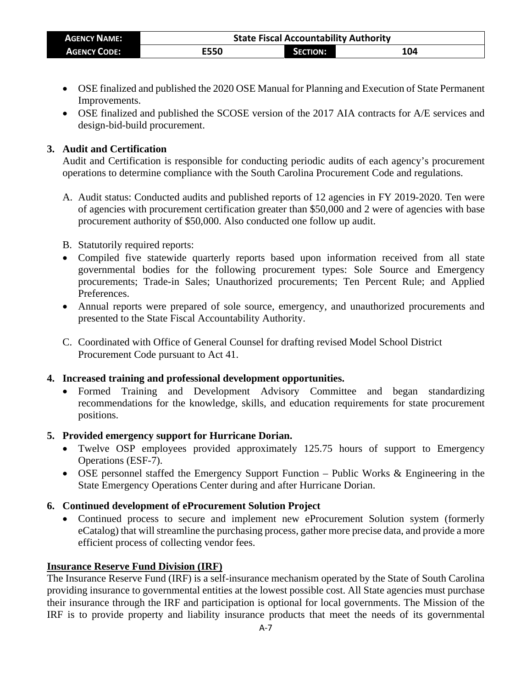| <b>AGENCY NAME:</b> | <b>State Fiscal Accountability Authority</b> |          |     |  |  |  |  |
|---------------------|----------------------------------------------|----------|-----|--|--|--|--|
| <b>AGENCY CODE:</b> | E550                                         | SECTION: | 104 |  |  |  |  |

- OSE finalized and published the 2020 OSE Manual for Planning and Execution of State Permanent Improvements.
- OSE finalized and published the SCOSE version of the 2017 AIA contracts for A/E services and design-bid-build procurement.

#### **3. Audit and Certification**

Audit and Certification is responsible for conducting periodic audits of each agency's procurement operations to determine compliance with the South Carolina Procurement Code and regulations.

- A. Audit status: Conducted audits and published reports of 12 agencies in FY 2019-2020. Ten were of agencies with procurement certification greater than \$50,000 and 2 were of agencies with base procurement authority of \$50,000. Also conducted one follow up audit.
- B. Statutorily required reports:
- Compiled five statewide quarterly reports based upon information received from all state governmental bodies for the following procurement types: Sole Source and Emergency procurements; Trade-in Sales; Unauthorized procurements; Ten Percent Rule; and Applied Preferences.
- Annual reports were prepared of sole source, emergency, and unauthorized procurements and presented to the State Fiscal Accountability Authority.
- C. Coordinated with Office of General Counsel for drafting revised Model School District Procurement Code pursuant to Act 41.

#### **4. Increased training and professional development opportunities.**

 Formed Training and Development Advisory Committee and began standardizing recommendations for the knowledge, skills, and education requirements for state procurement positions.

#### **5. Provided emergency support for Hurricane Dorian.**

- Twelve OSP employees provided approximately 125.75 hours of support to Emergency Operations (ESF-7).
- OSE personnel staffed the Emergency Support Function Public Works & Engineering in the State Emergency Operations Center during and after Hurricane Dorian.

#### **6. Continued development of eProcurement Solution Project**

 Continued process to secure and implement new eProcurement Solution system (formerly eCatalog) that will streamline the purchasing process, gather more precise data, and provide a more efficient process of collecting vendor fees.

#### **Insurance Reserve Fund Division (IRF)**

The Insurance Reserve Fund (IRF) is a self-insurance mechanism operated by the State of South Carolina providing insurance to governmental entities at the lowest possible cost. All State agencies must purchase their insurance through the IRF and participation is optional for local governments. The Mission of the IRF is to provide property and liability insurance products that meet the needs of its governmental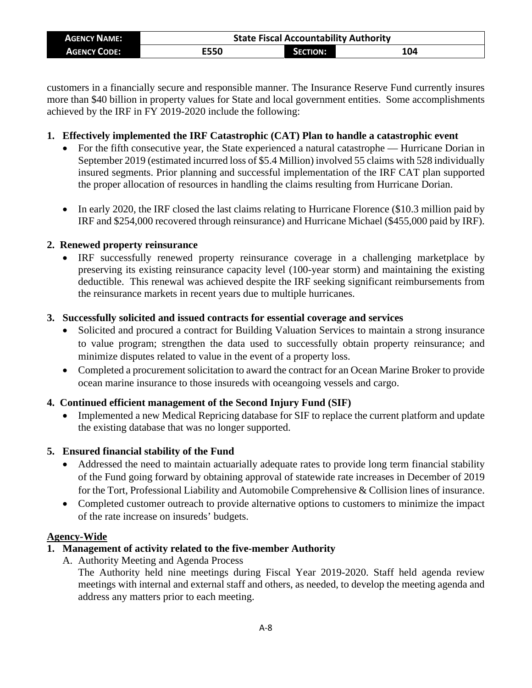| <b>AGENCY NAME:</b> | <b>State Fiscal Accountability Authority</b> |          |     |  |  |  |  |
|---------------------|----------------------------------------------|----------|-----|--|--|--|--|
| <b>AGENCY CODE:</b> | E550                                         | SECTION: | 104 |  |  |  |  |

customers in a financially secure and responsible manner. The Insurance Reserve Fund currently insures more than \$40 billion in property values for State and local government entities. Some accomplishments achieved by the IRF in FY 2019-2020 include the following:

#### **1. Effectively implemented the IRF Catastrophic (CAT) Plan to handle a catastrophic event**

- For the fifth consecutive year, the State experienced a natural catastrophe Hurricane Dorian in September 2019 (estimated incurred loss of \$5.4 Million) involved 55 claims with 528 individually insured segments. Prior planning and successful implementation of the IRF CAT plan supported the proper allocation of resources in handling the claims resulting from Hurricane Dorian.
- In early 2020, the IRF closed the last claims relating to Hurricane Florence (\$10.3 million paid by IRF and \$254,000 recovered through reinsurance) and Hurricane Michael (\$455,000 paid by IRF).

#### **2. Renewed property reinsurance**

 IRF successfully renewed property reinsurance coverage in a challenging marketplace by preserving its existing reinsurance capacity level (100-year storm) and maintaining the existing deductible. This renewal was achieved despite the IRF seeking significant reimbursements from the reinsurance markets in recent years due to multiple hurricanes.

#### **3. Successfully solicited and issued contracts for essential coverage and services**

- Solicited and procured a contract for Building Valuation Services to maintain a strong insurance to value program; strengthen the data used to successfully obtain property reinsurance; and minimize disputes related to value in the event of a property loss.
- Completed a procurement solicitation to award the contract for an Ocean Marine Broker to provide ocean marine insurance to those insureds with oceangoing vessels and cargo.

### **4. Continued efficient management of the Second Injury Fund (SIF)**

 Implemented a new Medical Repricing database for SIF to replace the current platform and update the existing database that was no longer supported.

### **5. Ensured financial stability of the Fund**

- Addressed the need to maintain actuarially adequate rates to provide long term financial stability of the Fund going forward by obtaining approval of statewide rate increases in December of 2019 for the Tort, Professional Liability and Automobile Comprehensive & Collision lines of insurance.
- Completed customer outreach to provide alternative options to customers to minimize the impact of the rate increase on insureds' budgets.

#### **Agency-Wide**

### **1. Management of activity related to the five-member Authority**

- A. Authority Meeting and Agenda Process
	- The Authority held nine meetings during Fiscal Year 2019-2020. Staff held agenda review meetings with internal and external staff and others, as needed, to develop the meeting agenda and address any matters prior to each meeting.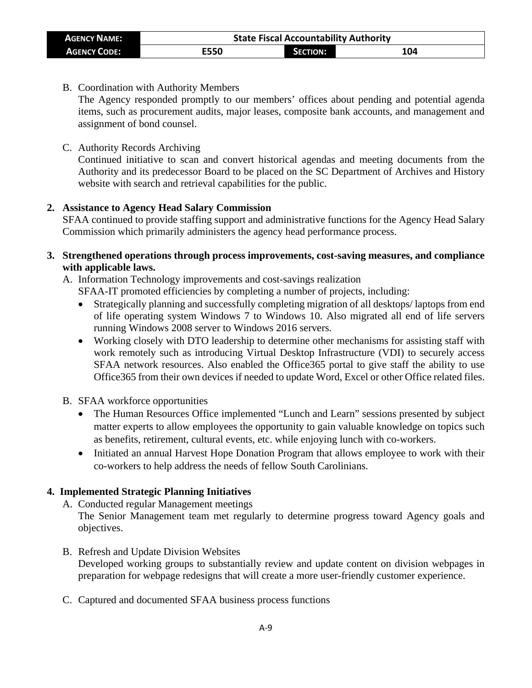| <b>AGENCY NAME:</b> | <b>State Fiscal Accountability Authority</b> |                 |     |  |  |  |  |
|---------------------|----------------------------------------------|-----------------|-----|--|--|--|--|
| <b>AGENCY CODE:</b> | E550                                         | <b>SECTION:</b> | 104 |  |  |  |  |

B. Coordination with Authority Members

The Agency responded promptly to our members' offices about pending and potential agenda items, such as procurement audits, major leases, composite bank accounts, and management and assignment of bond counsel.

C. Authority Records Archiving

Continued initiative to scan and convert historical agendas and meeting documents from the Authority and its predecessor Board to be placed on the SC Department of Archives and History website with search and retrieval capabilities for the public.

### **2. Assistance to Agency Head Salary Commission**

SFAA continued to provide staffing support and administrative functions for the Agency Head Salary Commission which primarily administers the agency head performance process.

- **3. Strengthened operations through process improvements, cost-saving measures, and compliance with applicable laws.** 
	- A. Information Technology improvements and cost-savings realization

SFAA-IT promoted efficiencies by completing a number of projects, including:

- Strategically planning and successfully completing migration of all desktops/ laptops from end of life operating system Windows 7 to Windows 10. Also migrated all end of life servers running Windows 2008 server to Windows 2016 servers.
- Working closely with DTO leadership to determine other mechanisms for assisting staff with work remotely such as introducing Virtual Desktop Infrastructure (VDI) to securely access SFAA network resources. Also enabled the Office365 portal to give staff the ability to use Office365 from their own devices if needed to update Word, Excel or other Office related files.
- B. SFAA workforce opportunities
	- The Human Resources Office implemented "Lunch and Learn" sessions presented by subject matter experts to allow employees the opportunity to gain valuable knowledge on topics such as benefits, retirement, cultural events, etc. while enjoying lunch with co-workers.
	- Initiated an annual Harvest Hope Donation Program that allows employee to work with their co-workers to help address the needs of fellow South Carolinians.

### **4. Implemented Strategic Planning Initiatives**

- A. Conducted regular Management meetings The Senior Management team met regularly to determine progress toward Agency goals and objectives.
- B. Refresh and Update Division Websites Developed working groups to substantially review and update content on division webpages in preparation for webpage redesigns that will create a more user-friendly customer experience.
- C. Captured and documented SFAA business process functions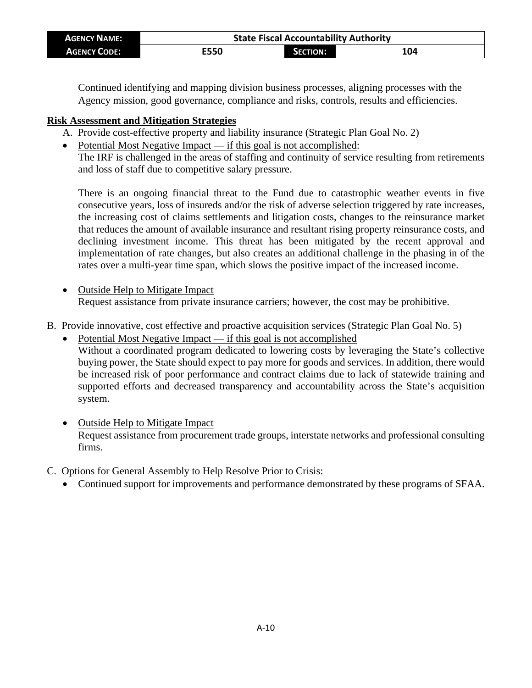| <b>AGENCY NAME:</b> | <b>State Fiscal Accountability Authority</b> |                 |     |  |  |  |  |
|---------------------|----------------------------------------------|-----------------|-----|--|--|--|--|
| <b>AGENCY CODE:</b> | £550                                         | <b>SECTION:</b> | 104 |  |  |  |  |

Continued identifying and mapping division business processes, aligning processes with the Agency mission, good governance, compliance and risks, controls, results and efficiencies.

#### **Risk Assessment and Mitigation Strategies**

- A. Provide cost-effective property and liability insurance (Strategic Plan Goal No. 2)
- Potential Most Negative Impact if this goal is not accomplished: The IRF is challenged in the areas of staffing and continuity of service resulting from retirements and loss of staff due to competitive salary pressure.

There is an ongoing financial threat to the Fund due to catastrophic weather events in five consecutive years, loss of insureds and/or the risk of adverse selection triggered by rate increases, the increasing cost of claims settlements and litigation costs, changes to the reinsurance market that reduces the amount of available insurance and resultant rising property reinsurance costs, and declining investment income. This threat has been mitigated by the recent approval and implementation of rate changes, but also creates an additional challenge in the phasing in of the rates over a multi-year time span, which slows the positive impact of the increased income.

- Outside Help to Mitigate Impact Request assistance from private insurance carriers; however, the cost may be prohibitive.
- B. Provide innovative, cost effective and proactive acquisition services (Strategic Plan Goal No. 5)
	- Potential Most Negative Impact if this goal is not accomplished Without a coordinated program dedicated to lowering costs by leveraging the State's collective buying power, the State should expect to pay more for goods and services. In addition, there would be increased risk of poor performance and contract claims due to lack of statewide training and supported efforts and decreased transparency and accountability across the State's acquisition system.
	- Outside Help to Mitigate Impact Request assistance from procurement trade groups, interstate networks and professional consulting firms.
- C. Options for General Assembly to Help Resolve Prior to Crisis:
	- Continued support for improvements and performance demonstrated by these programs of SFAA.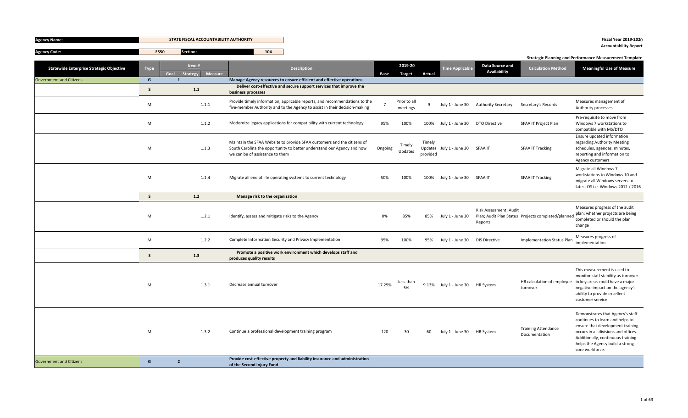| <b>Agency Name:</b>                             | STATE FISCAL ACCOUNTABILITY AUTHORITY |                                              |                                                      |                                                                                                                                                          |         |                          |                    |                          |                                        | <b>Fiscal Year 2019-2020</b>                       |                                                                                                                                                                                                                                            |
|-------------------------------------------------|---------------------------------------|----------------------------------------------|------------------------------------------------------|----------------------------------------------------------------------------------------------------------------------------------------------------------|---------|--------------------------|--------------------|--------------------------|----------------------------------------|----------------------------------------------------|--------------------------------------------------------------------------------------------------------------------------------------------------------------------------------------------------------------------------------------------|
| <b>Agency Code:</b>                             | E550                                  | Section:                                     | 104                                                  |                                                                                                                                                          |         |                          |                    |                          |                                        |                                                    | <b>Accountability Report</b>                                                                                                                                                                                                               |
| <b>Statewide Enterprise Strategic Objective</b> | <b>Type</b>                           | Item#                                        |                                                      | Description                                                                                                                                              |         | 2019-20                  |                    | <b>Time Applicable</b>   | Data Source and<br><b>Availability</b> | <b>Calculation Method</b>                          | <b>Strategic Planning and Performance Measurement Template</b><br><b>Meaningful Use of Measure</b>                                                                                                                                         |
| <b>Government and Citizens</b>                  | Goal<br>G                             | <b>Strategy</b><br>Measure<br>$\overline{1}$ |                                                      | Manage Agency resources to ensure efficient and effective operations                                                                                     | Base    | <b>Target</b>            | Actual             |                          |                                        |                                                    |                                                                                                                                                                                                                                            |
|                                                 | $\mathsf S$                           | 1.1                                          | business processes                                   | Deliver cost-effective and secure support services that improve the                                                                                      |         |                          |                    |                          |                                        |                                                    |                                                                                                                                                                                                                                            |
|                                                 | M                                     | 1.1.1                                        |                                                      | Provide timely information, applicable reports, and recommendations to the<br>five-member Authority and to the Agency to assist in their decision-making |         | Prior to all<br>meetings | 9                  | July 1 - June 30         | <b>Authority Secretary</b>             | Secretary's Records                                | Measures management of<br>Authority processes                                                                                                                                                                                              |
|                                                 | M                                     | 1.1.2                                        |                                                      | Modernize legacy applications for compatibility with current technology                                                                                  | 95%     | 100%                     | 100%               | July 1 - June 30         | DTO Directive                          | SFAA IT Project Plan                               | Pre-requisite to move from<br>Windows 7 workstations to<br>compatible with MS/DTO                                                                                                                                                          |
|                                                 | M                                     | 1.1.3                                        | we can be of assistance to them                      | Maintain the SFAA Website to provide SFAA customers and the citizens of<br>South Carolina the opportunity to better understand our Agency and how        | Ongoing | Timely<br>Updates        | Timely<br>provided | Updates July 1 - June 30 | SFAA IT                                | <b>SFAA IT Tracking</b>                            | Ensure updated information<br>regarding Authority Meeting<br>schedules, agendas, minutes,<br>reporting and information to<br>Agency customers                                                                                              |
|                                                 | M                                     | 1.1.4                                        |                                                      | Migrate all end of life operating systems to current technology                                                                                          | 50%     | 100%                     |                    | 100% July 1 - June 30    | SFAA IT                                | <b>SFAA IT Tracking</b>                            | Migrate all Windows 7<br>workstations to Windows 10 and<br>migrate all Windows servers to<br>latest OS i.e. Windows 2012 / 2016                                                                                                            |
|                                                 | $\mathsf{s}$                          | $1.2$                                        | Manage risk to the organization                      |                                                                                                                                                          |         |                          |                    |                          |                                        |                                                    |                                                                                                                                                                                                                                            |
|                                                 | M                                     | 1.2.1                                        | Identify, assess and mitigate risks to the Agency    |                                                                                                                                                          | 0%      | 85%                      | 85%                | July 1 - June 30         | Risk Assessment; Audit<br>Reports      | Plan; Audit Plan Status Projects completed/planned | Measures progress of the audit<br>plan; whether projects are being<br>completed or should the plan<br>change                                                                                                                               |
|                                                 | M                                     | 1.2.2                                        |                                                      | Complete Information Security and Privacy Implementation                                                                                                 | 95%     | 100%                     | 95%                | July 1 - June 30         | <b>DIS Directive</b>                   | <b>Implementation Status Plan</b>                  | Measures progress of<br>implementation                                                                                                                                                                                                     |
|                                                 | S                                     | 1.3                                          | produces quality results                             | Promote a positive work environment which develops staff and                                                                                             |         |                          |                    |                          |                                        |                                                    |                                                                                                                                                                                                                                            |
|                                                 | M                                     | 1.3.1                                        | Decrease annual turnover                             |                                                                                                                                                          | 17.25%  | Less than<br>5%          |                    | 9.13% July 1 - June 30   | HR System                              | HR calculation of employee<br>turnover             | This measurement is used to<br>monitor staff stability as turnover<br>in key areas could have a major<br>negative impact on the agency's<br>ability to provide excellent<br>customer service                                               |
|                                                 | M                                     | 1.3.2                                        | Continue a professional development training program |                                                                                                                                                          | 120     | 30                       | 60                 | July 1 - June 30         | <b>HR System</b>                       | <b>Training Attendance</b><br>Documentation        | Demonstrates that Agency's staff<br>continues to learn and helps to<br>ensure that development training<br>occurs in all divisions and offices.<br>Additionally, continuous training<br>helps the Agency build a strong<br>core workforce. |
| <b>Government and Citizens</b>                  | G                                     | $\overline{2}$                               | of the Second Injury Fund                            | Provide cost-effective property and liability insurance and administration                                                                               |         |                          |                    |                          |                                        |                                                    |                                                                                                                                                                                                                                            |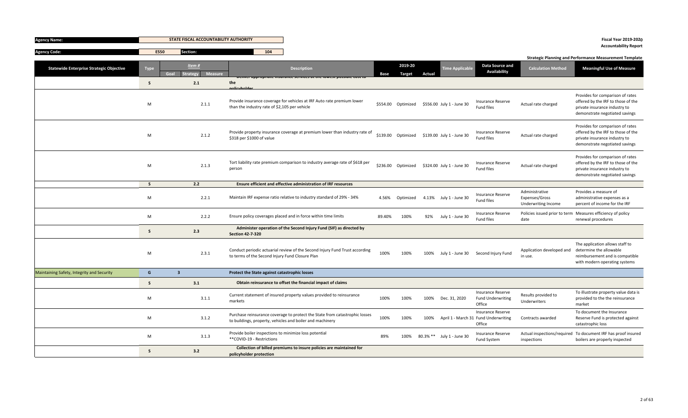| <b>Agency Name:</b>                             | STATE FISCAL ACCOUNTABILITY AUTHORITY |                                                    |                                                                                    |                                                                              |          |                          |            |                           |                                                                            | <b>Fiscal Year 2019-2020</b>                            |                                                                                                                                           |
|-------------------------------------------------|---------------------------------------|----------------------------------------------------|------------------------------------------------------------------------------------|------------------------------------------------------------------------------|----------|--------------------------|------------|---------------------------|----------------------------------------------------------------------------|---------------------------------------------------------|-------------------------------------------------------------------------------------------------------------------------------------------|
| <b>Agency Code:</b>                             | E550                                  | Section:                                           | 104                                                                                |                                                                              |          |                          |            |                           |                                                                            |                                                         | <b>Accountability Report</b>                                                                                                              |
| <b>Statewide Enterprise Strategic Objective</b> | <b>Type</b>                           | Item#<br><b>Strategy</b><br><b>Measure</b><br>Goal |                                                                                    | <b>Description</b>                                                           | Base     | 2019-20<br><b>Target</b> | Actual     | Time Applicable           | Data Source and<br>Availability                                            | <b>Calculation Method</b>                               | <b>Strategic Planning and Performance Measurement Template</b><br><b>Meaningful Use of Measure</b>                                        |
|                                                 | $\mathsf{s}$                          | 2.1                                                | the                                                                                | 1999 SHEVISON OF B                                                           |          |                          |            |                           |                                                                            |                                                         |                                                                                                                                           |
|                                                 | M                                     | 2.1.1                                              | than the industry rate of \$2,105 per vehicle                                      | Provide insurance coverage for vehicles at IRF Auto rate premium lower       |          | \$554.00 Optimized       |            | \$556.00 July 1 - June 30 | <b>Insurance Reserve</b><br>Fund files                                     | Actual rate charged                                     | Provides for comparison of rates<br>offered by the IRF to those of the<br>private insurance industry to<br>demonstrate negotiated savings |
|                                                 | M                                     | 2.1.2                                              | \$318 per \$1000 of value                                                          | Provide property insurance coverage at premium lower than industry rate of   | \$139.00 | Optimized                |            | \$139.00 July 1 - June 30 | <b>Insurance Reserve</b><br>Fund files                                     | Actual rate charged                                     | Provides for comparison of rates<br>offered by the IRF to those of the<br>private insurance industry to<br>demonstrate negotiated savings |
|                                                 | M                                     | 2.1.3                                              | person                                                                             | Tort liability rate premium comparison to industry average rate of \$618 per | \$236.00 | Optimized                |            | \$324.00 July 1 - June 30 | <b>Insurance Reserve</b><br>Fund files                                     | Actual rate charged                                     | Provides for comparison of rates<br>offered by the IRF to those of the<br>private insurance industry to<br>demonstrate negotiated savings |
|                                                 | $\mathsf{s}$                          | 2.2                                                |                                                                                    | Ensure efficient and effective administration of IRF resources               |          |                          |            |                           |                                                                            |                                                         |                                                                                                                                           |
|                                                 | M                                     | 2.2.1                                              |                                                                                    | Maintain IRF expense ratio relative to industry standard of 29% - 34%        | 4.56%    | Optimized                | 4.13%      | July 1 - June 30          | <b>Insurance Reserve</b><br>Fund files                                     | Administrative<br>Expenses/Gross<br>Underwriting Income | Provides a measure of<br>administrative expenses as a<br>percent of income for the IRF                                                    |
|                                                 | M                                     | 2.2.2                                              |                                                                                    | Ensure policy coverages placed and in force within time limits               | 89.40%   | 100%                     | 92%        | July 1 - June 30          | <b>Insurance Reserve</b><br>Fund files                                     | date                                                    | Policies issued prior to term Measures efficiency of policy<br>renewal procedures                                                         |
|                                                 | $\mathsf{s}$                          | 2.3                                                | <b>Section 42-7-320</b>                                                            | Administer operation of the Second Injury Fund (SIF) as directed by          |          |                          |            |                           |                                                                            |                                                         |                                                                                                                                           |
|                                                 | M                                     | 2.3.1                                              | to terms of the Second Injury Fund Closure Plan                                    | Conduct periodic actuarial review of the Second Injury Fund Trust according  | 100%     | 100%                     | 100%       | July 1 - June 30          | Second Injury Fund                                                         | Application developed and<br>in use.                    | The application allows staff to<br>determine the allowable<br>reimbursement and is compatible<br>with modern operating systems            |
| Maintaining Safety, Integrity and Security      | G                                     | $\overline{\mathbf{3}}$                            | Protect the State against catastrophic losses                                      |                                                                              |          |                          |            |                           |                                                                            |                                                         |                                                                                                                                           |
|                                                 | $\mathsf{s}$                          | 3.1                                                |                                                                                    | Obtain reinsurance to offset the financial impact of claims                  |          |                          |            |                           |                                                                            |                                                         |                                                                                                                                           |
|                                                 | M                                     | 3.1.1                                              | markets                                                                            | Current statement of insured property values provided to reinsurance         | 100%     | 100%                     |            | 100% Dec. 31, 2020        | <b>Insurance Reserve</b><br><b>Fund Underwriting</b><br>Office             | Results provided to<br>Underwriters                     | To illustrate property value data is<br>provided to the the reinsurance<br>market                                                         |
|                                                 | M                                     | 3.1.2                                              | to buildings, property, vehicles and boiler and machinery                          | Purchase reinsurance coverage to protect the State from catastrophic losses  | 100%     | 100%                     | 100%       |                           | <b>Insurance Reserve</b><br>April 1 - March 31 Fund Underwriting<br>Office | Contracts awarded                                       | To document the Insurance<br>Reserve Fund is protected against<br>catastrophic loss                                                       |
|                                                 | M                                     | 3.1.3                                              | Provide boiler inspections to minimize loss potential<br>**COVID-19 - Restrictions |                                                                              | 89%      | 100%                     | $80.3% **$ | July 1 - June 30          | <b>Insurance Reserve</b><br>Fund System                                    | inspections                                             | Actual inspections/required To document IRF has proof insured<br>boilers are properly inspected                                           |
|                                                 | <sub>S</sub>                          | 3.2                                                | policyholder protection                                                            | Collection of billed premiums to insure policies are maintained for          |          |                          |            |                           |                                                                            |                                                         |                                                                                                                                           |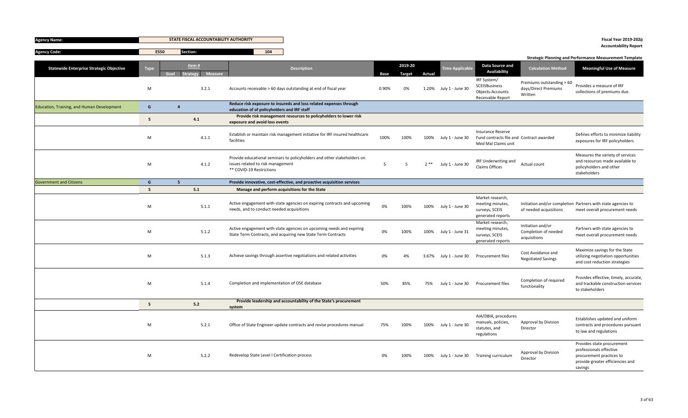| <b>Agency Name:</b>                             |              |                 | STATE FISCAL ACCOUNTABILITY AUTHORITY |                                                               |                                                                                                                                      |       |                          |               |                        |                                                                                             |                                                              | <b>Fiscal Year 2019-2020</b>                                                                                                     |
|-------------------------------------------------|--------------|-----------------|---------------------------------------|---------------------------------------------------------------|--------------------------------------------------------------------------------------------------------------------------------------|-------|--------------------------|---------------|------------------------|---------------------------------------------------------------------------------------------|--------------------------------------------------------------|----------------------------------------------------------------------------------------------------------------------------------|
| <b>Agency Code:</b>                             |              | E550            | Section:                              | 104                                                           |                                                                                                                                      |       |                          |               |                        |                                                                                             |                                                              | <b>Accountability Report</b>                                                                                                     |
| <b>Statewide Enterprise Strategic Objective</b> | <b>Type</b>  | Goal            | Item#<br>Strategy<br><b>Measure</b>   |                                                               | <b>Description</b>                                                                                                                   | Base  | 2019-20<br><b>Target</b> | <b>Actual</b> | <b>Time Applicable</b> | Data Source and<br>Availability                                                             | <b>Calculation Method</b>                                    | <b>Strategic Planning and Performance Measurement Template</b><br><b>Meaningful Use of Measure</b>                               |
|                                                 | M            |                 | 3.2.1                                 |                                                               | Accounts receivable > 60 days outstanding at end of fiscal year                                                                      | 0.90% | 0%                       |               | 1.20% July 1 - June 30 | IRF System/<br>SCEISBusiness<br>Objects-Accounts<br>Receivable Report                       | Premiums outstanding > 60<br>days/Direct Premiums<br>Written | Provides a measure of IRF<br>collections of premiums due.                                                                        |
| Education, Training, and Human Development      | G            |                 | $\overline{a}$                        | education of of policyholders and IRF staff                   | Reduce risk exposure to insureds and loss related expenses through                                                                   |       |                          |               |                        |                                                                                             |                                                              |                                                                                                                                  |
|                                                 | $\mathsf{s}$ |                 | 4.1                                   | exposure and avoid loss events                                | Provide risk management resources to policyholders to lower risk                                                                     |       |                          |               |                        |                                                                                             |                                                              |                                                                                                                                  |
|                                                 | M            |                 | 4.1.1                                 | facilities                                                    | Establish or maintain risk management initiative for IRF insured healthcare                                                          | 100%  | 100%                     |               | 100% July 1 - June 30  | <b>Insurance Reserve</b><br>Fund contracts file and Contract awarded<br>Med Mal Claims unit |                                                              | Defines efforts to minimize liability<br>exposures for IRF policyholders                                                         |
|                                                 | M            |                 | 4.1.2                                 | issues related to risk management<br>** COVID-19 Restrictions | Provide educational seminars to policyholders and other stakeholders on                                                              | 5     | 5                        | $2**$         | July 1 - June 30       | IRF Underwriting and<br><b>Claims Offices</b>                                               | Actual count                                                 | Measures the variety of services<br>and resources made available to<br>policyholders and other<br>stakeholders                   |
| <b>Government and Citizens</b>                  | G            | $5\overline{5}$ |                                       |                                                               | Provide innovative, cost-effective, and proactive acquisition services                                                               |       |                          |               |                        |                                                                                             |                                                              |                                                                                                                                  |
|                                                 | $\mathsf{s}$ |                 | 5.1                                   | Manage and perform acquisitions for the State                 |                                                                                                                                      |       |                          |               |                        |                                                                                             |                                                              |                                                                                                                                  |
|                                                 | M            |                 | 5.1.1                                 | needs, and to conduct needed acquisitions                     | Active engagement with state agencies on expiring contracts and upcoming                                                             | 0%    | 100%                     |               | 100% July 1 - June 30  | Market research,<br>meeting minutes,<br>surveys, SCEIS<br>generated reports                 | of needed acquisitions                                       | Initiation and/or completion Partners with state agencies to<br>meet overall procurement needs                                   |
|                                                 | M            |                 | 5.1.2                                 |                                                               | Active engagement with state agencies on upcoming needs and expiring<br>State Term Contracts, and acquiring new State Term Contracts | 0%    | 100%                     |               | 100% July 1 - June 31  | Market research,<br>meeting minutes,<br>surveys, SCEIS<br>generated reports                 | Initiation and/or<br>Completion of needed<br>acquisitions    | Partners with state agencies to<br>meet overall procurement needs                                                                |
|                                                 | M            |                 | 5.1.3                                 |                                                               | Achieve savings through assertive negotiations and related activities                                                                | 0%    | 4%                       |               | 3.67% July 1 - June 30 | <b>Procurement files</b>                                                                    | Cost Avoidance and<br><b>Negotiated Savings</b>              | Maximize savings for the State<br>utilizing negotiation opportunities<br>and cost reduction strategies                           |
|                                                 | M            |                 | 5.1.4                                 | Completion and implementation of OSE database                 |                                                                                                                                      | 50%   | 85%                      | 75%           | July 1 - June 30       | Procurement files                                                                           | Completion of required<br>functionality                      | Provides effective, timely, accurate,<br>and trackable construction services<br>to stakeholders                                  |
|                                                 | $\mathsf{s}$ |                 | 5.2                                   | system                                                        | Provide leadership and accountability of the State's procurement                                                                     |       |                          |               |                        |                                                                                             |                                                              |                                                                                                                                  |
|                                                 | M            |                 | 5.2.1                                 |                                                               | Office of State Engineer update contracts and revise procedures manual                                                               | 75%   | 100%                     |               | 100% July 1 - June 30  | AIA/DBIA, procedures<br>manuals, policies,<br>statutes, and<br>regulations                  | Approval by Division<br>Director                             | Establishes updated and uniform<br>contracts and procedures pursuant<br>to law and regulations                                   |
|                                                 | M            |                 | 5.2.2                                 | Redevelop State Level I Certification process                 |                                                                                                                                      | 0%    | 100%                     |               | 100% July 1 - June 30  | Training curriculum                                                                         | Approval by Division<br>Director                             | Provides state procurement<br>professionals effective<br>procurement practices to<br>provide greater efficiencies and<br>savings |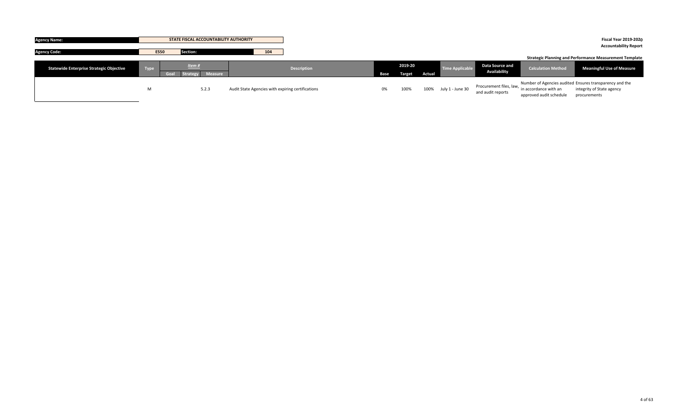| <b>Agency Name:</b>                      |             | STATE FISCAL ACCOUNTABILITY AUTHORITY |                                                   |             |      |                   |        |                        |                                              |                                                  | <b>Fiscal Year 2019-2020</b><br><b>Accountability Report</b>                                         |
|------------------------------------------|-------------|---------------------------------------|---------------------------------------------------|-------------|------|-------------------|--------|------------------------|----------------------------------------------|--------------------------------------------------|------------------------------------------------------------------------------------------------------|
| <b>Agency Code:</b>                      |             | Section:<br>E550                      | 104                                               |             |      |                   |        |                        |                                              |                                                  | <b>Strategic Planning and Performance Measurement Template</b>                                       |
| Statewide Enterprise Strategic Objective | <b>Type</b> | Item#<br><b>Measure</b><br>Goal       |                                                   | Description | Base | 2019-20<br>Target | Actual | <b>Time Applicable</b> | <b>Data Source and</b><br>Availability       | <b>Calculation Method</b>                        | <b>Meaningful Use of Measure</b>                                                                     |
|                                          | M           | 5.2.3                                 | Audit State Agencies with expiring certifications |             | 0%   | 100%              |        | 100% July 1 - June 30  | Procurement files, law,<br>and audit reports | in accordance with an<br>approved audit schedule | Number of Agencies audited Ensures transparency and the<br>integrity of State agency<br>procurements |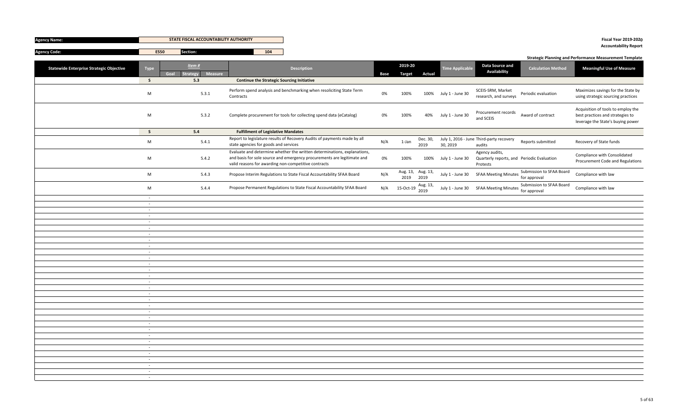| <b>Agency Name:</b>                      |                  | STATE FISCAL ACCOUNTABILITY AUTHORITY |                                                      |                                                                                                                                                     |      |                                |                           |                        |                                                                          |                                          | <b>Fiscal Year 2019-2020</b>                                                                                |
|------------------------------------------|------------------|---------------------------------------|------------------------------------------------------|-----------------------------------------------------------------------------------------------------------------------------------------------------|------|--------------------------------|---------------------------|------------------------|--------------------------------------------------------------------------|------------------------------------------|-------------------------------------------------------------------------------------------------------------|
|                                          |                  |                                       |                                                      |                                                                                                                                                     |      |                                |                           |                        |                                                                          |                                          | <b>Accountability Report</b>                                                                                |
| <b>Agency Code:</b>                      | E550             | Section:                              | 104                                                  |                                                                                                                                                     |      |                                |                           |                        |                                                                          |                                          | <b>Strategic Planning and Performance Measurement Template</b>                                              |
| Statewide Enterprise Strategic Objective | Type<br>Goal     | Item#<br><b>Strategy</b><br>Measure   |                                                      | <b>Description</b>                                                                                                                                  | Base | 2019-20<br><b>Target</b>       | <b>Actual</b>             | <b>Time Applicable</b> | Data Source and<br>Availability                                          | <b>Calculation Method</b>                | <b>Meaningful Use of Measure</b>                                                                            |
|                                          | $\mathsf{s}$     | 5.3                                   | <b>Continue the Strategic Sourcing Initiative</b>    |                                                                                                                                                     |      |                                |                           |                        |                                                                          |                                          |                                                                                                             |
|                                          | ${\sf M}$        | 5.3.1                                 | Contracts                                            | Perform spend analysis and benchmarking when resoliciting State Term                                                                                | 0%   | 100%                           |                           | 100% July 1 - June 30  | SCEIS-SRM, Market<br>research, and surveys                               | Periodic evaluation                      | Maximizes savings for the State by<br>using strategic sourcing practices                                    |
|                                          | M                | 5.3.2                                 |                                                      | Complete procurement for tools for collecting spend data (eCatalog)                                                                                 | 0%   | 100%                           |                           | 40% July 1 - June 30   | Procurement records<br>and SCEIS                                         | Award of contract                        | Acquisition of tools to employ the<br>best practices and strategies to<br>leverage the State's buying power |
|                                          | $\mathsf{s}$     | 5.4                                   | <b>Fulfillment of Legislative Mandates</b>           |                                                                                                                                                     |      |                                |                           |                        |                                                                          |                                          |                                                                                                             |
|                                          | ${\sf M}$        | 5.4.1                                 | state agencies for goods and services                | Report to legislature results of Recovery Audits of payments made by all                                                                            | N/A  | 1-Jan                          | Dec. 30,<br>2019          | 30, 2019               | July 1, 2016 - June Third-party recovery<br>audits                       | Reports submitted                        | Recovery of State funds                                                                                     |
|                                          | M                | 5.4.2                                 | valid reasons for awarding non-competitive contracts | Evaluate and determine whether the written determinations, explanations,<br>and basis for sole source and emergency procurements are legitimate and | 0%   | 100%                           | 100%                      | July 1 - June 30       | Agency audits,<br>Quarterly reports, and Periodic Evaluation<br>Protests |                                          | Compliance with Consolidated<br>Procurement Code and Regulations                                            |
|                                          | M                | 5.4.3                                 |                                                      | Propose Interim Regulations to State Fiscal Accountability SFAA Board                                                                               | N/A  | 2019                           | Aug. 13, Aug. 13,<br>2019 | July 1 - June 30       | <b>SFAA Meeting Minutes</b>                                              | Submission to SFAA Board<br>for approval | Compliance with law                                                                                         |
|                                          | M                | 5.4.4                                 |                                                      | Propose Permanent Regulations to State Fiscal Accountability SFAA Board                                                                             | N/A  | $15-0ct-19$ $^{115}$ $^{2019}$ | Aug. 13,                  |                        | July 1 - June 30 SFAA Meeting Minutes                                    | Submission to SFAA Board<br>for approval | Compliance with law                                                                                         |
|                                          | $\sim$           |                                       |                                                      |                                                                                                                                                     |      |                                |                           |                        |                                                                          |                                          |                                                                                                             |
|                                          | $\sim$<br>$\sim$ |                                       |                                                      |                                                                                                                                                     |      |                                |                           |                        |                                                                          |                                          |                                                                                                             |
|                                          | $\sim$           |                                       |                                                      |                                                                                                                                                     |      |                                |                           |                        |                                                                          |                                          |                                                                                                             |
|                                          | $\sim$           |                                       |                                                      |                                                                                                                                                     |      |                                |                           |                        |                                                                          |                                          |                                                                                                             |
|                                          | $\sim$<br>$\sim$ |                                       |                                                      |                                                                                                                                                     |      |                                |                           |                        |                                                                          |                                          |                                                                                                             |
|                                          | $\sim$           |                                       |                                                      |                                                                                                                                                     |      |                                |                           |                        |                                                                          |                                          |                                                                                                             |
|                                          | $\sim$           |                                       |                                                      |                                                                                                                                                     |      |                                |                           |                        |                                                                          |                                          |                                                                                                             |
|                                          | $\sim$           |                                       |                                                      |                                                                                                                                                     |      |                                |                           |                        |                                                                          |                                          |                                                                                                             |
|                                          | $\sim$<br>$\sim$ |                                       |                                                      |                                                                                                                                                     |      |                                |                           |                        |                                                                          |                                          |                                                                                                             |
|                                          | $\sim$           |                                       |                                                      |                                                                                                                                                     |      |                                |                           |                        |                                                                          |                                          |                                                                                                             |
|                                          | $\sim$           |                                       |                                                      |                                                                                                                                                     |      |                                |                           |                        |                                                                          |                                          |                                                                                                             |
|                                          | $\sim$<br>$\sim$ |                                       |                                                      |                                                                                                                                                     |      |                                |                           |                        |                                                                          |                                          |                                                                                                             |
|                                          | $\sim$           |                                       |                                                      |                                                                                                                                                     |      |                                |                           |                        |                                                                          |                                          |                                                                                                             |
|                                          | $\sim$           |                                       |                                                      |                                                                                                                                                     |      |                                |                           |                        |                                                                          |                                          |                                                                                                             |
|                                          | $\sim$           |                                       |                                                      |                                                                                                                                                     |      |                                |                           |                        |                                                                          |                                          |                                                                                                             |
|                                          | $\sim$<br>$\sim$ |                                       |                                                      |                                                                                                                                                     |      |                                |                           |                        |                                                                          |                                          |                                                                                                             |
|                                          | $\sim$           |                                       |                                                      |                                                                                                                                                     |      |                                |                           |                        |                                                                          |                                          |                                                                                                             |
|                                          | $\sim$           |                                       |                                                      |                                                                                                                                                     |      |                                |                           |                        |                                                                          |                                          |                                                                                                             |
|                                          | $\sim$           |                                       |                                                      |                                                                                                                                                     |      |                                |                           |                        |                                                                          |                                          |                                                                                                             |
|                                          | $\sim$           |                                       |                                                      |                                                                                                                                                     |      |                                |                           |                        |                                                                          |                                          |                                                                                                             |
|                                          | $\sim$           |                                       |                                                      |                                                                                                                                                     |      |                                |                           |                        |                                                                          |                                          |                                                                                                             |
|                                          | $\sim$<br>$\sim$ |                                       |                                                      |                                                                                                                                                     |      |                                |                           |                        |                                                                          |                                          |                                                                                                             |
|                                          | $\sim$           |                                       |                                                      |                                                                                                                                                     |      |                                |                           |                        |                                                                          |                                          |                                                                                                             |
|                                          | $\sim$           |                                       |                                                      |                                                                                                                                                     |      |                                |                           |                        |                                                                          |                                          |                                                                                                             |
|                                          | $\sim$           |                                       |                                                      |                                                                                                                                                     |      |                                |                           |                        |                                                                          |                                          |                                                                                                             |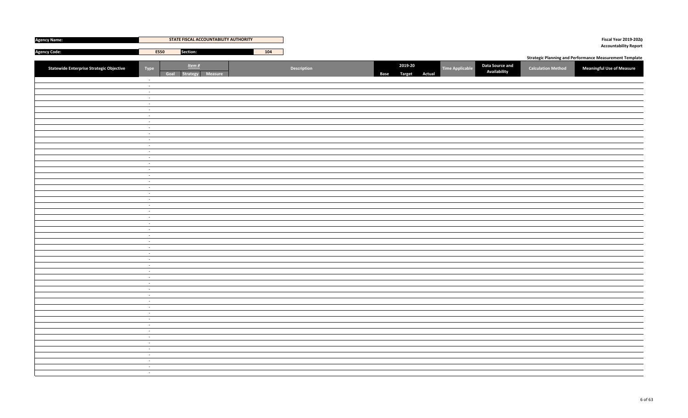| <b>Agency Name:</b>                      |                  | STATE FISCAL ACCOUNTABILITY AUTHORITY |     |             |                                  |                           |                                        |                           | <b>Fiscal Year 2019-2020</b>                                   |
|------------------------------------------|------------------|---------------------------------------|-----|-------------|----------------------------------|---------------------------|----------------------------------------|---------------------------|----------------------------------------------------------------|
|                                          |                  |                                       |     |             |                                  |                           |                                        |                           | <b>Accountability Report</b>                                   |
| <b>Agency Code:</b>                      | E550             | Section:                              | 104 |             |                                  |                           |                                        |                           | <b>Strategic Planning and Performance Measurement Template</b> |
| Statewide Enterprise Strategic Objective | Type<br>Goal     | Item #<br>Strategy Measure            |     | Description | 2019-20<br>Target<br><b>Base</b> | Time Applicable<br>Actual | <b>Data Source and</b><br>Availability | <b>Calculation Method</b> | <b>Meaningful Use of Measure</b>                               |
|                                          | $\sim$           |                                       |     |             |                                  |                           |                                        |                           |                                                                |
|                                          | $\sim$<br>$\sim$ |                                       |     |             |                                  |                           |                                        |                           |                                                                |
|                                          | $\sim$           |                                       |     |             |                                  |                           |                                        |                           |                                                                |
|                                          | $\sim$           |                                       |     |             |                                  |                           |                                        |                           |                                                                |
|                                          | $\sim$           |                                       |     |             |                                  |                           |                                        |                           |                                                                |
|                                          | $\sim$<br>$\sim$ |                                       |     |             |                                  |                           |                                        |                           |                                                                |
|                                          | $\sim$           |                                       |     |             |                                  |                           |                                        |                           |                                                                |
|                                          | $\sim$           |                                       |     |             |                                  |                           |                                        |                           |                                                                |
|                                          | $\sim$<br>$\sim$ |                                       |     |             |                                  |                           |                                        |                           |                                                                |
|                                          | $\sim$           |                                       |     |             |                                  |                           |                                        |                           |                                                                |
|                                          | $\sim$           |                                       |     |             |                                  |                           |                                        |                           |                                                                |
|                                          | $\sim$           |                                       |     |             |                                  |                           |                                        |                           |                                                                |
|                                          | $\sim$<br>$\sim$ |                                       |     |             |                                  |                           |                                        |                           |                                                                |
|                                          | $\sim$           |                                       |     |             |                                  |                           |                                        |                           |                                                                |
|                                          | $\sim$           |                                       |     |             |                                  |                           |                                        |                           |                                                                |
|                                          | $\sim$           |                                       |     |             |                                  |                           |                                        |                           |                                                                |
|                                          | $\sim$<br>$\sim$ |                                       |     |             |                                  |                           |                                        |                           |                                                                |
|                                          | $\sim$           |                                       |     |             |                                  |                           |                                        |                           |                                                                |
|                                          | $\sim$           |                                       |     |             |                                  |                           |                                        |                           |                                                                |
|                                          | $\sim$           |                                       |     |             |                                  |                           |                                        |                           |                                                                |
|                                          | $\sim$<br>$\sim$ |                                       |     |             |                                  |                           |                                        |                           |                                                                |
|                                          | $\sim$           |                                       |     |             |                                  |                           |                                        |                           |                                                                |
|                                          | $\sim$           |                                       |     |             |                                  |                           |                                        |                           |                                                                |
|                                          | $\sim$           |                                       |     |             |                                  |                           |                                        |                           |                                                                |
|                                          | $\sim$<br>$\sim$ |                                       |     |             |                                  |                           |                                        |                           |                                                                |
|                                          | $\sim$           |                                       |     |             |                                  |                           |                                        |                           |                                                                |
|                                          | $\sim$           |                                       |     |             |                                  |                           |                                        |                           |                                                                |
|                                          | $\sim$           |                                       |     |             |                                  |                           |                                        |                           |                                                                |
|                                          | $\sim$<br>$\sim$ |                                       |     |             |                                  |                           |                                        |                           |                                                                |
|                                          | $\sim$           |                                       |     |             |                                  |                           |                                        |                           |                                                                |
|                                          | $\sim$           |                                       |     |             |                                  |                           |                                        |                           |                                                                |
|                                          | $\sim$           |                                       |     |             |                                  |                           |                                        |                           |                                                                |
|                                          | $\sim$<br>$\sim$ |                                       |     |             |                                  |                           |                                        |                           |                                                                |
|                                          | $\sim$           |                                       |     |             |                                  |                           |                                        |                           |                                                                |
|                                          | $\sim$           |                                       |     |             |                                  |                           |                                        |                           |                                                                |
|                                          | $\sim$           |                                       |     |             |                                  |                           |                                        |                           |                                                                |
|                                          | $\sim$<br>$\sim$ |                                       |     |             |                                  |                           |                                        |                           |                                                                |
|                                          | $\sim$           |                                       |     |             |                                  |                           |                                        |                           |                                                                |
|                                          | $\sim$           |                                       |     |             |                                  |                           |                                        |                           |                                                                |
|                                          | $\sim$           |                                       |     |             |                                  |                           |                                        |                           |                                                                |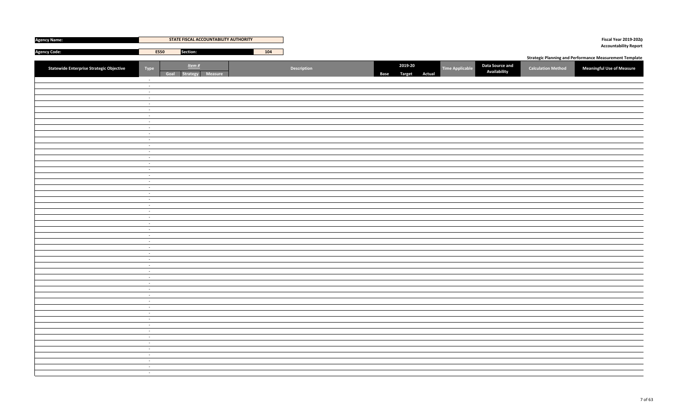| <b>Agency Name:</b>                      |                  | STATE FISCAL ACCOUNTABILITY AUTHORITY |     |             |                                  |                           |                                        |                           | <b>Fiscal Year 2019-2020</b>                                   |
|------------------------------------------|------------------|---------------------------------------|-----|-------------|----------------------------------|---------------------------|----------------------------------------|---------------------------|----------------------------------------------------------------|
|                                          |                  |                                       |     |             |                                  |                           |                                        |                           | <b>Accountability Report</b>                                   |
| <b>Agency Code:</b>                      | E550             | Section:                              | 104 |             |                                  |                           |                                        |                           | <b>Strategic Planning and Performance Measurement Template</b> |
| Statewide Enterprise Strategic Objective | Type<br>Goal     | Item #<br>Strategy Measure            |     | Description | 2019-20<br>Target<br><b>Base</b> | Time Applicable<br>Actual | <b>Data Source and</b><br>Availability | <b>Calculation Method</b> | <b>Meaningful Use of Measure</b>                               |
|                                          | $\sim$           |                                       |     |             |                                  |                           |                                        |                           |                                                                |
|                                          | $\sim$<br>$\sim$ |                                       |     |             |                                  |                           |                                        |                           |                                                                |
|                                          | $\sim$           |                                       |     |             |                                  |                           |                                        |                           |                                                                |
|                                          | $\sim$           |                                       |     |             |                                  |                           |                                        |                           |                                                                |
|                                          | $\sim$           |                                       |     |             |                                  |                           |                                        |                           |                                                                |
|                                          | $\sim$<br>$\sim$ |                                       |     |             |                                  |                           |                                        |                           |                                                                |
|                                          | $\sim$           |                                       |     |             |                                  |                           |                                        |                           |                                                                |
|                                          | $\sim$           |                                       |     |             |                                  |                           |                                        |                           |                                                                |
|                                          | $\sim$<br>$\sim$ |                                       |     |             |                                  |                           |                                        |                           |                                                                |
|                                          | $\sim$           |                                       |     |             |                                  |                           |                                        |                           |                                                                |
|                                          | $\sim$           |                                       |     |             |                                  |                           |                                        |                           |                                                                |
|                                          | $\sim$           |                                       |     |             |                                  |                           |                                        |                           |                                                                |
|                                          | $\sim$<br>$\sim$ |                                       |     |             |                                  |                           |                                        |                           |                                                                |
|                                          | $\sim$           |                                       |     |             |                                  |                           |                                        |                           |                                                                |
|                                          | $\sim$           |                                       |     |             |                                  |                           |                                        |                           |                                                                |
|                                          | $\sim$           |                                       |     |             |                                  |                           |                                        |                           |                                                                |
|                                          | $\sim$<br>$\sim$ |                                       |     |             |                                  |                           |                                        |                           |                                                                |
|                                          | $\sim$           |                                       |     |             |                                  |                           |                                        |                           |                                                                |
|                                          | $\sim$           |                                       |     |             |                                  |                           |                                        |                           |                                                                |
|                                          | $\sim$           |                                       |     |             |                                  |                           |                                        |                           |                                                                |
|                                          | $\sim$<br>$\sim$ |                                       |     |             |                                  |                           |                                        |                           |                                                                |
|                                          | $\sim$           |                                       |     |             |                                  |                           |                                        |                           |                                                                |
|                                          | $\sim$           |                                       |     |             |                                  |                           |                                        |                           |                                                                |
|                                          | $\sim$           |                                       |     |             |                                  |                           |                                        |                           |                                                                |
|                                          | $\sim$<br>$\sim$ |                                       |     |             |                                  |                           |                                        |                           |                                                                |
|                                          | $\sim$           |                                       |     |             |                                  |                           |                                        |                           |                                                                |
|                                          | $\sim$           |                                       |     |             |                                  |                           |                                        |                           |                                                                |
|                                          | $\sim$           |                                       |     |             |                                  |                           |                                        |                           |                                                                |
|                                          | $\sim$<br>$\sim$ |                                       |     |             |                                  |                           |                                        |                           |                                                                |
|                                          | $\sim$           |                                       |     |             |                                  |                           |                                        |                           |                                                                |
|                                          | $\sim$           |                                       |     |             |                                  |                           |                                        |                           |                                                                |
|                                          | $\sim$           |                                       |     |             |                                  |                           |                                        |                           |                                                                |
|                                          | $\sim$<br>$\sim$ |                                       |     |             |                                  |                           |                                        |                           |                                                                |
|                                          | $\sim$           |                                       |     |             |                                  |                           |                                        |                           |                                                                |
|                                          | $\sim$           |                                       |     |             |                                  |                           |                                        |                           |                                                                |
|                                          | $\sim$           |                                       |     |             |                                  |                           |                                        |                           |                                                                |
|                                          | $\sim$<br>$\sim$ |                                       |     |             |                                  |                           |                                        |                           |                                                                |
|                                          | $\sim$           |                                       |     |             |                                  |                           |                                        |                           |                                                                |
|                                          | $\sim$           |                                       |     |             |                                  |                           |                                        |                           |                                                                |
|                                          | $\sim$           |                                       |     |             |                                  |                           |                                        |                           |                                                                |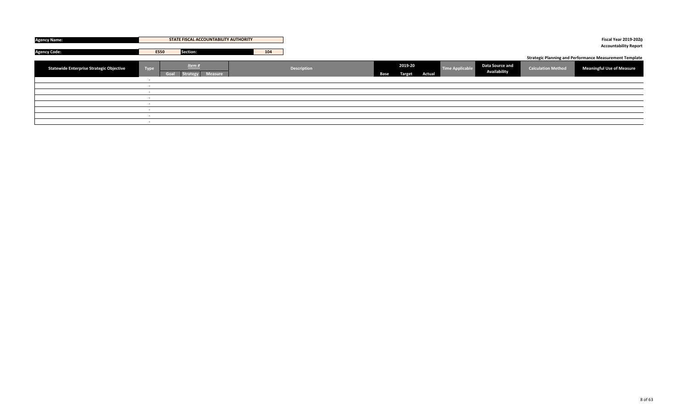| <b>Agency Name:</b>                             |                     | STATE FISCAL ACCOUNTABILITY AUTHORITY |     |             |      |                          |               |                        |                                        |                           | <b>Fiscal Year 2019-2020</b><br><b>Accountability Report</b>   |
|-------------------------------------------------|---------------------|---------------------------------------|-----|-------------|------|--------------------------|---------------|------------------------|----------------------------------------|---------------------------|----------------------------------------------------------------|
| <b>Agency Code:</b>                             | E550                | Section:                              | 104 |             |      |                          |               |                        |                                        |                           | <b>Strategic Planning and Performance Measurement Template</b> |
| <b>Statewide Enterprise Strategic Objective</b> | <b>Type</b><br>Goal | Item#<br>Strategy Measure             |     | Description | Base | 2019-20<br><b>Target</b> | <b>Actual</b> | <b>Time Applicable</b> | <b>Data Source and</b><br>Availability | <b>Calculation Method</b> | <b>Meaningful Use of Measure</b>                               |
|                                                 |                     |                                       |     |             |      |                          |               |                        |                                        |                           |                                                                |
|                                                 |                     |                                       |     |             |      |                          |               |                        |                                        |                           |                                                                |
|                                                 |                     |                                       |     |             |      |                          |               |                        |                                        |                           |                                                                |
|                                                 |                     |                                       |     |             |      |                          |               |                        |                                        |                           |                                                                |
|                                                 |                     |                                       |     |             |      |                          |               |                        |                                        |                           |                                                                |
|                                                 |                     |                                       |     |             |      |                          |               |                        |                                        |                           |                                                                |
|                                                 |                     |                                       |     |             |      |                          |               |                        |                                        |                           |                                                                |
|                                                 |                     |                                       |     |             |      |                          |               |                        |                                        |                           |                                                                |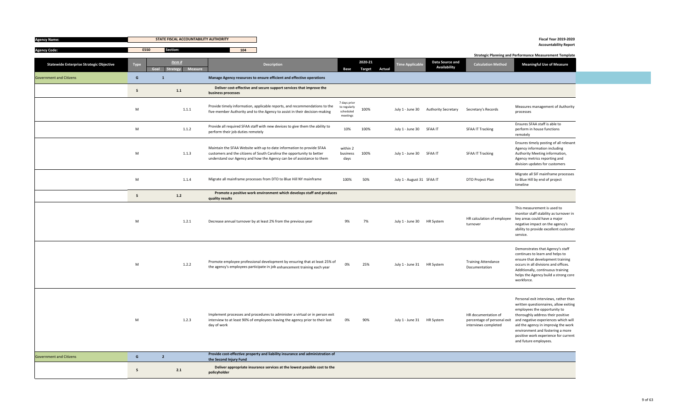| <b>Agency Name:</b>                      |              | STATE FISCAL ACCOUNTABILITY AUTHORITY |                                                                |                                                                                                                                                                                                                          |                                                       |                                    |                            |                                        |                                                                            | <b>Fiscal Year 2019-2020</b><br><b>Accountability Report</b>                                                                                                                                                                                                                                                                           |
|------------------------------------------|--------------|---------------------------------------|----------------------------------------------------------------|--------------------------------------------------------------------------------------------------------------------------------------------------------------------------------------------------------------------------|-------------------------------------------------------|------------------------------------|----------------------------|----------------------------------------|----------------------------------------------------------------------------|----------------------------------------------------------------------------------------------------------------------------------------------------------------------------------------------------------------------------------------------------------------------------------------------------------------------------------------|
| <b>Agency Code:</b>                      | E550         | Section:                              | 104                                                            |                                                                                                                                                                                                                          |                                                       |                                    |                            |                                        |                                                                            | <b>Strategic Planning and Performance Measurement Template</b>                                                                                                                                                                                                                                                                         |
| Statewide Enterprise Strategic Objective | <b>Type</b>  | Item#<br>Goal<br>Strategy<br>Measure  |                                                                | <b>Description</b>                                                                                                                                                                                                       | <b>Base</b>                                           | 2020-21<br>Actual<br><b>Target</b> | Time Applicable            | Data Source and<br><b>Availability</b> | <b>Calculation Method</b>                                                  | <b>Meaningful Use of Measure</b>                                                                                                                                                                                                                                                                                                       |
| <b>Government and Citizens</b>           | G            | $\mathbf{1}$                          |                                                                | Manage Agency resources to ensure efficient and effective operations                                                                                                                                                     |                                                       |                                    |                            |                                        |                                                                            |                                                                                                                                                                                                                                                                                                                                        |
|                                          | $\mathsf{s}$ | 1.1                                   | business processes                                             | Deliver cost-effective and secure support services that improve the                                                                                                                                                      |                                                       |                                    |                            |                                        |                                                                            |                                                                                                                                                                                                                                                                                                                                        |
|                                          | M            | 1.1.1                                 |                                                                | Provide timely information, applicable reports, and recommendations to the<br>five-member Authority and to the Agency to assist in their decision-making                                                                 | 7 days prior<br>to regularly<br>scheduled<br>meetings | 100%                               | July 1 - June 30           | <b>Authority Secretary</b>             | Secretary's Records                                                        | Measures management of Authority<br>processes                                                                                                                                                                                                                                                                                          |
|                                          | M            | 1.1.2                                 | perform their job duties remotely                              | Provide all required SFAA staff with new devices to give them the ability to                                                                                                                                             | 10%                                                   | 100%                               | July 1 - June 30           | <b>SFAA IT</b>                         | <b>SFAA IT Tracking</b>                                                    | Ensures SFAA staff is able to<br>perform in house functions<br>remotely                                                                                                                                                                                                                                                                |
|                                          | M            | 1.1.3                                 |                                                                | Maintain the SFAA Website with up to date information to provide SFAA<br>customers and the citizens of South Carolina the opportunity to better<br>understand our Agency and how the Agency can be of assistance to them | within 2<br>business<br>days                          | 100%                               | July 1 - June 30           | <b>SFAA IT</b>                         | <b>SFAA IT Tracking</b>                                                    | Ensures timely posting of all relevant<br>Agency information including<br>Authority Meeting information,<br>Agency metrics reporting and<br>division updates for customers                                                                                                                                                             |
|                                          | M            | 1.1.4                                 |                                                                | Migrate all mainframe processes from DTO to Blue Hill NY mainframe                                                                                                                                                       | 100%                                                  | 50%                                | July 1 - August 31 SFAA IT |                                        | DTO Project Plan                                                           | Migrate all SIF mainframe processes<br>to Blue Hill by end of project<br>timeline                                                                                                                                                                                                                                                      |
|                                          | $\mathsf{s}$ | 1.2                                   | quality results                                                | Promote a positive work environment which develops staff and produces                                                                                                                                                    |                                                       |                                    |                            |                                        |                                                                            |                                                                                                                                                                                                                                                                                                                                        |
|                                          | M            | 1.2.1                                 | Decrease annual turnover by at least 2% from the previous year |                                                                                                                                                                                                                          | 9%                                                    | 7%                                 | July 1 - June 30           | HR System                              | turnover                                                                   | This measurement is used to<br>monitor staff stability as turnover in<br>HR calculation of employee key areas could have a major<br>negative impact on the agency's<br>ability to provide excellent customer<br>service.                                                                                                               |
|                                          | M            | 1.2.2                                 |                                                                | Promote employee professional development by ensuring that at least 25% of<br>the agency's employees participate in job enhancement training each year                                                                   | 0%                                                    | 25%                                | July 1 - June 31 HR System |                                        | <b>Training Attendance</b><br>Documentation                                | Demonstrates that Agency's staff<br>continues to learn and helps to<br>ensure that development training<br>occurs in all divisions and offices.<br>Additionally, continuous training<br>helps the Agency build a strong core<br>workforce.                                                                                             |
|                                          | M            | 1.2.3                                 | day of work                                                    | Implement processes and procedures to administer a virtual or in person exit<br>interview to at least 90% of employees leaving the agency prior to their last                                                            | 0%                                                    | 90%                                | July 1 - June 31 HR System |                                        | HR documentation of<br>percentage of personal exit<br>interviews completed | Personal exit interviews, rather than<br>written questionnaires, allow exiting<br>employees the opportunity to<br>thoroughly address their positive<br>and negative experiences which will<br>aid the agency in improvig the work<br>environment and fostering a more<br>positive work experience for current<br>and future employees. |
| <b>Government and Citizens</b>           | G            | $\overline{2}$                        | the Second Injury Fund                                         | Provide cost-effective property and liability insurance and administration of                                                                                                                                            |                                                       |                                    |                            |                                        |                                                                            |                                                                                                                                                                                                                                                                                                                                        |
|                                          | $\mathsf{s}$ | 2.1                                   | policyholder                                                   | Deliver appropriate insurance services at the lowest possible cost to the                                                                                                                                                |                                                       |                                    |                            |                                        |                                                                            |                                                                                                                                                                                                                                                                                                                                        |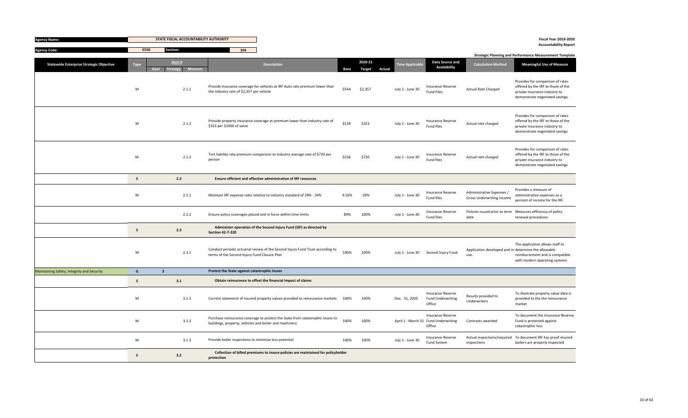| <b>Agency Name:</b>                        |                                                                                                            | STATE FISCAL ACCOUNTABILITY AUTHORITY |                                                        |                                                                                  |       |                                    |                        |                                                                            |                                                               | <b>Fiscal Year 2019-2020</b>                                                                                                               |
|--------------------------------------------|------------------------------------------------------------------------------------------------------------|---------------------------------------|--------------------------------------------------------|----------------------------------------------------------------------------------|-------|------------------------------------|------------------------|----------------------------------------------------------------------------|---------------------------------------------------------------|--------------------------------------------------------------------------------------------------------------------------------------------|
| <b>Agency Code:</b>                        | E550                                                                                                       | Section:                              | 104                                                    |                                                                                  |       |                                    |                        |                                                                            |                                                               | <b>Accountability Report</b>                                                                                                               |
| Statewide Enterprise Strategic Objective   | <b>Type</b>                                                                                                | Item#<br><b>Strateg</b>               |                                                        | <b>Description</b>                                                               | Base  | 2020-21<br>Actual<br><b>Target</b> | <b>Time Applicable</b> | Data Source and<br><b>Availability</b>                                     | <b>Calculation Method</b>                                     | <b>Strategic Planning and Performance Measurement Template</b><br><b>Meaningful Use of Measure</b>                                         |
|                                            | M                                                                                                          | 2.1.1                                 | the industry rate of \$2,357 per vehicle               | Provide insurance coverage for vehicles at IRF Auto rate premium lower than      | \$544 | \$2,357                            | July 1 - June 30       | <b>Insurance Reserve</b><br><b>Fund Files</b>                              | <b>Actual Rate Charged</b>                                    | Provides for comparison of rates<br>offered by the IRF to those of the<br>private insurance industry to<br>demonstrate negotiated savings. |
|                                            | M                                                                                                          | 2.1.2                                 | \$323 per \$1000 of value                              | Provide property insurance coverage at premium lower than industry rate of       | \$139 | \$323                              | July 1 - June 30       | <b>Insurance Reserve</b><br>Fund files                                     | Actual rate charged                                           | Provides for comparison of rates<br>offered by the IRF to those of the<br>private insurance industry to<br>demonstrate negotiated savings  |
|                                            | M                                                                                                          | 2.1.3                                 | person                                                 | Tort liability rate premium comparison to industry average rate of \$720 per     | \$236 | \$720                              | July 1 - June 30       | <b>Insurance Reserve</b><br>Fund files                                     | Actual rate charged                                           | Provides for comparison of rates<br>offered by the IRF to those of the<br>private insurance industry to<br>demonstrate negotiated savings  |
|                                            | $\mathsf{s}$                                                                                               | 2.2                                   |                                                        | Ensure efficient and effective administration of IRF resources                   |       |                                    |                        |                                                                            |                                                               |                                                                                                                                            |
|                                            | M                                                                                                          | 2.2.1                                 |                                                        | Maintain IRF expense ratio relative to industry standard of 29% - 34%            | 4.56% | 29%                                | July 1 - June 30       | Insurance Reserve<br>Fund files                                            | Administrative Expenses /<br><b>Gross Underwriting Income</b> | Provides a measure of<br>administrative expenses as a<br>percent of income for the IRF                                                     |
|                                            |                                                                                                            | 2.2.2                                 |                                                        | Ensure policy coverages placed and in force within time limits                   | 89%   | 100%                               | July 1 - June 30       | <b>Insurance Reserve</b><br><b>Fund files</b>                              | date                                                          | Policies issued prior to term Measures efficiency of policy<br>renewal procedures                                                          |
|                                            | s.                                                                                                         | 2.3                                   | <b>Section 42-7-320</b>                                | Administer operation of the Second Injury Fund (SIF) as directed by              |       |                                    |                        |                                                                            |                                                               |                                                                                                                                            |
|                                            | M                                                                                                          | 2.3.1                                 | terms of the Second Injury Fund Closure Plan           | Conduct periodic actuarial review of the Second Injury Fund Trust according to   | 100%  | 100%                               | July 1 - June 30       | Second Injury Fund                                                         | Application developed and in determine the allowable<br>use.  | The application allows staff to<br>reimbursement and is compatible<br>with modern operating systems                                        |
| Maintaining Safety, Integrity and Security | G                                                                                                          | $\overline{\mathbf{3}}$               | Protect the State against catastrophic losses          |                                                                                  |       |                                    |                        |                                                                            |                                                               |                                                                                                                                            |
|                                            | $\mathsf{s}$                                                                                               | 3.1                                   |                                                        | Obtain reinsurance to offset the financial impact of claims                      |       |                                    |                        |                                                                            |                                                               |                                                                                                                                            |
|                                            | M                                                                                                          | 3.1.1                                 |                                                        | Current statement of insured property values provided to reinsurance markets     | 100%  | 100%                               | Dec. 31, 2020          | <b>Insurance Reserve</b><br><b>Fund Underwriting</b><br>Office             | Results provided to<br>Underwriters                           | To illustrate property value data is<br>provided to the the reinsurance<br>market                                                          |
|                                            | M                                                                                                          | 3.1.2                                 | buildings, property, vehicles and boiler and machinery | Purchase reinsurance coverage to protect the State from catastrophic losses to   | 100%  | 100%                               |                        | <b>Insurance Reserve</b><br>April 1 - March 31 Fund Underwriting<br>Office | Contracts awarded                                             | To document the Insurance Reserve<br>Fund is protected against<br>catastrophic loss                                                        |
|                                            | $\mathsf{M}% _{T}=\mathsf{M}_{T}\!\left( a,b\right) ,\ \mathsf{M}_{T}=\mathsf{M}_{T}\!\left( a,b\right) ,$ | 3.1.3                                 | Provide boiler inspections to minimize loss potential  |                                                                                  | 100%  | 100%                               | July 1 - June 30       | <b>Insurance Reserve</b><br>Fund System                                    | Actual inspections/required<br>inspections                    | To document IRF has proof insured<br>boilers are properly inspected                                                                        |
|                                            | $\mathsf s$                                                                                                | 3.2                                   | protection                                             | Collection of billed premiums to insure policies are maintained for policyholder |       |                                    |                        |                                                                            |                                                               |                                                                                                                                            |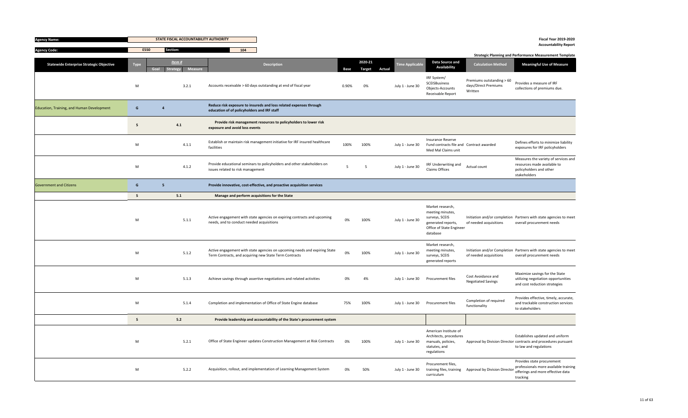| <b>Agency Name:</b>                             |              | STATE FISCAL ACCOUNTABILITY AUTHORITY |                                                        |                                                                             |       |                                    |                        |                                                                                                                      |                                                              | <b>Fiscal Year 2019-2020</b>                                                                                                 |
|-------------------------------------------------|--------------|---------------------------------------|--------------------------------------------------------|-----------------------------------------------------------------------------|-------|------------------------------------|------------------------|----------------------------------------------------------------------------------------------------------------------|--------------------------------------------------------------|------------------------------------------------------------------------------------------------------------------------------|
| <b>Agency Code:</b>                             | E550         | Section:                              | 104                                                    |                                                                             |       |                                    |                        |                                                                                                                      |                                                              | <b>Accountability Report</b>                                                                                                 |
| <b>Statewide Enterprise Strategic Objective</b> | <b>Type</b>  | Item#<br>Strategy<br>Measure          |                                                        | <b>Description</b>                                                          | Base  | 2020-21<br><b>Target</b><br>Actual | <b>Time Applicable</b> | Data Source and<br>Availability                                                                                      | <b>Calculation Method</b>                                    | <b>Strategic Planning and Performance Measurement Template</b><br><b>Meaningful Use of Measure</b>                           |
|                                                 | M            | 3.2.1                                 |                                                        | Accounts receivable > 60 days outstanding at end of fiscal year             | 0.90% | 0%                                 | July 1 - June 30       | IRF System/<br>SCEISBusiness<br>Objects-Accounts<br>Receivable Report                                                | Premiums outstanding > 60<br>days/Direct Premiums<br>Written | Provides a measure of IRF<br>collections of premiums due.                                                                    |
| Education, Training, and Human Development      | G            | $\overline{a}$                        | education of of policyholders and IRF staff            | Reduce risk exposure to insureds and loss related expenses through          |       |                                    |                        |                                                                                                                      |                                                              |                                                                                                                              |
|                                                 | $\mathsf{s}$ | 4.1                                   | exposure and avoid loss events                         | Provide risk management resources to policyholders to lower risk            |       |                                    |                        |                                                                                                                      |                                                              |                                                                                                                              |
|                                                 | M            | 4.1.1                                 | facilities                                             | Establish or maintain risk management initiative for IRF insured healthcare | 100%  | 100%                               | July 1 - June 30       | <b>Insurance Reserve</b><br>Fund contracts file and Contract awarded<br>Med Mal Claims unit                          |                                                              | Defines efforts to minimize liability<br>exposures for IRF policyholders                                                     |
|                                                 | M            | 4.1.2                                 | issues related to risk management                      | Provide educational seminars to policyholders and other stakeholders on     | 5     | 5                                  | July 1 - June 30       | IRF Underwriting and<br><b>Claims Offices</b>                                                                        | Actual count                                                 | Measures the variety of services and<br>resources made available to<br>policyholders and other<br>stakeholders               |
| <b>Government and Citizens</b>                  | $\mathsf{G}$ | 5                                     |                                                        | Provide innovative, cost-effective, and proactive acquisition services      |       |                                    |                        |                                                                                                                      |                                                              |                                                                                                                              |
|                                                 | $\mathsf{s}$ | $5.1\,$                               | Manage and perform acquisitions for the State          |                                                                             |       |                                    |                        |                                                                                                                      |                                                              |                                                                                                                              |
|                                                 | M            | 5.1.1                                 | needs, and to conduct needed acquisitions              | Active engagement with state agencies on expiring contracts and upcoming    | 0%    | 100%                               | July 1 - June 30       | Market research,<br>meeting minutes,<br>surveys, SCEIS<br>generated reports,<br>Office of State Engineer<br>database | of needed acquisitions                                       | Initiation and/or completion Partners with state agencies to meet<br>overall procurement needs                               |
|                                                 | M            | 5.1.2                                 | Term Contracts, and acquiring new State Term Contracts | Active engagement with state agencies on upcoming needs and expiring State  | 0%    | 100%                               | July 1 - June 30       | Market research,<br>meeting minutes,<br>surveys, SCEIS<br>generated reports                                          | of needed acquisitions                                       | Initiation and/or Completion Partners with state agencies to meet<br>overall procurement needs                               |
|                                                 | M            | 5.1.3                                 |                                                        | Achieve savings through assertive negotiations and related activities       | 0%    | 4%                                 | July 1 - June 30       | Procurement files                                                                                                    | Cost Avoidance and<br><b>Negotiated Savings</b>              | Maximize savings for the State<br>utilizing negotiation opportunities<br>and cost reduction strategies                       |
|                                                 | M            | 5.1.4                                 |                                                        | Completion and implementation of Office of State Engine database            | 75%   | 100%                               | July 1 - June 30       | Procurement files                                                                                                    | Completion of required<br>functionality                      | Provides effective, timely, accurate,<br>and trackable construction services<br>to stakeholders                              |
|                                                 | $\mathsf{s}$ | 5.2                                   |                                                        | Provide leadership and accountability of the State's procurement system     |       |                                    |                        |                                                                                                                      |                                                              |                                                                                                                              |
|                                                 | M            | 5.2.1                                 |                                                        | Office of State Engineer updates Construction Management at Risk Contracts  | 0%    | 100%                               | July 1 - June 30       | American Institute of<br>Architects, procedures<br>manuals, policies,<br>statutes, and<br>regulations                |                                                              | Establishes updated and uniform<br>Approval by Division Director contracts and procedures pursuant<br>to law and regulations |
|                                                 | M            | 5.2.2                                 |                                                        | Acquisition, rollout, and implementation of Learning Management System      | 0%    | 50%                                | July 1 - June 30       | Procurement files,<br>training files, training<br>curriculum                                                         | Approval by Division Director                                | Provides state procurement<br>professionals more available training<br>offerings and more effective data<br>tracking         |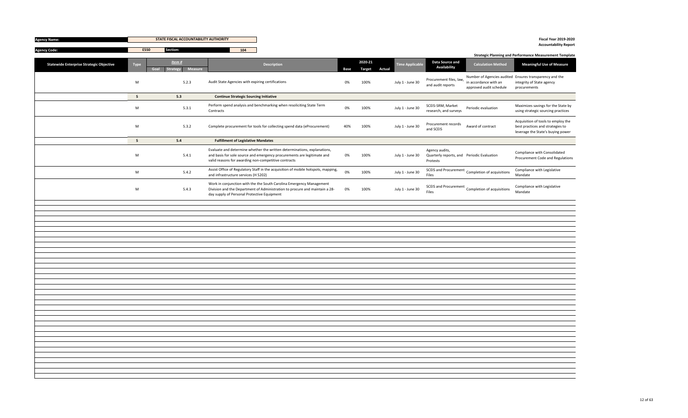| <b>Agency Name:</b>                      |              | STATE FISCAL ACCOUNTABILITY AUTHORITY |                                                      |                                                                                                                                                     |      |                                           |                        |                                                                          |                                                     | <b>Fiscal Year 2019-2020</b>                                                                                |
|------------------------------------------|--------------|---------------------------------------|------------------------------------------------------|-----------------------------------------------------------------------------------------------------------------------------------------------------|------|-------------------------------------------|------------------------|--------------------------------------------------------------------------|-----------------------------------------------------|-------------------------------------------------------------------------------------------------------------|
| <b>Agency Code:</b>                      | E550         | Section:                              | 104                                                  |                                                                                                                                                     |      |                                           |                        |                                                                          |                                                     | <b>Accountability Report</b>                                                                                |
| Statewide Enterprise Strategic Objective | Type         | Item#<br>Measure<br><b>Strategy</b>   |                                                      | Description                                                                                                                                         | Base | 2020-21<br><b>Actual</b><br><b>Target</b> | <b>Time Applicable</b> | Data Source and<br>Availability                                          | <b>Calculation Method</b>                           | <b>Strategic Planning and Performance Measurement Template</b><br><b>Meaningful Use of Measure</b>          |
|                                          | ${\sf M}$    | 5.2.3                                 | Audit State Agencies with expiring certifications    |                                                                                                                                                     | 0%   | 100%                                      | July 1 - June 30       | Procurement files, law,<br>and audit reports                             | in accordance with an<br>approved audit schedule    | Number of Agencies audited Ensures transparency and the<br>integrity of State agency<br>procurements        |
|                                          | $\mathsf{s}$ | 5.3                                   | <b>Continue Strategic Sourcing Initiative</b>        |                                                                                                                                                     |      |                                           |                        |                                                                          |                                                     |                                                                                                             |
|                                          | M            | 5.3.1                                 | Contracts                                            | Perform spend analysis and benchmarking when resoliciting State Term                                                                                | 0%   | 100%                                      | July 1 - June 30       | SCEIS-SRM, Market<br>research, and surveys                               | Periodic evaluation                                 | Maximizes savings for the State by<br>using strategic sourcing practices                                    |
|                                          | M            | 5.3.2                                 |                                                      | Complete procurement for tools for collecting spend data (eProcurement)                                                                             | 40%  | 100%                                      | July 1 - June 30       | Procurement records<br>and SCEIS                                         | Award of contract                                   | Acquisition of tools to employ the<br>best practices and strategies to<br>leverage the State's buying power |
|                                          | $\mathsf{s}$ | 5.4                                   | <b>Fulfillment of Legislative Mandates</b>           |                                                                                                                                                     |      |                                           |                        |                                                                          |                                                     |                                                                                                             |
|                                          | ${\sf M}$    | 5.4.1                                 | valid reasons for awarding non-competitive contracts | Evaluate and determine whether the written determinations, explanations,<br>and basis for sole source and emergency procurements are legitimate and | 0%   | 100%                                      | July 1 - June 30       | Agency audits,<br>Quarterly reports, and Periodic Evaluation<br>Protests |                                                     | Compliance with Consolidated<br>Procurement Code and Regulations                                            |
|                                          | M            | 5.4.2                                 | and infrastructure services (H 5202)                 | Assist Office of Regulatory Staff in the acquisition of mobile hotspots, mapping,                                                                   | 0%   | 100%                                      | July 1 - June 30       | <b>SCEIS and Procurement</b><br>Files                                    | Completion of acquisitions                          | Compliance with Legislative<br>Mandate                                                                      |
|                                          | ${\sf M}$    | 5.4.3                                 | day supply of Personal Protective Equipment          | Work in conjunction with the the South Carolina Emergency Management<br>Division and the Department of Administration to procure and maintain a 28- | 0%   | 100%                                      | July 1 - June 30       |                                                                          | SCEIS and Procurement<br>Completion of acquisitions | Compliance with Legislative<br>Mandate                                                                      |
|                                          |              |                                       |                                                      |                                                                                                                                                     |      |                                           |                        |                                                                          |                                                     |                                                                                                             |
|                                          |              |                                       |                                                      |                                                                                                                                                     |      |                                           |                        |                                                                          |                                                     |                                                                                                             |
|                                          |              |                                       |                                                      |                                                                                                                                                     |      |                                           |                        |                                                                          |                                                     |                                                                                                             |
|                                          |              |                                       |                                                      |                                                                                                                                                     |      |                                           |                        |                                                                          |                                                     |                                                                                                             |
|                                          |              |                                       |                                                      |                                                                                                                                                     |      |                                           |                        |                                                                          |                                                     |                                                                                                             |
|                                          |              |                                       |                                                      |                                                                                                                                                     |      |                                           |                        |                                                                          |                                                     |                                                                                                             |
|                                          |              |                                       |                                                      |                                                                                                                                                     |      |                                           |                        |                                                                          |                                                     |                                                                                                             |
|                                          |              |                                       |                                                      |                                                                                                                                                     |      |                                           |                        |                                                                          |                                                     |                                                                                                             |
|                                          |              |                                       |                                                      |                                                                                                                                                     |      |                                           |                        |                                                                          |                                                     |                                                                                                             |
|                                          |              |                                       |                                                      |                                                                                                                                                     |      |                                           |                        |                                                                          |                                                     |                                                                                                             |
|                                          |              |                                       |                                                      |                                                                                                                                                     |      |                                           |                        |                                                                          |                                                     |                                                                                                             |
|                                          |              |                                       |                                                      |                                                                                                                                                     |      |                                           |                        |                                                                          |                                                     |                                                                                                             |
|                                          |              |                                       |                                                      |                                                                                                                                                     |      |                                           |                        |                                                                          |                                                     |                                                                                                             |
|                                          |              |                                       |                                                      |                                                                                                                                                     |      |                                           |                        |                                                                          |                                                     |                                                                                                             |
|                                          |              |                                       |                                                      |                                                                                                                                                     |      |                                           |                        |                                                                          |                                                     |                                                                                                             |
|                                          |              |                                       |                                                      |                                                                                                                                                     |      |                                           |                        |                                                                          |                                                     |                                                                                                             |
|                                          |              |                                       |                                                      |                                                                                                                                                     |      |                                           |                        |                                                                          |                                                     |                                                                                                             |
|                                          |              |                                       |                                                      |                                                                                                                                                     |      |                                           |                        |                                                                          |                                                     |                                                                                                             |
|                                          |              |                                       |                                                      |                                                                                                                                                     |      |                                           |                        |                                                                          |                                                     |                                                                                                             |
|                                          |              |                                       |                                                      |                                                                                                                                                     |      |                                           |                        |                                                                          |                                                     |                                                                                                             |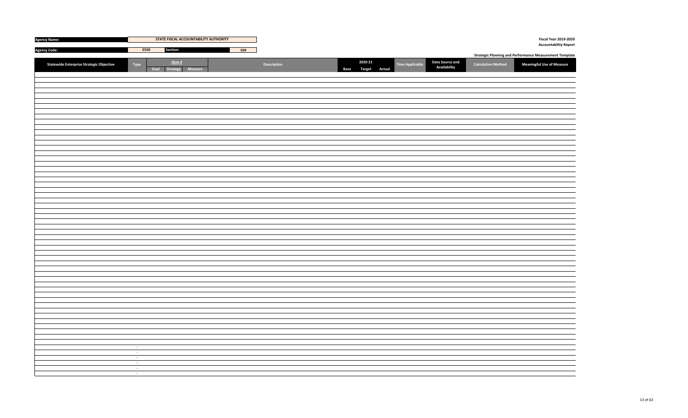| <b>Agency Name:</b>                      | STATE FISCAL ACCOUNTABILITY AUTHORITY |                     |     | <b>Fiscal Year 2019-2020</b>                                                                                                                  |
|------------------------------------------|---------------------------------------|---------------------|-----|-----------------------------------------------------------------------------------------------------------------------------------------------|
| <b>Agency Code:</b>                      | E550                                  | Section:            | 104 | <b>Accountability Report</b>                                                                                                                  |
|                                          |                                       |                     |     | <b>Strategic Planning and Performance Measurement Template</b>                                                                                |
| Statewide Enterprise Strategic Objective | Type                                  | Item#               |     | 2020-21<br>Data Source and<br>Availability<br>Time Applicable<br>Description<br><b>Calculation Method</b><br><b>Meaningful Use of Measure</b> |
|                                          | Goal                                  | Strategy<br>Measure |     | <b>Base Target</b><br><b>Actual</b>                                                                                                           |
|                                          |                                       |                     |     |                                                                                                                                               |
|                                          |                                       |                     |     |                                                                                                                                               |
|                                          |                                       |                     |     |                                                                                                                                               |
|                                          |                                       |                     |     |                                                                                                                                               |
|                                          |                                       |                     |     |                                                                                                                                               |
|                                          |                                       |                     |     |                                                                                                                                               |
|                                          |                                       |                     |     |                                                                                                                                               |
|                                          |                                       |                     |     |                                                                                                                                               |
|                                          |                                       |                     |     |                                                                                                                                               |
|                                          |                                       |                     |     |                                                                                                                                               |
|                                          |                                       |                     |     |                                                                                                                                               |
|                                          |                                       |                     |     |                                                                                                                                               |
|                                          |                                       |                     |     |                                                                                                                                               |
|                                          |                                       |                     |     |                                                                                                                                               |
|                                          |                                       |                     |     |                                                                                                                                               |
|                                          |                                       |                     |     |                                                                                                                                               |
|                                          |                                       |                     |     |                                                                                                                                               |
|                                          |                                       |                     |     |                                                                                                                                               |
|                                          |                                       |                     |     |                                                                                                                                               |
|                                          |                                       |                     |     |                                                                                                                                               |
|                                          |                                       |                     |     |                                                                                                                                               |
|                                          |                                       |                     |     |                                                                                                                                               |
|                                          |                                       |                     |     |                                                                                                                                               |
|                                          |                                       |                     |     |                                                                                                                                               |
|                                          |                                       |                     |     |                                                                                                                                               |
|                                          |                                       |                     |     |                                                                                                                                               |
|                                          |                                       |                     |     |                                                                                                                                               |
|                                          |                                       |                     |     |                                                                                                                                               |
|                                          |                                       |                     |     |                                                                                                                                               |
|                                          |                                       |                     |     |                                                                                                                                               |
|                                          |                                       |                     |     |                                                                                                                                               |
|                                          |                                       |                     |     |                                                                                                                                               |
|                                          |                                       |                     |     |                                                                                                                                               |
|                                          | $\sim$<br>$\sim$                      |                     |     |                                                                                                                                               |
|                                          | $\sim$<br>$\sim$                      |                     |     |                                                                                                                                               |
|                                          | $\sim$                                |                     |     |                                                                                                                                               |
|                                          | $\sim$                                |                     |     |                                                                                                                                               |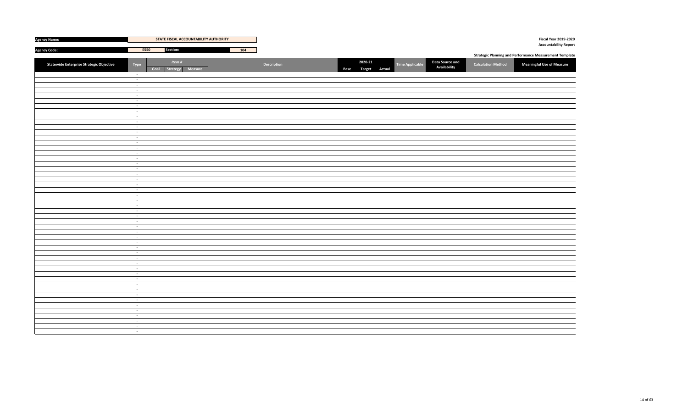| <b>Agency Name:</b>                      | STATE FISCAL ACCOUNTABILITY AUTHORITY |                     |     |             |                              |                                 | <b>Fiscal Year 2019-2020</b> |                                                                |
|------------------------------------------|---------------------------------------|---------------------|-----|-------------|------------------------------|---------------------------------|------------------------------|----------------------------------------------------------------|
|                                          |                                       |                     |     |             |                              |                                 |                              | <b>Accountability Report</b>                                   |
| <b>Agency Code:</b>                      | E550                                  | Section:            | 104 |             |                              |                                 |                              | <b>Strategic Planning and Performance Measurement Template</b> |
|                                          |                                       |                     |     |             |                              | Data Source and                 |                              |                                                                |
| Statewide Enterprise Strategic Objective | Type                                  | $Item #$            |     | Description | 2020-21                      | Time Applicable<br>Availability | <b>Calculation Method</b>    | <b>Meaningful Use of Measure</b>                               |
|                                          | Goal<br>$\sim$                        | Strategy<br>Measure |     |             | <b>Base</b><br>Target Actual |                                 |                              |                                                                |
|                                          | $\sim$                                |                     |     |             |                              |                                 |                              |                                                                |
|                                          | $\sim$                                |                     |     |             |                              |                                 |                              |                                                                |
|                                          | $\sim$                                |                     |     |             |                              |                                 |                              |                                                                |
|                                          | $\sim$                                |                     |     |             |                              |                                 |                              |                                                                |
|                                          | $\sim$                                |                     |     |             |                              |                                 |                              |                                                                |
|                                          | $\sim$<br>$\sim$                      |                     |     |             |                              |                                 |                              |                                                                |
|                                          | $\sim$                                |                     |     |             |                              |                                 |                              |                                                                |
|                                          | $\sim$                                |                     |     |             |                              |                                 |                              |                                                                |
|                                          | $\sim$                                |                     |     |             |                              |                                 |                              |                                                                |
|                                          | $\sim$                                |                     |     |             |                              |                                 |                              |                                                                |
|                                          | $\sim$<br>$\sim$                      |                     |     |             |                              |                                 |                              |                                                                |
|                                          | $\sim$                                |                     |     |             |                              |                                 |                              |                                                                |
|                                          | $\sim$                                |                     |     |             |                              |                                 |                              |                                                                |
|                                          | $\sim$                                |                     |     |             |                              |                                 |                              |                                                                |
|                                          | $\sim$                                |                     |     |             |                              |                                 |                              |                                                                |
|                                          | $\sim$                                |                     |     |             |                              |                                 |                              |                                                                |
|                                          | $\sim$<br>$\sim$                      |                     |     |             |                              |                                 |                              |                                                                |
|                                          | $\sim$                                |                     |     |             |                              |                                 |                              |                                                                |
|                                          | $\sim$                                |                     |     |             |                              |                                 |                              |                                                                |
|                                          | $\sim$                                |                     |     |             |                              |                                 |                              |                                                                |
|                                          | $\sim$                                |                     |     |             |                              |                                 |                              |                                                                |
|                                          | $\sim$<br>$\sim$                      |                     |     |             |                              |                                 |                              |                                                                |
|                                          | $\sim$                                |                     |     |             |                              |                                 |                              |                                                                |
|                                          | $\sim$                                |                     |     |             |                              |                                 |                              |                                                                |
|                                          | $\sim$                                |                     |     |             |                              |                                 |                              |                                                                |
|                                          | $\sim$                                |                     |     |             |                              |                                 |                              |                                                                |
|                                          | $\sim$                                |                     |     |             |                              |                                 |                              |                                                                |
|                                          | $\sim$<br>$\sim$                      |                     |     |             |                              |                                 |                              |                                                                |
|                                          | $\sim$                                |                     |     |             |                              |                                 |                              |                                                                |
|                                          | $\sim$                                |                     |     |             |                              |                                 |                              |                                                                |
|                                          | $\sim$                                |                     |     |             |                              |                                 |                              |                                                                |
|                                          | $\sim$                                |                     |     |             |                              |                                 |                              |                                                                |
|                                          | $\sim$                                |                     |     |             |                              |                                 |                              |                                                                |
|                                          | $\sim$<br>$\sim$                      |                     |     |             |                              |                                 |                              |                                                                |
|                                          | $\sim$                                |                     |     |             |                              |                                 |                              |                                                                |
|                                          | $\sim$                                |                     |     |             |                              |                                 |                              |                                                                |
|                                          | $\sim$                                |                     |     |             |                              |                                 |                              |                                                                |
|                                          | $\sim$                                |                     |     |             |                              |                                 |                              |                                                                |
|                                          | $\sim$                                |                     |     |             |                              |                                 |                              |                                                                |
|                                          | $\sim$<br>$\sim$                      |                     |     |             |                              |                                 |                              |                                                                |
|                                          | $\sim$                                |                     |     |             |                              |                                 |                              |                                                                |
|                                          | $\sim$                                |                     |     |             |                              |                                 |                              |                                                                |
|                                          |                                       |                     |     |             |                              |                                 |                              |                                                                |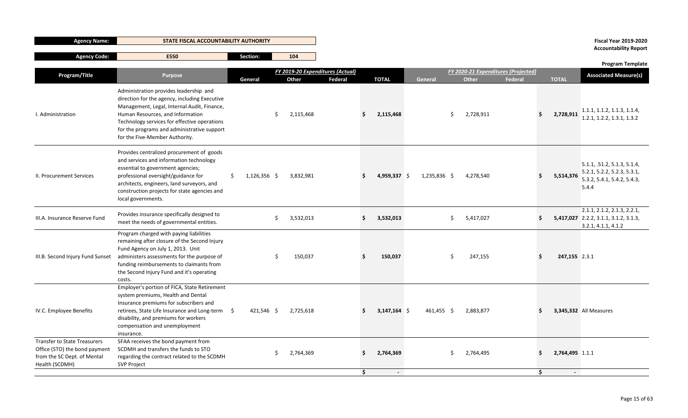| <b>Agency Name:</b>                                                                                                   | STATE FISCAL ACCOUNTABILITY AUTHORITY                                                                                                                                                                                                                                                                       |                   |    |                                  |                |    |                          |  |                | <b>Fiscal Year 2019-2020</b><br><b>Accountability Report</b> |              |                                     |    |                 |                                                                                                    |
|-----------------------------------------------------------------------------------------------------------------------|-------------------------------------------------------------------------------------------------------------------------------------------------------------------------------------------------------------------------------------------------------------------------------------------------------------|-------------------|----|----------------------------------|----------------|----|--------------------------|--|----------------|--------------------------------------------------------------|--------------|-------------------------------------|----|-----------------|----------------------------------------------------------------------------------------------------|
| <b>Agency Code:</b>                                                                                                   | E550                                                                                                                                                                                                                                                                                                        | Section:          |    | 104                              |                |    |                          |  |                |                                                              |              |                                     |    |                 |                                                                                                    |
|                                                                                                                       |                                                                                                                                                                                                                                                                                                             |                   |    | FY 2019-20 Expenditures (Actual) |                |    |                          |  |                |                                                              |              | FY 2020-21 Expenditures (Projected) |    |                 | <b>Program Template</b>                                                                            |
| Program/Title                                                                                                         | Purpose                                                                                                                                                                                                                                                                                                     | General           |    | Other                            | <b>Federal</b> |    | <b>TOTAL</b>             |  | <b>General</b> |                                                              | <b>Other</b> | <b>Federal</b>                      |    | <b>TOTAL</b>    | <b>Associated Measure(s)</b>                                                                       |
| I. Administration                                                                                                     | Administration provides leadership and<br>direction for the agency, including Executive<br>Management, Legal, Internal Audit, Finance,<br>Human Resources, and Information<br>Technology services for effective operations<br>for the programs and administrative support<br>for the Five-Member Authority. |                   | \$ | 2,115,468                        |                |    | 2,115,468                |  |                | \$                                                           | 2,728,911    |                                     | Ś  | 2,728,911       | 1.1.1, 1.1.2, 1.1.3, 1.1.4,<br>1.2.1, 1.2.2, 1.3.1, 1.3.2                                          |
| II. Procurement Services                                                                                              | Provides centralized procurement of goods<br>and services and information technology<br>essential to government agencies;<br>professional oversight/guidance for<br>architects, engineers, land surveyors, and<br>construction projects for state agencies and<br>local governments.                        | 1,126,356 \$<br>Ŝ |    | 3,832,981                        |                |    | $4,959,337$ \$           |  | 1,235,836 \$   |                                                              | 4,278,540    |                                     |    | 5,514,376       | 5.1.1, .51.2, 5.1.3, 5.1.4,<br>5.2.1, 5.2.2, 5.2.3, 5.3.1,<br>5.3.2, 5.4.1, 5.4.2, 5.4.3,<br>5.4.4 |
| III.A. Insurance Reserve Fund                                                                                         | Provides insurance specifically designed to<br>meet the needs of governmental entities.                                                                                                                                                                                                                     |                   | \$ | 3,532,013                        |                | Ŝ. | 3,532,013                |  |                | \$                                                           | 5,417,027    |                                     | Ś. |                 | 2.1.1, 2.1.2, 2.1.3, 2.2.1,<br>5,417,027 2.2.2, 3.1.1, 3.1.2, 3.1.3,<br>3.2.1, 4.1.1, 4.1.2        |
| III.B. Second Injury Fund Sunset                                                                                      | Program charged with paying liabilities<br>remaining after closure of the Second Injury<br>Fund Agency on July 1, 2013. Unit<br>administers assessments for the purpose of<br>funding reimbursements to claimants from<br>the Second Injury Fund and it's operating<br>costs.                               |                   | \$ | 150,037                          |                |    | 150,037                  |  |                | \$                                                           | 247,155      |                                     |    | 247,155 2.3.1   |                                                                                                    |
| IV.C. Employee Benefits                                                                                               | Employer's portion of FICA, State Retirement<br>system premiums, Health and Dental<br>Insurance premiums for subscribers and<br>retirees, State Life Insurance and Long-term \$<br>disability, and premiums for workers<br>compensation and unemployment<br>insurance.                                      | 421,546 \$        |    | 2,725,618                        |                |    | $3,147,164$ \$           |  | 461,455 \$     |                                                              | 2,883,877    |                                     |    |                 | 3,345,332 All Measures                                                                             |
| <b>Transfer to State Treasurers</b><br>Office (STO) the bond payment<br>from the SC Dept. of Mental<br>Health (SCDMH) | SFAA receives the bond payment from<br>SCDMH and transfers the funds to STO<br>regarding the contract related to the SCDMH<br><b>SVP Project</b>                                                                                                                                                            |                   | Ś. | 2,764,369                        |                | Ŝ. | 2,764,369                |  |                | Ŝ.                                                           | 2,764,495    |                                     | Ŝ. | 2,764,495 1.1.1 |                                                                                                    |
|                                                                                                                       |                                                                                                                                                                                                                                                                                                             |                   |    |                                  |                | \$ | $\overline{\phantom{a}}$ |  |                |                                                              |              |                                     | \$ | $\sim$          |                                                                                                    |

 $\mathcal{L}$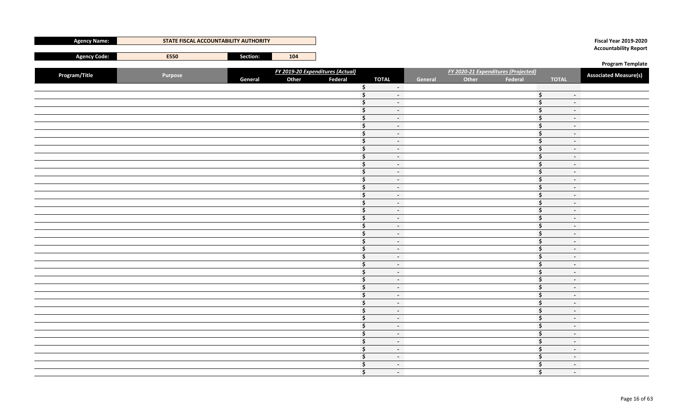| <b>Agency Name:</b> |      | STATE FISCAL ACCOUNTABILITY AUTHORITY |     |
|---------------------|------|---------------------------------------|-----|
|                     |      |                                       |     |
| <b>Agency Code:</b> | E550 | <b>Section:</b>                       | 104 |
|                     |      |                                       |     |

| Program/Title | Purpose | <b>FY 2019-20 Expenditures (Actual)</b> |       |                                 | <b>FY 2020-21 Expenditures (Projected)</b> |                  | <b>Associated Measure(s)</b>    |                     |  |
|---------------|---------|-----------------------------------------|-------|---------------------------------|--------------------------------------------|------------------|---------------------------------|---------------------|--|
|               |         | General                                 | Other | Federal                         | <b>TOTAL</b>                               | Other<br>General | Federal                         | <b>TOTAL</b>        |  |
|               |         |                                         |       | $\frac{1}{2}$                   | $\sim$ $-$                                 |                  |                                 |                     |  |
|               |         |                                         |       | $\overline{\xi}$                | $\sim$                                     |                  | $\boldsymbol{\mathsf{S}}$       | $\sim$ .            |  |
|               |         |                                         |       | $\ddot{\bm{\zeta}}$             | $\sim$                                     |                  | $\overline{\mathbf{S}}$         | $\sim$              |  |
|               |         |                                         |       | $\overline{\mathbf{r}}$         | $\sim$                                     |                  | $\boldsymbol{\mathsf{S}}$       | $\sim$              |  |
|               |         |                                         |       | $\overline{\mathbf{S}}$         | $\sim$                                     |                  | $\overline{\mathbf{S}}$         | $\sim$              |  |
|               |         |                                         |       | $\overline{\boldsymbol{\zeta}}$ | $\mathcal{L}^{\pm}$                        |                  | $\boldsymbol{\mathsf{\dot{S}}}$ | $\sim$              |  |
|               |         |                                         |       | $\ddot{\bm{\zeta}}$             | $\sim$                                     |                  | $\boldsymbol{\mathsf{S}}$       | $\sim$              |  |
|               |         |                                         |       | $\ddot{\bm{\zeta}}$             | $\sim$                                     |                  | $\ddot{\bm{\zeta}}$             | $\sim$              |  |
|               |         |                                         |       | $\ddot{\bm{\zeta}}$             | $\sim$                                     |                  | $\boldsymbol{\mathsf{S}}$       | $\sim$              |  |
|               |         |                                         |       | \$                              | $\sim$                                     |                  | \$                              | $\sim$              |  |
|               |         |                                         |       | $\overline{\mathbf{S}}$         | $\sim$                                     |                  | \$                              | $\sim$              |  |
|               |         |                                         |       | $\overline{\xi}$                | $\sim$                                     |                  | $\overline{\mathbf{S}}$         | $\sim$              |  |
|               |         |                                         |       | $\overline{\boldsymbol{\xi}}$   | $\sim$                                     |                  | $\overline{\mathbf{S}}$         | $\omega_{\rm{eff}}$ |  |
|               |         |                                         |       | $\ddot{\bm{\zeta}}$             | $\sim$                                     |                  | \$                              | $\sim$              |  |
|               |         |                                         |       | $\ddot{\bm{\zeta}}$             | $\sim$                                     |                  | \$                              | $\sim$              |  |
|               |         |                                         |       | $\boldsymbol{\mathsf{S}}$       | $\sim$                                     |                  | $\ddot{\bm{\zeta}}$             | $\sim$              |  |
|               |         |                                         |       | $\overline{\mathbf{S}}$         | $\sim$                                     |                  | $\overline{\mathbf{S}}$         | $\sim$              |  |
|               |         |                                         |       | $\boldsymbol{\mathsf{S}}$       | $\sim$                                     |                  | \$                              | $\sim$              |  |
|               |         |                                         |       | $\overline{\boldsymbol{\zeta}}$ | $\sim$                                     |                  | \$                              | $\sim$              |  |
|               |         |                                         |       | $\overline{\boldsymbol{\zeta}}$ | $\mathbb{Z}^2$                             |                  | $\overline{\boldsymbol{\zeta}}$ | $\sim$              |  |
|               |         |                                         |       | $\ddot{\bm{\zeta}}$             | $\sim$                                     |                  | $\ddot{\bm{\zeta}}$             | $\sim$              |  |
|               |         |                                         |       | $\ddot{\bm{\zeta}}$             | $\sim$                                     |                  | \$                              | $\sim$              |  |
|               |         |                                         |       | $\ddot{\bm{\zeta}}$             | $\sim$                                     |                  | \$                              | $\sim$              |  |
|               |         |                                         |       | $\boldsymbol{\mathsf{S}}$       | $\sim$                                     |                  | \$                              | $\sim$              |  |
|               |         |                                         |       | $\overline{\mathbf{S}}$         | $\sim$                                     |                  | $\overline{\mathbf{S}}$         | $\sim$              |  |
|               |         |                                         |       | $\overline{\xi}$                | $\sim$                                     |                  | \$                              | $\sim$              |  |
|               |         |                                         |       | $\overline{\mathbf{S}}$         | $\sim$                                     |                  | $\overline{\mathbf{S}}$         | $\sim$              |  |
|               |         |                                         |       | $\overline{\xi}$                | $\sim$                                     |                  | $\overline{\xi}$                | $\omega_{\rm{eff}}$ |  |
|               |         |                                         |       | $\ddot{\bm{\zeta}}$             | $\sim$                                     |                  | $\boldsymbol{\mathsf{S}}$       | $\sim$              |  |
|               |         |                                         |       | $\ddot{\bm{\zeta}}$             | $\sim$                                     |                  | \$                              | $\sim$              |  |
|               |         |                                         |       | $\ddot{\bm{\zeta}}$             | $\sim$                                     |                  | $\boldsymbol{\mathsf{S}}$       | $\sim$              |  |
|               |         |                                         |       | $\ddot{\bm{\zeta}}$             | $\sim$                                     |                  | \$                              | $\sim$              |  |
|               |         |                                         |       | $\boldsymbol{\mathsf{S}}$       | $\sim$                                     |                  | \$                              | $\sim$              |  |
|               |         |                                         |       | $\boldsymbol{\mathsf{S}}$       | $\sim$                                     |                  | $\boldsymbol{\mathsf{S}}$       | $\sim$              |  |
|               |         |                                         |       | $\overline{\mathbf{v}}$         | $\mathbb{Z}^{\mathbb{Z}}$                  |                  | $\overline{\mathbf{S}}$         | $\omega_{\rm{eff}}$ |  |
|               |         |                                         |       | $\ddot{\bm{\zeta}}$             | $\sim$                                     |                  | \$                              | $\sim$              |  |
|               |         |                                         |       | \$                              | $\sim$                                     |                  | $\frac{1}{2}$                   | $\sim$              |  |
|               |         |                                         |       | $\ddot{\bm{\zeta}}$             | $\sim$                                     |                  | $\overline{\mathbf{s}}$         | $\sim$              |  |
|               |         |                                         |       |                                 |                                            |                  |                                 |                     |  |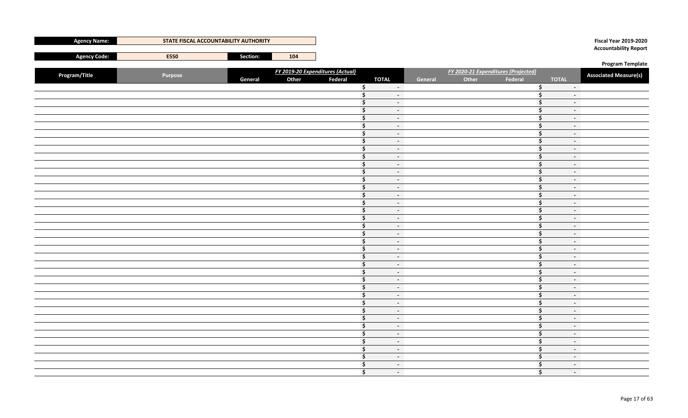| <b>Agency Name:</b> | STATE FISCAL ACCOUNTABILITY AUTHORITY |                 |     |
|---------------------|---------------------------------------|-----------------|-----|
|                     |                                       |                 |     |
| <b>Agency Code:</b> | <b>E550</b>                           | <b>Section:</b> | 104 |
|                     |                                       |                 |     |

|               |         |         | <b>FY 2019-20 Expenditures (Actual)</b> |                                 |              |                  | FY 2020-21 Expenditures (Projected) |              | <b>Associated Measure(s)</b> |
|---------------|---------|---------|-----------------------------------------|---------------------------------|--------------|------------------|-------------------------------------|--------------|------------------------------|
| Program/Title | Purpose | General | Other                                   | Federal                         | <b>TOTAL</b> | General<br>Other | Federal                             | <b>TOTAL</b> |                              |
|               |         |         |                                         | $\overline{\mathbf{S}}$         | $\sim$       |                  | $\boldsymbol{\zeta}$                | $\sim$ .     |                              |
|               |         |         |                                         | $\overline{\boldsymbol{\zeta}}$ | $\sim$       |                  | $\overline{\mathbf{S}}$             | $\sim$       |                              |
|               |         |         |                                         | $\ddot{\bm{\zeta}}$             | $\sim$       |                  | \$                                  | $\sim$       |                              |
|               |         |         |                                         | $\ddot{\bm{\zeta}}$             | $\sim$       |                  | \$                                  | $\sim$       |                              |
|               |         |         |                                         | $\overline{\mathbf{S}}$         | $\sim$       |                  | $\overline{\mathbf{S}}$             | $\sim$       |                              |
|               |         |         |                                         | $\ddot{\bm{\zeta}}$             | $\sim$       |                  | $\boldsymbol{\mathsf{S}}$           | $\sim$       |                              |
|               |         |         |                                         | $\boldsymbol{\mathsf{S}}$       | $\sim$       |                  | $\boldsymbol{\mathsf{S}}$           | $\sim$       |                              |
|               |         |         |                                         | $\ddot{\bm{\zeta}}$             | $\sim$       |                  | $\boldsymbol{\mathsf{S}}$           | $\sim$       |                              |
|               |         |         |                                         | $\boldsymbol{\mathsf{S}}$       | $\sim$       |                  | $\boldsymbol{\mathsf{S}}$           | $\sim$ $-$   |                              |
|               |         |         |                                         | \$                              | $\sim$       |                  | \$                                  | $\sim$       |                              |
|               |         |         |                                         | $\ddot{\bm{s}}$                 | $\sim$       |                  | \$                                  | $\sim$       |                              |
|               |         |         |                                         | $\overline{\mathbf{S}}$         | $\sim$       |                  | $\overline{\mathbf{S}}$             | $\sim$       |                              |
|               |         |         |                                         | $\ddot{\bm{\zeta}}$             | $\sim$       |                  | $\boldsymbol{\mathsf{S}}$           | $\sim$       |                              |
|               |         |         |                                         | $\overline{\mathbf{S}}$         | $\sim$       |                  | $\overline{\mathbf{S}}$             | $\sim$       |                              |
|               |         |         |                                         | $\overline{\mathbf{S}}$         | $\sim$       |                  | $\overline{\mathbf{S}}$             | $\sim$       |                              |
|               |         |         |                                         | $\ddot{\bm{s}}$                 | $\sim$       |                  | $\boldsymbol{\mathsf{S}}$           | $\sim$       |                              |
|               |         |         |                                         | \$                              | $\sim$       |                  | $\boldsymbol{\mathsf{S}}$           | $\sim$       |                              |
|               |         |         |                                         | $\ddot{\bm{s}}$                 | $\sim$       |                  | $\boldsymbol{\mathsf{S}}$           | $\sim$       |                              |
|               |         |         |                                         | $\boldsymbol{\mathsf{S}}$       | $\sim$       |                  | $\overline{\boldsymbol{\zeta}}$     | $\sim$       |                              |
|               |         |         |                                         | $\boldsymbol{\mathsf{S}}$       | $\sim$       |                  | $\boldsymbol{\mathsf{S}}$           | $\sim$       |                              |
|               |         |         |                                         | $\boldsymbol{\mathsf{S}}$       | $\sim$       |                  | $\overline{\boldsymbol{\zeta}}$     | $\sim$       |                              |
|               |         |         |                                         | $\boldsymbol{\mathsf{S}}$       | $\sim$       |                  | $\boldsymbol{\mathsf{S}}$           | $\sim$       |                              |
|               |         |         |                                         | $\ddot{\bm{z}}$                 | $\sim$       |                  | \$                                  | $\sim$       |                              |
|               |         |         |                                         | \$                              | $\sim$       |                  | $\ddot{\bm{\zeta}}$                 | $\sim$       |                              |
|               |         |         |                                         | $\ddot{\bm{s}}$                 | $\sim$       |                  | \$                                  | $\sim$       |                              |
|               |         |         |                                         | $\ddot{\bm{z}}$                 | $\sim$       |                  | \$                                  | $\sim$       |                              |
|               |         |         |                                         | $\overline{\mathbf{S}}$         | $\sim$       |                  | $\overline{\xi}$                    | $\sim$       |                              |
|               |         |         |                                         | $\overline{\boldsymbol{\zeta}}$ | $\sim$       |                  | $\overline{\mathbf{S}}$             | $\sim$       |                              |
|               |         |         |                                         | $\ddot{\bm{z}}$                 | $\sim$       |                  | $\overline{\boldsymbol{\zeta}}$     | $\sim$       |                              |
|               |         |         |                                         | $\ddot{\bm{z}}$                 | $\sim$       |                  | $\boldsymbol{\mathsf{S}}$           | $\sim$       |                              |
|               |         |         |                                         | $\ddot{\mathsf{s}}$             | $\sim$       |                  | $\zeta$                             | $\sim$       |                              |
|               |         |         |                                         | $\boldsymbol{\mathsf{S}}$       | $\sim$       |                  | $\boldsymbol{\mathsf{S}}$           | $\sim$       |                              |
|               |         |         |                                         | $\ddot{\bm{s}}$                 | $\sim$       |                  | $\zeta$                             | $\sim$       |                              |
|               |         |         |                                         | $\boldsymbol{\mathsf{\dot{S}}}$ | $\sim$       |                  | $\zeta$                             | $\sim$       |                              |
|               |         |         |                                         | $\ddot{\bm{z}}$                 | $\sim$       |                  | $\boldsymbol{\mathsf{S}}$           | $\sim$       |                              |
|               |         |         |                                         | $\ddot{\bm{z}}$                 | $\sim$       |                  | $\overline{\mathbf{S}}$             | $\sim$       |                              |
|               |         |         |                                         | $\boldsymbol{\mathsf{S}}$       | $\sim$       |                  | $\boldsymbol{\mathsf{S}}$           | $\sim$       |                              |
|               |         |         |                                         | $\overline{\mathbf{S}}$         | $\sim$       |                  | $\overline{\boldsymbol{\zeta}}$     | $\sim$       |                              |
|               |         |         |                                         |                                 |              |                  |                                     |              |                              |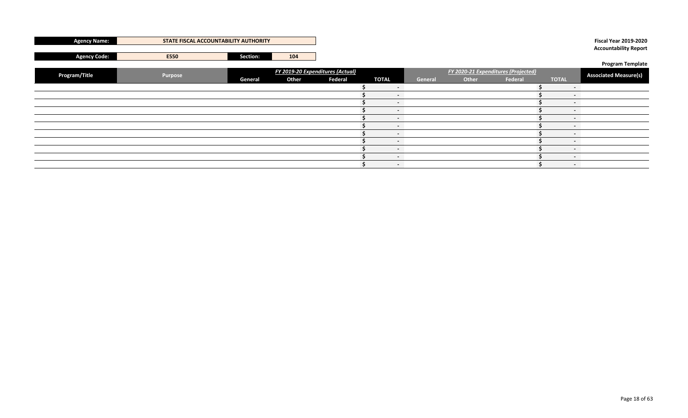| Fiscal Year 2019-2020                        |                                            |                  |                          |                                  |       |          | STATE FISCAL ACCOUNTABILITY AUTHORITY | <b>Agency Name:</b> |  |  |  |  |
|----------------------------------------------|--------------------------------------------|------------------|--------------------------|----------------------------------|-------|----------|---------------------------------------|---------------------|--|--|--|--|
| <b>Accountability Report</b>                 |                                            |                  |                          |                                  |       |          |                                       |                     |  |  |  |  |
|                                              |                                            |                  |                          |                                  | 104   | Section: | E550                                  | <b>Agency Code:</b> |  |  |  |  |
| <b>Program Template</b>                      |                                            |                  |                          |                                  |       |          |                                       |                     |  |  |  |  |
|                                              | <b>FY 2020-21 Expenditures (Projected)</b> |                  |                          | FY 2019-20 Expenditures (Actual) |       |          |                                       |                     |  |  |  |  |
| <b>Associated Measure(s)</b><br><b>TOTAL</b> | Federal                                    | General<br>Other | <b>TOTAL</b>             | Federal                          | Other | General  | Purpose                               | Program/Title       |  |  |  |  |
| $\blacksquare$                               |                                            |                  | $\sim$                   |                                  |       |          |                                       |                     |  |  |  |  |
| $\blacksquare$                               |                                            |                  | $\sim$                   |                                  |       |          |                                       |                     |  |  |  |  |
| $\blacksquare$                               |                                            |                  | $\overline{\phantom{0}}$ |                                  |       |          |                                       |                     |  |  |  |  |
| $\sim$                                       |                                            |                  | $\sim$                   |                                  |       |          |                                       |                     |  |  |  |  |
| $\sim$                                       |                                            |                  | $\sim$                   |                                  |       |          |                                       |                     |  |  |  |  |
| $\sim$                                       |                                            |                  | $\sim$                   |                                  |       |          |                                       |                     |  |  |  |  |
| $\sim$                                       |                                            |                  | $\sim$                   |                                  |       |          |                                       |                     |  |  |  |  |
| $\overline{\phantom{a}}$                     |                                            |                  | $\sim$                   |                                  |       |          |                                       |                     |  |  |  |  |

**\$ ‐ \$ ‐ \$ ‐ \$ ‐ \$ ‐ \$ ‐**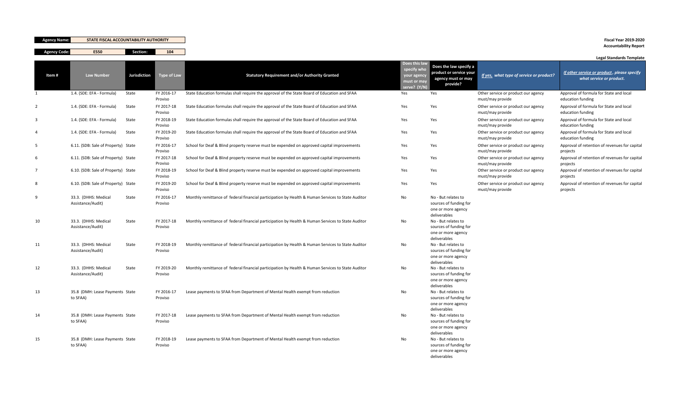| <b>Agency Name:</b> | STATE FISCAL ACCOUNTABILITY AUTHORITY       |              |                       |                                                                                                   |                                                                            |                                                                                     |                                                         | <b>Fiscal Year 2019-2020</b><br><b>Accountability Report</b>            |
|---------------------|---------------------------------------------|--------------|-----------------------|---------------------------------------------------------------------------------------------------|----------------------------------------------------------------------------|-------------------------------------------------------------------------------------|---------------------------------------------------------|-------------------------------------------------------------------------|
| <b>Agency Code:</b> | E550                                        | Section:     | 104                   |                                                                                                   |                                                                            |                                                                                     |                                                         | <b>Legal Standards Template</b>                                         |
| Item#               | <b>Law Number</b>                           | Jurisdiction | Type of Law           | <b>Statutory Requirement and/or Authority Granted</b>                                             | Does this law<br>specify who<br>your agency<br>must or may<br>serve? (Y/N) | Does the law specify a<br>product or service your<br>agency must or may<br>provide? | If yes, what type of service or product?                | If other service or product, please specify<br>what service or product. |
| $\mathbf{1}$        | 1.4. (SDE: EFA - Formula)                   | State        | FY 2016-17<br>Proviso | State Education formulas shall require the approval of the State Board of Education and SFAA      | Yes                                                                        | Yes                                                                                 | Other service or product our agency<br>must/may provide | Approval of formula for State and local<br>education funding            |
| $\overline{2}$      | 1.4. (SDE: EFA - Formula)                   | State        | FY 2017-18<br>Proviso | State Education formulas shall require the approval of the State Board of Education and SFAA      | Yes                                                                        | Yes                                                                                 | Other service or product our agency<br>must/may provide | Approval of formula for State and local<br>education funding            |
| $\overline{3}$      | 1.4. (SDE: EFA - Formula)                   | State        | FY 2018-19<br>Proviso | State Education formulas shall require the approval of the State Board of Education and SFAA      | Yes                                                                        | Yes                                                                                 | Other service or product our agency<br>must/may provide | Approval of formula for State and local<br>education funding            |
| 4                   | 1.4. (SDE: EFA - Formula)                   | State        | FY 2019-20<br>Proviso | State Education formulas shall require the approval of the State Board of Education and SFAA      | Yes                                                                        | Yes                                                                                 | Other service or product our agency<br>must/may provide | Approval of formula for State and local<br>education funding            |
| 5                   | 6.11. (SDB: Sale of Property) State         |              | FY 2016-17<br>Proviso | School for Deaf & Blind property reserve must be expended on approved capital improvements        | Yes                                                                        | Yes                                                                                 | Other service or product our agency<br>must/may provide | Approval of retention of revenues for capital<br>projects               |
| 6                   | 6.11. (SDB: Sale of Property) State         |              | FY 2017-18<br>Proviso | School for Deaf & Blind property reserve must be expended on approved capital improvements        | Yes                                                                        | Yes                                                                                 | Other service or product our agency<br>must/may provide | Approval of retention of revenues for capital<br>projects               |
| $\overline{7}$      | 6.10. (SDB: Sale of Property) State         |              | FY 2018-19<br>Proviso | School for Deaf & Blind property reserve must be expended on approved capital improvements        | Yes                                                                        | Yes                                                                                 | Other service or product our agency<br>must/may provide | Approval of retention of revenues for capital<br>projects               |
| 8                   | 6.10. (SDB: Sale of Property) State         |              | FY 2019-20<br>Proviso | School for Deaf & Blind property reserve must be expended on approved capital improvements        | Yes                                                                        | Yes                                                                                 | Other service or product our agency<br>must/may provide | Approval of retention of revenues for capital<br>projects               |
| 9                   | 33.3. (DHHS: Medical<br>Assistance/Audit)   | State        | FY 2016-17<br>Proviso | Monthly remittance of federal financial participation by Health & Human Services to State Auditor | No                                                                         | No - But relates to<br>sources of funding for<br>one or more agency<br>deliverables |                                                         |                                                                         |
| 10                  | 33.3. (DHHS: Medical<br>Assistance/Audit)   | State        | FY 2017-18<br>Proviso | Monthly remittance of federal financial participation by Health & Human Services to State Auditor | No                                                                         | No - But relates to<br>sources of funding for<br>one or more agency<br>deliverables |                                                         |                                                                         |
| 11                  | 33.3. (DHHS: Medical<br>Assistance/Audit)   | State        | FY 2018-19<br>Proviso | Monthly remittance of federal financial participation by Health & Human Services to State Auditor | No                                                                         | No - But relates to<br>sources of funding for<br>one or more agency<br>deliverables |                                                         |                                                                         |
| 12                  | 33.3. (DHHS: Medical<br>Assistance/Audit)   | State        | FY 2019-20<br>Proviso | Monthly remittance of federal financial participation by Health & Human Services to State Auditor | No                                                                         | No - But relates to<br>sources of funding for<br>one or more agency<br>deliverables |                                                         |                                                                         |
| 13                  | 35.8 (DMH: Lease Payments State<br>to SFAA) |              | FY 2016-17<br>Proviso | Lease payments to SFAA from Department of Mental Health exempt from reduction                     | No                                                                         | No - But relates to<br>sources of funding for<br>one or more agency<br>deliverables |                                                         |                                                                         |
| 14                  | 35.8 (DMH: Lease Payments State<br>to SFAA) |              | FY 2017-18<br>Proviso | Lease payments to SFAA from Department of Mental Health exempt from reduction                     | No                                                                         | No - But relates to<br>sources of funding for<br>one or more agency<br>deliverables |                                                         |                                                                         |
| 15                  | 35.8 (DMH: Lease Payments State<br>to SFAA) |              | FY 2018-19<br>Proviso | Lease payments to SFAA from Department of Mental Health exempt from reduction                     | No                                                                         | No - But relates to<br>sources of funding for<br>one or more agency<br>deliverables |                                                         |                                                                         |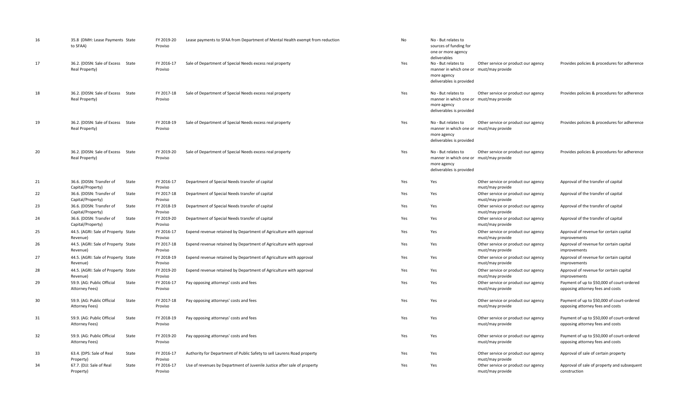| 16 | 35.8 (DMH: Lease Payments State<br>to SFAA)                        |       | FY 2019-20<br>Proviso            | Lease payments to SFAA from Department of Mental Health exempt from reduction | No  | No - But relates to<br>sources of funding for<br>one or more agency                                                       |                                                                             |                                                                                |
|----|--------------------------------------------------------------------|-------|----------------------------------|-------------------------------------------------------------------------------|-----|---------------------------------------------------------------------------------------------------------------------------|-----------------------------------------------------------------------------|--------------------------------------------------------------------------------|
| 17 | 36.2. (DDSN: Sale of Excess State<br>Real Property)                |       | FY 2016-17<br>Proviso            | Sale of Department of Special Needs excess real property                      | Yes | deliverables<br>No - But relates to<br>manner in which one or must/may provide<br>more agency<br>deliverables is provided | Other service or product our agency                                         | Provides policies & procedures for adherence                                   |
| 18 | 36.2. (DDSN: Sale of Excess State<br>Real Property)                |       | FY 2017-18<br>Proviso            | Sale of Department of Special Needs excess real property                      | Yes | No - But relates to<br>manner in which one or must/may provide<br>more agency<br>deliverables is provided                 | Other service or product our agency                                         | Provides policies & procedures for adherence                                   |
| 19 | 36.2. (DDSN: Sale of Excess State<br>Real Property)                |       | FY 2018-19<br>Proviso            | Sale of Department of Special Needs excess real property                      | Yes | No - But relates to<br>manner in which one or must/may provide<br>more agency<br>deliverables is provided                 | Other service or product our agency                                         | Provides policies & procedures for adherence                                   |
| 20 | 36.2. (DDSN: Sale of Excess State<br>Real Property)                |       | FY 2019-20<br>Proviso            | Sale of Department of Special Needs excess real property                      | Yes | No - But relates to<br>manner in which one or must/may provide<br>more agency<br>deliverables is provided                 | Other service or product our agency                                         | Provides policies & procedures for adherence                                   |
| 21 | 36.6. (DDSN: Transfer of                                           | State | FY 2016-17<br>Proviso            | Department of Special Needs transfer of capital                               | Yes | Yes                                                                                                                       | Other service or product our agency                                         | Approval of the transfer of capital                                            |
| 22 | Capital/Property)<br>36.6. (DDSN: Transfer of<br>Capital/Property) | State | FY 2017-18<br>Proviso            | Department of Special Needs transfer of capital                               | Yes | Yes                                                                                                                       | must/may provide<br>Other service or product our agency<br>must/may provide | Approval of the transfer of capital                                            |
| 23 | 36.6. (DDSN: Transfer of<br>Capital/Property)                      | State | FY 2018-19<br>Proviso            | Department of Special Needs transfer of capital                               | Yes | Yes                                                                                                                       | Other service or product our agency<br>must/may provide                     | Approval of the transfer of capital                                            |
| 24 | 36.6. (DDSN: Transfer of<br>Capital/Property)                      | State | FY 2019-20<br>Proviso            | Department of Special Needs transfer of capital                               | Yes | Yes                                                                                                                       | Other service or product our agency<br>must/may provide                     | Approval of the transfer of capital                                            |
| 25 | 44.5. (AGRI: Sale of Property State<br>Revenue)                    |       | FY 2016-17<br>Proviso            | Expend revenue retained by Department of Agriculture with approval            | Yes | Yes                                                                                                                       | Other service or product our agency<br>must/may provide                     | Approval of revenue for certain capital<br>improvements                        |
| 26 | 44.5. (AGRI: Sale of Property State<br>Revenue)                    |       | FY 2017-18<br>Proviso            | Expend revenue retained by Department of Agriculture with approval            | Yes | Yes                                                                                                                       | Other service or product our agency<br>must/may provide                     | Approval of revenue for certain capital<br>improvements                        |
| 27 | 44.5. (AGRI: Sale of Property State<br>Revenue)                    |       | FY 2018-19<br>Proviso            | Expend revenue retained by Department of Agriculture with approval            | Yes | Yes                                                                                                                       | Other service or product our agency<br>must/may provide                     | Approval of revenue for certain capital<br>improvements                        |
| 28 | 44.5. (AGRI: Sale of Property State<br>Revenue)                    |       | FY 2019-20<br>Proviso            | Expend revenue retained by Department of Agriculture with approval            | Yes | Yes                                                                                                                       | Other service or product our agency<br>must/may provide                     | Approval of revenue for certain capital<br>improvements                        |
| 29 | 59.9. (AG: Public Official<br>Attorney Fees)                       | State | FY 2016-17<br>Proviso            | Pay opposing attorneys' costs and fees                                        | Yes | Yes                                                                                                                       | Other service or product our agency<br>must/may provide                     | Payment of up to \$50,000 of court-ordered<br>opposing attorney fees and costs |
| 30 | 59.9. (AG: Public Official<br><b>Attorney Fees)</b>                | State | FY 2017-18<br>Proviso            | Pay opposing attorneys' costs and fees                                        | Yes | Yes                                                                                                                       | Other service or product our agency<br>must/may provide                     | Payment of up to \$50,000 of court-ordered<br>opposing attorney fees and costs |
| 31 | 59.9. (AG: Public Official<br>Attorney Fees)                       | State | FY 2018-19<br>Proviso            | Pay opposing attorneys' costs and fees                                        | Yes | Yes                                                                                                                       | Other service or product our agency<br>must/may provide                     | Payment of up to \$50,000 of court-ordered<br>opposing attorney fees and costs |
| 32 | 59.9. (AG: Public Official<br>Attorney Fees)                       | State | FY 2019-20<br>Proviso            | Pay opposing attorneys' costs and fees                                        | Yes | Yes                                                                                                                       | Other service or product our agency<br>must/may provide                     | Payment of up to \$50,000 of court-ordered<br>opposing attorney fees and costs |
| 33 | 63.4. (DPS: Sale of Real                                           | State | FY 2016-17                       | Authority for Department of Public Safety to sell Laurens Road property       | Yes | Yes                                                                                                                       | Other service or product our agency                                         | Approval of sale of certain property                                           |
| 34 | Property)<br>67.7. (DJJ: Sale of Real<br>Property)                 | State | Proviso<br>FY 2016-17<br>Proviso | Use of revenues by Department of Juvenile Justice after sale of property      | Yes | Yes                                                                                                                       | must/may provide<br>Other service or product our agency<br>must/may provide | Approval of sale of property and subsequent<br>construction                    |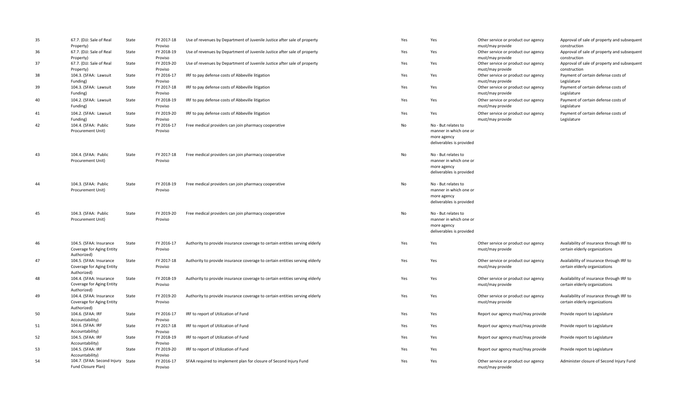| 35 | 67.7. (DJJ: Sale of Real<br>Property)                                      | State | FY 2017-18<br>Proviso            | Use of revenues by Department of Juvenile Justice after sale of property    | Yes | Yes                                                                                      | Other service or product our agency<br>must/may provide | Approval of sale of property and subsequent<br>construction               |
|----|----------------------------------------------------------------------------|-------|----------------------------------|-----------------------------------------------------------------------------|-----|------------------------------------------------------------------------------------------|---------------------------------------------------------|---------------------------------------------------------------------------|
| 36 | 67.7. (DJJ: Sale of Real<br>Property)                                      | State | FY 2018-19<br>Proviso            | Use of revenues by Department of Juvenile Justice after sale of property    | Yes | Yes                                                                                      | Other service or product our agency<br>must/may provide | Approval of sale of property and subsequent<br>construction               |
| 37 | 67.7. (DJJ: Sale of Real<br>Property)                                      | State | FY 2019-20<br>Proviso            | Use of revenues by Department of Juvenile Justice after sale of property    | Yes | Yes                                                                                      | Other service or product our agency<br>must/may provide | Approval of sale of property and subsequent<br>construction               |
| 38 | 104.3. (SFAA: Lawsuit<br>Funding)                                          | State | FY 2016-17<br>Proviso            | IRF to pay defense costs of Abbeville litigation                            | Yes | Yes                                                                                      | Other service or product our agency<br>must/may provide | Payment of certain defense costs of<br>Legislature                        |
| 39 | 104.3. (SFAA: Lawsuit<br>Funding)                                          | State | FY 2017-18<br>Proviso            | IRF to pay defense costs of Abbeville litigation                            | Yes | Yes                                                                                      | Other service or product our agency<br>must/may provide | Payment of certain defense costs of<br>Legislature                        |
| 40 | 104.2. (SFAA: Lawsuit<br>Funding)                                          | State | FY 2018-19<br>Proviso            | IRF to pay defense costs of Abbeville litigation                            | Yes | Yes                                                                                      | Other service or product our agency<br>must/may provide | Payment of certain defense costs of<br>Legislature                        |
| 41 | 104.2. (SFAA: Lawsuit<br>Funding)                                          | State | FY 2019-20<br>Proviso            | IRF to pay defense costs of Abbeville litigation                            | Yes | Yes                                                                                      | Other service or product our agency<br>must/may provide | Payment of certain defense costs of<br>Legislature                        |
| 42 | 104.4. (SFAA: Public<br>Procurement Unit)                                  | State | FY 2016-17<br>Proviso            | Free medical providers can join pharmacy cooperative                        | No  | No - But relates to<br>manner in which one or<br>more agency<br>deliverables is provided |                                                         |                                                                           |
| 43 | 104.4. (SFAA: Public<br>Procurement Unit)                                  | State | FY 2017-18<br>Proviso            | Free medical providers can join pharmacy cooperative                        | No  | No - But relates to<br>manner in which one or<br>more agency<br>deliverables is provided |                                                         |                                                                           |
| 44 | 104.3. (SFAA: Public<br>Procurement Unit)                                  | State | FY 2018-19<br>Proviso            | Free medical providers can join pharmacy cooperative                        | No  | No - But relates to<br>manner in which one or<br>more agency<br>deliverables is provided |                                                         |                                                                           |
| 45 | 104.3. (SFAA: Public<br>Procurement Unit)                                  | State | FY 2019-20<br>Proviso            | Free medical providers can join pharmacy cooperative                        | No  | No - But relates to<br>manner in which one or<br>more agency<br>deliverables is provided |                                                         |                                                                           |
| 46 | 104.5. (SFAA: Insurance<br>Coverage for Aging Entity<br>Authorized)        | State | FY 2016-17<br>Proviso            | Authority to provide insurance coverage to certain entities serving elderly | Yes | Yes                                                                                      | Other service or product our agency<br>must/may provide | Availability of insurance through IRF to<br>certain elderly organizations |
| 47 | 104.5. (SFAA: Insurance<br>Coverage for Aging Entity<br>Authorized)        | State | FY 2017-18<br>Proviso            | Authority to provide insurance coverage to certain entities serving elderly | Yes | Yes                                                                                      | Other service or product our agency<br>must/may provide | Availability of insurance through IRF to<br>certain elderly organizations |
| 48 | 104.4. (SFAA: Insurance<br>Coverage for Aging Entity<br>Authorized)        | State | FY 2018-19<br>Proviso            | Authority to provide insurance coverage to certain entities serving elderly | Yes | Yes                                                                                      | Other service or product our agency<br>must/may provide | Availability of insurance through IRF to<br>certain elderly organizations |
| 49 | 104.4. (SFAA: Insurance<br>Coverage for Aging Entity<br>Authorized)        | State | FY 2019-20<br>Proviso            | Authority to provide insurance coverage to certain entities serving elderly | Yes | Yes                                                                                      | Other service or product our agency<br>must/may provide | Availability of insurance through IRF to<br>certain elderly organizations |
| 50 | 104.6. (SFAA: IRF<br>Accountability)                                       | State | FY 2016-17<br>Proviso            | IRF to report of Utilization of Fund                                        | Yes | Yes                                                                                      | Report our agency must/may provide                      | Provide report to Legislature                                             |
| 51 | 104.6. (SFAA: IRF<br>Accountability)                                       | State | FY 2017-18<br>Proviso            | IRF to report of Utilization of Fund                                        | Yes | Yes                                                                                      | Report our agency must/may provide                      | Provide report to Legislature                                             |
| 52 | 104.5. (SFAA: IRF                                                          | State | FY 2018-19                       | IRF to report of Utilization of Fund                                        | Yes | Yes                                                                                      | Report our agency must/may provide                      | Provide report to Legislature                                             |
| 53 | Accountability)<br>104.5. (SFAA: IRF                                       | State | Proviso<br>FY 2019-20            | IRF to report of Utilization of Fund                                        | Yes | Yes                                                                                      | Report our agency must/may provide                      | Provide report to Legislature                                             |
| 54 | Accountability)<br>104.7. (SFAA: Second Injury State<br>Fund Closure Plan) |       | Proviso<br>FY 2016-17<br>Proviso | SFAA required to implement plan for closure of Second Injury Fund           | Yes | Yes                                                                                      | Other service or product our agency<br>must/may provide | Administer closure of Second Injury Fund                                  |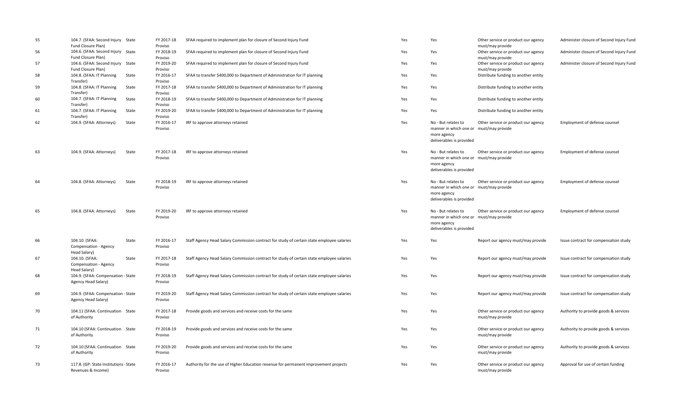| 55 | 104.7. (SFAA: Second Injury State<br>Fund Closure Plan)                   |       | FY 2017-18<br>Proviso | SFAA required to implement plan for closure of Second Injury Fund                         | Yes | Yes                                                                                                       | Other service or product our agency<br>must/may provide | Administer closure of Second Injury Fund |
|----|---------------------------------------------------------------------------|-------|-----------------------|-------------------------------------------------------------------------------------------|-----|-----------------------------------------------------------------------------------------------------------|---------------------------------------------------------|------------------------------------------|
| 56 | 104.6. (SFAA: Second Injury State<br>Fund Closure Plan)                   |       | FY 2018-19<br>Proviso | SFAA required to implement plan for closure of Second Injury Fund                         | Yes | Yes                                                                                                       | Other service or product our agency<br>must/may provide | Administer closure of Second Injury Fund |
| 57 | 104.6. (SFAA: Second Injury<br>Fund Closure Plan)                         | State | FY 2019-20<br>Proviso | SFAA required to implement plan for closure of Second Injury Fund                         | Yes | Yes                                                                                                       | Other service or product our agency<br>must/may provide | Administer closure of Second Injury Fund |
| 58 | 104.8. (SFAA: IT Planning<br>Transfer)                                    | State | FY 2016-17<br>Proviso | SFAA to transfer \$400,000 to Department of Administration for IT planning                | Yes | Yes                                                                                                       | Distribute funding to another entity                    |                                          |
| 59 | 104.8. (SFAA: IT Planning<br>Transfer)                                    | State | FY 2017-18<br>Proviso | SFAA to transfer \$400,000 to Department of Administration for IT planning                | Yes | Yes                                                                                                       | Distribute funding to another entity                    |                                          |
| 60 | 104.7. (SFAA: IT Planning<br>Transfer)                                    | State | FY 2018-19<br>Proviso | SFAA to transfer \$400,000 to Department of Administration for IT planning                | Yes | Yes                                                                                                       | Distribute funding to another entity                    |                                          |
| 61 | 104.7. (SFAA: IT Planning<br>Transfer)                                    | State | FY 2019-20<br>Proviso | SFAA to transfer \$400,000 to Department of Administration for IT planning                | Yes | Yes                                                                                                       | Distribute funding to another entity                    |                                          |
| 62 | 104.9. (SFAA: Attorneys)                                                  | State | FY 2016-17<br>Proviso | IRF to approve attorneys retained                                                         | Yes | No - But relates to<br>manner in which one or must/may provide<br>more agency<br>deliverables is provided | Other service or product our agency                     | Employment of defense counsel            |
| 63 | 104.9. (SFAA: Attorneys)                                                  | State | FY 2017-18<br>Proviso | IRF to approve attorneys retained                                                         | Yes | No - But relates to<br>manner in which one or must/may provide<br>more agency<br>deliverables is provided | Other service or product our agency                     | Employment of defense counsel            |
| 64 | 104.8. (SFAA: Attorneys)                                                  | State | FY 2018-19<br>Proviso | IRF to approve attorneys retained                                                         | Yes | No - But relates to<br>manner in which one or must/may provide<br>more agency<br>deliverables is provided | Other service or product our agency                     | Employment of defense counsel            |
| 65 | 104.8. (SFAA: Attorneys)                                                  | State | FY 2019-20<br>Proviso | IRF to approve attorneys retained                                                         | Yes | No - But relates to<br>manner in which one or must/may provide<br>more agency<br>deliverables is provided | Other service or product our agency                     | Employment of defense counsel            |
| 66 | 104.10. (SFAA:<br>Compensation - Agency<br>Head Salary)                   | State | FY 2016-17<br>Proviso | Staff Agency Head Salary Commission contract for study of certain state employee salaries | Yes | Yes                                                                                                       | Report our agency must/may provide                      | Issue contract for compensation study    |
| 67 | 104.10. (SFAA:<br>Compensation - Agency                                   | State | FY 2017-18<br>Proviso | Staff Agency Head Salary Commission contract for study of certain state employee salaries | Yes | Yes                                                                                                       | Report our agency must/may provide                      | Issue contract for compensation study    |
| 68 | Head Salary)<br>104.9. (SFAA: Compensation - State<br>Agency Head Salary) |       | FY 2018-19<br>Proviso | Staff Agency Head Salary Commission contract for study of certain state employee salaries | Yes | Yes                                                                                                       | Report our agency must/may provide                      | Issue contract for compensation study    |
| 69 | 104.9. (SFAA: Compensation - State<br>Agency Head Salary)                 |       | FY 2019-20<br>Proviso | Staff Agency Head Salary Commission contract for study of certain state employee salaries | Yes | Yes                                                                                                       | Report our agency must/may provide                      | Issue contract for compensation study    |
| 70 | 104.11 (SFAA: Continuation State<br>of Authority                          |       | FY 2017-18<br>Proviso | Provide goods and services and receive costs for the same                                 | Yes | Yes                                                                                                       | Other service or product our agency<br>must/may provide | Authority to provide goods & services    |
| 71 | 104.10 (SFAA: Continuation State<br>of Authority                          |       | FY 2018-19<br>Proviso | Provide goods and services and receive costs for the same                                 | Yes | Yes                                                                                                       | Other service or product our agency<br>must/may provide | Authority to provide goods & services    |
| 72 | 104.10 (SFAA: Continuation State<br>of Authority                          |       | FY 2019-20<br>Proviso | Provide goods and services and receive costs for the same                                 | Yes | Yes                                                                                                       | Other service or product our agency<br>must/may provide | Authority to provide goods & services    |
| 73 | 117.8. (GP: State Institutions - State<br>Revenues & Income)              |       | FY 2016-17<br>Proviso | Authority for the use of Higher Education revenue for permanent improvement projects      | Yes | Yes                                                                                                       | Other service or product our agency<br>must/may provide | Approval for use of certain funding      |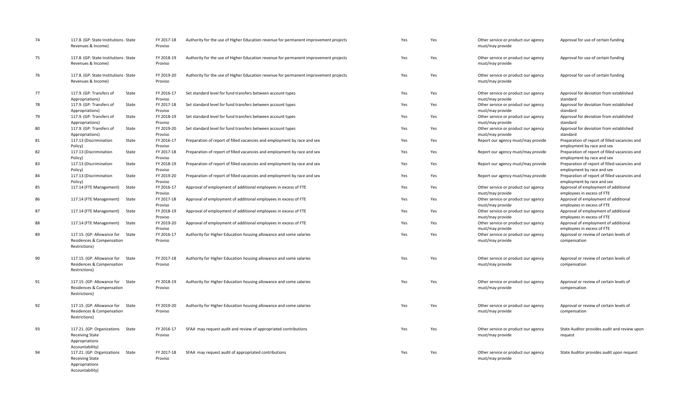| 74 | 117.8. (GP: State Institutions - State<br>Revenues & Income)                              |       | FY 2017-18<br>Proviso | Authority for the use of Higher Education revenue for permanent improvement projects | Yes | Yes | Other service or product our agency<br>must/may provide | Approval for use of certain funding                                         |
|----|-------------------------------------------------------------------------------------------|-------|-----------------------|--------------------------------------------------------------------------------------|-----|-----|---------------------------------------------------------|-----------------------------------------------------------------------------|
| 75 | 117.8. (GP: State Institutions - State<br>Revenues & Income)                              |       | FY 2018-19<br>Proviso | Authority for the use of Higher Education revenue for permanent improvement projects | Yes | Yes | Other service or product our agency<br>must/may provide | Approval for use of certain funding                                         |
| 76 | 117.8. (GP: State Institutions - State<br>Revenues & Income)                              |       | FY 2019-20<br>Proviso | Authority for the use of Higher Education revenue for permanent improvement projects | Yes | Yes | Other service or product our agency<br>must/may provide | Approval for use of certain funding                                         |
| 77 | 117.9. (GP: Transfers of<br>Appropriations)                                               | State | FY 2016-17<br>Proviso | Set standard level for fund transfers between account types                          | Yes | Yes | Other service or product our agency<br>must/may provide | Approval for deviation from established<br>standard                         |
| 78 | 117.9. (GP: Transfers of<br>Appropriations)                                               | State | FY 2017-18<br>Proviso | Set standard level for fund transfers between account types                          | Yes | Yes | Other service or product our agency<br>must/may provide | Approval for deviation from established<br>standard                         |
| 79 | 117.9. (GP: Transfers of<br>Appropriations)                                               | State | FY 2018-19<br>Proviso | Set standard level for fund transfers between account types                          | Yes | Yes | Other service or product our agency<br>must/may provide | Approval for deviation from established<br>standard                         |
| 80 | 117.9. (GP: Transfers of<br>Appropriations)                                               | State | FY 2019-20<br>Proviso | Set standard level for fund transfers between account types                          | Yes | Yes | Other service or product our agency<br>must/may provide | Approval for deviation from established<br>standard                         |
| 81 | 117.13 (Discrimination<br>Policy)                                                         | State | FY 2016-17<br>Proviso | Preparation of report of filled vacancies and employment by race and sex             | Yes | Yes | Report our agency must/may provide                      | Preparation of report of filled vacancies and<br>employment by race and sex |
| 82 | 117.13 (Discrimination<br>Policy)                                                         | State | FY 2017-18<br>Proviso | Preparation of report of filled vacancies and employment by race and sex             | Yes | Yes | Report our agency must/may provide                      | Preparation of report of filled vacancies and<br>employment by race and sex |
| 83 | 117.13 (Discrimination<br>Policy)                                                         | State | FY 2018-19<br>Proviso | Preparation of report of filled vacancies and employment by race and sex             | Yes | Yes | Report our agency must/may provide                      | Preparation of report of filled vacancies and<br>employment by race and sex |
| 84 | 117.13 (Discrimination<br>Policy)                                                         | State | FY 2019-20<br>Proviso | Preparation of report of filled vacancies and employment by race and sex             | Yes | Yes | Report our agency must/may provide                      | Preparation of report of filled vacancies and<br>employment by race and sex |
| 85 | 117.14 (FTE Management)                                                                   | State | FY 2016-17<br>Proviso | Approval of employment of additional employees in excess of FTE                      | Yes | Yes | Other service or product our agency<br>must/may provide | Approval of employment of additional<br>employees in excess of FTE          |
| 86 | 117.14 (FTE Management)                                                                   | State | FY 2017-18<br>Proviso | Approval of employment of additional employees in excess of FTE                      | Yes | Yes | Other service or product our agency<br>must/may provide | Approval of employment of additional<br>employees in excess of FTE          |
| 87 | 117.14 (FTE Management)                                                                   | State | FY 2018-19<br>Proviso | Approval of employment of additional employees in excess of FTE                      | Yes | Yes | Other service or product our agency<br>must/may provide | Approval of employment of additional<br>employees in excess of FTE          |
| 88 | 117.14 (FTE Management)                                                                   | State | FY 2019-20<br>Proviso | Approval of employment of additional employees in excess of FTE                      | Yes | Yes | Other service or product our agency<br>must/may provide | Approval of employment of additional<br>employees in excess of FTE          |
| 89 | 117.15. (GP: Allowance for<br>Residences & Compensation<br>Restrictions)                  | State | FY 2016-17<br>Proviso | Authority for Higher Education housing allowance and some salaries                   | Yes | Yes | Other service or product our agency<br>must/may provide | Approval or review of certain levels of<br>compensation                     |
| 90 | 117.15. (GP: Allowance for State<br>Residences & Compensation<br>Restrictions)            |       | FY 2017-18<br>Proviso | Authority for Higher Education housing allowance and some salaries                   | Yes | Yes | Other service or product our agency<br>must/may provide | Approval or review of certain levels of<br>compensation                     |
| 91 | 117.15. (GP: Allowance for State<br>Residences & Compensation<br>Restrictions)            |       | FY 2018-19<br>Proviso | Authority for Higher Education housing allowance and some salaries                   | Yes | Yes | Other service or product our agency<br>must/may provide | Approval or review of certain levels of<br>compensation                     |
| 92 | 117.15. (GP: Allowance for<br>Residences & Compensation<br>Restrictions)                  | State | FY 2019-20<br>Proviso | Authority for Higher Education housing allowance and some salaries                   | Yes | Yes | Other service or product our agency<br>must/may provide | Approval or review of certain levels of<br>compensation                     |
| 93 | 117.21. (GP: Organizations<br><b>Receiving State</b><br>Appropriations<br>Accountability) | State | FY 2016-17<br>Proviso | SFAA may request audit and review of appropriated contributions                      | Yes | Yes | Other service or product our agency<br>must/may provide | State Auditor provides audit and review upor<br>request                     |
| 94 | 117.21. (GP: Organizations<br><b>Receiving State</b><br>Appropriations<br>Accountability) | State | FY 2017-18<br>Proviso | SFAA may request audit of appropriated contributions                                 | Yes | Yes | Other service or product our agency<br>must/may provide | State Auditor provides audit upon request                                   |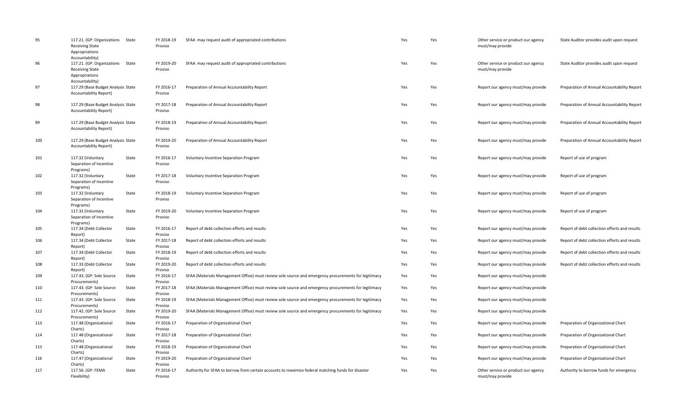| 95  | 117.21. (GP: Organizations State<br><b>Receiving State</b><br>Appropriations<br>Accountability) |       | FY 2018-19<br>Proviso            | SFAA may request audit of appropriated contributions                                                 | Yes | Yes | Other service or product our agency<br>must/may provide | State Auditor provides audit upon request     |
|-----|-------------------------------------------------------------------------------------------------|-------|----------------------------------|------------------------------------------------------------------------------------------------------|-----|-----|---------------------------------------------------------|-----------------------------------------------|
| 96  | 117.21. (GP: Organizations State<br><b>Receiving State</b><br>Appropriations<br>Accountability) |       | FY 2019-20<br>Proviso            | SFAA may request audit of appropriated contributions                                                 | Yes | Yes | Other service or product our agency<br>must/may provide | State Auditor provides audit upon request     |
| 97  | 117.29 (Base Budget Analysis State<br>Accountability Report)                                    |       | FY 2016-17<br>Proviso            | Preparation of Annual Accountability Report                                                          | Yes | Yes | Report our agency must/may provide                      | Preparation of Annual Accountability Report   |
| 98  | 117.29 (Base Budget Analysis State<br>Accountability Report)                                    |       | FY 2017-18<br>Proviso            | Preparation of Annual Accountability Report                                                          | Yes | Yes | Report our agency must/may provide                      | Preparation of Annual Accountability Report   |
| 99  | 117.29 (Base Budget Analysis State<br>Accountability Report)                                    |       | FY 2018-19<br>Proviso            | Preparation of Annual Accountability Report                                                          | Yes | Yes | Report our agency must/may provide                      | Preparation of Annual Accountability Report   |
| 100 | 117.29 (Base Budget Analysis State<br>Accountability Report)                                    |       | FY 2019-20<br>Proviso            | Preparation of Annual Accountability Report                                                          | Yes | Yes | Report our agency must/may provide                      | Preparation of Annual Accountability Report   |
| 101 | 117.32 (Voluntary<br>Separation of Incentive<br>Programs)                                       | State | FY 2016-17<br>Proviso            | Voluntary Incentive Separation Program                                                               | Yes | Yes | Report our agency must/may provide                      | Report of use of program                      |
| 102 | 117.32 (Voluntary<br>Separation of Incentive<br>Programs)                                       | State | FY 2017-18<br>Proviso            | Voluntary Incentive Separation Program                                                               | Yes | Yes | Report our agency must/may provide                      | Report of use of program                      |
| 103 | 117.32 (Voluntary<br>Separation of Incentive<br>Programs)                                       | State | FY 2018-19<br>Proviso            | Voluntary Incentive Separation Program                                                               | Yes | Yes | Report our agency must/may provide                      | Report of use of program                      |
| 104 | 117.32 (Voluntary<br>Separation of Incentive<br>Programs)                                       | State | FY 2019-20<br>Proviso            | Voluntary Incentive Separation Program                                                               | Yes | Yes | Report our agency must/may provide                      | Report of use of program                      |
| 105 | 117.34 (Debt Collector                                                                          | State | FY 2016-17                       | Report of debt collection efforts and results                                                        | Yes | Yes | Report our agency must/may provide                      | Report of debt collection efforts and results |
| 106 | Report)<br>117.34 (Debt Collector<br>Report)                                                    | State | Proviso<br>FY 2017-18<br>Proviso | Report of debt collection efforts and results                                                        | Yes | Yes | Report our agency must/may provide                      | Report of debt collection efforts and results |
| 107 | 117.34 (Debt Collector<br>Report)                                                               | State | FY 2018-19<br>Proviso            | Report of debt collection efforts and results                                                        | Yes | Yes | Report our agency must/may provide                      | Report of debt collection efforts and results |
| 108 | 117.33 (Debt Collector                                                                          | State | FY 2019-20                       | Report of debt collection efforts and results                                                        | Yes | Yes | Report our agency must/may provide                      | Report of debt collection efforts and results |
| 109 | Report)<br>117.43. (GP: Sole Source<br>Procurements)                                            | State | Proviso<br>FY 2016-17<br>Proviso | SFAA (Materials Management Office) must review sole source and emergency procurements for legitimacy | Yes | Yes | Report our agency must/may provide                      |                                               |
| 110 | 117.43. (GP: Sole Source<br>Procurements)                                                       | State | FY 2017-18<br>Proviso            | SFAA (Materials Management Office) must review sole source and emergency procurements for legitimacy | Yes | Yes | Report our agency must/may provide                      |                                               |
| 111 | 117.43. (GP: Sole Source                                                                        | State | FY 2018-19                       | SFAA (Materials Management Office) must review sole source and emergency procurements for legitimacy | Yes | Yes | Report our agency must/may provide                      |                                               |
| 112 | Procurements)<br>117.42. (GP: Sole Source                                                       | State | Proviso<br>FY 2019-20            | SFAA (Materials Management Office) must review sole source and emergency procurements for legitimacy | Yes | Yes | Report our agency must/may provide                      |                                               |
| 113 | Procurements)<br>117.48 (Organizational                                                         | State | Proviso<br>FY 2016-17            | Preparation of Organizational Chart                                                                  | Yes | Yes | Report our agency must/may provide                      | Preparation of Organizational Chart           |
| 114 | Charts)<br>117.48 (Organizational                                                               | State | Proviso<br>FY 2017-18            | Preparation of Organizational Chart                                                                  | Yes | Yes | Report our agency must/may provide                      | Preparation of Organizational Chart           |
| 115 | Charts)<br>117.48 (Organizational                                                               | State | Proviso<br>FY 2018-19            | Preparation of Organizational Chart                                                                  | Yes | Yes | Report our agency must/may provide                      | Preparation of Organizational Chart           |
| 116 | Charts)<br>117.47 (Organizational                                                               | State | Proviso<br>FY 2019-20            | Preparation of Organizational Chart                                                                  | Yes | Yes | Report our agency must/may provide                      | Preparation of Organizational Chart           |
|     | Charts)                                                                                         |       | Proviso                          |                                                                                                      |     |     |                                                         |                                               |
| 117 | 117.56. (GP: FEMA<br>Flexibility)                                                               | State | FY 2016-17<br>Proviso            | Authority for SFAA to borrow from certain accounts to maximize federal matching funds for disaster   | Yes | Yes | Other service or product our agency<br>must/may provide | Authority to borrow funds for emergency       |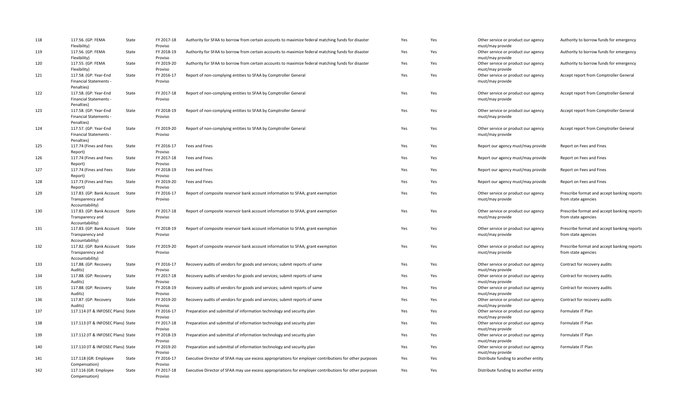| 118 | 117.56. (GP: FEMA<br>Flexibility)    | State | FY 2017-18<br>Proviso | Authority for SFAA to borrow from certain accounts to maximize federal matching funds for disaster     | Yes | Yes | Other service or product our agency<br>must/may provide | Authority to borrow funds for emergency     |
|-----|--------------------------------------|-------|-----------------------|--------------------------------------------------------------------------------------------------------|-----|-----|---------------------------------------------------------|---------------------------------------------|
| 119 | 117.56. (GP: FEMA<br>Flexibility)    | State | FY 2018-19<br>Proviso | Authority for SFAA to borrow from certain accounts to maximize federal matching funds for disaster     | Yes | Yes | Other service or product our agency<br>must/may provide | Authority to borrow funds for emergency     |
| 120 | 117.55. (GP: FEMA<br>Flexibility)    | State | FY 2019-20<br>Proviso | Authority for SFAA to borrow from certain accounts to maximize federal matching funds for disaster     | Yes | Yes | Other service or product our agency<br>must/may provide | Authority to borrow funds for emergency     |
| 121 | 117.58. (GP: Year-End                | State | FY 2016-17            | Report of non-complying entities to SFAA by Comptroller General                                        | Yes | Yes | Other service or product our agency                     | Accept report from Comptroller General      |
|     | Financial Statements -<br>Penalties) |       | Proviso               |                                                                                                        |     |     | must/may provide                                        |                                             |
| 122 | 117.58. (GP: Year-End                | State | FY 2017-18            | Report of non-complying entities to SFAA by Comptroller General                                        | Yes | Yes | Other service or product our agency                     | Accept report from Comptroller General      |
|     | Financial Statements -               |       | Proviso               |                                                                                                        |     |     | must/may provide                                        |                                             |
|     | Penalties)                           |       |                       |                                                                                                        |     |     |                                                         |                                             |
| 123 | 117.58. (GP: Year-End                | State | FY 2018-19            | Report of non-complying entities to SFAA by Comptroller General                                        | Yes | Yes | Other service or product our agency                     | Accept report from Comptroller General      |
|     | Financial Statements -               |       | Proviso               |                                                                                                        |     |     | must/may provide                                        |                                             |
|     | Penalties)                           |       |                       |                                                                                                        |     |     |                                                         |                                             |
| 124 | 117.57. (GP: Year-End                | State | FY 2019-20            | Report of non-complying entities to SFAA by Comptroller General                                        | Yes | Yes | Other service or product our agency                     | Accept report from Comptroller General      |
|     | Financial Statements -               |       | Proviso               |                                                                                                        |     |     | must/may provide                                        |                                             |
|     | Penalties)                           |       |                       |                                                                                                        |     |     |                                                         |                                             |
| 125 | 117.74 (Fines and Fees               | State | FY 2016-17            | Fees and Fines                                                                                         | Yes | Yes | Report our agency must/may provide                      | Report on Fees and Fines                    |
|     | Report)                              |       | Proviso               |                                                                                                        |     |     |                                                         |                                             |
| 126 | 117.74 (Fines and Fees               | State | FY 2017-18            | Fees and Fines                                                                                         | Yes | Yes | Report our agency must/may provide                      | Report on Fees and Fines                    |
|     | Report)                              |       | Proviso               |                                                                                                        |     |     |                                                         |                                             |
| 127 | 117.74 (Fines and Fees               | State | FY 2018-19            | Fees and Fines                                                                                         | Yes | Yes | Report our agency must/may provide                      | Report on Fees and Fines                    |
|     | Report)                              |       | Proviso               |                                                                                                        |     |     |                                                         |                                             |
| 128 | 117.73 (Fines and Fees               | State | FY 2019-20            | Fees and Fines                                                                                         | Yes | Yes | Report our agency must/may provide                      | Report on Fees and Fines                    |
|     | Report)                              |       | Proviso               |                                                                                                        |     |     |                                                         |                                             |
| 129 | 117.83. (GP: Bank Account            | State | FY 2016-17            | Report of composite reservoir bank account information to SFAA; grant exemption                        | Yes | Yes | Other service or product our agency                     | Prescribe format and accept banking reports |
|     | Transparency and                     |       | Proviso               |                                                                                                        |     |     | must/may provide                                        | from state agencies                         |
|     | Accountability)                      |       |                       |                                                                                                        |     |     |                                                         |                                             |
| 130 | 117.83. (GP: Bank Account State      |       | FY 2017-18            | Report of composite reservoir bank account information to SFAA; grant exemption                        | Yes | Yes | Other service or product our agency                     | Prescribe format and accept banking reports |
|     | Transparency and                     |       | Proviso               |                                                                                                        |     |     | must/may provide                                        | from state agencies                         |
|     | Accountability)                      |       |                       |                                                                                                        |     |     |                                                         |                                             |
| 131 | 117.83. (GP: Bank Account State      |       | FY 2018-19            | Report of composite reservoir bank account information to SFAA; grant exemption                        | Yes | Yes | Other service or product our agency                     | Prescribe format and accept banking reports |
|     | Transparency and                     |       | Proviso               |                                                                                                        |     |     | must/may provide                                        | from state agencies                         |
|     | Accountability)                      |       |                       |                                                                                                        |     |     |                                                         |                                             |
| 132 | 117.82. (GP: Bank Account            | State | FY 2019-20            | Report of composite reservoir bank account information to SFAA; grant exemption                        | Yes | Yes | Other service or product our agency                     | Prescribe format and accept banking reports |
|     | Transparency and                     |       | Proviso               |                                                                                                        |     |     | must/may provide                                        | from state agencies                         |
|     | Accountability)                      |       |                       |                                                                                                        |     |     |                                                         |                                             |
| 133 | 117.88. (GP: Recovery                | State | FY 2016-17            | Recovery audits of vendors for goods and services; submit reports of same                              | Yes | Yes | Other service or product our agency                     | Contract for recovery audits                |
|     | Audits)                              |       | Proviso               |                                                                                                        |     |     | must/may provide                                        |                                             |
| 134 | 117.88. (GP: Recovery                | State | FY 2017-18            | Recovery audits of vendors for goods and services; submit reports of same                              | Yes | Yes | Other service or product our agency                     | Contract for recovery audits                |
|     | Audits)                              |       | Proviso               |                                                                                                        |     |     | must/may provide                                        |                                             |
| 135 | 117.88. (GP: Recovery                | State | FY 2018-19            | Recovery audits of vendors for goods and services; submit reports of same                              | Yes | Yes | Other service or product our agency                     | Contract for recovery audits                |
|     | Audits)                              |       | Proviso               |                                                                                                        |     |     | must/may provide                                        |                                             |
| 136 | 117.87. (GP: Recovery                | State | FY 2019-20            | Recovery audits of vendors for goods and services; submit reports of same                              | Yes | Yes | Other service or product our agency                     | Contract for recovery audits                |
|     | Audits)                              |       | Proviso               |                                                                                                        |     |     | must/may provide                                        |                                             |
| 137 | 117.114 (IT & INFOSEC Plans) State   |       | FY 2016-17            | Preparation and submittal of information technology and security plan                                  | Yes | Yes | Other service or product our agency                     | Formulate IT Plan                           |
|     |                                      |       | Proviso               |                                                                                                        |     |     | must/may provide                                        |                                             |
| 138 | 117.113 (IT & INFOSEC Plans) State   |       | FY 2017-18            | Preparation and submittal of information technology and security plan                                  | Yes | Yes | Other service or product our agency                     | Formulate IT Plan                           |
|     | Proviso                              |       |                       |                                                                                                        |     |     | must/may provide                                        |                                             |
| 139 | 117.112 (IT & INFOSEC Plans) State   |       | FY 2018-19            | Preparation and submittal of information technology and security plan                                  | Yes | Yes | Other service or product our agency                     | Formulate IT Plan                           |
|     | Proviso                              |       |                       |                                                                                                        |     |     | must/may provide                                        |                                             |
| 140 | 117.110 (IT & INFOSEC Plans) State   |       | FY 2019-20            | Preparation and submittal of information technology and security plan                                  | Yes | Yes | Other service or product our agency                     | Formulate IT Plan                           |
|     |                                      |       | Proviso               |                                                                                                        |     |     | must/may provide                                        |                                             |
| 141 | 117.118 (GR: Employee                | State | FY 2016-17            | Executive Director of SFAA may use excess appropriations for employer contributions for other purposes | Yes | Yes | Distribute funding to another entity                    |                                             |
|     | Compensation)                        |       | Proviso               |                                                                                                        |     |     |                                                         |                                             |
| 142 | 117.116 (GR: Employee                | State | FY 2017-18            | Executive Director of SFAA may use excess appropriations for employer contributions for other purposes | Yes | Yes | Distribute funding to another entity                    |                                             |
|     | Compensation)                        |       | Proviso               |                                                                                                        |     |     |                                                         |                                             |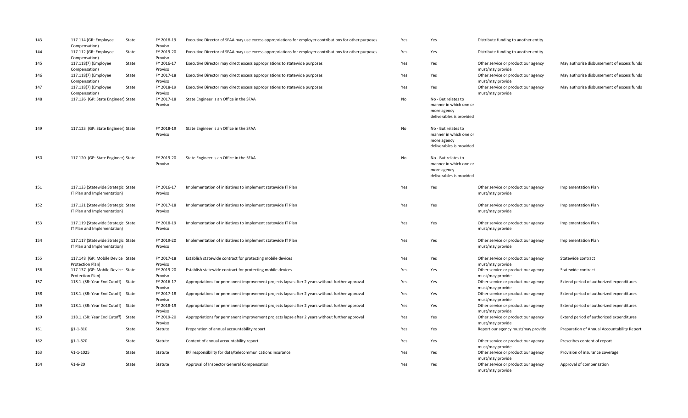| 143 | 117.114 (GR: Employee<br>Compensation)                            | State | FY 2018-19<br>Proviso | Executive Director of SFAA may use excess appropriations for employer contributions for other purposes | Yes | Yes                                                                                      | Distribute funding to another entity                    |                                             |
|-----|-------------------------------------------------------------------|-------|-----------------------|--------------------------------------------------------------------------------------------------------|-----|------------------------------------------------------------------------------------------|---------------------------------------------------------|---------------------------------------------|
| 144 | 117.112 (GR: Employee<br>Compensation)                            | State | FY 2019-20<br>Proviso | Executive Director of SFAA may use excess appropriations for employer contributions for other purposes | Yes | Yes                                                                                      | Distribute funding to another entity                    |                                             |
| 145 | 117.118(7) (Employee<br>Compensation)                             | State | FY 2016-17<br>Proviso | Executive Director may direct excess appropriations to statewide purposes                              | Yes | Yes                                                                                      | Other service or product our agency<br>must/may provide | May authorize disbursement of excess funds  |
| 146 | 117.118(7) (Employee<br>Compensation)                             | State | FY 2017-18<br>Proviso | Executive Director may direct excess appropriations to statewide purposes                              | Yes | Yes                                                                                      | Other service or product our agency<br>must/may provide | May authorize disbursement of excess funds  |
| 147 | 117.118(7) (Employee<br>Compensation)                             | State | FY 2018-19<br>Proviso | Executive Director may direct excess appropriations to statewide purposes                              | Yes | Yes                                                                                      | Other service or product our agency<br>must/may provide | May authorize disbursement of excess funds  |
| 148 | 117.126 (GP: State Engineer) State                                |       | FY 2017-18<br>Proviso | State Engineer is an Office in the SFAA                                                                | No  | No - But relates to<br>manner in which one or<br>more agency<br>deliverables is provided |                                                         |                                             |
| 149 | 117.123 (GP: State Engineer) State                                |       | FY 2018-19<br>Proviso | State Engineer is an Office in the SFAA                                                                | No  | No - But relates to<br>manner in which one or<br>more agency<br>deliverables is provided |                                                         |                                             |
| 150 | 117.120 (GP: State Engineer) State                                |       | FY 2019-20<br>Proviso | State Engineer is an Office in the SFAA                                                                | No  | No - But relates to<br>manner in which one or<br>more agency<br>deliverables is provided |                                                         |                                             |
| 151 | 117.133 (Statewide Strategic State<br>IT Plan and Implementation) |       | FY 2016-17<br>Proviso | Implementation of initiatives to implement statewide IT Plan                                           | Yes | Yes                                                                                      | Other service or product our agency<br>must/may provide | Implementation Plan                         |
| 152 | 117.121 (Statewide Strategic State<br>IT Plan and Implementation) |       | FY 2017-18<br>Proviso | Implementation of initiatives to implement statewide IT Plan                                           | Yes | Yes                                                                                      | Other service or product our agency<br>must/may provide | Implementation Plan                         |
| 153 | 117.119 (Statewide Strategic State<br>IT Plan and Implementation) |       | FY 2018-19<br>Proviso | Implementation of initiatives to implement statewide IT Plan                                           | Yes | Yes                                                                                      | Other service or product our agency<br>must/may provide | Implementation Plan                         |
| 154 | 117.117 (Statewide Strategic State<br>IT Plan and Implementation) |       | FY 2019-20<br>Proviso | Implementation of initiatives to implement statewide IT Plan                                           | Yes | Yes                                                                                      | Other service or product our agency<br>must/may provide | Implementation Plan                         |
| 155 | 117.148 (GP: Mobile Device State<br>Protection Plan)              |       | FY 2017-18<br>Proviso | Establish statewide contract for protecting mobile devices                                             | Yes | Yes                                                                                      | Other service or product our agency<br>must/may provide | Statewide contract                          |
| 156 | 117.137 (GP: Mobile Device State<br>Protection Plan)              |       | FY 2019-20<br>Proviso | Establish statewide contract for protecting mobile devices                                             | Yes | Yes                                                                                      | Other service or product our agency<br>must/may provide | Statewide contract                          |
| 157 | 118.1. (SR: Year End Cutoff) State                                |       | FY 2016-17<br>Proviso | Appropriations for permanent improvement projects lapse after 2 years without further approval         | Yes | Yes                                                                                      | Other service or product our agency<br>must/may provide | Extend period of authorized expenditures    |
| 158 | 118.1. (SR: Year End Cutoff) State                                |       | FY 2017-18<br>Proviso | Appropriations for permanent improvement projects lapse after 2 years without further approval         | Yes | Yes                                                                                      | Other service or product our agency<br>must/may provide | Extend period of authorized expenditures    |
| 159 | 118.1. (SR: Year End Cutoff) State                                |       | FY 2018-19<br>Proviso | Appropriations for permanent improvement projects lapse after 2 years without further approval         | Yes | Yes                                                                                      | Other service or product our agency<br>must/may provide | Extend period of authorized expenditures    |
| 160 | 118.1. (SR: Year End Cutoff) State                                |       | FY 2019-20<br>Proviso | Appropriations for permanent improvement projects lapse after 2 years without further approval         | Yes | Yes                                                                                      | Other service or product our agency<br>must/may provide | Extend period of authorized expenditures    |
| 161 | $§1 - 1 - 810$                                                    | State | Statute               | Preparation of annual accountability report                                                            | Yes | Yes                                                                                      | Report our agency must/may provide                      | Preparation of Annual Accountability Report |
| 162 | $$1-1-820$                                                        | State | Statute               | Content of annual accountability report                                                                | Yes | Yes                                                                                      | Other service or product our agency<br>must/may provide | Prescribes content of report                |
| 163 | $§1 - 1 - 1025$                                                   | State | Statute               | IRF responsibility for data/telecommunications insurance                                               | Yes | Yes                                                                                      | Other service or product our agency<br>must/may provide | Provision of insurance coverage             |
| 164 | $$1-6-20$                                                         | State | Statute               | Approval of Inspector General Compensation                                                             | Yes | Yes                                                                                      | Other service or product our agency<br>must/may provide | Approval of compensation                    |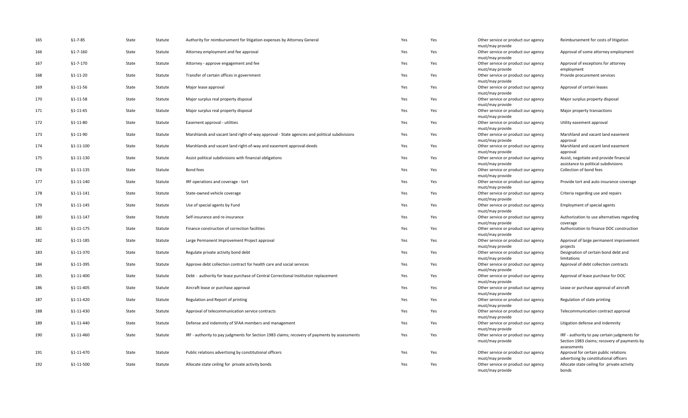| 165 | $$1 - 7 - 85$   | State | Statute | Authority for reimbursement for litigation expenses by Attorney General                       | Yes | Yes | Other service or product our agency<br>must/may provide | Reimbursement for costs of litigation        |
|-----|-----------------|-------|---------|-----------------------------------------------------------------------------------------------|-----|-----|---------------------------------------------------------|----------------------------------------------|
| 166 | $$1 - 7 - 160$  | State | Statute | Attorney employment and fee approval                                                          | Yes | Yes | Other service or product our agency                     | Approval of some attorney employment         |
| 167 | $§1 - 7 - 170$  | State | Statute | Attorney - approve engagement and fee                                                         | Yes | Yes | must/may provide<br>Other service or product our agency | Approval of exceptions for attorney          |
|     |                 |       |         |                                                                                               |     |     | must/may provide                                        | employment                                   |
| 168 | \$1-11-20       | State | Statute | Transfer of certain offices in government                                                     | Yes | Yes | Other service or product our agency                     | Provide procurement services                 |
|     |                 |       |         |                                                                                               |     |     | must/may provide                                        |                                              |
| 169 | $§1 - 11 - 56$  | State | Statute | Major lease approval                                                                          | Yes | Yes | Other service or product our agency<br>must/may provide | Approval of certain leases                   |
| 170 | $§1 - 11 - 58$  | State | Statute | Major surplus real property disposal                                                          | Yes | Yes | Other service or product our agency<br>must/may provide | Major surplus property disposal              |
| 171 | $§1 - 11 - 65$  | State | Statute | Major surplus real property disposal                                                          | Yes | Yes | Other service or product our agency                     | Major property transactions                  |
|     |                 |       |         |                                                                                               |     |     | must/may provide                                        |                                              |
| 172 | §1-11-80        | State | Statute | Easement approval - utilities                                                                 | Yes | Yes | Other service or product our agency                     | Utility easement approval                    |
|     |                 |       |         |                                                                                               |     |     | must/may provide                                        |                                              |
| 173 | §1-11-90        | State | Statute | Marshlands and vacant land right-of-way approval - State agencies and political subdivisions  | Yes | Yes | Other service or product our agency                     | Marshland and vacant land easement           |
|     |                 |       |         |                                                                                               |     |     | must/may provide                                        | approval                                     |
| 174 | $§1 - 11 - 100$ | State | Statute | Marshlands and vacant land right-of-way and easement approval-deeds                           | Yes | Yes | Other service or product our agency                     | Marshland and vacant land easement           |
|     |                 |       |         |                                                                                               |     |     | must/may provide                                        | approval                                     |
| 175 | §1-11-130       | State | Statute | Assist political subdivisions with financial obligations                                      | Yes | Yes | Other service or product our agency                     | Assist, negotiate and provide financial      |
|     |                 |       |         |                                                                                               |     |     | must/may provide                                        | assistance to political subdivisions         |
| 176 | \$1-11-135      | State | Statute | Bond fees                                                                                     | Yes | Yes | Other service or product our agency                     | Collection of bond fees                      |
|     |                 |       |         |                                                                                               |     |     | must/may provide                                        |                                              |
| 177 | §1-11-140       | State | Statute | IRF operations and coverage - tort                                                            | Yes | Yes | Other service or product our agency                     | Provide tort and auto insurance coverage     |
|     |                 |       |         |                                                                                               |     |     | must/may provide                                        |                                              |
| 178 | \$1-11-141      | State | Statute | State-owned vehicle coverage                                                                  | Yes | Yes | Other service or product our agency                     | Criteria regarding use and repairs           |
|     |                 |       |         |                                                                                               |     |     | must/may provide                                        |                                              |
| 179 | \$1-11-145      | State | Statute | Use of special agents by Fund                                                                 | Yes | Yes | Other service or product our agency                     | Employment of special agents                 |
|     |                 |       |         |                                                                                               |     |     | must/may provide                                        |                                              |
| 180 | §1-11-147       | State | Statute | Self-insurance and re-insurance                                                               | Yes | Yes | Other service or product our agency                     | Authorization to use alternatives regarding  |
|     |                 |       |         |                                                                                               |     |     | must/may provide                                        | coverage                                     |
| 181 | \$1-11-175      | State | Statute | Finance construction of correction facilities                                                 | Yes | Yes | Other service or product our agency                     | Authorization to finance DOC construction    |
|     |                 |       |         |                                                                                               |     |     | must/may provide                                        |                                              |
| 182 | \$1-11-185      | State | Statute | Large Permanent Improvement Project approval                                                  | Yes | Yes | Other service or product our agency                     | Approval of large permanent improvement      |
|     |                 |       |         |                                                                                               |     |     | must/may provide                                        | projects                                     |
| 183 | \$1-11-370      | State | Statute | Regulate private activity bond debt                                                           | Yes | Yes | Other service or product our agency                     | Designation of certain bond debt and         |
|     |                 |       |         |                                                                                               |     |     | must/may provide                                        | limitations                                  |
| 184 | \$1-11-395      | State | Statute | Approve debt collection contract for health care and social services                          | Yes | Yes | Other service or product our agency                     | Approval of debt collection contracts        |
|     |                 |       |         |                                                                                               |     |     | must/may provide                                        |                                              |
| 185 | §1-11-400       | State | Statute | Debt - authority for lease purchase of Central Correctional Institution replacement           | Yes | Yes | Other service or product our agency                     | Approval of lease purchase for DOC           |
|     |                 |       |         |                                                                                               |     |     | must/may provide                                        |                                              |
| 186 | §1-11-405       | State | Statute | Aircraft lease or purchase approval                                                           | Yes | Yes | Other service or product our agency                     | Lease or purchase approval of aircraft       |
|     |                 |       |         |                                                                                               |     |     | must/may provide                                        |                                              |
| 187 | \$1-11-420      | State | Statute | Regulation and Report of printing                                                             | Yes | Yes | Other service or product our agency                     | Regulation of state printing                 |
|     |                 |       |         |                                                                                               |     |     | must/may provide                                        |                                              |
| 188 | \$1-11-430      | State | Statute | Approval of telecommunication service contracts                                               | Yes | Yes | Other service or product our agency                     | Telecommunication contract approval          |
|     |                 |       |         |                                                                                               |     |     | must/may provide                                        |                                              |
| 189 | §1-11-440       | State | Statute | Defense and indemnity of SFAA members and management                                          | Yes | Yes | Other service or product our agency                     | Litigation defense and indemnity             |
|     |                 |       |         |                                                                                               |     |     | must/may provide                                        |                                              |
| 190 | §1-11-460       | State | Statute | IRF - authority to pay judgments for Section 1983 claims; recovery of payments by assessments | Yes | Yes | Other service or product our agency                     | IRF - authority to pay certain judgments for |
|     |                 |       |         |                                                                                               |     |     | must/may provide                                        | Section 1983 claims; recovery of payments by |
|     |                 |       |         |                                                                                               |     |     |                                                         | assessments                                  |
| 191 | §1-11-470       | State | Statute | Public relations advertising by constitutional officers                                       | Yes | Yes | Other service or product our agency                     | Approval for certain public relations        |
|     |                 |       |         |                                                                                               |     |     | must/may provide                                        | advertising by constitutional officers       |
| 192 | §1-11-500       | State | Statute | Allocate state ceiling for private activity bonds                                             | Yes | Yes | Other service or product our agency                     | Allocate state ceiling for private activity  |
|     |                 |       |         |                                                                                               |     |     | must/may provide                                        | bonds                                        |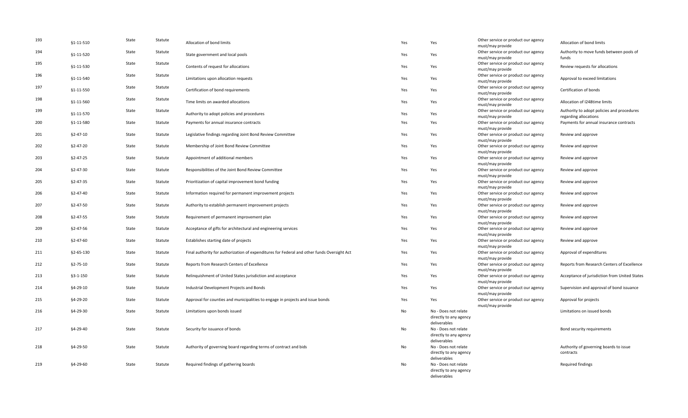| 193 | \$1-11-510      | State | Statute | Allocation of bond limits                                                                   | Yes | Yes                                    | Other service or product our agency<br>must/may provide | Allocation of bond limits                                        |
|-----|-----------------|-------|---------|---------------------------------------------------------------------------------------------|-----|----------------------------------------|---------------------------------------------------------|------------------------------------------------------------------|
| 194 |                 | State | Statute |                                                                                             |     |                                        | Other service or product our agency                     | Authority to move funds between pools of                         |
|     | \$1-11-520      |       |         | State government and local pools                                                            | Yes | Yes                                    | must/may provide                                        | funds                                                            |
| 195 | \$1-11-530      | State | Statute | Contents of request for allocations                                                         | Yes | Yes                                    | Other service or product our agency<br>must/may provide | Review requests for allocations                                  |
| 196 | §1-11-540       | State | Statute | Limitations upon allocation requests                                                        | Yes | Yes                                    | Other service or product our agency                     | Approval to exceed limitations                                   |
| 197 |                 | State | Statute |                                                                                             |     |                                        | must/may provide<br>Other service or product our agency |                                                                  |
|     | §1-11-550       |       |         | Certification of bond requirements                                                          | Yes | Yes                                    | must/may provide                                        | Certification of bonds                                           |
| 198 | §1-11-560       | State | Statute | Time limits on awarded allocations                                                          | Yes | Yes                                    | Other service or product our agency<br>must/may provide | Allocation of I248time limits                                    |
| 199 | $§1 - 11 - 570$ | State | Statute | Authority to adopt policies and procedures                                                  | Yes | Yes                                    | Other service or product our agency                     | Authority to adopt policies and procedures                       |
| 200 | \$1-11-580      | State | Statute | Payments for annual insurance contracts                                                     | Yes | Yes                                    | must/may provide<br>Other service or product our agency | regarding allocations<br>Payments for annual insurance contracts |
|     |                 |       |         |                                                                                             |     |                                        | must/may provide                                        |                                                                  |
| 201 | $§2 - 47 - 10$  | State | Statute | Legislative findings regarding Joint Bond Review Committee                                  | Yes | Yes                                    | Other service or product our agency                     | Review and approve                                               |
| 202 | §2-47-20        | State | Statute | Membership of Joint Bond Review Committee                                                   | Yes | Yes                                    | must/may provide<br>Other service or product our agency | Review and approve                                               |
|     |                 |       |         |                                                                                             |     |                                        | must/may provide                                        |                                                                  |
| 203 | \$2-47-25       | State | Statute | Appointment of additional members                                                           | Yes | Yes                                    | Other service or product our agency<br>must/may provide | Review and approve                                               |
| 204 | $§2 - 47 - 30$  | State | Statute | Responsibilities of the Joint Bond Review Committee                                         | Yes | Yes                                    | Other service or product our agency                     | Review and approve                                               |
|     |                 |       |         |                                                                                             |     |                                        | must/may provide                                        |                                                                  |
| 205 | \$2-47-35       | State | Statute | Prioritization of capital improvement bond funding                                          | Yes | Yes                                    | Other service or product our agency<br>must/may provide | Review and approve                                               |
| 206 | \$2-47-40       | State | Statute | Information required for permanent improvement projects                                     | Yes | Yes                                    | Other service or product our agency                     | Review and approve                                               |
| 207 | §2-47-50        | State | Statute | Authority to establish permanent improvement projects                                       | Yes | Yes                                    | must/may provide<br>Other service or product our agency | Review and approve                                               |
|     |                 |       |         |                                                                                             |     |                                        | must/may provide                                        |                                                                  |
| 208 | $§2 - 47 - 55$  | State | Statute | Requirement of permanent improvement plan                                                   | Yes | Yes                                    | Other service or product our agency                     | Review and approve                                               |
| 209 | \$2-47-56       | State | Statute | Acceptance of gifts for architectural and engineering services                              | Yes | Yes                                    | must/may provide<br>Other service or product our agency | Review and approve                                               |
|     |                 |       |         |                                                                                             |     |                                        | must/may provide                                        |                                                                  |
| 210 | \$2-47-60       | State | Statute | Establishes starting date of projects                                                       | Yes | Yes                                    | Other service or product our agency<br>must/may provide | Review and approve                                               |
| 211 | §2-65-130       | State | Statute | Final authority for authorization of expenditures for Federal and other funds Oversight Act | Yes | Yes                                    | Other service or product our agency                     | Approval of expenditures                                         |
| 212 | $§2 - 75 - 10$  | State | Statute | Reports from Research Centers of Excellence                                                 | Yes | Yes                                    | must/may provide<br>Other service or product our agency | Reports from Research Centers of Excellence                      |
|     |                 |       |         |                                                                                             |     |                                        | must/may provide                                        |                                                                  |
| 213 | §3-1-150        | State | Statute | Relinquishment of United States jurisdiction and acceptance                                 | Yes | Yes                                    | Other service or product our agency                     | Acceptance of jurisdiction from United States                    |
| 214 | \$4-29-10       | State | Statute | Industrial Development Projects and Bonds                                                   | Yes | Yes                                    | must/may provide<br>Other service or product our agency | Supervision and approval of bond issuance                        |
|     |                 |       |         |                                                                                             |     |                                        | must/may provide                                        |                                                                  |
| 215 | \$4-29-20       | State | Statute | Approval for counties and municipalities to engage in projects and issue bonds              | Yes | Yes                                    | Other service or product our agency<br>must/may provide | Approval for projects                                            |
| 216 | §4-29-30        | State | Statute | Limitations upon bonds issued                                                               | No  | No - Does not relate                   |                                                         | Limitations on issued bonds                                      |
|     |                 |       |         |                                                                                             |     | directly to any agency<br>deliverables |                                                         |                                                                  |
| 217 | \$4-29-40       | State | Statute | Security for issuance of bonds                                                              | No  | No - Does not relate                   |                                                         | Bond security requirements                                       |
|     |                 |       |         |                                                                                             |     | directly to any agency<br>deliverables |                                                         |                                                                  |
| 218 | \$4-29-50       | State | Statute | Authority of governing board regarding terms of contract and bids                           | No  | No - Does not relate                   |                                                         | Authority of governing boards to issue                           |
|     |                 |       |         |                                                                                             |     | directly to any agency                 |                                                         | contracts                                                        |
| 219 | \$4-29-60       | State | Statute | Required findings of gathering boards                                                       | No  | deliverables<br>No - Does not relate   |                                                         | Required findings                                                |
|     |                 |       |         |                                                                                             |     | directly to any agency                 |                                                         |                                                                  |
|     |                 |       |         |                                                                                             |     | deliverables                           |                                                         |                                                                  |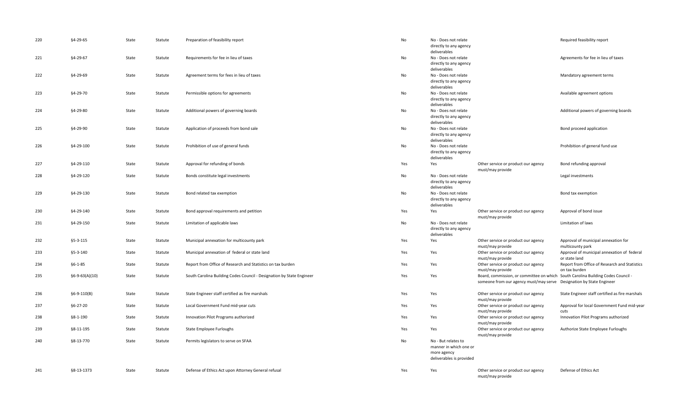| 220 | \$4-29-65      | State | Statute | Preparation of feasibility report                                     | No  | No - Does not relate<br>directly to any agency                                           |                                                                                                                                                          | Required feasibility report                                    |
|-----|----------------|-------|---------|-----------------------------------------------------------------------|-----|------------------------------------------------------------------------------------------|----------------------------------------------------------------------------------------------------------------------------------------------------------|----------------------------------------------------------------|
| 221 | §4-29-67       | State | Statute | Requirements for fee in lieu of taxes                                 | No  | deliverables<br>No - Does not relate<br>directly to any agency                           |                                                                                                                                                          | Agreements for fee in lieu of taxes                            |
| 222 | \$4-29-69      | State | Statute | Agreement terms for fees in lieu of taxes                             | No  | deliverables<br>No - Does not relate<br>directly to any agency                           |                                                                                                                                                          | Mandatory agreement terms                                      |
| 223 | §4-29-70       | State | Statute | Permissible options for agreements                                    | No  | deliverables<br>No - Does not relate<br>directly to any agency                           |                                                                                                                                                          | Available agreement options                                    |
| 224 | §4-29-80       | State | Statute | Additional powers of governing boards                                 | No  | deliverables<br>No - Does not relate<br>directly to any agency                           |                                                                                                                                                          | Additional powers of governing boards                          |
| 225 | §4-29-90       | State | Statute | Application of proceeds from bond sale                                | No  | deliverables<br>No - Does not relate<br>directly to any agency                           |                                                                                                                                                          | Bond proceed application                                       |
| 226 | §4-29-100      | State | Statute | Prohibition of use of general funds                                   | No  | deliverables<br>No - Does not relate<br>directly to any agency                           |                                                                                                                                                          | Prohibition of general fund use                                |
| 227 | §4-29-110      | State | Statute | Approval for refunding of bonds                                       | Yes | deliverables<br>Yes                                                                      | Other service or product our agency<br>must/may provide                                                                                                  | Bond refunding approval                                        |
| 228 | §4-29-120      | State | Statute | Bonds constitute legal investments                                    | No  | No - Does not relate<br>directly to any agency<br>deliverables                           |                                                                                                                                                          | Legal investments                                              |
| 229 | §4-29-130      | State | Statute | Bond related tax exemption                                            | No  | No - Does not relate<br>directly to any agency                                           |                                                                                                                                                          | Bond tax exemption                                             |
| 230 | §4-29-140      | State | Statute | Bond approval requirements and petition                               | Yes | deliverables<br>Yes                                                                      | Other service or product our agency<br>must/may provide                                                                                                  | Approval of bond issue                                         |
| 231 | §4-29-150      | State | Statute | Limitation of applicable laws                                         | No  | No - Does not relate<br>directly to any agency<br>deliverables                           |                                                                                                                                                          | Limitation of laws                                             |
| 232 | $§5 - 3 - 115$ | State | Statute | Municipal annexation for multicounty park                             | Yes | Yes                                                                                      | Other service or product our agency<br>must/may provide                                                                                                  | Approval of municipal annexation for<br>multicounty park       |
| 233 | §5-3-140       | State | Statute | Municipal annexation of federal or state land                         | Yes | Yes                                                                                      | Other service or product our agency<br>must/may provide                                                                                                  | Approval of municipal annexation of federal<br>or state land   |
| 234 | $§6 - 1 - 85$  | State | Statute | Report from Office of Research and Statistics on tax burden           | Yes | Yes                                                                                      | Other service or product our agency<br>must/may provide                                                                                                  | Report from Office of Research and Statistics<br>on tax burden |
| 235 | §6-9-63(A)(10) | State | Statute | South Carolina Building Codes Council - Designation by State Engineer | Yes | Yes                                                                                      | Board, commission, or committee on which South Carolina Building Codes Council -<br>someone from our agency must/may serve Designation by State Engineer |                                                                |
| 236 | $$6-9-110(B)$  | State | Statute | State Engineer staff certified as fire marshals                       | Yes | Yes                                                                                      | Other service or product our agency<br>must/may provide                                                                                                  | State Engineer staff certified as fire marshals                |
| 237 | \$6-27-20      | State | Statute | Local Government Fund mid-year cuts                                   | Yes | Yes                                                                                      | Other service or product our agency<br>must/may provide                                                                                                  | Approval for local Government Fund mid-year<br>cuts            |
| 238 | §8-1-190       | State | Statute | Innovation Pilot Programs authorized                                  | Yes | Yes                                                                                      | Other service or product our agency<br>must/may provide                                                                                                  | Innovation Pilot Programs authorized                           |
| 239 | §8-11-195      | State | Statute | State Employee Furloughs                                              | Yes | Yes                                                                                      | Other service or product our agency<br>must/may provide                                                                                                  | Authorize State Employee Furloughs                             |
| 240 | §8-13-770      | State | Statute | Permits legislators to serve on SFAA                                  | No  | No - But relates to<br>manner in which one or<br>more agency<br>deliverables is provided |                                                                                                                                                          |                                                                |
| 241 | §8-13-1373     | State | Statute | Defense of Ethics Act upon Attorney General refusal                   | Yes | Yes                                                                                      | Other service or product our agency<br>must/may provide                                                                                                  | Defense of Ethics Act                                          |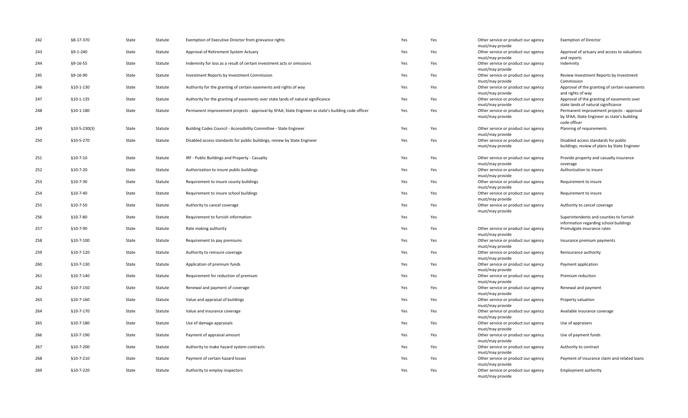| 242 | §8-17-370      | State | Statute | Exemption of Executive Director from grievance rights                                              | Yes | Yes | Other service or product our agency<br>must/may provide                     | <b>Exemption of Director</b>                                                                             |
|-----|----------------|-------|---------|----------------------------------------------------------------------------------------------------|-----|-----|-----------------------------------------------------------------------------|----------------------------------------------------------------------------------------------------------|
| 243 | §9-1-240       | State | Statute | Approval of Retirement System Actuary                                                              | Yes | Yes | Other service or product our agency                                         | Approval of actuary and access to valuations                                                             |
| 244 | \$9-16-55      | State | Statute | Indemnity for loss as a result of certain investment acts or omissions                             | Yes | Yes | must/may provide<br>Other service or product our agency                     | and reports<br>Indemnity                                                                                 |
| 245 | §9-16-90       | State | Statute | Investment Reports by Investment Commission                                                        | Yes | Yes | must/may provide<br>Other service or product our agency                     | Review Investment Reports by Investment                                                                  |
|     |                |       |         |                                                                                                    |     |     | must/may provide                                                            | Commission                                                                                               |
| 246 | §10-1-130      | State | Statute | Authority for the granting of certain easements and rights of way                                  | Yes | Yes | Other service or product our agency<br>must/may provide                     | Approval of the granting of certain easements<br>and rights of way                                       |
| 247 | §10-1-135      | State | Statute | Authority for the granting of easements over state lands of natural significance                   | Yes | Yes | Other service or product our agency                                         | Approval of the granting of easements over<br>state lands of natural significance                        |
| 248 | §10-1-180      | State | Statute | Permanent improvement projects - approval by SFAA; State Engineer as state's building code officer | Yes | Yes | must/may provide<br>Other service or product our agency<br>must/may provide | Permanent improvement projects - approval<br>by SFAA; State Engineer as state's building<br>code officer |
| 249 | $$10-5-230(3)$ | State | Statute | Building Codes Council - Accessibility Committee - State Engineer                                  | Yes | Yes | Other service or product our agency<br>must/may provide                     | Planning of requirements                                                                                 |
| 250 | §10-5-270      | State | Statute | Disabled access standards for public buildings; review by State Engineer                           | Yes | Yes | Other service or product our agency                                         | Disabled access standards for public                                                                     |
|     |                |       |         |                                                                                                    |     |     | must/may provide                                                            | buildings; review of plans by State Engineer                                                             |
| 251 | $$10-7-10$     | State | Statute | IRF - Public Buildings and Property - Casualty                                                     | Yes | Yes | Other service or product our agency                                         | Provide property and casualty insurance                                                                  |
| 252 | $$10-7-20$     | State | Statute | Authorization to insure public buildings                                                           | Yes | Yes | must/may provide<br>Other service or product our agency                     | coverage<br>Authorization to insure                                                                      |
|     |                |       |         |                                                                                                    |     |     | must/may provide                                                            |                                                                                                          |
| 253 | §10-7-30       | State | Statute | Requirement to insure county buildings                                                             | Yes | Yes | Other service or product our agency<br>must/may provide                     | Requirement to insure                                                                                    |
| 254 | §10-7-40       | State | Statute | Requirement to insure school buildings                                                             | Yes | Yes | Other service or product our agency                                         | Requirement to insure                                                                                    |
| 255 | §10-7-50       | State | Statute | Authority to cancel coverage                                                                       | Yes | Yes | must/may provide<br>Other service or product our agency                     | Authority to cancel coverage                                                                             |
|     |                |       |         |                                                                                                    |     |     | must/may provide                                                            |                                                                                                          |
| 256 | §10-7-80       | State | Statute | Requirement to furnish information                                                                 | Yes | Yes |                                                                             | Superintendents and counties to furnish<br>information regarding school buildings                        |
| 257 | §10-7-90       | State | Statute | Rate making authority                                                                              | Yes | Yes | Other service or product our agency<br>must/may provide                     | Promulgate insurance rates                                                                               |
| 258 | §10-7-100      | State | Statute | Requirement to pay premiums                                                                        | Yes | Yes | Other service or product our agency<br>must/may provide                     | Insurance premium payments                                                                               |
| 259 | §10-7-120      | State | Statute | Authority to reinsure coverage                                                                     | Yes | Yes | Other service or product our agency                                         | Reinsurance authority                                                                                    |
| 260 | §10-7-130      | State | Statute | Application of premium funds                                                                       | Yes | Yes | must/may provide<br>Other service or product our agency                     | Payment application                                                                                      |
|     |                |       |         |                                                                                                    |     |     | must/may provide                                                            |                                                                                                          |
| 261 | §10-7-140      | State | Statute | Requirement for reduction of premium                                                               | Yes | Yes | Other service or product our agency<br>must/may provide                     | Premium reduction                                                                                        |
| 262 | §10-7-150      | State | Statute | Renewal and payment of coverage                                                                    | Yes | Yes | Other service or product our agency                                         | Renewal and payment                                                                                      |
| 263 | §10-7-160      | State | Statute |                                                                                                    | Yes | Yes | must/may provide                                                            |                                                                                                          |
|     |                |       |         | Value and appraisal of buildings                                                                   |     |     | Other service or product our agency<br>must/may provide                     | Property valuation                                                                                       |
| 264 | §10-7-170      | State | Statute | Value and insurance coverage                                                                       | Yes | Yes | Other service or product our agency                                         | Available insurance coverage                                                                             |
| 265 | §10-7-180      | State | Statute | Use of damage appraisals                                                                           | Yes | Yes | must/may provide<br>Other service or product our agency                     | Use of appraisers                                                                                        |
|     |                |       |         |                                                                                                    |     |     | must/may provide                                                            |                                                                                                          |
| 266 | §10-7-190      | State | Statute | Payment of appraisal amount                                                                        | Yes | Yes | Other service or product our agency                                         | Use of payment funds                                                                                     |
| 267 | §10-7-200      | State | Statute | Authority to make hazard system contracts                                                          | Yes | Yes | must/may provide<br>Other service or product our agency                     | Authority to contract                                                                                    |
|     |                |       |         |                                                                                                    |     |     | must/may provide                                                            |                                                                                                          |
| 268 | §10-7-210      | State | Statute | Payment of certain hazard losses                                                                   | Yes | Yes | Other service or product our agency<br>must/may provide                     | Payment of insurance claim and related loans                                                             |
| 269 | \$10-7-220     | State | Statute | Authority to employ inspectors                                                                     | Yes | Yes | Other service or product our agency<br>must/may provide                     | Employment authority                                                                                     |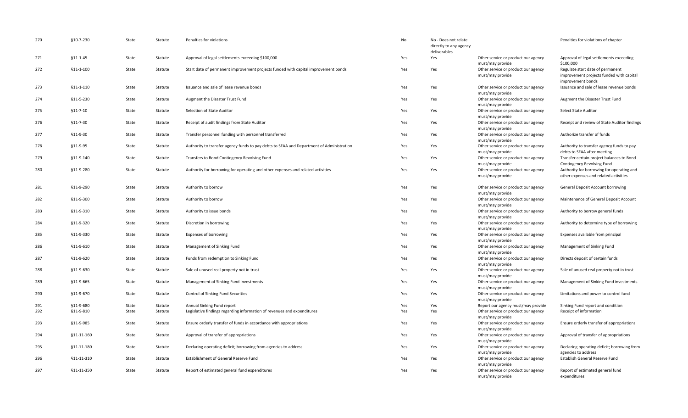| 270 | §10-7-230       | State | Statute | Penalties for violations                                                                 | No  | No - Does not relate<br>directly to any agency<br>deliverables |                                                                             | Penalties for violations of chapter                                                                              |
|-----|-----------------|-------|---------|------------------------------------------------------------------------------------------|-----|----------------------------------------------------------------|-----------------------------------------------------------------------------|------------------------------------------------------------------------------------------------------------------|
| 271 | $$11 - 1 - 45$  | State | Statute | Approval of legal settlements exceeding \$100,000                                        | Yes | Yes                                                            | Other service or product our agency<br>must/may provide                     | Approval of legal settlements exceeding<br>\$100,000                                                             |
| 272 | $§11 - 1 - 100$ | State | Statute | Start date of permanent improvement projects funded with capital improvement bonds       | Yes | Yes                                                            | Other service or product our agency<br>must/may provide                     | Regulate start date of permanent<br>improvement projects funded with capital<br>improvement bonds                |
| 273 | §11-1-110       | State | Statute | Issuance and sale of lease revenue bonds                                                 | Yes | Yes                                                            | Other service or product our agency<br>must/may provide                     | Issuance and sale of lease revenue bonds                                                                         |
| 274 | \$11-5-230      | State | Statute | Augment the Disaster Trust Fund                                                          | Yes | Yes                                                            | Other service or product our agency<br>must/may provide                     | Augment the Disaster Trust Fund                                                                                  |
| 275 | $$11 - 7 - 10$  | State | Statute | Selection of State Auditor                                                               | Yes | Yes                                                            | Other service or product our agency<br>must/may provide                     | Select State Auditor                                                                                             |
| 276 | §11-7-30        | State | Statute | Receipt of audit findings from State Auditor                                             | Yes | Yes                                                            | Other service or product our agency<br>must/may provide                     | Receipt and review of State Auditor findings                                                                     |
| 277 | §11-9-30        | State | Statute | Transfer personnel funding with personnel transferred                                    | Yes | Yes                                                            | Other service or product our agency                                         | Authorize transfer of funds                                                                                      |
| 278 | \$11-9-95       | State | Statute | Authority to transfer agency funds to pay debts to SFAA and Department of Administration | Yes | Yes                                                            | must/may provide<br>Other service or product our agency                     | Authority to transfer agency funds to pay                                                                        |
| 279 | §11-9-140       | State | Statute | Transfers to Bond Contingency Revolving Fund                                             | Yes | Yes                                                            | must/may provide<br>Other service or product our agency                     | debts to SFAA after meeting<br>Transfer certain project balances to Bond                                         |
| 280 | §11-9-280       | State | Statute | Authority for borrowing for operating and other expenses and related activities          | Yes | Yes                                                            | must/may provide<br>Other service or product our agency<br>must/may provide | Contingency Revolving Fund<br>Authority for borrowing for operating and<br>other expenses and related activities |
| 281 | §11-9-290       | State | Statute | Authority to borrow                                                                      | Yes | Yes                                                            | Other service or product our agency                                         | General Deposit Account borrowing                                                                                |
| 282 | \$11-9-300      | State | Statute | Authority to borrow                                                                      | Yes | Yes                                                            | must/may provide<br>Other service or product our agency                     | Maintenance of General Deposit Account                                                                           |
| 283 | \$11-9-310      | State | Statute | Authority to issue bonds                                                                 | Yes | Yes                                                            | must/may provide<br>Other service or product our agency                     | Authority to borrow general funds                                                                                |
| 284 | \$11-9-320      | State | Statute | Discretion in borrowing                                                                  | Yes | Yes                                                            | must/may provide<br>Other service or product our agency                     | Authority to determine type of borrowing                                                                         |
| 285 | \$11-9-330      | State | Statute | Expenses of borrowing                                                                    | Yes | Yes                                                            | must/may provide<br>Other service or product our agency                     | Expenses available from principal                                                                                |
| 286 | \$11-9-610      | State | Statute | Management of Sinking Fund                                                               | Yes | Yes                                                            | must/may provide<br>Other service or product our agency                     | Management of Sinking Fund                                                                                       |
| 287 | \$11-9-620      | State | Statute | Funds from redemption to Sinking Fund                                                    | Yes | Yes                                                            | must/may provide<br>Other service or product our agency<br>must/may provide | Directs deposit of certain funds                                                                                 |
| 288 | §11-9-630       | State | Statute | Sale of unused real property not in trust                                                | Yes | Yes                                                            | Other service or product our agency                                         | Sale of unused real property not in trust                                                                        |
| 289 | \$11-9-665      | State | Statute | Management of Sinking Fund investments                                                   | Yes | Yes                                                            | must/may provide<br>Other service or product our agency<br>must/may provide | Management of Sinking Fund investments                                                                           |
| 290 | \$11-9-670      | State | Statute | Control of Sinking Fund Securities                                                       | Yes | Yes                                                            | Other service or product our agency<br>must/may provide                     | Limitations and power to control fund                                                                            |
| 291 | §11-9-680       | State | Statute | Annual Sinking Fund report                                                               | Yes | Yes<br>Yes                                                     | Report our agency must/may provide                                          | Sinking Fund report and condition                                                                                |
| 292 | \$11-9-810      | State | Statute | Legislative findings regarding information of revenues and expenditures                  | Yes |                                                                | Other service or product our agency<br>must/may provide                     | Receipt of information                                                                                           |
| 293 | \$11-9-985      | State | Statute | Ensure orderly transfer of funds in accordance with appropriations                       | Yes | Yes                                                            | Other service or product our agency<br>must/may provide                     | Ensure orderly transfer of appropriations                                                                        |
| 294 | \$11-11-160     | State | Statute | Approval of transfer of appropriations                                                   | Yes | Yes                                                            | Other service or product our agency<br>must/may provide                     | Approval of transfer of appropriations                                                                           |
| 295 | \$11-11-180     | State | Statute | Declaring operating deficit; borrowing from agencies to address                          | Yes | Yes                                                            | Other service or product our agency<br>must/may provide                     | Declaring operating deficit; borrowing from<br>agencies to address                                               |
| 296 | \$11-11-310     | State | Statute | Establishment of General Reserve Fund                                                    | Yes | Yes                                                            | Other service or product our agency<br>must/may provide                     | Establish General Reserve Fund                                                                                   |
| 297 | \$11-11-350     | State | Statute | Report of estimated general fund expenditures                                            | Yes | Yes                                                            | Other service or product our agency<br>must/may provide                     | Report of estimated general fund<br>expenditures                                                                 |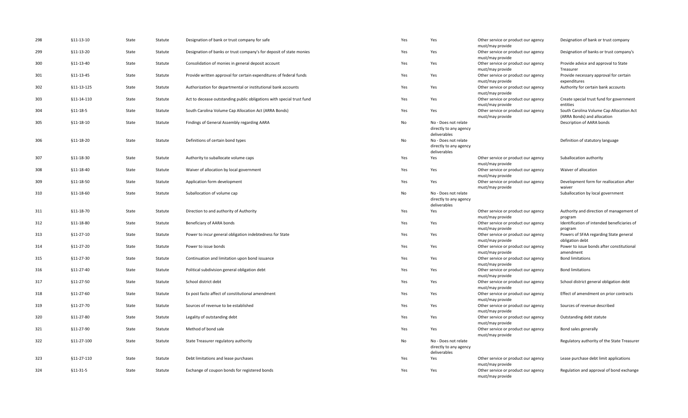| 298 | $$11-13-10$ | State | Statute | Designation of bank or trust company for safe                         | Yes | Yes                                            | Other service or product our agency<br>must/may provide | Designation of bank or trust company                      |
|-----|-------------|-------|---------|-----------------------------------------------------------------------|-----|------------------------------------------------|---------------------------------------------------------|-----------------------------------------------------------|
| 299 | $$11-13-20$ | State | Statute | Designation of banks or trust company's for deposit of state monies   | Yes | Yes                                            | Other service or product our agency<br>must/may provide | Designation of banks or trust company's                   |
| 300 | §11-13-40   | State | Statute | Consolidation of monies in general deposit account                    | Yes | Yes                                            | Other service or product our agency                     | Provide advice and approval to State<br>Treasurer         |
| 301 | §11-13-45   | State | Statute | Provide written approval for certain expenditures of federal funds    | Yes | Yes                                            | must/may provide<br>Other service or product our agency | Provide necessary approval for certain                    |
| 302 | \$11-13-125 | State | Statute | Authorization for departmental or institutional bank accounts         | Yes | Yes                                            | must/may provide<br>Other service or product our agency | expenditures<br>Authority for certain bank accounts       |
| 303 | §11-14-110  | State | Statute | Act to decease outstanding public obligations with special trust fund | Yes | Yes                                            | must/may provide<br>Other service or product our agency | Create special trust fund for government                  |
| 304 | $$11-18-5$  | State | Statute | South Carolina Volume Cap Allocation Act (ARRA Bonds)                 | Yes | Yes                                            | must/may provide<br>Other service or product our agency | entities<br>South Carolina Volume Cap Allocation Act      |
| 305 | $$11-18-10$ | State | Statute | Findings of General Assembly regarding AARA                           | No  | No - Does not relate                           | must/may provide                                        | (ARRA Bonds) and allocation<br>Description of AARA bonds  |
|     |             |       |         |                                                                       |     | directly to any agency<br>deliverables         |                                                         |                                                           |
| 306 | §11-18-20   | State | Statute | Definitions of certain bond types                                     | No  | No - Does not relate<br>directly to any agency |                                                         | Definition of statutory language                          |
| 307 | §11-18-30   | State | Statute | Authority to suballocate volume caps                                  | Yes | deliverables<br>Yes                            | Other service or product our agency                     | Suballocation authority                                   |
|     |             |       |         |                                                                       |     |                                                | must/may provide                                        |                                                           |
| 308 | \$11-18-40  | State | Statute | Waiver of allocation by local government                              | Yes | Yes                                            | Other service or product our agency<br>must/may provide | Waiver of allocation                                      |
| 309 | \$11-18-50  | State | Statute | Application form development                                          | Yes | Yes                                            | Other service or product our agency<br>must/may provide | Development form for reallocation after<br>waiver         |
| 310 | \$11-18-60  | State | Statute | Suballocation of volume cap                                           | No  | No - Does not relate                           |                                                         | Suballocation by local government                         |
|     |             |       |         |                                                                       |     | directly to any agency                         |                                                         |                                                           |
| 311 | §11-18-70   | State | Statute | Direction to and authority of Authority                               | Yes | deliverables<br>Yes                            | Other service or product our agency                     | Authority and direction of management of                  |
|     |             |       |         |                                                                       |     |                                                | must/may provide                                        | program                                                   |
| 312 | §11-18-80   | State | Statute | Beneficiary of AARA bonds                                             | Yes | Yes                                            | Other service or product our agency                     | Identification of intended beneficiaries of               |
|     |             |       |         |                                                                       |     |                                                | must/may provide                                        | program                                                   |
| 313 | $$11-27-10$ | State | Statute | Power to incur general obligation indebtedness for State              | Yes | Yes                                            | Other service or product our agency<br>must/may provide | Powers of SFAA regarding State general<br>obligation debt |
| 314 | §11-27-20   | State | Statute | Power to issue bonds                                                  | Yes | Yes                                            | Other service or product our agency                     | Power to issue bonds after constitutional                 |
| 315 | \$11-27-30  | State | Statute | Continuation and limitation upon bond issuance                        | Yes | Yes                                            | must/may provide<br>Other service or product our agency | amendment<br><b>Bond limitations</b>                      |
|     |             |       |         |                                                                       |     |                                                | must/may provide                                        |                                                           |
| 316 | \$11-27-40  | State | Statute | Political subdivision general obligation debt                         | Yes | Yes                                            | Other service or product our agency<br>must/may provide | <b>Bond limitations</b>                                   |
| 317 | §11-27-50   | State | Statute | School district debt                                                  | Yes | Yes                                            | Other service or product our agency<br>must/may provide | School district general obligation debt                   |
| 318 | \$11-27-60  | State | Statute | Ex post facto affect of constitutional amendment                      | Yes | Yes                                            | Other service or product our agency                     | Effect of amendment on prior contracts                    |
| 319 | \$11-27-70  | State | Statute | Sources of revenue to be established                                  | Yes | Yes                                            | must/may provide<br>Other service or product our agency | Sources of revenue described                              |
| 320 | \$11-27-80  | State | Statute | Legality of outstanding debt                                          | Yes | Yes                                            | must/may provide<br>Other service or product our agency | Outstanding debt statute                                  |
|     | \$11-27-90  |       | Statute | Method of bond sale                                                   | Yes | Yes                                            | must/may provide                                        | Bond sales generally                                      |
| 321 |             | State |         |                                                                       |     |                                                | Other service or product our agency<br>must/may provide |                                                           |
| 322 | §11-27-100  | State | Statute | State Treasurer regulatory authority                                  | No  | No - Does not relate<br>directly to any agency |                                                         | Regulatory authority of the State Treasurer               |
| 323 | §11-27-110  | State | Statute | Debt limitations and lease purchases                                  | Yes | deliverables<br>Yes                            | Other service or product our agency                     | Lease purchase debt limit applications                    |
|     |             |       |         |                                                                       |     |                                                | must/may provide                                        |                                                           |
| 324 | $§11-31-5$  | State | Statute | Exchange of coupon bonds for registered bonds                         | Yes | Yes                                            | Other service or product our agency<br>must/may provide | Regulation and approval of bond exchange                  |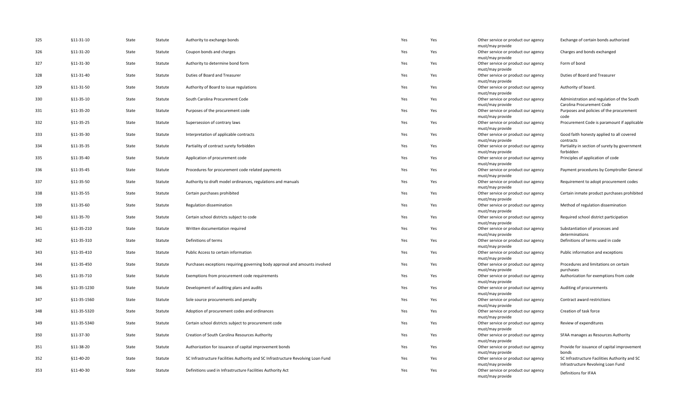| 325 | §11-31-10    | State | Statute | Authority to exchange bonds                                                      | Yes | Yes | Other service or product our agency<br>must/may provide | Exchange of certain bonds authorized                                                |
|-----|--------------|-------|---------|----------------------------------------------------------------------------------|-----|-----|---------------------------------------------------------|-------------------------------------------------------------------------------------|
| 326 | \$11-31-20   | State | Statute | Coupon bonds and charges                                                         | Yes | Yes | Other service or product our agency<br>must/may provide | Charges and bonds exchanged                                                         |
| 327 | §11-31-30    | State | Statute | Authority to determine bond form                                                 | Yes | Yes | Other service or product our agency<br>must/may provide | Form of bond                                                                        |
| 328 | \$11-31-40   | State | Statute | Duties of Board and Treasurer                                                    | Yes | Yes | Other service or product our agency<br>must/may provide | Duties of Board and Treasurer                                                       |
| 329 | \$11-31-50   | State | Statute | Authority of Board to issue regulations                                          | Yes | Yes | Other service or product our agency<br>must/may provide | Authority of board.                                                                 |
| 330 | §11-35-10    | State | Statute | South Carolina Procurement Code                                                  | Yes | Yes | Other service or product our agency<br>must/may provide | Administration and regulation of the South<br>Carolina Procurement Code             |
| 331 | §11-35-20    | State | Statute | Purposes of the procurement code                                                 | Yes | Yes | Other service or product our agency                     | Purposes and policies of the procurement<br>code                                    |
| 332 | \$11-35-25   | State | Statute | Supersession of contrary laws                                                    | Yes | Yes | must/may provide<br>Other service or product our agency | Procurement Code is paramount if applicable                                         |
| 333 | §11-35-30    | State | Statute | Interpretation of applicable contracts                                           | Yes | Yes | must/may provide<br>Other service or product our agency | Good faith honesty applied to all covered                                           |
| 334 | \$11-35-35   | State | Statute | Partiality of contract surety forbidden                                          | Yes | Yes | must/may provide<br>Other service or product our agency | contracts<br>Partiality in section of surety by government                          |
| 335 | \$11-35-40   | State | Statute | Application of procurement code                                                  | Yes | Yes | must/may provide<br>Other service or product our agency | forbidden<br>Principles of application of code                                      |
| 336 | \$11-35-45   | State | Statute | Procedures for procurement code related payments                                 | Yes | Yes | must/may provide<br>Other service or product our agency | Payment procedures by Comptroller General                                           |
| 337 | \$11-35-50   | State | Statute | Authority to draft model ordinances, regulations and manuals                     | Yes | Yes | must/may provide<br>Other service or product our agency | Requirement to adopt procurement codes                                              |
| 338 | \$11-35-55   | State | Statute | Certain purchases prohibited                                                     | Yes | Yes | must/may provide<br>Other service or product our agency | Certain inmate product purchases prohibited                                         |
| 339 | \$11-35-60   | State | Statute | Regulation dissemination                                                         | Yes | Yes | must/may provide<br>Other service or product our agency | Method of regulation dissemination                                                  |
| 340 | §11-35-70    | State | Statute | Certain school districts subject to code                                         | Yes | Yes | must/may provide<br>Other service or product our agency | Required school district participation                                              |
| 341 | \$11-35-210  | State | Statute | Written documentation required                                                   | Yes | Yes | must/may provide<br>Other service or product our agency | Substantiation of processes and                                                     |
| 342 | §11-35-310   | State | Statute | Definitions of terms                                                             | Yes | Yes | must/may provide<br>Other service or product our agency | determinations<br>Definitions of terms used in code                                 |
| 343 | \$11-35-410  | State | Statute | Public Access to certain information                                             | Yes | Yes | must/may provide<br>Other service or product our agency | Public information and exceptions                                                   |
| 344 | \$11-35-450  | State | Statute | Purchases exceptions requiring governing body approval and amounts involved      | Yes | Yes | must/may provide<br>Other service or product our agency | Procedures and limitations on certain                                               |
| 345 | \$11-35-710  | State | Statute | Exemptions from procurement code requirements                                    | Yes | Yes | must/may provide<br>Other service or product our agency | purchases<br>Authorization for exemptions from code                                 |
| 346 | §11-35-1230  | State | Statute | Development of auditing plans and audits                                         | Yes | Yes | must/may provide<br>Other service or product our agency | Auditing of procurements                                                            |
| 347 | \$11-35-1560 | State | Statute | Sole source procurements and penalty                                             | Yes | Yes | must/may provide<br>Other service or product our agency | Contract award restrictions                                                         |
| 348 | \$11-35-5320 | State | Statute | Adoption of procurement codes and ordinances                                     | Yes | Yes | must/may provide<br>Other service or product our agency | Creation of task force                                                              |
|     |              |       |         |                                                                                  |     |     | must/may provide                                        |                                                                                     |
| 349 | \$11-35-5340 | State | Statute | Certain school districts subject to procurement code                             | Yes | Yes | Other service or product our agency<br>must/may provide | Review of expenditures                                                              |
| 350 | \$11-37-30   | State | Statute | Creation of South Carolina Resources Authority                                   | Yes | Yes | Other service or product our agency<br>must/may provide | SFAA manages as Resources Authority                                                 |
| 351 | \$11-38-20   | State | Statute | Authorization for issuance of capital improvement bonds                          | Yes | Yes | Other service or product our agency<br>must/may provide | Provide for issuance of capital improvement<br>bonds                                |
| 352 | \$11-40-20   | State | Statute | SC Infrastructure Facilities Authority and SC Infrastructure Revolving Loan Fund | Yes | Yes | Other service or product our agency<br>must/may provide | SC Infrastructure Facilities Authority and SC<br>Infrastructure Revolving Loan Fund |
| 353 | \$11-40-30   | State | Statute | Definitions used in Infrastructure Facilities Authority Act                      | Yes | Yes | Other service or product our agency<br>must/may provide | Definitions for IFAA                                                                |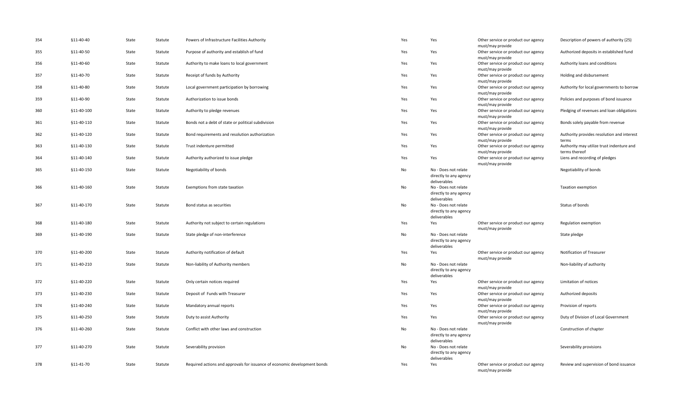| 354 | §11-40-40   | State | Statute | Powers of Infrastructure Facilities Authority                             | Yes       | Yes                                                            | Other service or product our agency<br>must/may provide | Description of powers of authority (25)                    |
|-----|-------------|-------|---------|---------------------------------------------------------------------------|-----------|----------------------------------------------------------------|---------------------------------------------------------|------------------------------------------------------------|
| 355 | \$11-40-50  | State | Statute | Purpose of authority and establish of fund                                | Yes       | Yes                                                            | Other service or product our agency<br>must/may provide | Authorized deposits in established fund                    |
| 356 | \$11-40-60  | State | Statute | Authority to make loans to local government                               | Yes       | Yes                                                            | Other service or product our agency<br>must/may provide | Authority loans and conditions                             |
| 357 | §11-40-70   | State | Statute | Receipt of funds by Authority                                             | Yes       | Yes                                                            | Other service or product our agency<br>must/may provide | Holding and disbursement                                   |
| 358 | §11-40-80   | State | Statute | Local government participation by borrowing                               | Yes       | Yes                                                            | Other service or product our agency<br>must/may provide | Authority for local governments to borrow                  |
| 359 | §11-40-90   | State | Statute | Authorization to issue bonds                                              | Yes       | Yes                                                            | Other service or product our agency<br>must/may provide | Policies and purposes of bond issuance                     |
| 360 | §11-40-100  | State | Statute | Authority to pledge revenues                                              | Yes       | Yes                                                            | Other service or product our agency<br>must/may provide | Pledging of revenues and loan obligations                  |
| 361 | §11-40-110  | State | Statute | Bonds not a debt of state or political subdivision                        | Yes       | Yes                                                            | Other service or product our agency<br>must/may provide | Bonds solely payable from revenue                          |
| 362 | §11-40-120  | State | Statute | Bond requirements and resolution authorization                            | Yes       | Yes                                                            | Other service or product our agency<br>must/may provide | Authority provides resolution and interest<br>terms        |
| 363 | §11-40-130  | State | Statute | Trust indenture permitted                                                 | Yes       | Yes                                                            | Other service or product our agency<br>must/may provide | Authority may utilize trust indenture and<br>terms thereof |
| 364 | §11-40-140  | State | Statute | Authority authorized to issue pledge                                      | Yes       | Yes                                                            | Other service or product our agency<br>must/may provide | Liens and recording of pledges                             |
| 365 | §11-40-150  | State | Statute | Negotiability of bonds                                                    | No        | No - Does not relate<br>directly to any agency<br>deliverables |                                                         | Negotiability of bonds                                     |
| 366 | §11-40-160  | State | Statute | Exemptions from state taxation                                            | No        | No - Does not relate<br>directly to any agency                 |                                                         | Taxation exemption                                         |
| 367 | §11-40-170  | State | Statute | Bond status as securities                                                 | No        | deliverables<br>No - Does not relate<br>directly to any agency |                                                         | Status of bonds                                            |
| 368 | §11-40-180  | State | Statute | Authority not subject to certain regulations                              | Yes       | deliverables<br>Yes                                            | Other service or product our agency<br>must/may provide | Regulation exemption                                       |
| 369 | §11-40-190  | State | Statute | State pledge of non-interference                                          | No        | No - Does not relate<br>directly to any agency<br>deliverables |                                                         | State pledge                                               |
| 370 | §11-40-200  | State | Statute | Authority notification of default                                         | Yes       | Yes                                                            | Other service or product our agency<br>must/may provide | Notification of Treasurer                                  |
| 371 | §11-40-210  | State | Statute | Non-liability of Authority members                                        | No        | No - Does not relate<br>directly to any agency<br>deliverables |                                                         | Non-liability of authority                                 |
| 372 | §11-40-220  | State | Statute | Only certain notices required                                             | Yes       | Yes                                                            | Other service or product our agency<br>must/may provide | Limitation of notices                                      |
| 373 | §11-40-230  | State | Statute | Deposit of Funds with Treasurer                                           | Yes       | Yes                                                            | Other service or product our agency<br>must/may provide | Authorized deposits                                        |
| 374 | §11-40-240  | State | Statute | Mandatory annual reports                                                  | Yes       | Yes                                                            | Other service or product our agency<br>must/may provide | Provision of reports                                       |
| 375 | §11-40-250  | State | Statute | Duty to assist Authority                                                  | Yes       | Yes                                                            | Other service or product our agency<br>must/may provide | Duty of Division of Local Government                       |
| 376 | §11-40-260  | State | Statute | Conflict with other laws and construction                                 | <b>No</b> | No - Does not relate<br>directly to any agency<br>deliverables |                                                         | Construction of chapter                                    |
| 377 | \$11-40-270 | State | Statute | Severability provision                                                    | No        | No - Does not relate<br>directly to any agency<br>deliverables |                                                         | Severability provisions                                    |
| 378 | \$11-41-70  | State | Statute | Required actions and approvals for issuance of economic development bonds | Yes       | Yes                                                            | Other service or product our agency<br>must/may provide | Review and supervision of bond issuance                    |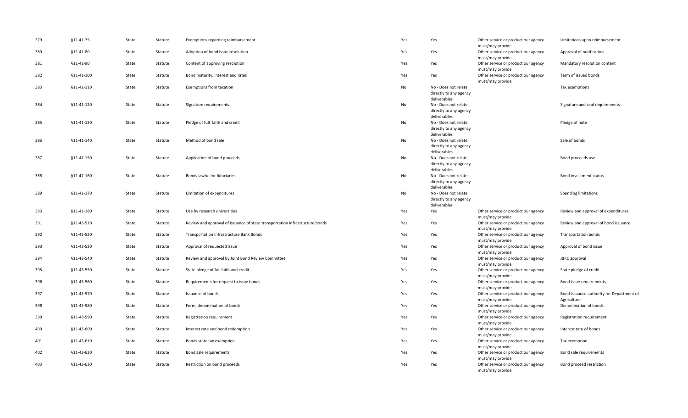| 379 | \$11-41-75  | State | Statute | Exemptions regarding reimbursement                                           | Yes | Yes                                  | Other service or product our agency<br>must/may provide | Limitations upon reimbursement            |
|-----|-------------|-------|---------|------------------------------------------------------------------------------|-----|--------------------------------------|---------------------------------------------------------|-------------------------------------------|
| 380 | §11-41-80   | State | Statute | Adoption of bond issue resolution                                            | Yes | Yes                                  | Other service or product our agency<br>must/may provide | Approval of notification                  |
| 381 | \$11-41-90  | State | Statute | Content of approving resolution                                              | Yes | Yes                                  | Other service or product our agency<br>must/may provide | Mandatory resolution content              |
| 382 | §11-41-100  | State | Statute | Bond maturity, interest and rates                                            | Yes | Yes                                  | Other service or product our agency<br>must/may provide | Term of issued bonds                      |
| 383 | §11-41-110  | State | Statute | Exemptions from taxation                                                     | No  | No - Does not relate                 |                                                         | Tax exemptions                            |
|     |             |       |         |                                                                              |     | directly to any agency               |                                                         |                                           |
|     |             |       |         |                                                                              |     | deliverables                         |                                                         |                                           |
| 384 | \$11-41-120 | State | Statute | Signature requirements                                                       | No  | No - Does not relate                 |                                                         | Signature and seal requirements           |
|     |             |       |         |                                                                              |     | directly to any agency               |                                                         |                                           |
|     |             |       |         |                                                                              |     | deliverables                         |                                                         |                                           |
| 385 | §11-41-130  | State | Statute | Pledge of full faith and credit                                              | No  | No - Does not relate                 |                                                         | Pledge of note                            |
|     |             |       |         |                                                                              |     | directly to any agency               |                                                         |                                           |
| 386 | \$11-41-140 | State | Statute | Method of bond sale                                                          | No  | deliverables<br>No - Does not relate |                                                         | Sale of bonds                             |
|     |             |       |         |                                                                              |     | directly to any agency               |                                                         |                                           |
|     |             |       |         |                                                                              |     | deliverables                         |                                                         |                                           |
| 387 | \$11-41-150 | State | Statute | Application of bond proceeds                                                 | No  | No - Does not relate                 |                                                         | Bond proceeds use                         |
|     |             |       |         |                                                                              |     | directly to any agency               |                                                         |                                           |
|     |             |       |         |                                                                              |     | deliverables                         |                                                         |                                           |
| 388 | \$11-41-160 | State | Statute | Bonds lawful for fiduciaries                                                 | No  | No - Does not relate                 |                                                         | Bond investment status                    |
|     |             |       |         |                                                                              |     | directly to any agency               |                                                         |                                           |
|     |             |       |         |                                                                              |     | deliverables                         |                                                         |                                           |
| 389 | \$11-41-170 | State | Statute | Limitation of expenditures                                                   | No  | No - Does not relate                 |                                                         | Spending limitations                      |
|     |             |       |         |                                                                              |     | directly to any agency               |                                                         |                                           |
| 390 | §11-41-180  | State | Statute |                                                                              | Yes | deliverables<br>Yes                  | Other service or product our agency                     | Review and approval of expenditures       |
|     |             |       |         | Use by research universities                                                 |     |                                      | must/may provide                                        |                                           |
| 391 | \$11-43-510 | State | Statute | Review and approval of issuance of state transportation infrastructure bonds | Yes | Yes                                  | Other service or product our agency                     | Review and approval of bond issuance      |
|     |             |       |         |                                                                              |     |                                      | must/may provide                                        |                                           |
| 392 | §11-43-520  | State | Statute | Transportation Infrastructure Bank Bonds                                     | Yes | Yes                                  | Other service or product our agency                     | Transportation bonds                      |
|     |             |       |         |                                                                              |     |                                      | must/may provide                                        |                                           |
| 393 | \$11-43-530 | State | Statute | Approval of requested issue                                                  | Yes | Yes                                  | Other service or product our agency                     | Approval of bond issue                    |
|     |             |       |         |                                                                              |     |                                      | must/may provide                                        |                                           |
| 394 | \$11-43-540 | State | Statute | Review and approval by Joint Bond Review Committee                           | Yes | Yes                                  | Other service or product our agency                     | JBRC approval                             |
|     |             |       |         |                                                                              |     |                                      | must/may provide                                        |                                           |
| 395 | \$11-43-550 | State | Statute | State pledge of full faith and credit                                        | Yes | Yes                                  | Other service or product our agency<br>must/may provide | State pledge of credit                    |
| 396 | §11-43-560  | State | Statute | Requirements for request to issue bonds                                      | Yes | Yes                                  | Other service or product our agency                     | Bond issue requirements                   |
|     |             |       |         |                                                                              |     |                                      | must/may provide                                        |                                           |
| 397 | \$11-43-570 | State | Statute | Issuance of bonds                                                            | Yes | Yes                                  | Other service or product our agency                     | Bond issuance authority for Department of |
|     |             |       |         |                                                                              |     |                                      | must/may provide                                        | Agriculture                               |
| 398 | §11-43-580  | State | Statute | Form, denomination of bonds                                                  | Yes | Yes                                  | Other service or product our agency                     | Denomination of bonds                     |
|     |             |       |         |                                                                              |     |                                      | must/may provide                                        |                                           |
| 399 | \$11-43-590 | State | Statute | Registration requirement                                                     | Yes | Yes                                  | Other service or product our agency                     | Registration requirement                  |
|     |             |       |         |                                                                              |     |                                      | must/may provide                                        |                                           |
| 400 | \$11-43-600 | State | Statute | Interest rate and bond redemption                                            | Yes | Yes                                  | Other service or product our agency                     | Interest rate of bonds                    |
| 401 | \$11-43-610 | State | Statute |                                                                              | Yes | Yes                                  | must/may provide                                        |                                           |
|     |             |       |         | Bonds state tax exemption                                                    |     |                                      | Other service or product our agency<br>must/may provide | Tax exemption                             |
| 402 | \$11-43-620 | State | Statute | Bond sale requirements                                                       | Yes | Yes                                  | Other service or product our agency                     | Bond sale requirements                    |
|     |             |       |         |                                                                              |     |                                      | must/may provide                                        |                                           |
| 403 | \$11-43-630 | State | Statute | Restriction on bond proceeds                                                 | Yes | Yes                                  | Other service or product our agency                     | Bond proceed restriction                  |
|     |             |       |         |                                                                              |     |                                      | must/may provide                                        |                                           |
|     |             |       |         |                                                                              |     |                                      |                                                         |                                           |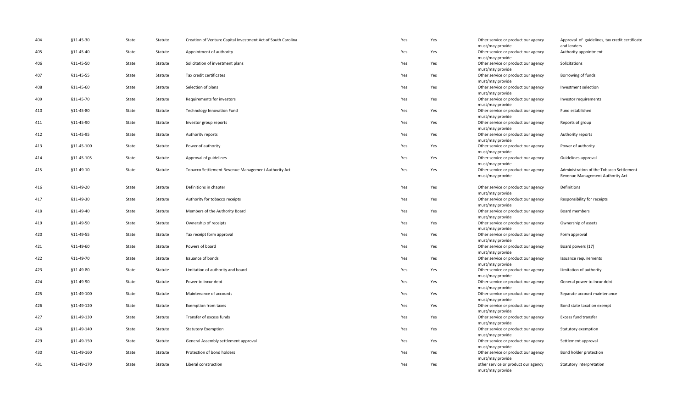| 404 | \$11-45-30 | State | Statute | Creation of Venture Capital Investment Act of South Carolina | Yes | Yes | Other service or product our agency<br>must/may provide | Approval of guidelines, tax credit certificate<br>and lenders                |
|-----|------------|-------|---------|--------------------------------------------------------------|-----|-----|---------------------------------------------------------|------------------------------------------------------------------------------|
| 405 | §11-45-40  | State | Statute | Appointment of authority                                     | Yes | Yes | Other service or product our agency<br>must/may provide | Authority appointment                                                        |
| 406 | §11-45-50  | State | Statute | Solicitation of investment plans                             | Yes | Yes | Other service or product our agency<br>must/may provide | Solicitations                                                                |
| 407 | §11-45-55  | State | Statute | Tax credit certificates                                      | Yes | Yes | Other service or product our agency<br>must/may provide | Borrowing of funds                                                           |
| 408 | \$11-45-60 | State | Statute | Selection of plans                                           | Yes | Yes | Other service or product our agency<br>must/may provide | Investment selection                                                         |
| 409 | §11-45-70  | State | Statute | Requirements for investors                                   | Yes | Yes | Other service or product our agency<br>must/may provide | Investor requirements                                                        |
| 410 | §11-45-80  | State | Statute | Technology Innovation Fund                                   | Yes | Yes | Other service or product our agency<br>must/may provide | Fund established                                                             |
| 411 | \$11-45-90 | State | Statute | Investor group reports                                       | Yes | Yes | Other service or product our agency<br>must/may provide | Reports of group                                                             |
| 412 | \$11-45-95 | State | Statute | Authority reports                                            | Yes | Yes | Other service or product our agency<br>must/may provide | Authority reports                                                            |
| 413 | §11-45-100 | State | Statute | Power of authority                                           | Yes | Yes | Other service or product our agency<br>must/may provide | Power of authority                                                           |
| 414 | §11-45-105 | State | Statute | Approval of guidelines                                       | Yes | Yes | Other service or product our agency<br>must/may provide | Guidelines approval                                                          |
| 415 | §11-49-10  | State | Statute | Tobacco Settlement Revenue Management Authority Act          | Yes | Yes | Other service or product our agency<br>must/may provide | Administration of the Tobacco Settlement<br>Revenue Management Authority Act |
| 416 | \$11-49-20 | State | Statute | Definitions in chapter                                       | Yes | Yes | Other service or product our agency<br>must/may provide | Definitions                                                                  |
| 417 | §11-49-30  | State | Statute | Authority for tobacco receipts                               | Yes | Yes | Other service or product our agency<br>must/may provide | Responsibility for receipts                                                  |
| 418 | §11-49-40  | State | Statute | Members of the Authority Board                               | Yes | Yes | Other service or product our agency<br>must/may provide | Board members                                                                |
| 419 | \$11-49-50 | State | Statute | Ownership of receipts                                        | Yes | Yes | Other service or product our agency<br>must/may provide | Ownership of assets                                                          |
| 420 | \$11-49-55 | State | Statute | Tax receipt form approval                                    | Yes | Yes | Other service or product our agency<br>must/may provide | Form approval                                                                |
| 421 | §11-49-60  | State | Statute | Powers of board                                              | Yes | Yes | Other service or product our agency<br>must/may provide | Board powers (17)                                                            |
| 422 | §11-49-70  | State | Statute | Issuance of bonds                                            | Yes | Yes | Other service or product our agency<br>must/may provide | Issuance requirements                                                        |
| 423 | \$11-49-80 | State | Statute | Limitation of authority and board                            | Yes | Yes | Other service or product our agency<br>must/may provide | Limitation of authority                                                      |
| 424 | §11-49-90  | State | Statute | Power to incur debt                                          | Yes | Yes | Other service or product our agency<br>must/may provide | General power to incur debt                                                  |
| 425 | §11-49-100 | State | Statute | Maintenance of accounts                                      | Yes | Yes | Other service or product our agency<br>must/may provide | Separate account maintenance                                                 |
| 426 | §11-49-120 | State | Statute | <b>Exemption from taxes</b>                                  | Yes | Yes | Other service or product our agency<br>must/may provide | Bond state taxation exempt                                                   |
| 427 | §11-49-130 | State | Statute | Transfer of excess funds                                     | Yes | Yes | Other service or product our agency<br>must/may provide | Excess fund transfer                                                         |
| 428 | §11-49-140 | State | Statute | <b>Statutory Exemption</b>                                   | Yes | Yes | Other service or product our agency<br>must/may provide | Statutory exemption                                                          |
| 429 | §11-49-150 | State | Statute | General Assembly settlement approval                         | Yes | Yes | Other service or product our agency<br>must/may provide | Settlement approval                                                          |
| 430 | §11-49-160 | State | Statute | Protection of bond holders                                   | Yes | Yes | Other service or product our agency<br>must/may provide | Bond holder protection                                                       |
| 431 | §11-49-170 | State | Statute | Liberal construction                                         | Yes | Yes | other service or product our agency<br>must/may provide | Statutory interpretation                                                     |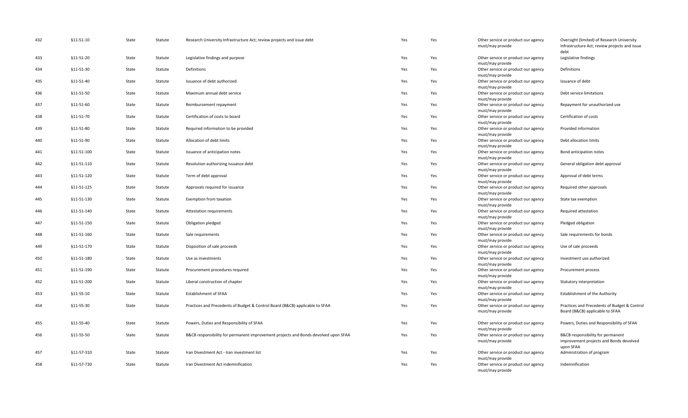| 432 | $$11-51-10$ | State | Statute | Research University Infrastructure Act; review projects and issue debt              | Yes | Yes | Other service or product our agency<br>must/may provide | Oversight (limited) of Research University<br>Infrastructure Act; review projects and issue<br>debt |
|-----|-------------|-------|---------|-------------------------------------------------------------------------------------|-----|-----|---------------------------------------------------------|-----------------------------------------------------------------------------------------------------|
| 433 | \$11-51-20  | State | Statute | Legislative findings and purpose                                                    | Yes | Yes | Other service or product our agency<br>must/may provide | Legislative findings                                                                                |
| 434 | \$11-51-30  | State | Statute | Definitions                                                                         | Yes | Yes | Other service or product our agency<br>must/may provide | Definitions                                                                                         |
| 435 | \$11-51-40  | State | Statute | Issuance of debt authorized                                                         | Yes | Yes | Other service or product our agency<br>must/may provide | Issuance of debt                                                                                    |
| 436 | §11-51-50   | State | Statute | Maximum annual debt service                                                         | Yes | Yes | Other service or product our agency<br>must/may provide | Debt service limitations                                                                            |
| 437 | \$11-51-60  | State | Statute | Reimbursement repayment                                                             | Yes | Yes | Other service or product our agency<br>must/may provide | Repayment for unauthorized use                                                                      |
| 438 | \$11-51-70  | State | Statute | Certification of costs to board                                                     | Yes | Yes | Other service or product our agency<br>must/may provide | Certification of costs                                                                              |
| 439 | §11-51-80   | State | Statute | Required information to be provided                                                 | Yes | Yes | Other service or product our agency<br>must/may provide | Provided information                                                                                |
| 440 | \$11-51-90  | State | Statute | Allocation of debt limits                                                           | Yes | Yes | Other service or product our agency<br>must/may provide | Debt allocation limits                                                                              |
| 441 | §11-51-100  | State | Statute | Issuance of anticipation notes                                                      | Yes | Yes | Other service or product our agency<br>must/may provide | Bond anticipation notes                                                                             |
| 442 | §11-51-110  | State | Statute | Resolution authorizing issuance debt                                                | Yes | Yes | Other service or product our agency<br>must/may provide | General obligation debt approval                                                                    |
| 443 | §11-51-120  | State | Statute | Term of debt approval                                                               | Yes | Yes | Other service or product our agency<br>must/may provide | Approval of debt terms                                                                              |
| 444 | §11-51-125  | State | Statute | Approvals required for issuance                                                     | Yes | Yes | Other service or product our agency<br>must/may provide | Required other approvals                                                                            |
| 445 | \$11-51-130 | State | Statute | Exemption from taxation                                                             | Yes | Yes | Other service or product our agency<br>must/may provide | State tax exemption                                                                                 |
| 446 | §11-51-140  | State | Statute | Attestation requirements                                                            | Yes | Yes | Other service or product our agency<br>must/may provide | Required attestation                                                                                |
| 447 | \$11-51-150 | State | Statute | Obligation pledged                                                                  | Yes | Yes | Other service or product our agency<br>must/may provide | Pledged obligation                                                                                  |
| 448 | §11-51-160  | State | Statute | Sale requirements                                                                   | Yes | Yes | Other service or product our agency<br>must/may provide | Sale requirements for bonds                                                                         |
| 449 | §11-51-170  | State | Statute | Disposition of sale proceeds                                                        | Yes | Yes | Other service or product our agency<br>must/may provide | Use of sale proceeds                                                                                |
| 450 | §11-51-180  | State | Statute | Use as investments                                                                  | Yes | Yes | Other service or product our agency<br>must/may provide | Investment use authorized                                                                           |
| 451 | §11-51-190  | State | Statute | Procurement procedures required                                                     | Yes | Yes | Other service or product our agency<br>must/may provide | Procurement process                                                                                 |
| 452 | §11-51-200  | State | Statute | Liberal construction of chapter                                                     | Yes | Yes | Other service or product our agency<br>must/may provide | Statutory interpretation                                                                            |
| 453 | \$11-55-10  | State | Statute | <b>Establishment of SFAA</b>                                                        | Yes | Yes | Other service or product our agency<br>must/may provide | Establishment of the Authority                                                                      |
| 454 | \$11-55-30  | State | Statute | Practices and Precedents of Budget & Control Board (B&CB) applicable to SFAA        | Yes | Yes | Other service or product our agency<br>must/may provide | Practices and Precedents of Budget & Control<br>Board (B&CB) applicable to SFAA                     |
| 455 | §11-55-40   | State | Statute | Powers, Duties and Responsibility of SFAA                                           | Yes | Yes | Other service or product our agency<br>must/may provide | Powers, Duties and Responsibility of SFAA                                                           |
| 456 | \$11-55-50  | State | Statute | B&CB responsibility for permanent improvement projects and Bonds devolved upon SFAA | Yes | Yes | Other service or product our agency<br>must/may provide | B&CB responsibility for permanent<br>improvement projects and Bonds devolved<br>upon SFAA           |
| 457 | §11-57-310  | State | Statute | Iran Divestment Act - Iran investment list                                          | Yes | Yes | Other service or product our agency<br>must/may provide | Administration of program                                                                           |
| 458 | §11-57-730  | State | Statute | Iran Divestment Act indemnification                                                 | Yes | Yes | Other service or product our agency<br>must/may provide | Indemnification                                                                                     |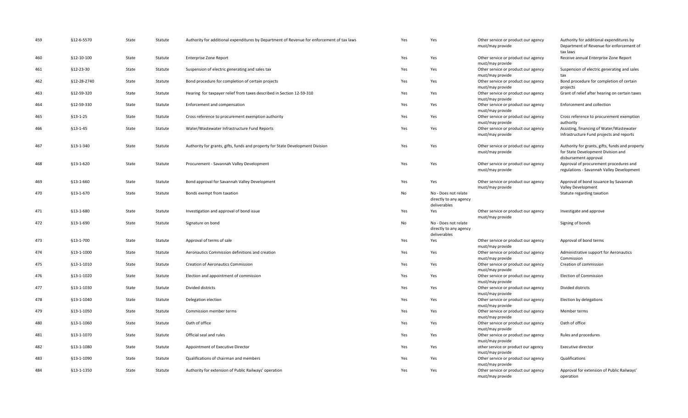| 459 | \$12-6-5570    | State | Statute | Authority for additional expenditures by Department of Revenue for enforcement of tax laws | Yes | Yes                                                            | Other service or product our agency<br>must/may provide | Authority for additional expenditures by<br>Department of Revenue for enforcement of<br>tax laws               |
|-----|----------------|-------|---------|--------------------------------------------------------------------------------------------|-----|----------------------------------------------------------------|---------------------------------------------------------|----------------------------------------------------------------------------------------------------------------|
| 460 | §12-10-100     | State | Statute | Enterprise Zone Report                                                                     | Yes | Yes                                                            | Other service or product our agency<br>must/may provide | Receive annual Enterprise Zone Report                                                                          |
| 461 | \$12-23-30     | State | Statute | Suspension of electric generating and sales tax                                            | Yes | Yes                                                            | Other service or product our agency<br>must/may provide | Suspension of electric generating and sales<br>tax                                                             |
| 462 | \$12-28-2740   | State | Statute | Bond procedure for completion of certain projects                                          | Yes | Yes                                                            | Other service or product our agency<br>must/may provide | Bond procedure for completion of certain<br>projects                                                           |
| 463 | \$12-59-320    | State | Statute | Hearing for taxpayer relief from taxes described in Section 12-59-310                      | Yes | Yes                                                            | Other service or product our agency<br>must/may provide | Grant of relief after hearing on certain taxes                                                                 |
| 464 | \$12-59-330    | State | Statute | Enforcement and compensation                                                               | Yes | Yes                                                            | Other service or product our agency<br>must/may provide | Enforcement and collection                                                                                     |
| 465 | $$13-1-25$     | State | Statute | Cross reference to procurement exemption authority                                         | Yes | Yes                                                            | Other service or product our agency<br>must/may provide | Cross reference to procurement exemption<br>authority                                                          |
| 466 | $§13 - 1 - 45$ | State | Statute | Water/Wastewater Infrastructure Fund Reports                                               | Yes | Yes                                                            | Other service or product our agency<br>must/may provide | Assisting, financing of Water/Wastewater<br>Infrastructure Fund projects and reports                           |
| 467 | \$13-1-340     | State | Statute | Authority for grants, gifts, funds and property for State Development Division             | Yes | Yes                                                            | Other service or product our agency<br>must/may provide | Authority for grants, gifts, funds and property<br>for State Development Division and<br>disbursement approval |
| 468 | §13-1-620      | State | Statute | Procurement - Savannah Valley Development                                                  | Yes | Yes                                                            | Other service or product our agency<br>must/may provide | Approval of procurement procedures and<br>regulations - Savannah Valley Development                            |
| 469 | \$13-1-660     | State | Statute | Bond approval for Savannah Valley Development                                              | Yes | Yes                                                            | Other service or product our agency<br>must/may provide | Approval of bond issuance by Savannah<br>Valley Development                                                    |
| 470 | \$13-1-670     | State | Statute | Bonds exempt from taxation                                                                 | No  | No - Does not relate<br>directly to any agency<br>deliverables |                                                         | Statute regarding taxation                                                                                     |
| 471 | §13-1-680      | State | Statute | Investigation and approval of bond issue                                                   | Yes | Yes                                                            | Other service or product our agency<br>must/may provide | Investigate and approve                                                                                        |
| 472 | \$13-1-690     | State | Statute | Signature on bond                                                                          | No  | No - Does not relate<br>directly to any agency<br>deliverables |                                                         | Signing of bonds                                                                                               |
| 473 | §13-1-700      | State | Statute | Approval of terms of sale                                                                  | Yes | Yes                                                            | Other service or product our agency<br>must/may provide | Approval of bond terms                                                                                         |
| 474 | §13-1-1000     | State | Statute | Aeronautics Commission definitions and creation                                            | Yes | Yes                                                            | Other service or product our agency<br>must/may provide | Administrative support for Aeronautics<br>Commission                                                           |
| 475 | \$13-1-1010    | State | Statute | <b>Creation of Aeronautics Commission</b>                                                  | Yes | Yes                                                            | Other service or product our agency<br>must/may provide | Creation of commission                                                                                         |
| 476 | §13-1-1020     | State | Statute | Election and appointment of commission                                                     | Yes | Yes                                                            | Other service or product our agency<br>must/may provide | <b>Election of Commission</b>                                                                                  |
| 477 | \$13-1-1030    | State | Statute | Divided districts                                                                          | Yes | Yes                                                            | Other service or product our agency<br>must/may provide | Divided districts                                                                                              |
| 478 | \$13-1-1040    | State | Statute | Delegation election                                                                        | Yes | Yes                                                            | Other service or product our agency<br>must/may provide | Election by delegations                                                                                        |
| 479 | §13-1-1050     | State | Statute | Commission member terms                                                                    | Yes | Yes                                                            | Other service or product our agency<br>must/may provide | Member terms                                                                                                   |
| 480 | §13-1-1060     | State | Statute | Oath of office                                                                             | Yes | Yes                                                            | Other service or product our agency<br>must/may provide | Oath of office                                                                                                 |
| 481 | \$13-1-1070    | State | Statute | Official seal and rules                                                                    | Yes | Yes                                                            | Other service or product our agency<br>must/may provide | Rules and procedures                                                                                           |
| 482 | \$13-1-1080    | State | Statute | Appointment of Executive Director                                                          | Yes | Yes                                                            | other service or product our agency<br>must/may provide | Executive director                                                                                             |
| 483 | §13-1-1090     | State | Statute | Qualifications of chairman and members                                                     | Yes | Yes                                                            | Other service or product our agency<br>must/may provide | Qualifications                                                                                                 |
| 484 | \$13-1-1350    | State | Statute | Authority for extension of Public Railways' operation                                      | Yes | Yes                                                            | Other service or product our agency<br>must/may provide | Approval for extension of Public Railways'<br>operation                                                        |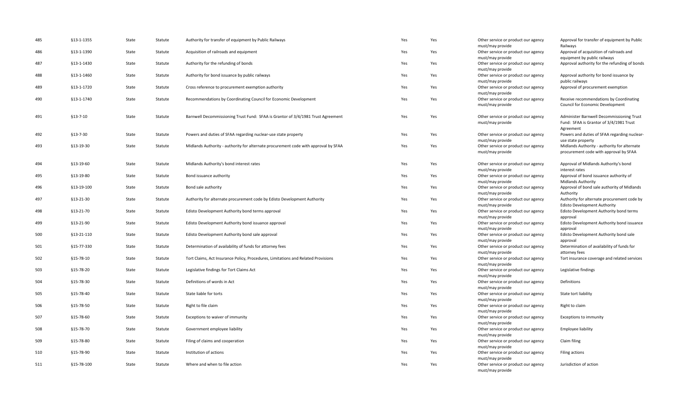| 485 | §13-1-1355     | State | Statute | Authority for transfer of equipment by Public Railways                              | Yes | Yes | Other service or product our agency<br>must/may provide                     | Approval for transfer of equipment by Public<br>Railways                                          |
|-----|----------------|-------|---------|-------------------------------------------------------------------------------------|-----|-----|-----------------------------------------------------------------------------|---------------------------------------------------------------------------------------------------|
| 486 | §13-1-1390     | State | Statute | Acquisition of railroads and equipment                                              | Yes | Yes | Other service or product our agency<br>must/may provide                     | Approval of acquisition of railroads and<br>equipment by public railways                          |
| 487 | §13-1-1430     | State | Statute | Authority for the refunding of bonds                                                | Yes | Yes | Other service or product our agency<br>must/may provide                     | Approval authority for the refunding of bonds                                                     |
| 488 | \$13-1-1460    | State | Statute | Authority for bond issuance by public railways                                      | Yes | Yes | Other service or product our agency<br>must/may provide                     | Approval authority for bond issuance by<br>public railways                                        |
| 489 | \$13-1-1720    | State | Statute | Cross reference to procurement exemption authority                                  | Yes | Yes | Other service or product our agency<br>must/may provide                     | Approval of procurement exemption                                                                 |
| 490 | §13-1-1740     | State | Statute | Recommendations by Coordinating Council for Economic Development                    | Yes | Yes | Other service or product our agency<br>must/may provide                     | Receive recommendations by Coordinating<br>Council for Economic Development                       |
| 491 | $§13 - 7 - 10$ | State | Statute | Barnwell Decommissioning Trust Fund: SFAA is Grantor of 3/4/1981 Trust Agreement    | Yes | Yes | Other service or product our agency<br>must/may provide                     | Administer Barnwell Decommissioning Trust<br>Fund: SFAA is Grantor of 3/4/1981 Trust<br>Agreement |
| 492 | \$13-7-30      | State | Statute | Powers and duties of SFAA regarding nuclear-use state property                      | Yes | Yes | Other service or product our agency<br>must/may provide                     | Powers and duties of SFAA regarding nuclear-<br>use state property                                |
| 493 | \$13-19-30     | State | Statute | Midlands Authority - authority for alternate procurement code with approval by SFAA | Yes | Yes | Other service or product our agency<br>must/may provide                     | Midlands Authority - authority for alternate<br>procurement code with approval by SFAA            |
| 494 | \$13-19-60     | State | Statute | Midlands Authority's bond interest rates                                            | Yes | Yes | Other service or product our agency<br>must/may provide                     | Approval of Midlands Authority's bond<br>interest rates                                           |
| 495 | §13-19-80      | State | Statute | Bond issuance authority                                                             | Yes | Yes | Other service or product our agency<br>must/may provide                     | Approval of bond issuance authority of<br><b>Midlands Authority</b>                               |
| 496 | §13-19-100     | State | Statute | Bond sale authority                                                                 | Yes | Yes | Other service or product our agency<br>must/may provide                     | Approval of bond sale authority of Midlands<br>Authority                                          |
| 497 | \$13-21-30     | State | Statute | Authority for alternate procurement code by Edisto Development Authority            | Yes | Yes | Other service or product our agency<br>must/may provide                     | Authority for alternate procurement code by<br><b>Edisto Development Authority</b>                |
| 498 | §13-21-70      | State | Statute | Edisto Development Authority bond terms approval                                    | Yes | Yes | Other service or product our agency<br>must/may provide                     | Edisto Development Authority bond terms<br>approval                                               |
| 499 | §13-21-90      | State | Statute | Edisto Development Authority bond issuance approval                                 | Yes | Yes | Other service or product our agency<br>must/may provide                     | Edisto Development Authority bond issuance<br>approval                                            |
| 500 | \$13-21-110    | State | Statute | Edisto Development Authority bond sale approval                                     | Yes | Yes | Other service or product our agency<br>must/may provide                     | Edisto Development Authority bond sale<br>approval                                                |
| 501 | §15-77-330     | State | Statute | Determination of availability of funds for attorney fees                            | Yes | Yes | Other service or product our agency<br>must/may provide                     | Determination of availability of funds for<br>attorney fees                                       |
| 502 | \$15-78-10     | State | Statute | Tort Claims, Act Insurance Policy, Procedures, Limitations and Related Provisions   | Yes | Yes | Other service or product our agency<br>must/may provide                     | Tort insurance coverage and related services                                                      |
| 503 | \$15-78-20     | State | Statute | Legislative findings for Tort Claims Act                                            | Yes | Yes | Other service or product our agency<br>must/may provide                     | Legislative findings                                                                              |
| 504 | \$15-78-30     | State | Statute | Definitions of words in Act                                                         | Yes | Yes | Other service or product our agency<br>must/may provide                     | Definitions                                                                                       |
| 505 | §15-78-40      | State | Statute | State liable for torts                                                              | Yes | Yes | Other service or product our agency<br>must/may provide                     | State tort liability                                                                              |
| 506 | §15-78-50      | State | Statute | Right to file claim                                                                 | Yes | Yes | Other service or product our agency<br>must/may provide                     | Right to claim                                                                                    |
| 507 | §15-78-60      | State | Statute | Exceptions to waiver of immunity                                                    | Yes | Yes | Other service or product our agency<br>must/may provide                     | Exceptions to immunity                                                                            |
| 508 | \$15-78-70     | State | Statute | Government employee liability                                                       | Yes | Yes | Other service or product our agency<br>must/may provide                     | Employee liability                                                                                |
| 509 | \$15-78-80     | State | Statute | Filing of claims and cooperation                                                    | Yes | Yes | Other service or product our agency                                         | Claim filing                                                                                      |
| 510 | \$15-78-90     | State | Statute | Institution of actions                                                              | Yes | Yes | must/may provide<br>Other service or product our agency                     | Filing actions                                                                                    |
| 511 | \$15-78-100    | State | Statute | Where and when to file action                                                       | Yes | Yes | must/may provide<br>Other service or product our agency<br>must/may provide | Jurisdiction of action                                                                            |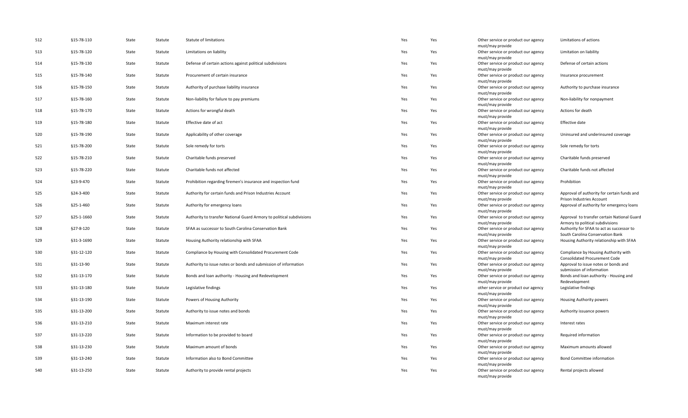| 512 | §15-78-110  | State | Statute | <b>Statute of limitations</b>                                         | Yes | Yes | Other service or product our agency<br>must/may provide | Limitations of actions                                                          |
|-----|-------------|-------|---------|-----------------------------------------------------------------------|-----|-----|---------------------------------------------------------|---------------------------------------------------------------------------------|
| 513 | §15-78-120  | State | Statute | Limitations on liability                                              | Yes | Yes | Other service or product our agency<br>must/may provide | Limitation on liability                                                         |
| 514 | §15-78-130  | State | Statute | Defense of certain actions against political subdivisions             | Yes | Yes | Other service or product our agency<br>must/may provide | Defense of certain actions                                                      |
| 515 | §15-78-140  | State | Statute | Procurement of certain insurance                                      | Yes | Yes | Other service or product our agency<br>must/may provide | Insurance procurement                                                           |
| 516 | \$15-78-150 | State | Statute | Authority of purchase liability insurance                             | Yes | Yes | Other service or product our agency<br>must/may provide | Authority to purchase insurance                                                 |
| 517 | §15-78-160  | State | Statute | Non-liability for failure to pay premiums                             | Yes | Yes | Other service or product our agency<br>must/may provide | Non-liability for nonpayment                                                    |
| 518 | §15-78-170  | State | Statute | Actions for wrongful death                                            | Yes | Yes | Other service or product our agency<br>must/may provide | Actions for death                                                               |
| 519 | §15-78-180  | State | Statute | Effective date of act                                                 | Yes | Yes | Other service or product our agency<br>must/may provide | Effective date                                                                  |
| 520 | §15-78-190  | State | Statute | Applicability of other coverage                                       | Yes | Yes | Other service or product our agency<br>must/may provide | Uninsured and underinsured coverage                                             |
| 521 | §15-78-200  | State | Statute | Sole remedy for torts                                                 | Yes | Yes | Other service or product our agency<br>must/may provide | Sole remedy for torts                                                           |
| 522 | §15-78-210  | State | Statute | Charitable funds preserved                                            | Yes | Yes | Other service or product our agency<br>must/may provide | Charitable funds preserved                                                      |
| 523 | §15-78-220  | State | Statute | Charitable funds not affected                                         | Yes | Yes | Other service or product our agency<br>must/may provide | Charitable funds not affected                                                   |
| 524 | \$23-9-470  | State | Statute | Prohibition regarding firemen's insurance and inspection fund         | Yes | Yes | Other service or product our agency<br>must/may provide | Prohibition                                                                     |
| 525 | §24-3-400   | State | Statute | Authority for certain funds and Prison Industries Account             | Yes | Yes | Other service or product our agency<br>must/may provide | Approval of authority for certain funds and<br>Prison Industries Account        |
| 526 | §25-1-460   | State | Statute | Authority for emergency loans                                         | Yes | Yes | Other service or product our agency<br>must/may provide | Approval of authority for emergency loans                                       |
| 527 | §25-1-1660  | State | Statute | Authority to transfer National Guard Armory to political subdivisions | Yes | Yes | Other service or product our agency<br>must/may provide | Approval to transfer certain National Guard<br>Armory to political subdivisions |
| 528 | §27-8-120   | State | Statute | SFAA as successor to South Carolina Conservation Bank                 | Yes | Yes | Other service or product our agency<br>must/may provide | Authority for SFAA to act as successor to<br>South Carolina Conservation Bank   |
| 529 | §31-3-1690  | State | Statute | Housing Authority relationship with SFAA                              | Yes | Yes | Other service or product our agency<br>must/may provide | Housing Authority relationship with SFAA                                        |
| 530 | §31-12-120  | State | Statute | Compliance by Housing with Consolidated Procurement Code              | Yes | Yes | Other service or product our agency<br>must/may provide | Compliance by Housing Authority with<br>Consolidated Procurement Code           |
| 531 | §31-13-90   | State | Statute | Authority to issue notes or bonds and submission of information       | Yes | Yes | Other service or product our agency<br>must/may provide | Approval to issue notes or bonds and<br>submission of information               |
| 532 | §31-13-170  | State | Statute | Bonds and loan authority - Housing and Redevelopment                  | Yes | Yes | Other service or product our agency<br>must/may provide | Bonds and loan authority - Housing and<br>Redevelopment                         |
| 533 | §31-13-180  | State | Statute | Legislative findings                                                  | Yes | Yes | other service or product our agency<br>must/may provide | Legislative findings                                                            |
| 534 | §31-13-190  | State | Statute | Powers of Housing Authority                                           | Yes | Yes | Other service or product our agency<br>must/may provide | Housing Authority powers                                                        |
| 535 | §31-13-200  | State | Statute | Authority to issue notes and bonds                                    | Yes | Yes | Other service or product our agency<br>must/may provide | Authority issuance powers                                                       |
| 536 | §31-13-210  | State | Statute | Maximum interest rate                                                 | Yes | Yes | Other service or product our agency<br>must/may provide | Interest rates                                                                  |
| 537 | §31-13-220  | State | Statute | Information to be provided to board                                   | Yes | Yes | Other service or product our agency<br>must/may provide | Required information                                                            |
| 538 | §31-13-230  | State | Statute | Maximum amount of bonds                                               | Yes | Yes | Other service or product our agency<br>must/may provide | Maximum amounts allowed                                                         |
| 539 | §31-13-240  | State | Statute | Information also to Bond Committee                                    | Yes | Yes | Other service or product our agency<br>must/may provide | Bond Committee information                                                      |
| 540 | §31-13-250  | State | Statute | Authority to provide rental projects                                  | Yes | Yes | Other service or product our agency<br>must/may provide | Rental projects allowed                                                         |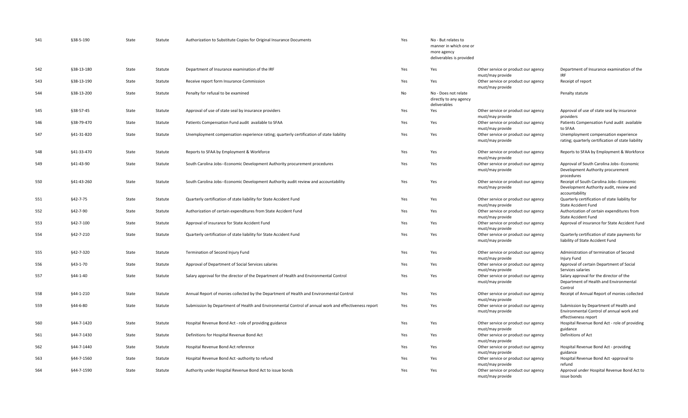| 541 | \$38-5-190  | State | Statute | Authorization to Substitute Copies for Original Insurance Documents                                  | Yes | No - But relates to<br>manner in which one or<br>more agency<br>deliverables is provided |                                                         |                                                                                                            |
|-----|-------------|-------|---------|------------------------------------------------------------------------------------------------------|-----|------------------------------------------------------------------------------------------|---------------------------------------------------------|------------------------------------------------------------------------------------------------------------|
| 542 | §38-13-180  | State | Statute | Department of Insurance examination of the IRF                                                       | Yes | Yes                                                                                      | Other service or product our agency<br>must/may provide | Department of Insurance examination of the<br><b>IRF</b>                                                   |
| 543 | §38-13-190  | State | Statute | Receive report form Insurance Commission                                                             | Yes | Yes                                                                                      | Other service or product our agency<br>must/may provide | Receipt of report                                                                                          |
| 544 | §38-13-200  | State | Statute | Penalty for refusal to be examined                                                                   | No  | No - Does not relate<br>directly to any agency<br>deliverables                           |                                                         | Penalty statute                                                                                            |
| 545 | §38-57-45   | State | Statute | Approval of use of state seal by insurance providers                                                 | Yes | Yes                                                                                      | Other service or product our agency<br>must/may provide | Approval of use of state seal by insurance<br>providers                                                    |
| 546 | §38-79-470  | State | Statute | Patients Compensation Fund audit available to SFAA                                                   | Yes | Yes                                                                                      | Other service or product our agency<br>must/may provide | Patients Compensation Fund audit available<br>to SFAA                                                      |
| 547 | \$41-31-820 | State | Statute | Unemployment compensation experience rating; quarterly certification of state liability              | Yes | Yes                                                                                      | Other service or product our agency<br>must/may provide | Unemployment compensation experience<br>rating; quarterly certification of state liability                 |
| 548 | §41-33-470  | State | Statute | Reports to SFAA by Employment & Workforce                                                            | Yes | Yes                                                                                      | Other service or product our agency<br>must/may provide | Reports to SFAA by Employment & Workforce                                                                  |
| 549 | §41-43-90   | State | Statute | South Carolina Jobs--Economic Development Authority procurement procedures                           | Yes | Yes                                                                                      | Other service or product our agency<br>must/may provide | Approval of South Carolina Jobs--Economic<br>Development Authority procurement<br>procedures               |
| 550 | \$41-43-260 | State | Statute | South Carolina Jobs--Economic Development Authority audit review and accountability                  | Yes | Yes                                                                                      | Other service or product our agency<br>must/may provide | Receipt of South Carolina Jobs--Economic<br>Development Authority audit, review and<br>accountability      |
| 551 | §42-7-75    | State | Statute | Quarterly certification of state liability for State Accident Fund                                   | Yes | Yes                                                                                      | Other service or product our agency<br>must/may provide | Quarterly certification of state liability for<br>State Accident Fund                                      |
| 552 | §42-7-90    | State | Statute | Authorization of certain expenditures from State Accident Fund                                       | Yes | Yes                                                                                      | Other service or product our agency<br>must/may provide | Authorization of certain expenditures from<br>State Accident Fund                                          |
| 553 | §42-7-100   | State | Statute | Approval of insurance for State Accident Fund                                                        | Yes | Yes                                                                                      | Other service or product our agency<br>must/may provide | Approval of insurance for State Accident Fund                                                              |
| 554 | §42-7-210   | State | Statute | Quarterly certification of state liability for State Accident Fund                                   | Yes | Yes                                                                                      | Other service or product our agency<br>must/may provide | Quarterly certification of state payments for<br>liability of State Accident Fund                          |
| 555 | §42-7-320   | State | Statute | Termination of Second Injury Fund                                                                    | Yes | Yes                                                                                      | Other service or product our agency<br>must/may provide | Administration of termination of Second<br>Injury Fund                                                     |
| 556 | §43-1-70    | State | Statute | Approval of Department of Social Services salaries                                                   | Yes | Yes                                                                                      | Other service or product our agency<br>must/may provide | Approval of certain Department of Social<br>Services salaries                                              |
| 557 | §44-1-40    | State | Statute | Salary approval for the director of the Department of Health and Environmental Control               | Yes | Yes                                                                                      | Other service or product our agency<br>must/may provide | Salary approval for the director of the<br>Department of Health and Environmental<br>Control               |
| 558 | §44-1-210   | State | Statute | Annual Report of monies collected by the Department of Health and Environmental Control              | Yes | Yes                                                                                      | Other service or product our agency<br>must/may provide | Receipt of Annual Report of monies collected                                                               |
| 559 | \$44-6-80   | State | Statute | Submission by Department of Health and Environmental Control of annual work and effectiveness report | Yes | Yes                                                                                      | Other service or product our agency<br>must/may provide | Submission by Department of Health and<br>Environmental Control of annual work and<br>effectiveness report |
| 560 | §44-7-1420  | State | Statute | Hospital Revenue Bond Act - role of providing guidance                                               | Yes | Yes                                                                                      | Other service or product our agency<br>must/may provide | Hospital Revenue Bond Act - role of providing<br>guidance                                                  |
| 561 | §44-7-1430  | State | Statute | Definitions for Hospital Revenue Bond Act                                                            | Yes | Yes                                                                                      | Other service or product our agency<br>must/may provide | Definitions of Act                                                                                         |
| 562 | §44-7-1440  | State | Statute | Hospital Revenue Bond Act reference                                                                  | Yes | Yes                                                                                      | Other service or product our agency<br>must/may provide | Hospital Revenue Bond Act - providing<br>guidance                                                          |
| 563 | §44-7-1560  | State | Statute | Hospital Revenue Bond Act -authority to refund                                                       | Yes | Yes                                                                                      | Other service or product our agency<br>must/may provide | Hospital Revenue Bond Act -approval to<br>refund                                                           |
| 564 | §44-7-1590  | State | Statute | Authority under Hospital Revenue Bond Act to issue bonds                                             | Yes | Yes                                                                                      | Other service or product our agency<br>must/may provide | Approval under Hospital Revenue Bond Act to<br>issue bonds                                                 |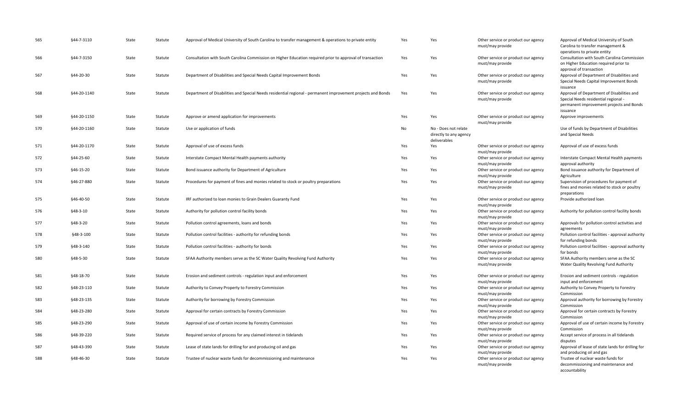| 565 | §44-7-3110  | State | Statute | Approval of Medical University of South Carolina to transfer management & operations to private entity       | Yes | Yes                                                            | Other service or product our agency<br>must/may provide | Approval of Medical University of South<br>Carolina to transfer management &<br>operations to private entity                               |
|-----|-------------|-------|---------|--------------------------------------------------------------------------------------------------------------|-----|----------------------------------------------------------------|---------------------------------------------------------|--------------------------------------------------------------------------------------------------------------------------------------------|
| 566 | §44-7-3150  | State | Statute | Consultation with South Carolina Commission on Higher Education required prior to approval of transaction    | Yes | Yes                                                            | Other service or product our agency<br>must/may provide | Consultation with South Carolina Commission<br>on Higher Education required prior to<br>approval of transaction                            |
| 567 | §44-20-30   | State | Statute | Department of Disabilities and Special Needs Capital Improvement Bonds                                       | Yes | Yes                                                            | Other service or product our agency<br>must/may provide | Approval of Department of Disabilities and<br>Special Needs Capital Improvement Bonds<br>issuance                                          |
| 568 | §44-20-1140 | State | Statute | Department of Disabilities and Special Needs residential regional - permanent improvement projects and Bonds | Yes | Yes                                                            | Other service or product our agency<br>must/may provide | Approval of Department of Disabilities and<br>Special Needs residential regional -<br>permanent improvement projects and Bonds<br>issuance |
| 569 | §44-20-1150 | State | Statute | Approve or amend application for improvements                                                                | Yes | Yes                                                            | Other service or product our agency<br>must/may provide | Approve improvements                                                                                                                       |
| 570 | §44-20-1160 | State | Statute | Use or application of funds                                                                                  | No  | No - Does not relate<br>directly to any agency<br>deliverables |                                                         | Use of funds by Department of Disabilities<br>and Special Needs                                                                            |
| 571 | §44-20-1170 | State | Statute | Approval of use of excess funds                                                                              | Yes | Yes                                                            | Other service or product our agency<br>must/may provide | Approval of use of excess funds                                                                                                            |
| 572 | §44-25-60   | State | Statute | Interstate Compact Mental Health payments authority                                                          | Yes | Yes                                                            | Other service or product our agency<br>must/may provide | Interstate Compact Mental Health payments<br>approval authority                                                                            |
| 573 | \$46-15-20  | State | Statute | Bond issuance authority for Department of Agriculture                                                        | Yes | Yes                                                            | Other service or product our agency<br>must/may provide | Bond issuance authority for Department of<br>Agriculture                                                                                   |
| 574 | §46-27-880  | State | Statute | Procedures for payment of fines and monies related to stock or poultry preparations                          | Yes | Yes                                                            | Other service or product our agency<br>must/may provide | Supervision of procedures for payment of<br>fines and monies related to stock or poultry<br>preparations                                   |
| 575 | §46-40-50   | State | Statute | IRF authorized to loan monies to Grain Dealers Guaranty Fund                                                 | Yes | Yes                                                            | Other service or product our agency<br>must/may provide | Provide authorized loan                                                                                                                    |
| 576 | §48-3-10    | State | Statute | Authority for pollution control facility bonds                                                               | Yes | Yes                                                            | Other service or product our agency<br>must/may provide | Authority for pollution control facility bonds                                                                                             |
| 577 | §48-3-20    | State | Statute | Pollution control agreements, loans and bonds                                                                | Yes | Yes                                                            | Other service or product our agency<br>must/may provide | Approvals for pollution control activities and<br>agreements                                                                               |
| 578 | §48-3-100   | State | Statute | Pollution control facilities - authority for refunding bonds                                                 | Yes | Yes                                                            | Other service or product our agency<br>must/may provide | Pollution control facilities - approval authority<br>for refunding bonds                                                                   |
| 579 | §48-3-140   | State | Statute | Pollution control facilities - authority for bonds                                                           | Yes | Yes                                                            | Other service or product our agency<br>must/may provide | Pollution control facilities - approval authority<br>for bonds                                                                             |
| 580 | §48-5-30    | State | Statute | SFAA Authority members serve as the SC Water Quality Revolving Fund Authority                                | Yes | Yes                                                            | Other service or product our agency<br>must/may provide | SFAA Authority members serve as the SC<br>Water Quality Revolving Fund Authority                                                           |
| 581 | §48-18-70   | State | Statute | Erosion and sediment controls - regulation input and enforcement                                             | Yes | Yes                                                            | Other service or product our agency<br>must/may provide | Erosion and sediment controls - regulation<br>input and enforcement                                                                        |
| 582 | §48-23-110  | State | Statute | Authority to Convey Property to Forestry Commission                                                          | Yes | Yes                                                            | Other service or product our agency<br>must/may provide | Authority to Convey Property to Forestry<br>Commission                                                                                     |
| 583 | §48-23-135  | State | Statute | Authority for borrowing by Forestry Commission                                                               | Yes | Yes                                                            | Other service or product our agency<br>must/may provide | Approval authority for borrowing by Forestry<br>Commission                                                                                 |
| 584 | §48-23-280  | State | Statute | Approval for certain contracts by Forestry Commission                                                        | Yes | Yes                                                            | Other service or product our agency<br>must/may provide | Approval for certain contracts by Forestry<br>Commission                                                                                   |
| 585 | §48-23-290  | State | Statute | Approval of use of certain income by Forestry Commission                                                     | Yes | Yes                                                            | Other service or product our agency<br>must/may provide | Approval of use of certain income by Forestry<br>Commission                                                                                |
| 586 | §48-39-220  | State | Statute | Required service of process for any claimed interest in tidelands                                            | Yes | Yes                                                            | Other service or product our agency<br>must/may provide | Accept service of process in all tidelands<br>disputes                                                                                     |
| 587 | §48-43-390  | State | Statute | Lease of state lands for drilling for and producing oil and gas                                              | Yes | Yes                                                            | Other service or product our agency<br>must/may provide | Approval of lease of state lands for drilling for<br>and producing oil and gas                                                             |
| 588 | §48-46-30   | State | Statute | Trustee of nuclear waste funds for decommissioning and maintenance                                           | Yes | Yes                                                            | Other service or product our agency<br>must/may provide | Trustee of nuclear waste funds for<br>decommissioning and maintenance and<br>accountability                                                |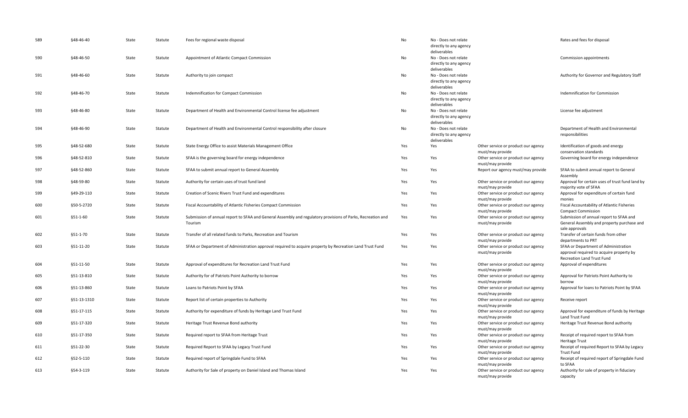| 589 | §48-46-40   | State | Statute | Fees for regional waste disposal                                                                            | No  | No - Does not relate<br>directly to any agency |                                                         | Rates and fees for disposal                         |
|-----|-------------|-------|---------|-------------------------------------------------------------------------------------------------------------|-----|------------------------------------------------|---------------------------------------------------------|-----------------------------------------------------|
|     |             |       |         |                                                                                                             |     | deliverables                                   |                                                         |                                                     |
| 590 | \$48-46-50  | State | Statute | Appointment of Atlantic Compact Commission                                                                  | No  | No - Does not relate                           |                                                         | Commission appointments                             |
|     |             |       |         |                                                                                                             |     | directly to any agency                         |                                                         |                                                     |
|     |             |       |         |                                                                                                             |     | deliverables                                   |                                                         |                                                     |
| 591 | §48-46-60   | State | Statute | Authority to join compact                                                                                   | No  | No - Does not relate                           |                                                         | Authority for Governor and Regulatory Staff         |
|     |             |       |         |                                                                                                             |     | directly to any agency                         |                                                         |                                                     |
|     |             |       |         |                                                                                                             |     | deliverables                                   |                                                         |                                                     |
| 592 | §48-46-70   | State | Statute | Indemnification for Compact Commission                                                                      | No  | No - Does not relate                           |                                                         | Indemnification for Commission                      |
|     |             |       |         |                                                                                                             |     | directly to any agency                         |                                                         |                                                     |
|     |             |       |         |                                                                                                             |     | deliverables                                   |                                                         |                                                     |
| 593 | §48-46-80   | State | Statute | Department of Health and Environmental Control license fee adjustment                                       | No  | No - Does not relate                           |                                                         | License fee adjustment                              |
|     |             |       |         |                                                                                                             |     | directly to any agency                         |                                                         |                                                     |
|     |             |       |         |                                                                                                             |     | deliverables                                   |                                                         |                                                     |
| 594 | §48-46-90   | State | Statute | Department of Health and Environmental Control responsibility after closure                                 | No  | No - Does not relate                           |                                                         | Department of Health and Environmental              |
|     |             |       |         |                                                                                                             |     | directly to any agency                         |                                                         | responsibilities                                    |
|     |             |       |         |                                                                                                             |     | deliverables                                   |                                                         |                                                     |
| 595 | §48-52-680  | State | Statute | State Energy Office to assist Materials Management Office                                                   | Yes | Yes                                            | Other service or product our agency                     | Identification of goods and energy                  |
|     |             |       |         |                                                                                                             |     |                                                | must/may provide                                        | conservation standards                              |
| 596 | §48-52-810  | State | Statute | SFAA is the governing board for energy independence                                                         | Yes | Yes                                            | Other service or product our agency                     | Governing board for energy independence             |
|     |             |       |         |                                                                                                             |     |                                                | must/may provide                                        |                                                     |
| 597 | §48-52-860  | State | Statute | SFAA to submit annual report to General Assembly                                                            | Yes | Yes                                            | Report our agency must/may provide                      | SFAA to submit annual report to General<br>Assembly |
| 598 | \$48-59-80  | State | Statute | Authority for certain uses of trust fund land                                                               | Yes | Yes                                            | Other service or product our agency                     | Approval for certain uses of trust fund land by     |
|     |             |       |         |                                                                                                             |     |                                                | must/may provide                                        | majority vote of SFAA                               |
| 599 | §49-29-110  | State | Statute | Creation of Scenic Rivers Trust Fund and expenditures                                                       | Yes | Yes                                            | Other service or product our agency                     | Approval for expenditure of certain fund            |
|     |             |       |         |                                                                                                             |     |                                                | must/may provide                                        | monies                                              |
| 600 | §50-5-2720  | State | Statute | Fiscal Accountability of Atlantic Fisheries Compact Commission                                              | Yes | Yes                                            | Other service or product our agency                     | Fiscal Accountability of Atlantic Fisheries         |
|     |             |       |         |                                                                                                             |     |                                                | must/may provide                                        | <b>Compact Commission</b>                           |
| 601 | \$51-1-60   | State | Statute | Submission of annual report to SFAA and General Assembly and regulatory provisions of Parks, Recreation and | Yes | Yes                                            | Other service or product our agency                     | Submission of annual report to SFAA and             |
|     |             |       |         | Tourism                                                                                                     |     |                                                | must/may provide                                        | General Assembly and property purchase and          |
|     |             |       |         |                                                                                                             |     |                                                |                                                         | sale approvals                                      |
| 602 | §51-1-70    | State | Statute | Transfer of all related funds to Parks, Recreation and Tourism                                              | Yes | Yes                                            | Other service or product our agency                     | Transfer of certain funds from other                |
|     |             |       |         |                                                                                                             |     |                                                | must/may provide                                        | departments to PRT                                  |
| 603 | §51-11-20   | State | Statute | SFAA or Department of Administration approval required to acquire property by Recreation Land Trust Fund    | Yes | Yes                                            | Other service or product our agency                     | SFAA or Department of Administration                |
|     |             |       |         |                                                                                                             |     |                                                | must/may provide                                        | approval required to acquire property by            |
|     |             |       |         |                                                                                                             |     |                                                |                                                         | Recreation Land Trust Fund                          |
| 604 | §51-11-50   | State | Statute | Approval of expenditures for Recreation Land Trust Fund                                                     | Yes | Yes                                            | Other service or product our agency                     | Approval of expenditures                            |
|     |             |       |         |                                                                                                             |     |                                                | must/may provide                                        |                                                     |
| 605 | §51-13-810  | State | Statute | Authority for of Patriots Point Authority to borrow                                                         | Yes | Yes                                            | Other service or product our agency                     | Approval for Patriots Point Authority to            |
|     |             |       |         |                                                                                                             |     |                                                | must/may provide                                        | borrow                                              |
| 606 | §51-13-860  | State | Statute | Loans to Patriots Point by SFAA                                                                             | Yes | Yes                                            | Other service or product our agency                     | Approval for loans to Patriots Point by SFAA        |
| 607 | §51-13-1310 |       |         | Report list of certain properties to Authority                                                              | Yes | Yes                                            | must/may provide                                        |                                                     |
|     |             | State | Statute |                                                                                                             |     |                                                | Other service or product our agency<br>must/may provide | Receive report                                      |
| 608 | §51-17-115  | State | Statute | Authority for expenditure of funds by Heritage Land Trust Fund                                              | Yes | Yes                                            | Other service or product our agency                     | Approval for expenditure of funds by Heritage       |
|     |             |       |         |                                                                                                             |     |                                                | must/may provide                                        | Land Trust Fund                                     |
| 609 | §51-17-320  | State | Statute | Heritage Trust Revenue Bond authority                                                                       | Yes | Yes                                            | Other service or product our agency                     | Heritage Trust Revenue Bond authority               |
|     |             |       |         |                                                                                                             |     |                                                | must/may provide                                        |                                                     |
| 610 | §51-17-350  | State | Statute | Required report to SFAA from Heritage Trust                                                                 | Yes | Yes                                            | Other service or product our agency                     | Receipt of required report to SFAA from             |
|     |             |       |         |                                                                                                             |     |                                                | must/may provide                                        | <b>Heritage Trust</b>                               |
| 611 | §51-22-30   | State | Statute | Required Report to SFAA by Legacy Trust Fund                                                                | Yes | Yes                                            | Other service or product our agency                     | Receipt of required Report to SFAA by Legacy        |
|     |             |       |         |                                                                                                             |     |                                                | must/may provide                                        | <b>Trust Fund</b>                                   |
| 612 | §52-5-110   | State | Statute | Required report of Springdale Fund to SFAA                                                                  | Yes | Yes                                            | Other service or product our agency                     | Receipt of required report of Springdale Fund       |
|     |             |       |         |                                                                                                             |     |                                                | must/may provide                                        | to SFAA                                             |
| 613 | §54-3-119   | State | Statute | Authority for Sale of property on Daniel Island and Thomas Island                                           | Yes | Yes                                            | Other service or product our agency                     | Authority for sale of property in fiduciary         |
|     |             |       |         |                                                                                                             |     |                                                | must/may provide                                        | capacity                                            |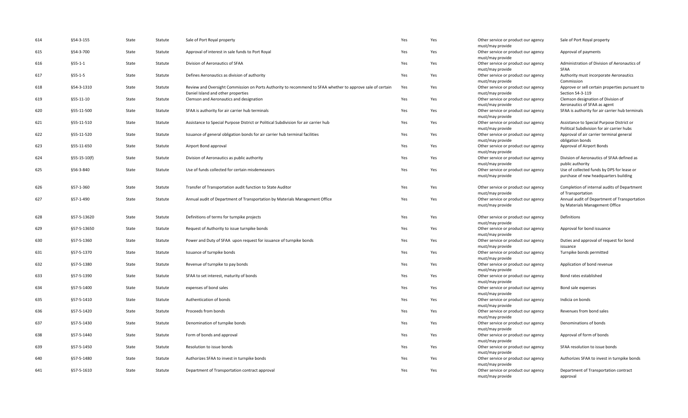| 614 | \$54-3-155    | State | Statute | Sale of Port Royal property                                                                                | Yes | Yes | Other service or product our agency<br>must/may provide | Sale of Port Royal property                                                             |
|-----|---------------|-------|---------|------------------------------------------------------------------------------------------------------------|-----|-----|---------------------------------------------------------|-----------------------------------------------------------------------------------------|
| 615 | §54-3-700     | State | Statute | Approval of interest in sale funds to Port Royal                                                           | Yes | Yes | Other service or product our agency<br>must/may provide | Approval of payments                                                                    |
| 616 | $$55-1-1$     | State | Statute | Division of Aeronautics of SFAA                                                                            | Yes | Yes | Other service or product our agency                     | Administration of Division of Aeronautics of                                            |
| 617 | $§55 - 1 - 5$ | State | Statute | Defines Aeronautics as division of authority                                                               | Yes | Yes | must/may provide<br>Other service or product our agency | SFAA<br>Authority must incorporate Aeronautics                                          |
| 618 | §54-3-1310    | State | Statute | Review and Oversight Commission on Ports Authority to recommend to SFAA whether to approve sale of certain | Yes | Yes | must/may provide<br>Other service or product our agency | Commission<br>Approve or sell certain properties pursuant to                            |
|     |               |       |         | Daniel Island and other properties                                                                         |     |     | must/may provide                                        | Section 54-3-119                                                                        |
| 619 | \$55-11-10    | State | Statute | Clemson and Aeronautics and designation                                                                    | Yes | Yes | Other service or product our agency<br>must/may provide | Clemson designation of Division of<br>Aeronautics of SFAA as agent                      |
| 620 | §55-11-500    | State | Statute | SFAA is authority for air carrier hub terminals                                                            | Yes | Yes | Other service or product our agency<br>must/may provide | SFAA is authority for air carrier hub terminals                                         |
| 621 | §55-11-510    | State | Statute | Assistance to Special Purpose District or Political Subdivision for air carrier hub                        | Yes | Yes | Other service or product our agency<br>must/may provide | Assistance to Special Purpose District or<br>Political Subdivision for air carrier hubs |
| 622 | \$55-11-520   | State | Statute | Issuance of general obligation bonds for air carrier hub terminal facilities                               | Yes | Yes | Other service or product our agency                     | Approval of air carrier terminal general<br>obligation bonds                            |
| 623 | \$55-11-650   |       |         | Airport Bond approval                                                                                      | Yes |     | must/may provide<br>Other service or product our agency | Approval of Airport Bonds                                                               |
|     |               | State | Statute |                                                                                                            |     | Yes | must/may provide                                        |                                                                                         |
| 624 | §55-15-10(f)  | State | Statute | Division of Aeronautics as public authority                                                                | Yes | Yes | Other service or product our agency<br>must/may provide | Division of Aeronautics of SFAA defined as<br>public authority                          |
| 625 | §56-3-840     | State | Statute | Use of funds collected for certain misdemeanors                                                            | Yes | Yes | Other service or product our agency                     | Use of collected funds by DPS for lease or                                              |
|     |               |       |         |                                                                                                            |     |     | must/may provide                                        | purchase of new headquarters building                                                   |
| 626 | §57-1-360     | State | Statute | Transfer of Transportation audit function to State Auditor                                                 | Yes | Yes | Other service or product our agency                     | Completion of internal audits of Department                                             |
|     |               |       |         |                                                                                                            |     |     | must/may provide                                        | of Transportation                                                                       |
| 627 | §57-1-490     | State | Statute | Annual audit of Department of Transportation by Materials Management Office                                | Yes | Yes | Other service or product our agency<br>must/may provide | Annual audit of Department of Transportation<br>by Materials Management Office          |
| 628 | §57-5-13620   | State | Statute | Definitions of terms for turnpike projects                                                                 | Yes | Yes | Other service or product our agency                     | Definitions                                                                             |
| 629 | §57-5-13650   | State | Statute | Request of Authority to issue turnpike bonds                                                               | Yes | Yes | must/may provide<br>Other service or product our agency | Approval for bond issuance                                                              |
|     |               |       |         |                                                                                                            |     |     | must/may provide                                        |                                                                                         |
| 630 | §57-5-1360    | State | Statute | Power and Duty of SFAA upon request for issuance of turnpike bonds                                         | Yes | Yes | Other service or product our agency<br>must/may provide | Duties and approval of request for bond<br>issuance                                     |
| 631 | §57-5-1370    | State | Statute | Issuance of turnpike bonds                                                                                 | Yes | Yes | Other service or product our agency<br>must/may provide | Turnpike bonds permitted                                                                |
| 632 | \$57-5-1380   | State | Statute | Revenue of turnpike to pay bonds                                                                           | Yes | Yes | Other service or product our agency                     | Application of bond revenue                                                             |
|     |               |       |         |                                                                                                            |     |     | must/may provide                                        |                                                                                         |
| 633 | §57-5-1390    | State | Statute | SFAA to set interest, maturity of bonds                                                                    | Yes | Yes | Other service or product our agency<br>must/may provide | Bond rates established                                                                  |
| 634 | §57-5-1400    | State | Statute | expenses of bond sales                                                                                     | Yes | Yes | Other service or product our agency                     | Bond sale expenses                                                                      |
|     |               |       |         |                                                                                                            |     |     | must/may provide                                        |                                                                                         |
| 635 | §57-5-1410    | State | Statute | Authentication of bonds                                                                                    | Yes | Yes | Other service or product our agency<br>must/may provide | Indicia on bonds                                                                        |
| 636 | \$57-5-1420   | State | Statute | Proceeds from bonds                                                                                        | Yes | Yes | Other service or product our agency<br>must/may provide | Revenues from bond sales                                                                |
| 637 | §57-5-1430    | State | Statute | Denomination of turnpike bonds                                                                             | Yes | Yes | Other service or product our agency                     | Denominations of bonds                                                                  |
| 638 | §57-5-1440    | State | Statute | Form of bonds and approval                                                                                 | Yes | Yes | must/may provide<br>Other service or product our agency | Approval of form of bonds                                                               |
|     |               |       |         |                                                                                                            |     |     | must/may provide                                        |                                                                                         |
| 639 | §57-5-1450    | State | Statute | Resolution to issue bonds                                                                                  | Yes | Yes | Other service or product our agency<br>must/may provide | SFAA resolution to issue bonds                                                          |
| 640 | §57-5-1480    | State | Statute | Authorizes SFAA to invest in turnpike bonds                                                                | Yes | Yes | Other service or product our agency                     | Authorizes SFAA to invest in turnpike bonds                                             |
| 641 | §57-5-1610    | State | Statute | Department of Transportation contract approval                                                             | Yes | Yes | must/may provide<br>Other service or product our agency | Department of Transportation contract                                                   |
|     |               |       |         |                                                                                                            |     |     | must/may provide                                        | approval                                                                                |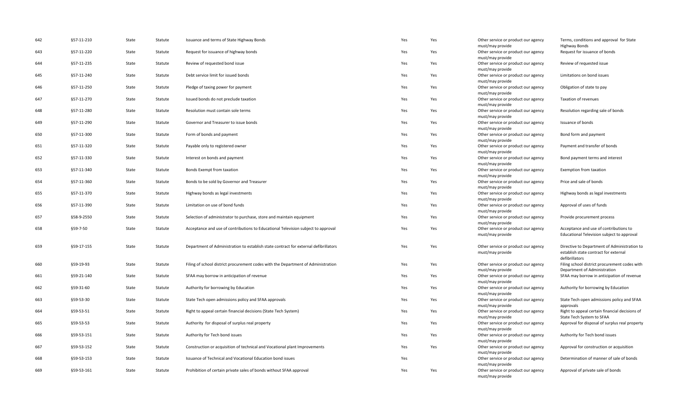| 642 | §57-11-210  | State | Statute | Issuance and terms of State Highway Bonds                                            | Yes | Yes | Other service or product our agency<br>must/may provide | Terms, conditions and approval for State<br><b>Highway Bonds</b>                     |
|-----|-------------|-------|---------|--------------------------------------------------------------------------------------|-----|-----|---------------------------------------------------------|--------------------------------------------------------------------------------------|
| 643 | §57-11-220  | State | Statute | Request for issuance of highway bonds                                                | Yes | Yes | Other service or product our agency                     | Request for issuance of bonds                                                        |
| 644 | \$57-11-235 | State | Statute | Review of requested bond issue                                                       | Yes | Yes | must/may provide<br>Other service or product our agency | Review of requested issue                                                            |
|     |             |       |         |                                                                                      |     |     | must/may provide                                        |                                                                                      |
| 645 | §57-11-240  | State | Statute | Debt service limit for issued bonds                                                  | Yes | Yes | Other service or product our agency                     | Limitations on bond issues                                                           |
| 646 | \$57-11-250 | State | Statute | Pledge of taxing power for payment                                                   | Yes | Yes | must/may provide<br>Other service or product our agency | Obligation of state to pay                                                           |
|     |             |       |         |                                                                                      |     |     | must/may provide                                        |                                                                                      |
| 647 | §57-11-270  | State | Statute | Issued bonds do not preclude taxation                                                | Yes | Yes | Other service or product our agency                     | Taxation of revenues                                                                 |
| 648 | §57-11-280  | State | Statute | Resolution must contain sole terms                                                   | Yes | Yes | must/may provide<br>Other service or product our agency | Resolution regarding sale of bonds                                                   |
|     |             |       |         |                                                                                      |     |     | must/may provide                                        |                                                                                      |
| 649 | §57-11-290  | State | Statute | Governor and Treasurer to issue bonds                                                | Yes | Yes | Other service or product our agency<br>must/may provide | Issuance of bonds                                                                    |
| 650 | §57-11-300  | State | Statute | Form of bonds and payment                                                            | Yes | Yes | Other service or product our agency                     | Bond form and payment                                                                |
|     | §57-11-320  | State | Statute |                                                                                      | Yes | Yes | must/may provide                                        | Payment and transfer of bonds                                                        |
| 651 |             |       |         | Payable only to registered owner                                                     |     |     | Other service or product our agency<br>must/may provide |                                                                                      |
| 652 | §57-11-330  | State | Statute | Interest on bonds and payment                                                        | Yes | Yes | Other service or product our agency                     | Bond payment terms and interest                                                      |
| 653 | §57-11-340  | State | Statute | Bonds Exempt from taxation                                                           | Yes | Yes | must/may provide<br>Other service or product our agency | Exemption from taxation                                                              |
|     |             |       |         |                                                                                      |     |     | must/may provide                                        |                                                                                      |
| 654 | \$57-11-360 | State | Statute | Bonds to be sold by Governor and Treasurer                                           | Yes | Yes | Other service or product our agency                     | Price and sale of bonds                                                              |
| 655 | §57-11-370  | State | Statute | Highway bonds as legal investments                                                   | Yes | Yes | must/may provide<br>Other service or product our agency | Highway bonds as legal investments                                                   |
|     |             |       |         |                                                                                      |     |     | must/may provide                                        |                                                                                      |
| 656 | §57-11-390  | State | Statute | Limitation on use of bond funds                                                      | Yes | Yes | Other service or product our agency                     | Approval of uses of funds                                                            |
| 657 | \$58-9-2550 | State | Statute | Selection of administrator to purchase, store and maintain equipment                 | Yes | Yes | must/may provide<br>Other service or product our agency | Provide procurement process                                                          |
|     |             |       |         |                                                                                      |     |     | must/may provide                                        |                                                                                      |
| 658 | \$59-7-50   | State | Statute | Acceptance and use of contributions to Educational Television subject to approval    | Yes | Yes | Other service or product our agency<br>must/may provide | Acceptance and use of contributions to<br>Educational Television subject to approval |
|     |             |       |         |                                                                                      |     |     |                                                         |                                                                                      |
| 659 | §59-17-155  | State | Statute | Department of Administration to establish state contract for external defibrillators | Yes | Yes | Other service or product our agency                     | Directive to Department of Administration to                                         |
|     |             |       |         |                                                                                      |     |     | must/may provide                                        | establish state contract for external<br>defibrillators                              |
| 660 | \$59-19-93  | State | Statute | Filing of school district procurement codes with the Department of Administration    | Yes | Yes | Other service or product our agency                     | Filing school district procurement codes with                                        |
| 661 | §59-21-140  | State | Statute | SFAA may borrow in anticipation of revenue                                           | Yes | Yes | must/may provide<br>Other service or product our agency | Department of Administration<br>SFAA may borrow in anticipation of revenue           |
|     |             |       |         |                                                                                      |     |     | must/may provide                                        |                                                                                      |
| 662 | §59-31-60   | State | Statute | Authority for borrowing by Education                                                 | Yes | Yes | Other service or product our agency                     | Authority for borrowing by Education                                                 |
| 663 | \$59-53-30  | State | Statute | State Tech open admissions policy and SFAA approvals                                 | Yes | Yes | must/may provide<br>Other service or product our agency | State Tech open admissions policy and SFAA                                           |
|     |             |       |         |                                                                                      |     |     | must/may provide                                        | approvals                                                                            |
| 664 | §59-53-51   | State | Statute | Right to appeal certain financial decisions (State Tech System)                      | Yes | Yes | Other service or product our agency                     | Right to appeal certain financial decisions of                                       |
| 665 | \$59-53-53  | State | Statute | Authority for disposal of surplus real property                                      | Yes | Yes | must/may provide<br>Other service or product our agency | State Tech System to SFAA<br>Approval for disposal of surplus real property          |
|     |             |       |         |                                                                                      |     |     | must/may provide                                        |                                                                                      |
| 666 | \$59-53-151 | State | Statute | Authority for Tech bond issues                                                       | Yes | Yes | Other service or product our agency<br>must/may provide | Authority for Tech bond issues                                                       |
| 667 | \$59-53-152 | State | Statute | Construction or acquisition of technical and Vocational plant Improvements           | Yes | Yes | Other service or product our agency                     | Approval for construction or acquisition                                             |
|     |             |       |         |                                                                                      |     |     | must/may provide                                        |                                                                                      |
| 668 | \$59-53-153 | State | Statute | Issuance of Technical and Vocational Education bond issues                           | Yes |     | Other service or product our agency<br>must/may provide | Determination of manner of sale of bonds                                             |
| 669 | \$59-53-161 | State | Statute | Prohibition of certain private sales of bonds without SFAA approval                  | Yes | Yes | Other service or product our agency                     | Approval of private sale of bonds                                                    |
|     |             |       |         |                                                                                      |     |     | must/may provide                                        |                                                                                      |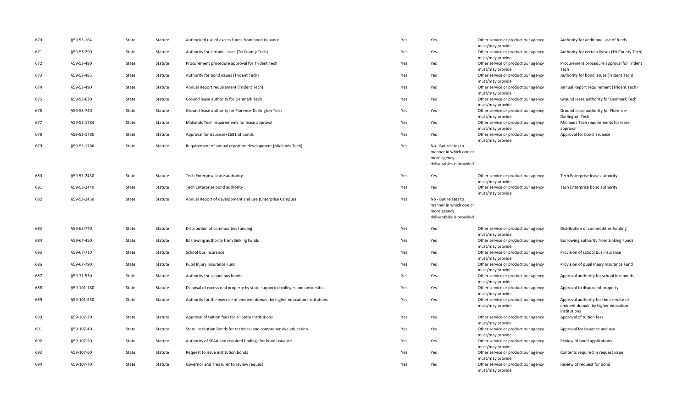|     | §59-53-164   | State | Statute | Authorized use of excess funds from bond issuance                             | Yes | Yes                                                                                      | Other service or product our agency                                         | Authority for additional use of funds                                                        |
|-----|--------------|-------|---------|-------------------------------------------------------------------------------|-----|------------------------------------------------------------------------------------------|-----------------------------------------------------------------------------|----------------------------------------------------------------------------------------------|
| 671 | §59-53-290   | State | Statute | Authority for certain leases (Tri County Tech)                                | Yes | Yes                                                                                      | must/may provide<br>Other service or product our agency<br>must/may provide | Authority for certain leases (Tri County Tech)                                               |
| 672 | §59-53-480   | State | Statute | Procurement procedure approval for Trident Tech                               | Yes | Yes                                                                                      | Other service or product our agency<br>must/may provide                     | Procurement procedure approval for Trident<br>Tech                                           |
| 673 | \$59-53-485  | State | Statute | Authority for bond issues (Trident Tech)                                      | Yes | Yes                                                                                      | Other service or product our agency<br>must/may provide                     | Authority for bond issues (Trident Tech)                                                     |
| 674 | §59-53-490   | State | Statute | Annual Report requirement (Trident Tech)                                      | Yes | Yes                                                                                      | Other service or product our agency<br>must/may provide                     | Annual Report requirement (Trident Tech)                                                     |
| 675 | \$59-53-630  | State | Statute | Ground lease authority for Denmark Tech                                       | Yes | Yes                                                                                      | Other service or product our agency<br>must/may provide                     | Ground lease authority for Denmark Tech                                                      |
| 676 | \$59-53-740  | State | Statute | Ground lease authority for Florence-Darlington Tech                           | Yes | Yes                                                                                      | Other service or product our agency<br>must/may provide                     | Ground lease authority for Florence-<br>Darlington Tech                                      |
| 677 | §59-53-1784  | State | Statute | Midlands Tech requirements for lease approval                                 | Yes | Yes                                                                                      | Other service or product our agency<br>must/may provide                     | Midlands Tech requirements for lease<br>approval                                             |
| 678 | \$59-53-1785 | State | Statute | Approval for issuance+E681 of bonds                                           | Yes | Yes                                                                                      | Other service or product our agency<br>must/may provide                     | Approval for bond issuance                                                                   |
| 679 | §59-53-1786  | State | Statute | Requirement of annual report on development (Midlands Tech)                   | Yes | No - But relates to<br>manner in which one or<br>more agency<br>deliverables is provided |                                                                             |                                                                                              |
| 680 | §59-53-2430  | State | Statute | Tech Enterprise lease authority                                               | Yes | Yes                                                                                      | Other service or product our agency<br>must/may provide                     | Tech Enterprise lease authority                                                              |
| 681 | §59-53-2440  | State | Statute | Tech Enterprise bond authority                                                | Yes | Yes                                                                                      | Other service or product our agency<br>must/may provide                     | Tech Enterprise bond authority                                                               |
| 682 | \$59-53-2450 | State | Statute | Annual Report of development and use (Enterprise Campus)                      | Yes | No - But relates to<br>manner in which one or<br>more agency<br>deliverables is provided |                                                                             |                                                                                              |
| 683 | §59-63-770   | State | Statute | Distribution of commodities funding                                           | Yes | Yes                                                                                      | Other service or product our agency                                         | Distribution of commodities funding                                                          |
|     |              |       |         |                                                                               |     |                                                                                          |                                                                             |                                                                                              |
| 684 | \$59-67-450  | State | Statute | Borrowing authority from Sinking Funds                                        | Yes | Yes                                                                                      | must/may provide<br>Other service or product our agency                     | Borrowing authority from Sinking Funds                                                       |
| 685 | §59-67-710   | State | Statute | School bus insurance                                                          | Yes | Yes                                                                                      | must/may provide<br>Other service or product our agency                     | Provision of school bus insurance                                                            |
| 686 | §59-67-790   | State | Statute | Pupil Injury Insurance Fund                                                   | Yes | Yes                                                                                      | must/may provide<br>Other service or product our agency<br>must/may provide | Provision of pupil Injury Insurance Fund                                                     |
| 687 | \$59-71-530  | State | Statute | Authority for school bus bonds                                                | Yes | Yes                                                                                      | Other service or product our agency                                         | Approval authority for school bus bonds                                                      |
| 688 | §59-101-180  | State | Statute | Disposal of excess real property by state-supported colleges and universities | Yes | Yes                                                                                      | must/may provide<br>Other service or product our agency<br>must/may provide | Approval to dispose of property                                                              |
| 689 | §59-101-650  | State | Statute | Authority for the exercise of eminent domain by higher education institutions | Yes | Yes                                                                                      | Other service or product our agency<br>must/may provide                     | Approval authority for the exercise of<br>eminent domain by higher education<br>institutions |
| 690 | \$59-107-20  | State | Statute | Approval of tuition fees for all State Institutions                           | Yes | Yes                                                                                      | Other service or product our agency                                         | Approval of tuition fees                                                                     |
| 691 | \$59-107-40  | State | Statute | State Institution Bonds for technical and comprehensive education             | Yes | Yes                                                                                      | must/may provide<br>Other service or product our agency                     | Approval for issuance and use                                                                |
| 692 | \$59-107-50  | State | Statute | Authority of SFAA and required findings for bond issuance                     | Yes | Yes                                                                                      | must/may provide<br>Other service or product our agency                     | Review of bond applications                                                                  |
| 693 | §59-107-60   | State | Statute | Request to issue institution bonds                                            | Yes | Yes                                                                                      | must/may provide<br>Other service or product our agency<br>must/may provide | Contents required in request issue                                                           |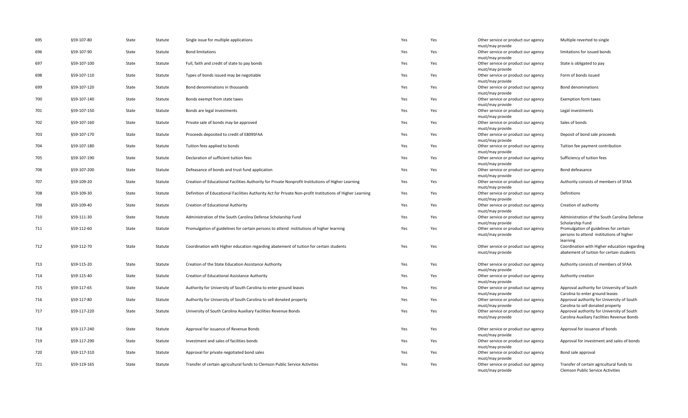| 695 | §59-107-80  | State | Statute | Single issue for multiple applications                                                                    | Yes | Yes | Other service or product our agency<br>must/may provide | Multiple reverted to single                                                                    |
|-----|-------------|-------|---------|-----------------------------------------------------------------------------------------------------------|-----|-----|---------------------------------------------------------|------------------------------------------------------------------------------------------------|
| 696 | §59-107-90  | State | Statute | <b>Bond limitations</b>                                                                                   | Yes | Yes | Other service or product our agency<br>must/may provide | limitations for issued bonds                                                                   |
| 697 | §59-107-100 | State | Statute | Full, faith and credit of state to pay bonds                                                              | Yes | Yes | Other service or product our agency<br>must/may provide | State is obligated to pay                                                                      |
| 698 | §59-107-110 | State | Statute | Types of bonds issued may be negotiable                                                                   | Yes | Yes | Other service or product our agency<br>must/may provide | Form of bonds issued                                                                           |
| 699 | §59-107-120 | State | Statute | Bond denominations in thousands                                                                           | Yes | Yes | Other service or product our agency<br>must/may provide | Bond denominations                                                                             |
| 700 | §59-107-140 | State | Statute | Bonds exempt from state taxes                                                                             | Yes | Yes | Other service or product our agency<br>must/may provide | <b>Exemption form taxes</b>                                                                    |
| 701 | §59-107-150 | State | Statute | Bonds are legal investments                                                                               | Yes | Yes | Other service or product our agency<br>must/may provide | Legal investments                                                                              |
| 702 | §59-107-160 | State | Statute | Private sale of bonds may be approved                                                                     | Yes | Yes | Other service or product our agency<br>must/may provide | Sales of bonds                                                                                 |
| 703 | §59-107-170 | State | Statute | Proceeds deposited to credit of E809SFAA                                                                  | Yes | Yes | Other service or product our agency<br>must/may provide | Deposit of bond sale proceeds                                                                  |
| 704 | §59-107-180 | State | Statute | Tuition fees applied to bonds                                                                             | Yes | Yes | Other service or product our agency<br>must/may provide | Tuition fee payment contribution                                                               |
| 705 | §59-107-190 | State | Statute | Declaration of sufficient tuition fees                                                                    | Yes | Yes | Other service or product our agency<br>must/may provide | Sufficiency of tuition fees                                                                    |
| 706 | §59-107-200 | State | Statute | Defeasance of bonds and trust fund application                                                            | Yes | Yes | Other service or product our agency<br>must/may provide | Bond defeasance                                                                                |
| 707 | \$59-109-20 | State | Statute | Creation of Educational Facilities Authority for Private Nonprofit Institutions of Higher Learning        | Yes | Yes | Other service or product our agency<br>must/may provide | Authority consists of members of SFAA                                                          |
| 708 | §59-109-30  | State | Statute | Definition of Educational Facilities Authority Act for Private Non-profit Institutions of Higher Learning | Yes | Yes | Other service or product our agency<br>must/may provide | Definitions                                                                                    |
| 709 | §59-109-40  | State | Statute | Creation of Educational Authority                                                                         | Yes | Yes | Other service or product our agency<br>must/may provide | Creation of authority                                                                          |
| 710 | §59-111-30  | State | Statute | Administration of the South Carolina Defense Scholarship Fund                                             | Yes | Yes | Other service or product our agency<br>must/may provide | Administration of the South Carolina Defense<br>Scholarship Fund                               |
| 711 | §59-112-60  | State | Statute | Promulgation of guidelines for certain persons to attend institutions of higher learning                  | Yes | Yes | Other service or product our agency<br>must/may provide | Promulgation of guidelines for certain<br>persons to attend institutions of higher<br>learning |
| 712 | §59-112-70  | State | Statute | Coordination with Higher education regarding abatement of tuition for certain students                    | Yes | Yes | Other service or product our agency<br>must/may provide | Coordination with Higher education regarding<br>abatement of tuition for certain students      |
| 713 | §59-115-20  | State | Statute | Creation of the State Education Assistance Authority                                                      | Yes | Yes | Other service or product our agency<br>must/may provide | Authority consists of members of SFAA                                                          |
| 714 | §59-115-40  | State | Statute | Creation of Educational Assistance Authority                                                              | Yes | Yes | Other service or product our agency<br>must/may provide | Authority creation                                                                             |
| 715 | §59-117-65  | State | Statute | Authority for University of South Carolina to enter ground leases                                         | Yes | Yes | Other service or product our agency<br>must/may provide | Approval authority for University of South<br>Carolina to enter ground leases                  |
| 716 | §59-117-80  | State | Statute | Authority for University of South Carolina to sell donated property                                       | Yes | Yes | Other service or product our agency<br>must/may provide | Approval authority for University of South<br>Carolina to sell donated property                |
| 717 | §59-117-220 | State | Statute | University of South Carolina Auxiliary Facilities Revenue Bonds                                           | Yes | Yes | Other service or product our agency<br>must/may provide | Approval authority for University of South<br>Carolina Auxiliary Facilities Revenue Bonds      |
| 718 | §59-117-240 | State | Statute | Approval for issuance of Revenue Bonds                                                                    | Yes | Yes | Other service or product our agency<br>must/may provide | Approval for issuance of bonds                                                                 |
| 719 | §59-117-290 | State | Statute | Investment and sales of facilities bonds                                                                  | Yes | Yes | Other service or product our agency<br>must/may provide | Approval for investment and sales of bonds                                                     |
| 720 | §59-117-310 | State | Statute | Approval for private negotiated bond sales                                                                | Yes | Yes | Other service or product our agency<br>must/may provide | Bond sale approval                                                                             |
| 721 | §59-119-165 | State | Statute | Transfer of certain agricultural funds to Clemson Public Service Activities                               | Yes | Yes | Other service or product our agency<br>must/may provide | Transfer of certain agricultural funds to<br><b>Clemson Public Service Activities</b>          |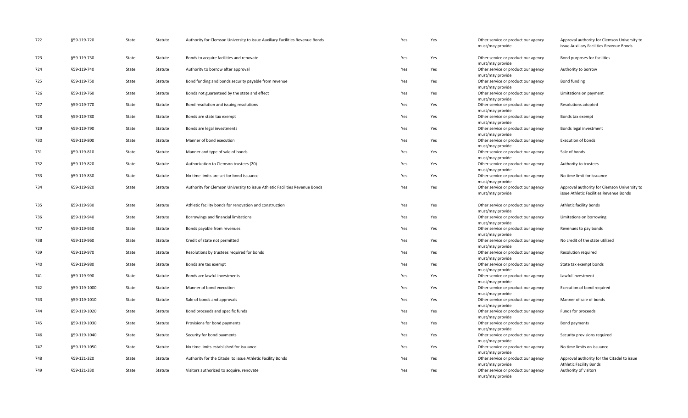| 722 | §59-119-720  | State | Statute | Authority for Clemson University to issue Auxiliary Facilities Revenue Bonds | Yes | Yes | Other service or product our agency<br>must/may provide | Approval authority for Clemson University to<br>issue Auxiliary Facilities Revenue Bonds |
|-----|--------------|-------|---------|------------------------------------------------------------------------------|-----|-----|---------------------------------------------------------|------------------------------------------------------------------------------------------|
| 723 | §59-119-730  | State | Statute | Bonds to acquire facilities and renovate                                     | Yes | Yes | Other service or product our agency<br>must/may provide | Bond purposes for facilities                                                             |
| 724 | §59-119-740  | State | Statute | Authority to borrow after approval                                           | Yes | Yes | Other service or product our agency<br>must/may provide | Authority to borrow                                                                      |
| 725 | §59-119-750  | State | Statute | Bond funding and bonds security payable from revenue                         | Yes | Yes | Other service or product our agency<br>must/may provide | Bond funding                                                                             |
| 726 | §59-119-760  | State | Statute | Bonds not guaranteed by the state and effect                                 | Yes | Yes | Other service or product our agency<br>must/may provide | Limitations on payment                                                                   |
| 727 | §59-119-770  | State | Statute | Bond resolution and issuing resolutions                                      | Yes | Yes | Other service or product our agency<br>must/may provide | Resolutions adopted                                                                      |
| 728 | §59-119-780  | State | Statute | Bonds are state tax exempt                                                   | Yes | Yes | Other service or product our agency<br>must/may provide | Bonds tax exempt                                                                         |
| 729 | §59-119-790  | State | Statute | Bonds are legal investments                                                  | Yes | Yes | Other service or product our agency<br>must/may provide | Bonds legal investment                                                                   |
| 730 | §59-119-800  | State | Statute | Manner of bond execution                                                     | Yes | Yes | Other service or product our agency<br>must/may provide | <b>Execution of bonds</b>                                                                |
| 731 | §59-119-810  | State | Statute | Manner and type of sale of bonds                                             | Yes | Yes | Other service or product our agency<br>must/may provide | Sale of bonds                                                                            |
| 732 | §59-119-820  | State | Statute | Authorization to Clemson trustees (20)                                       | Yes | Yes | Other service or product our agency<br>must/may provide | Authority to trustees                                                                    |
| 733 | §59-119-830  | State | Statute | No time limits are set for bond issuance                                     | Yes | Yes | Other service or product our agency<br>must/may provide | No time limit for issuance                                                               |
| 734 | §59-119-920  | State | Statute | Authority for Clemson University to issue Athletic Facilities Revenue Bonds  | Yes | Yes | Other service or product our agency<br>must/may provide | Approval authority for Clemson University to<br>issue Athletic Facilities Revenue Bonds  |
| 735 | §59-119-930  | State | Statute | Athletic facility bonds for renovation and construction                      | Yes | Yes | Other service or product our agency<br>must/may provide | Athletic facility bonds                                                                  |
| 736 | §59-119-940  | State | Statute | Borrowings and financial limitations                                         | Yes | Yes | Other service or product our agency<br>must/may provide | Limitations on borrowing                                                                 |
| 737 | §59-119-950  | State | Statute | Bonds payable from revenues                                                  | Yes | Yes | Other service or product our agency<br>must/may provide | Revenues to pay bonds                                                                    |
| 738 | §59-119-960  | State | Statute | Credit of state not permitted                                                | Yes | Yes | Other service or product our agency<br>must/may provide | No credit of the state utilized                                                          |
| 739 | §59-119-970  | State | Statute | Resolutions by trustees required for bonds                                   | Yes | Yes | Other service or product our agency<br>must/may provide | Resolution required                                                                      |
| 740 | §59-119-980  | State | Statute | Bonds are tax exempt                                                         | Yes | Yes | Other service or product our agency<br>must/may provide | State tax exempt bonds                                                                   |
| 741 | §59-119-990  | State | Statute | Bonds are lawful investments                                                 | Yes | Yes | Other service or product our agency<br>must/may provide | Lawful investment                                                                        |
| 742 | §59-119-1000 | State | Statute | Manner of bond execution                                                     | Yes | Yes | Other service or product our agency<br>must/may provide | Execution of bond required                                                               |
| 743 | §59-119-1010 | State | Statute | Sale of bonds and approvals                                                  | Yes | Yes | Other service or product our agency<br>must/may provide | Manner of sale of bonds                                                                  |
| 744 | §59-119-1020 | State | Statute | Bond proceeds and specific funds                                             | Yes | Yes | Other service or product our agency<br>must/may provide | Funds for proceeds                                                                       |
| 745 | §59-119-1030 | State | Statute | Provisions for bond payments                                                 | Yes | Yes | Other service or product our agency<br>must/may provide | Bond payments                                                                            |
| 746 | §59-119-1040 | State | Statute | Security for bond payments                                                   | Yes | Yes | Other service or product our agency<br>must/may provide | Security provisions required                                                             |
| 747 | §59-119-1050 | State | Statute | No time limits established for issuance                                      | Yes | Yes | Other service or product our agency<br>must/may provide | No time limits on issuance                                                               |
| 748 | §59-121-320  | State | Statute | Authority for the Citadel to issue Athletic Facility Bonds                   | Yes | Yes | Other service or product our agency<br>must/may provide | Approval authority for the Citadel to issue<br><b>Athletic Facility Bonds</b>            |
| 749 | §59-121-330  | State | Statute | Visitors authorized to acquire, renovate                                     | Yes | Yes | Other service or product our agency<br>must/may provide | Authority of visitors                                                                    |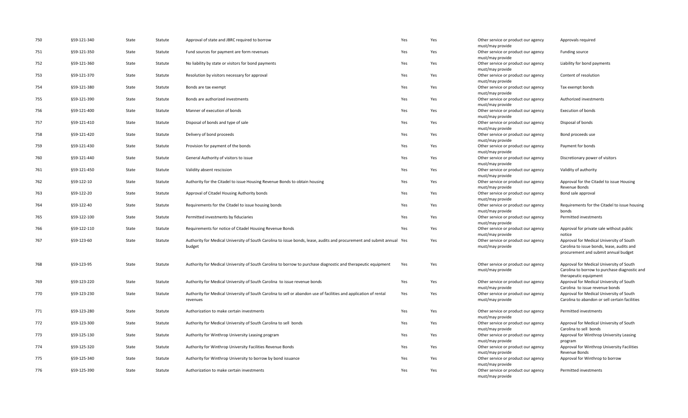| 750 | §59-121-340  | State | Statute | Approval of state and JBRC required to borrow                                                                                    | Yes | Yes | Other service or product our agency<br>must/may provide | Approvals required                                                                                                             |
|-----|--------------|-------|---------|----------------------------------------------------------------------------------------------------------------------------------|-----|-----|---------------------------------------------------------|--------------------------------------------------------------------------------------------------------------------------------|
| 751 | \$59-121-350 | State | Statute | Fund sources for payment are form revenues                                                                                       | Yes | Yes | Other service or product our agency<br>must/may provide | Funding source                                                                                                                 |
| 752 | \$59-121-360 | State | Statute | No liability by state or visitors for bond payments                                                                              | Yes | Yes | Other service or product our agency<br>must/may provide | Liability for bond payments                                                                                                    |
| 753 | §59-121-370  | State | Statute | Resolution by visitors necessary for approval                                                                                    | Yes | Yes | Other service or product our agency                     | Content of resolution                                                                                                          |
| 754 | §59-121-380  | State | Statute | Bonds are tax exempt                                                                                                             | Yes | Yes | must/may provide<br>Other service or product our agency | Tax exempt bonds                                                                                                               |
| 755 | §59-121-390  | State | Statute | Bonds are authorized investments                                                                                                 | Yes | Yes | must/may provide<br>Other service or product our agency | Authorized investments                                                                                                         |
| 756 | §59-121-400  | State | Statute | Manner of execution of bonds                                                                                                     | Yes | Yes | must/may provide<br>Other service or product our agency | <b>Execution of bonds</b>                                                                                                      |
| 757 | §59-121-410  | State | Statute | Disposal of bonds and type of sale                                                                                               | Yes | Yes | must/may provide<br>Other service or product our agency | Disposal of bonds                                                                                                              |
| 758 | §59-121-420  | State | Statute | Delivery of bond proceeds                                                                                                        | Yes | Yes | must/may provide<br>Other service or product our agency | Bond proceeds use                                                                                                              |
| 759 | \$59-121-430 | State | Statute | Provision for payment of the bonds                                                                                               | Yes | Yes | must/may provide<br>Other service or product our agency | Payment for bonds                                                                                                              |
| 760 | §59-121-440  | State | Statute | General Authority of visitors to issue                                                                                           | Yes | Yes | must/may provide<br>Other service or product our agency | Discretionary power of visitors                                                                                                |
| 761 | §59-121-450  | State | Statute | Validity absent rescission                                                                                                       | Yes | Yes | must/may provide<br>Other service or product our agency | Validity of authority                                                                                                          |
| 762 | §59-122-10   | State | Statute | Authority for the Citadel to issue Housing Revenue Bonds to obtain housing                                                       | Yes | Yes | must/may provide<br>Other service or product our agency | Approval for the Citadel to issue Housing                                                                                      |
| 763 | \$59-122-20  | State | Statute | Approval of Citadel Housing Authority bonds                                                                                      | Yes | Yes | must/may provide<br>Other service or product our agency | Revenue Bonds<br>Bond sale approval                                                                                            |
| 764 | \$59-122-40  | State | Statute | Requirements for the Citadel to issue housing bonds                                                                              | Yes | Yes | must/may provide<br>Other service or product our agency | Requirements for the Citadel to issue housing                                                                                  |
| 765 | \$59-122-100 | State | Statute | Permitted investments by fiduciaries                                                                                             | Yes | Yes | must/may provide<br>Other service or product our agency | bonds<br>Permitted investments                                                                                                 |
|     |              |       |         |                                                                                                                                  |     |     | must/may provide                                        |                                                                                                                                |
| 766 | §59-122-110  | State | Statute | Requirements for notice of Citadel Housing Revenue Bonds                                                                         | Yes | Yes | Other service or product our agency<br>must/may provide | Approval for private sale without public<br>notice                                                                             |
| 767 | \$59-123-60  | State | Statute | Authority for Medical University of South Carolina to issue bonds, lease, audits and procurement and submit annual Yes<br>budget |     | Yes | Other service or product our agency<br>must/may provide | Approval for Medical University of South<br>Carolina to issue bonds, lease, audits and<br>procurement and submit annual budget |
| 768 | §59-123-95   | State | Statute | Authority for Medical University of South Carolina to borrow to purchase diagnostic and therapeutic equipment                    | Yes | Yes | Other service or product our agency<br>must/may provide | Approval for Medical University of South<br>Carolina to borrow to purchase diagnostic and<br>therapeutic equipment             |
| 769 | §59-123-220  | State | Statute | Authority for Medical University of South Carolina to issue revenue bonds                                                        | Yes | Yes | Other service or product our agency<br>must/may provide | Approval for Medical University of South<br>Carolina to issue revenue bonds                                                    |
| 770 | §59-123-230  | State | Statute | Authority for Medical University of South Carolina to sell or abandon use of facilities and application of rental<br>revenues    | Yes | Yes | Other service or product our agency<br>must/may provide | Approval for Medical University of South<br>Carolina to abandon or sell certain facilities                                     |
|     |              |       |         |                                                                                                                                  |     |     |                                                         |                                                                                                                                |
| 771 | §59-123-280  | State | Statute | Authorization to make certain investments                                                                                        | Yes | Yes | Other service or product our agency<br>must/may provide | Permitted investments                                                                                                          |
| 772 | §59-123-300  | State | Statute | Authority for Medical University of South Carolina to sell bonds                                                                 | Yes | Yes | Other service or product our agency<br>must/may provide | Approval for Medical University of South<br>Carolina to sell bonds                                                             |
| 773 | §59-125-130  | State | Statute | Authority for Winthrop University Leasing program                                                                                | Yes | Yes | Other service or product our agency<br>must/may provide | Approval for Winthrop University Leasing<br>program                                                                            |
| 774 | \$59-125-320 | State | Statute | Authority for Winthrop University Facilities Revenue Bonds                                                                       | Yes | Yes | Other service or product our agency<br>must/may provide | Approval for Winthrop University Facilities<br>Revenue Bonds                                                                   |
| 775 | \$59-125-340 | State | Statute | Authority for Winthrop University to borrow by bond issuance                                                                     | Yes | Yes | Other service or product our agency<br>must/may provide | Approval for Winthrop to borrow                                                                                                |
| 776 | §59-125-390  | State | Statute | Authorization to make certain investments                                                                                        | Yes | Yes | Other service or product our agency<br>must/may provide | Permitted investments                                                                                                          |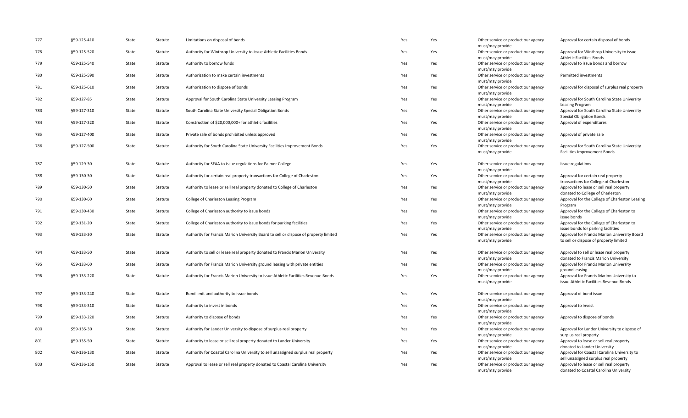| 777 | §59-125-410 | State | Statute | Limitations on disposal of bonds                                                     | Yes | Yes | Other service or product our agency<br>must/may provide | Approval for certain disposal of bonds                                                 |
|-----|-------------|-------|---------|--------------------------------------------------------------------------------------|-----|-----|---------------------------------------------------------|----------------------------------------------------------------------------------------|
| 778 | §59-125-520 | State | Statute | Authority for Winthrop University to issue Athletic Facilities Bonds                 | Yes | Yes | Other service or product our agency<br>must/may provide | Approval for Winthrop University to issue<br><b>Athletic Facilities Bonds</b>          |
| 779 | §59-125-540 | State | Statute | Authority to borrow funds                                                            | Yes | Yes | Other service or product our agency<br>must/may provide | Approval to issue bonds and borrow                                                     |
| 780 | §59-125-590 | State | Statute | Authorization to make certain investments                                            | Yes | Yes | Other service or product our agency<br>must/may provide | Permitted investments                                                                  |
| 781 | §59-125-610 | State | Statute | Authorization to dispose of bonds                                                    | Yes | Yes | Other service or product our agency<br>must/may provide | Approval for disposal of surplus real property                                         |
| 782 | \$59-127-85 | State | Statute | Approval for South Carolina State University Leasing Program                         | Yes | Yes | Other service or product our agency<br>must/may provide | Approval for South Carolina State University<br>Leasing Program                        |
| 783 | §59-127-310 | State | Statute | South Carolina State University Special Obligation Bonds                             | Yes | Yes | Other service or product our agency<br>must/may provide | Approval for South Carolina State University<br><b>Special Obligation Bonds</b>        |
| 784 | §59-127-320 | State | Statute | Construction of \$20,000,000+ for athletic facilities                                | Yes | Yes | Other service or product our agency<br>must/may provide | Approval of expenditures                                                               |
| 785 | §59-127-400 | State | Statute | Private sale of bonds prohibited unless approved                                     | Yes | Yes | Other service or product our agency<br>must/may provide | Approval of private sale                                                               |
| 786 | §59-127-500 | State | Statute | Authority for South Carolina State University Facilities Improvement Bonds           | Yes | Yes | Other service or product our agency<br>must/may provide | Approval for South Carolina State University<br>Facilities Improvement Bonds           |
| 787 | §59-129-30  | State | Statute | Authority for SFAA to issue regulations for Palmer College                           | Yes | Yes | Other service or product our agency<br>must/may provide | Issue regulations                                                                      |
| 788 | §59-130-30  | State | Statute | Authority for certain real property transactions for College of Charleston           | Yes | Yes | Other service or product our agency<br>must/may provide | Approval for certain real property<br>transactions for College of Charleston           |
| 789 | §59-130-50  | State | Statute | Authority to lease or sell real property donated to College of Charleston            | Yes | Yes | Other service or product our agency<br>must/may provide | Approval to lease or sell real property<br>donated to College of Charleston            |
| 790 | §59-130-60  | State | Statute | College of Charleston Leasing Program                                                | Yes | Yes | Other service or product our agency<br>must/may provide | Approval for the College of Charleston Leasing<br>Program                              |
| 791 | §59-130-430 | State | Statute | College of Charleston authority to issue bonds                                       | Yes | Yes | Other service or product our agency<br>must/may provide | Approval for the College of Charleston to<br>issue bonds                               |
| 792 | §59-131-20  | State | Statute | College of Charleston authority to issue bonds for parking facilities                | Yes | Yes | Other service or product our agency<br>must/may provide | Approval for the College of Charleston to<br>issue bonds for parking facilities        |
| 793 | §59-133-30  | State | Statute | Authority for Francis Marion University Board to sell or dispose of property limited | Yes | Yes | Other service or product our agency<br>must/may provide | Approval for Francis Marion University Board<br>to sell or dispose of property limited |
| 794 | §59-133-50  | State | Statute | Authority to sell or lease real property donated to Francis Marion University        | Yes | Yes | Other service or product our agency<br>must/may provide | Approval to sell or lease real property<br>donated to Francis Marion University        |
| 795 | §59-133-60  | State | Statute | Authority for Francis Marion University ground leasing with private entities         | Yes | Yes | Other service or product our agency<br>must/may provide | Approval for Francis Marion University<br>ground leasing                               |
| 796 | §59-133-220 | State | Statute | Authority for Francis Marion University to issue Athletic Facilities Revenue Bonds   | Yes | Yes | Other service or product our agency<br>must/may provide | Approval for Francis Marion University to<br>issue Athletic Facilities Revenue Bonds   |
| 797 | §59-133-240 | State | Statute | Bond limit and authority to issue bonds                                              | Yes | Yes | Other service or product our agency<br>must/may provide | Approval of bond issue                                                                 |
| 798 | §59-133-310 | State | Statute | Authority to invest in bonds                                                         | Yes | Yes | Other service or product our agency<br>must/may provide | Approval to invest                                                                     |
| 799 | §59-133-220 | State | Statute | Authority to dispose of bonds                                                        | Yes | Yes | Other service or product our agency<br>must/may provide | Approval to dispose of bonds                                                           |
| 800 | \$59-135-30 | State | Statute | Authority for Lander University to dispose of surplus real property                  | Yes | Yes | Other service or product our agency<br>must/may provide | Approval for Lander University to dispose of<br>surplus real property                  |
| 801 | §59-135-50  | State | Statute | Authority to lease or sell real property donated to Lander University                | Yes | Yes | Other service or product our agency<br>must/may provide | Approval to lease or sell real property<br>donated to Lander University                |
| 802 | §59-136-130 | State | Statute | Authority for Coastal Carolina University to sell unassigned surplus real property   | Yes | Yes | Other service or product our agency<br>must/may provide | Approval for Coastal Carolina University to<br>sell unassigned surplus real property   |
| 803 | §59-136-150 | State | Statute | Approval to lease or sell real property donated to Coastal Carolina University       | Yes | Yes | Other service or product our agency<br>must/may provide | Approval to lease or sell real property<br>donated to Coastal Carolina University      |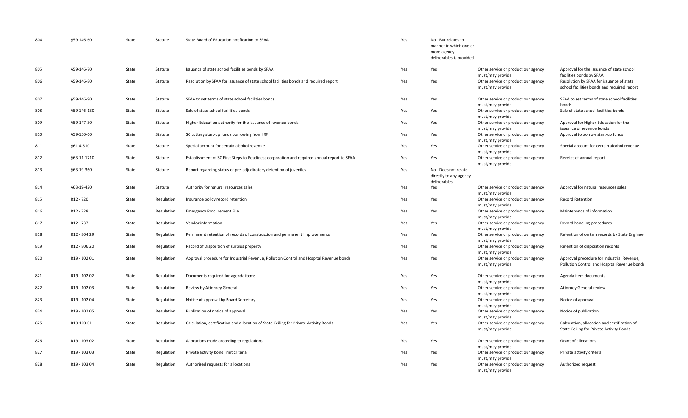| 804 | §59-146-60   | State | Statute    | State Board of Education notification to SFAA                                               | Yes | No - But relates to<br>manner in which one or<br>more agency<br>deliverables is provided |                                                         |                                                                                            |
|-----|--------------|-------|------------|---------------------------------------------------------------------------------------------|-----|------------------------------------------------------------------------------------------|---------------------------------------------------------|--------------------------------------------------------------------------------------------|
| 805 | §59-146-70   | State | Statute    | Issuance of state school facilities bonds by SFAA                                           | Yes | Yes                                                                                      | Other service or product our agency<br>must/may provide | Approval for the issuance of state school<br>facilities bonds by SFAA                      |
| 806 | §59-146-80   | State | Statute    | Resolution by SFAA for issuance of state school facilities bonds and required report        | Yes | Yes                                                                                      | Other service or product our agency<br>must/may provide | Resolution by SFAA for issuance of state<br>school facilities bonds and required report    |
| 807 | §59-146-90   | State | Statute    | SFAA to set terms of state school facilities bonds                                          | Yes | Yes                                                                                      | Other service or product our agency<br>must/may provide | SFAA to set terms of state school facilities<br>bonds                                      |
| 808 | §59-146-130  | State | Statute    | Sale of state school facilities bonds                                                       | Yes | Yes                                                                                      | Other service or product our agency<br>must/may provide | Sale of state school facilities bonds                                                      |
| 809 | §59-147-30   | State | Statute    | Higher Education authority for the issuance of revenue bonds                                | Yes | Yes                                                                                      | Other service or product our agency<br>must/may provide | Approval for Higher Education for the<br>issuance of revenue bonds                         |
| 810 | §59-150-60   | State | Statute    | SC Lottery start-up funds borrowing from IRF                                                | Yes | Yes                                                                                      | Other service or product our agency<br>must/may provide | Approval to borrow start-up funds                                                          |
| 811 | \$61-4-510   | State | Statute    | Special account for certain alcohol revenue                                                 | Yes | Yes                                                                                      | Other service or product our agency<br>must/may provide | Special account for certain alcohol revenue                                                |
| 812 | §63-11-1710  | State | Statute    | Establishment of SC First Steps to Readiness corporation and required annual report to SFAA | Yes | Yes                                                                                      | Other service or product our agency<br>must/may provide | Receipt of annual report                                                                   |
| 813 | §63-19-360   | State | Statute    | Report regarding status of pre-adjudicatory detention of juveniles                          | Yes | No - Does not relate<br>directly to any agency<br>deliverables                           |                                                         |                                                                                            |
| 814 | §63-19-420   | State | Statute    | Authority for natural resources sales                                                       | Yes | Yes                                                                                      | Other service or product our agency<br>must/may provide | Approval for natural resources sales                                                       |
| 815 | R12 - 720    | State | Regulation | Insurance policy record retention                                                           | Yes | Yes                                                                                      | Other service or product our agency<br>must/may provide | Record Retention                                                                           |
| 816 | R12 - 728    | State | Regulation | <b>Emergency Procurement File</b>                                                           | Yes | Yes                                                                                      | Other service or product our agency<br>must/may provide | Maintenance of information                                                                 |
| 817 | R12 - 737    | State | Regulation | Vendor information                                                                          | Yes | Yes                                                                                      | Other service or product our agency<br>must/may provide | Record handling procedures                                                                 |
| 818 | R12 - 804.29 | State | Regulation | Permanent retention of records of construction and permanent improvements                   | Yes | Yes                                                                                      | Other service or product our agency<br>must/may provide | Retention of certain records by State Engineer                                             |
| 819 | R12 - 806.20 | State | Regulation | Record of Disposition of surplus property                                                   | Yes | Yes                                                                                      | Other service or product our agency<br>must/may provide | Retention of disposition records                                                           |
| 820 | R19 - 102.01 | State | Regulation | Approval procedure for Industrial Revenue, Pollution Control and Hospital Revenue bonds     | Yes | Yes                                                                                      | Other service or product our agency<br>must/may provide | Approval procedure for Industrial Revenue,<br>Pollution Control and Hospital Revenue bonds |
| 821 | R19 - 102.02 | State | Regulation | Documents required for agenda items                                                         | Yes | Yes                                                                                      | Other service or product our agency<br>must/may provide | Agenda item documents                                                                      |
| 822 | R19 - 102.03 | State | Regulation | Review by Attorney General                                                                  | Yes | Yes                                                                                      | Other service or product our agency<br>must/may provide | <b>Attorney General review</b>                                                             |
| 823 | R19 - 102.04 | State | Regulation | Notice of approval by Board Secretary                                                       | Yes | Yes                                                                                      | Other service or product our agency<br>must/may provide | Notice of approval                                                                         |
| 824 | R19 - 102.05 | State | Regulation | Publication of notice of approval                                                           | Yes | Yes                                                                                      | Other service or product our agency<br>must/may provide | Notice of publication                                                                      |
| 825 | R19-103.01   | State | Regulation | Calculation, certification and allocation of State Ceiling for Private Activity Bonds       | Yes | Yes                                                                                      | Other service or product our agency<br>must/may provide | Calculation, allocation and certification of<br>State Ceiling for Private Activity Bonds   |
| 826 | R19 - 103.02 | State | Regulation | Allocations made according to regulations                                                   | Yes | Yes                                                                                      | Other service or product our agency<br>must/may provide | Grant of allocations                                                                       |
| 827 | R19 - 103.03 | State | Regulation | Private activity bond limit criteria                                                        | Yes | Yes                                                                                      | Other service or product our agency<br>must/may provide | Private activity criteria                                                                  |
| 828 | R19 - 103.04 | State | Regulation | Authorized requests for allocations                                                         | Yes | Yes                                                                                      | Other service or product our agency<br>must/may provide | Authorized request                                                                         |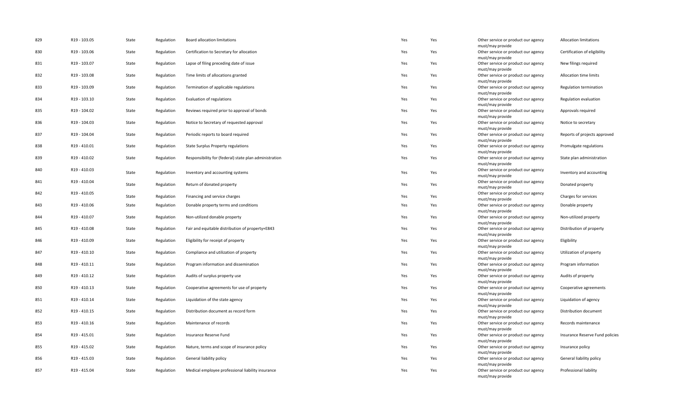| 829 | R19 - 103.05 | State | Regulation | Board allocation limitations                           | Yes | Yes | Other service or product our agency<br>must/may provide | <b>Allocation limitations</b>   |
|-----|--------------|-------|------------|--------------------------------------------------------|-----|-----|---------------------------------------------------------|---------------------------------|
| 830 | R19 - 103.06 | State | Regulation | Certification to Secretary for allocation              | Yes | Yes | Other service or product our agency<br>must/may provide | Certification of eligibility    |
| 831 | R19 - 103.07 | State | Regulation | Lapse of filing preceding date of issue                | Yes | Yes | Other service or product our agency<br>must/may provide | New filings required            |
| 832 | R19 - 103.08 | State | Regulation | Time limits of allocations granted                     | Yes | Yes | Other service or product our agency<br>must/may provide | Allocation time limits          |
| 833 | R19 - 103.09 | State | Regulation | Termination of applicable regulations                  | Yes | Yes | Other service or product our agency<br>must/may provide | Regulation termination          |
| 834 | R19 - 103.10 | State | Regulation | Evaluation of regulations                              | Yes | Yes | Other service or product our agency<br>must/may provide | Regulation evaluation           |
| 835 | R19 - 104.02 | State | Regulation | Reviews required prior to approval of bonds            | Yes | Yes | Other service or product our agency<br>must/may provide | Approvals required              |
| 836 | R19 - 104.03 | State | Regulation | Notice to Secretary of requested approval              | Yes | Yes | Other service or product our agency<br>must/may provide | Notice to secretary             |
| 837 | R19 - 104.04 | State | Regulation | Periodic reports to board required                     | Yes | Yes | Other service or product our agency<br>must/may provide | Reports of projects approved    |
| 838 | R19 - 410.01 | State | Regulation | State Surplus Property regulations                     | Yes | Yes | Other service or product our agency<br>must/may provide | Promulgate regulations          |
| 839 | R19 - 410.02 | State | Regulation | Responsibility for (federal) state plan administration | Yes | Yes | Other service or product our agency<br>must/may provide | State plan administration       |
| 840 | R19 - 410.03 | State | Regulation | Inventory and accounting systems                       | Yes | Yes | Other service or product our agency<br>must/may provide | Inventory and accounting        |
| 841 | R19 - 410.04 | State | Regulation | Return of donated property                             | Yes | Yes | Other service or product our agency<br>must/may provide | Donated property                |
| 842 | R19 - 410.05 | State | Regulation | Financing and service charges                          | Yes | Yes | Other service or product our agency<br>must/may provide | Charges for services            |
| 843 | R19 - 410.06 | State | Regulation | Donable property terms and conditions                  | Yes | Yes | Other service or product our agency<br>must/may provide | Donable property                |
| 844 | R19 - 410.07 | State | Regulation | Non-utilized donable property                          | Yes | Yes | Other service or product our agency<br>must/may provide | Non-utilized property           |
| 845 | R19 - 410.08 | State | Regulation | Fair and equitable distribution of property+E843       | Yes | Yes | Other service or product our agency<br>must/may provide | Distribution of property        |
| 846 | R19 - 410.09 | State | Regulation | Eligibility for receipt of property                    | Yes | Yes | Other service or product our agency<br>must/may provide | Eligibility                     |
| 847 | R19 - 410.10 | State | Regulation | Compliance and utilization of property                 | Yes | Yes | Other service or product our agency<br>must/may provide | Utilization of property         |
| 848 | R19 - 410.11 | State | Regulation | Program information and dissemination                  | Yes | Yes | Other service or product our agency<br>must/may provide | Program information             |
| 849 | R19 - 410.12 | State | Regulation | Audits of surplus property use                         | Yes | Yes | Other service or product our agency<br>must/may provide | Audits of property              |
| 850 | R19 - 410.13 | State | Regulation | Cooperative agreements for use of property             | Yes | Yes | Other service or product our agency<br>must/may provide | Cooperative agreements          |
| 851 | R19 - 410.14 | State | Regulation | Liquidation of the state agency                        | Yes | Yes | Other service or product our agency<br>must/may provide | Liquidation of agency           |
| 852 | R19 - 410.15 | State | Regulation | Distribution document as record form                   | Yes | Yes | Other service or product our agency<br>must/may provide | Distribution document           |
| 853 | R19 - 410.16 | State | Regulation | Maintenance of records                                 | Yes | Yes | Other service or product our agency<br>must/may provide | Records maintenance             |
| 854 | R19 - 415.01 | State | Regulation | Insurance Reserve Fund                                 | Yes | Yes | Other service or product our agency<br>must/may provide | Insurance Reserve Fund policies |
| 855 | R19 - 415.02 | State | Regulation | Nature, terms and scope of insurance policy            | Yes | Yes | Other service or product our agency<br>must/may provide | Insurance policy                |
| 856 | R19 - 415.03 | State | Regulation | General liability policy                               | Yes | Yes | Other service or product our agency<br>must/may provide | General liability policy        |
| 857 | R19 - 415.04 | State | Regulation | Medical employee professional liability insurance      | Yes | Yes | Other service or product our agency<br>must/may provide | Professional liability          |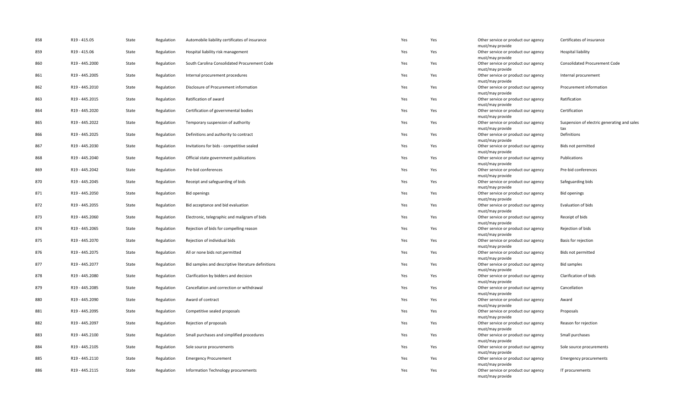| 858 | R19 - 415.05   | State | Regulation | Automobile liability certificates of insurance     | Yes | Yes | Other service or product our agency<br>must/may provide | Certificates of insurance                   |
|-----|----------------|-------|------------|----------------------------------------------------|-----|-----|---------------------------------------------------------|---------------------------------------------|
| 859 | R19 - 415.06   | State | Regulation | Hospital liability risk management                 | Yes | Yes | Other service or product our agency                     | <b>Hospital liability</b>                   |
| 860 | R19 - 445.2000 | State | Regulation | South Carolina Consolidated Procurement Code       | Yes | Yes | must/may provide<br>Other service or product our agency | Consolidated Procurement Code               |
| 861 | R19 - 445.2005 | State | Regulation | Internal procurement procedures                    | Yes | Yes | must/may provide<br>Other service or product our agency | Internal procurement                        |
| 862 | R19 - 445.2010 | State | Regulation | Disclosure of Procurement information              | Yes | Yes | must/may provide<br>Other service or product our agency | Procurement information                     |
| 863 | R19 - 445.2015 | State | Regulation | Ratification of award                              | Yes | Yes | must/may provide<br>Other service or product our agency | Ratification                                |
| 864 | R19 - 445.2020 | State | Regulation | Certification of governmental bodies               | Yes | Yes | must/may provide<br>Other service or product our agency | Certification                               |
| 865 | R19 - 445.2022 | State | Regulation | Temporary suspension of authority                  | Yes | Yes | must/may provide<br>Other service or product our agency | Suspension of electric generating and sales |
| 866 | R19 - 445.2025 | State | Regulation | Definitions and authority to contract              | Yes | Yes | must/may provide<br>Other service or product our agency | tax<br>Definitions                          |
| 867 | R19 - 445.2030 | State | Regulation | Invitations for bids - competitive sealed          | Yes | Yes | must/may provide<br>Other service or product our agency | Bids not permitted                          |
| 868 | R19 - 445.2040 | State | Regulation | Official state government publications             | Yes | Yes | must/may provide<br>Other service or product our agency | Publications                                |
| 869 | R19 - 445.2042 | State | Regulation | Pre-bid conferences                                | Yes | Yes | must/may provide<br>Other service or product our agency | Pre-bid conferences                         |
| 870 | R19 - 445.2045 | State | Regulation | Receipt and safeguarding of bids                   | Yes | Yes | must/may provide<br>Other service or product our agency | Safeguarding bids                           |
| 871 | R19 - 445.2050 | State | Regulation | <b>Bid openings</b>                                | Yes | Yes | must/may provide<br>Other service or product our agency | <b>Bid openings</b>                         |
| 872 | R19 - 445.2055 | State | Regulation | Bid acceptance and bid evaluation                  | Yes | Yes | must/may provide<br>Other service or product our agency | Evaluation of bids                          |
| 873 | R19 - 445.2060 | State | Regulation | Electronic, telegraphic and mailgram of bids       | Yes | Yes | must/may provide<br>Other service or product our agency | Receipt of bids                             |
| 874 | R19 - 445.2065 | State | Regulation | Rejection of bids for compelling reason            | Yes | Yes | must/may provide<br>Other service or product our agency | Rejection of bids                           |
|     | R19 - 445.2070 |       |            |                                                    |     |     | must/may provide                                        |                                             |
| 875 |                | State | Regulation | Rejection of individual bids                       | Yes | Yes | Other service or product our agency<br>must/may provide | Basis for rejection                         |
| 876 | R19 - 445.2075 | State | Regulation | All or none bids not permitted                     | Yes | Yes | Other service or product our agency<br>must/may provide | Bids not permitted                          |
| 877 | R19 - 445.2077 | State | Regulation | Bid samples and descriptive literature definitions | Yes | Yes | Other service or product our agency<br>must/may provide | <b>Bid samples</b>                          |
| 878 | R19 - 445.2080 | State | Regulation | Clarification by bidders and decision              | Yes | Yes | Other service or product our agency<br>must/may provide | Clarification of bids                       |
| 879 | R19 - 445.2085 | State | Regulation | Cancellation and correction or withdrawal          | Yes | Yes | Other service or product our agency<br>must/may provide | Cancellation                                |
| 880 | R19 - 445.2090 | State | Regulation | Award of contract                                  | Yes | Yes | Other service or product our agency<br>must/may provide | Award                                       |
| 881 | R19 - 445.2095 | State | Regulation | Competitive sealed proposals                       | Yes | Yes | Other service or product our agency<br>must/may provide | Proposals                                   |
| 882 | R19 - 445.2097 | State | Regulation | Rejection of proposals                             | Yes | Yes | Other service or product our agency<br>must/may provide | Reason for rejection                        |
| 883 | R19 - 445.2100 | State | Regulation | Small purchases and simplified procedures          | Yes | Yes | Other service or product our agency<br>must/may provide | Small purchases                             |
| 884 | R19 - 445.2105 | State | Regulation | Sole source procurements                           | Yes | Yes | Other service or product our agency<br>must/may provide | Sole source procurements                    |
| 885 | R19 - 445.2110 | State | Regulation | <b>Emergency Procurement</b>                       | Yes | Yes | Other service or product our agency<br>must/may provide | <b>Emergency procurements</b>               |
| 886 | R19 - 445.2115 | State | Regulation | Information Technology procurements                | Yes | Yes | Other service or product our agency<br>must/may provide | IT procurements                             |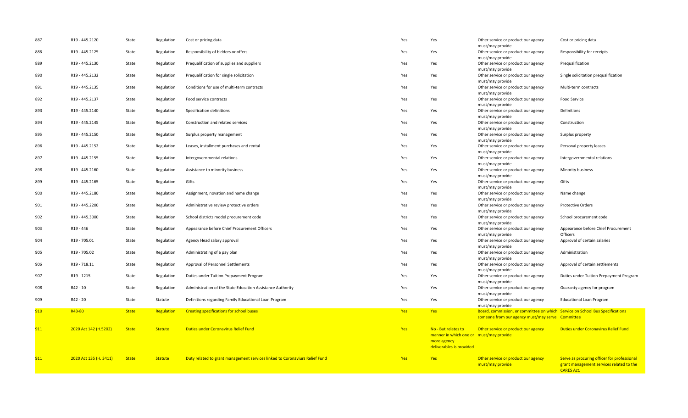| 887 | R19 - 445.2120         | State        | Regulation     | Cost or pricing data                                                        | Yes | Yes                                                                                                       | Other service or product our agency<br>must/may provide                                                                           | Cost or pricing data                                                                                         |
|-----|------------------------|--------------|----------------|-----------------------------------------------------------------------------|-----|-----------------------------------------------------------------------------------------------------------|-----------------------------------------------------------------------------------------------------------------------------------|--------------------------------------------------------------------------------------------------------------|
| 888 | R19 - 445.2125         | State        | Regulation     | Responsibility of bidders or offers                                         | Yes | Yes                                                                                                       | Other service or product our agency<br>must/may provide                                                                           | Responsibility for receipts                                                                                  |
| 889 | R19 - 445.2130         | State        | Regulation     | Prequalification of supplies and suppliers                                  | Yes | Yes                                                                                                       | Other service or product our agency<br>must/may provide                                                                           | Prequalification                                                                                             |
| 890 | R19 - 445.2132         | State        | Regulation     | Prequalification for single solicitation                                    | Yes | Yes                                                                                                       | Other service or product our agency<br>must/may provide                                                                           | Single solicitation prequalification                                                                         |
| 891 | R19 - 445.2135         | State        | Regulation     | Conditions for use of multi-term contracts                                  | Yes | Yes                                                                                                       | Other service or product our agency<br>must/may provide                                                                           | Multi-term contracts                                                                                         |
| 892 | R19 - 445.2137         | State        | Regulation     | Food service contracts                                                      | Yes | Yes                                                                                                       | Other service or product our agency<br>must/may provide                                                                           | Food Service                                                                                                 |
| 893 | R19 - 445.2140         | State        | Regulation     | Specification definitions                                                   | Yes | Yes                                                                                                       | Other service or product our agency<br>must/may provide                                                                           | Definitions                                                                                                  |
| 894 | R19 - 445.2145         | State        | Regulation     | Construction and related services                                           | Yes | Yes                                                                                                       | Other service or product our agency<br>must/may provide                                                                           | Construction                                                                                                 |
| 895 | R19 - 445.2150         | State        | Regulation     | Surplus property management                                                 | Yes | Yes                                                                                                       | Other service or product our agency<br>must/may provide                                                                           | Surplus property                                                                                             |
| 896 | R19 - 445.2152         | State        | Regulation     | Leases, installment purchases and rental                                    | Yes | Yes                                                                                                       | Other service or product our agency<br>must/may provide                                                                           | Personal property leases                                                                                     |
| 897 | R19 - 445.2155         | State        | Regulation     | Intergovernmental relations                                                 | Yes | Yes                                                                                                       | Other service or product our agency<br>must/may provide                                                                           | Intergovernmental relations                                                                                  |
| 898 | R19 - 445.2160         | State        | Regulation     | Assistance to minority business                                             | Yes | Yes                                                                                                       | Other service or product our agency<br>must/may provide                                                                           | Minority business                                                                                            |
| 899 | R19 - 445.2165         | State        | Regulation     | Gifts                                                                       | Yes | Yes                                                                                                       | Other service or product our agency<br>must/may provide                                                                           | Gifts                                                                                                        |
| 900 | R19 - 445.2180         | State        | Regulation     | Assignment, novation and name change                                        | Yes | Yes                                                                                                       | Other service or product our agency<br>must/may provide                                                                           | Name change                                                                                                  |
| 901 | R19 - 445.2200         | State        | Regulation     | Administrative review protective orders                                     | Yes | Yes                                                                                                       | Other service or product our agency<br>must/may provide                                                                           | <b>Protective Orders</b>                                                                                     |
| 902 | R19 - 445.3000         | State        | Regulation     | School districts model procurement code                                     | Yes | Yes                                                                                                       | Other service or product our agency<br>must/may provide                                                                           | School procurement code                                                                                      |
| 903 | R19 - 446              | State        | Regulation     | Appearance before Chief Procurement Officers                                | Yes | Yes                                                                                                       | Other service or product our agency<br>must/may provide                                                                           | Appearance before Chief Procurement<br>Officers                                                              |
| 904 | R19 - 705.01           | State        | Regulation     | Agency Head salary approval                                                 | Yes | Yes                                                                                                       | Other service or product our agency<br>must/may provide                                                                           | Approval of certain salaries                                                                                 |
| 905 | R19 - 705.02           | State        | Regulation     | Administrating of a pay plan                                                | Yes | Yes                                                                                                       | Other service or product our agency<br>must/may provide                                                                           | Administration                                                                                               |
| 906 | R19 - 718.11           | State        | Regulation     | Approval of Personnel Settlements                                           | Yes | Yes                                                                                                       | Other service or product our agency<br>must/may provide                                                                           | Approval of certain settlements                                                                              |
| 907 | R19 - 1215             | State        | Regulation     | Duties under Tuition Prepayment Program                                     | Yes | Yes                                                                                                       | Other service or product our agency<br>must/may provide                                                                           | Duties under Tuition Prepayment Program                                                                      |
| 908 | $R42 - 10$             | State        | Regulation     | Administration of the State Education Assistance Authority                  | Yes | Yes                                                                                                       | Other service or product our agency<br>must/may provide                                                                           | Guaranty agency for program                                                                                  |
| 909 | R42 - 20               | State        | Statute        | Definitions regarding Family Educational Loan Program                       | Yes | Yes                                                                                                       | Other service or product our agency<br>must/may provide                                                                           | <b>Educational Loan Program</b>                                                                              |
| 910 | R43-80                 | <b>State</b> | Regulation     | <b>Creating specifications for school buses</b>                             | Yes | Yes                                                                                                       | Board, commission, or committee on which Service on School Bus Specifications<br>someone from our agency must/may serve Committee |                                                                                                              |
|     |                        |              |                |                                                                             |     |                                                                                                           |                                                                                                                                   |                                                                                                              |
| 911 | 2020 Act 142 (H.5202)  | <b>State</b> | <b>Statute</b> | <b>Duties under Coronavirus Relief Fund</b>                                 | Yes | No - But relates to<br>manner in which one or must/may provide<br>more agency<br>deliverables is provided | Other service or product our agency                                                                                               | <b>Duties under Coronavirus Relief Fund</b>                                                                  |
| 911 | 2020 Act 135 (H. 3411) | <b>State</b> | <b>Statute</b> | Duty related to grant management services linked to Coronaviurs Relief Fund | Yes | <b>Yes</b>                                                                                                | Other service or product our agency<br>must/may provide                                                                           | Serve as procuring officer for professional<br>grant management services related to the<br><b>CARES Act.</b> |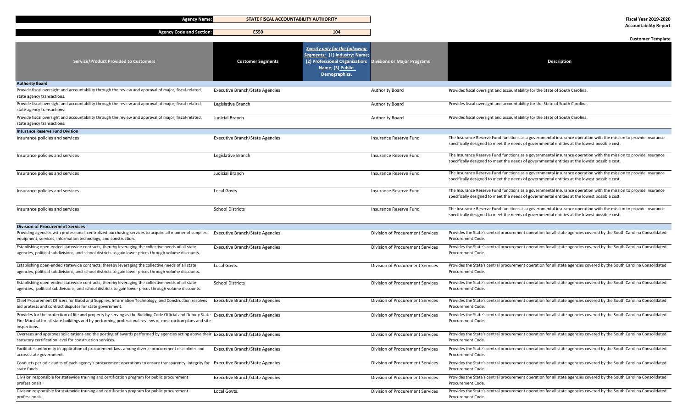| <b>Agency Name:</b>                                                                                                                                                                                                                                                      | STATE FISCAL ACCOUNTABILITY AUTHORITY  |                                                                                                                                                | <b>Fiscal Year 2019-2020</b><br><b>Accountability Report</b> |                                                                                                                                                                                                                   |  |  |
|--------------------------------------------------------------------------------------------------------------------------------------------------------------------------------------------------------------------------------------------------------------------------|----------------------------------------|------------------------------------------------------------------------------------------------------------------------------------------------|--------------------------------------------------------------|-------------------------------------------------------------------------------------------------------------------------------------------------------------------------------------------------------------------|--|--|
| <b>Agency Code and Section:</b>                                                                                                                                                                                                                                          | E550                                   | 104                                                                                                                                            |                                                              |                                                                                                                                                                                                                   |  |  |
|                                                                                                                                                                                                                                                                          |                                        |                                                                                                                                                |                                                              | <b>Customer Template</b>                                                                                                                                                                                          |  |  |
| <b>Service/Product Provided to Customers</b>                                                                                                                                                                                                                             | <b>Customer Segments</b>               | <b>Specify only for the following</b><br>Segments: (1) Industry: Name;<br>(2) Professional Organization:<br>Name; (3) Public:<br>Demographics. | <b>Divisions or Major Programs</b>                           | <b>Description</b>                                                                                                                                                                                                |  |  |
| <b>Authority Board</b>                                                                                                                                                                                                                                                   |                                        |                                                                                                                                                |                                                              |                                                                                                                                                                                                                   |  |  |
| Provide fiscal oversight and accountability through the review and approval of major, fiscal-related,<br>state agency transactions.                                                                                                                                      | <b>Executive Branch/State Agencies</b> |                                                                                                                                                | <b>Authority Board</b>                                       | Provides fiscal oversight and accountability for the State of South Carolina.                                                                                                                                     |  |  |
| Provide fiscal oversight and accountability through the review and approval of major, fiscal-related,<br>state agency transactions.                                                                                                                                      | Legislative Branch                     |                                                                                                                                                | Authority Board                                              | Provides fiscal oversight and accountability for the State of South Carolina.                                                                                                                                     |  |  |
| Provide fiscal oversight and accountability through the review and approval of major, fiscal-related,<br>state agency transactions.                                                                                                                                      | Judicial Branch                        |                                                                                                                                                | <b>Authority Board</b>                                       | Provides fiscal oversight and accountability for the State of South Carolina.                                                                                                                                     |  |  |
| <b>Insurance Reserve Fund Division</b>                                                                                                                                                                                                                                   |                                        |                                                                                                                                                |                                                              |                                                                                                                                                                                                                   |  |  |
| Insurance policies and services                                                                                                                                                                                                                                          | <b>Executive Branch/State Agencies</b> |                                                                                                                                                | Insurance Reserve Fund                                       | The Insurance Reserve Fund functions as a governmental insurance operation with the mission to provide insurance<br>specifically designed to meet the needs of governmental entities at the lowest possible cost. |  |  |
| Insurance policies and services                                                                                                                                                                                                                                          | Legislative Branch                     |                                                                                                                                                | Insurance Reserve Fund                                       | The Insurance Reserve Fund functions as a governmental insurance operation with the mission to provide insurance<br>specifically designed to meet the needs of governmental entities at the lowest possible cost. |  |  |
| Insurance policies and services                                                                                                                                                                                                                                          | Judicial Branch                        |                                                                                                                                                | Insurance Reserve Fund                                       | The Insurance Reserve Fund functions as a governmental insurance operation with the mission to provide insurance<br>specifically designed to meet the needs of governmental entities at the lowest possible cost. |  |  |
| Insurance policies and services                                                                                                                                                                                                                                          | Local Govts.                           |                                                                                                                                                | Insurance Reserve Fund                                       | The Insurance Reserve Fund functions as a governmental insurance operation with the mission to provide insurance<br>specifically designed to meet the needs of governmental entities at the lowest possible cost. |  |  |
| Insurance policies and services                                                                                                                                                                                                                                          | <b>School Districts</b>                |                                                                                                                                                | Insurance Reserve Fund                                       | The Insurance Reserve Fund functions as a governmental insurance operation with the mission to provide insurance<br>specifically designed to meet the needs of governmental entities at the lowest possible cost. |  |  |
| <b>Division of Procurement Services</b>                                                                                                                                                                                                                                  |                                        |                                                                                                                                                |                                                              |                                                                                                                                                                                                                   |  |  |
| Providing agencies with professional, centralized purchasing services to acquire all manner of supplies,<br>equipment, services, information technology, and construction.                                                                                               | <b>Executive Branch/State Agencies</b> |                                                                                                                                                | Division of Procurement Services                             | Provides the State's central procurement operation for all state agencies covered by the South Carolina Consolidated<br>Procurement Code.                                                                         |  |  |
| Establishing open-ended statewide contracts, thereby leveraging the collective needs of all state<br>agencies, political subdivisions, and school districts to gain lower prices through volume discounts.                                                               | Executive Branch/State Agencies        |                                                                                                                                                | Division of Procurement Services                             | Provides the State's central procurement operation for all state agencies covered by the South Carolina Consolidated<br>Procurement Code.                                                                         |  |  |
| Establishing open-ended statewide contracts, thereby leveraging the collective needs of all state<br>agencies, political subdivisions, and school districts to gain lower prices through volume discounts.                                                               | Local Govts.                           |                                                                                                                                                | Division of Procurement Services                             | Provides the State's central procurement operation for all state agencies covered by the South Carolina Consolidated<br>Procurement Code.                                                                         |  |  |
| Establishing open-ended statewide contracts, thereby leveraging the collective needs of all state<br>agencies, political subdivisions, and school districts to gain lower prices through volume discounts.                                                               | <b>School Districts</b>                |                                                                                                                                                | Division of Procurement Services                             | Provides the State's central procurement operation for all state agencies covered by the South Carolina Consolidated<br>Procurement Code.                                                                         |  |  |
| Chief Procurement Officers for Good and Supplies, Information Technology, and Construction resolves<br>bid protests and contract disputes for state government.                                                                                                          | <b>Executive Branch/State Agencies</b> |                                                                                                                                                | Division of Procurement Services                             | Provides the State's central procurement operation for all state agencies covered by the South Carolina Consolidated<br><b>Procurement Code</b>                                                                   |  |  |
| Provides for the protection of life and property by serving as the Building Code Official and Deputy State Executive Branch/State Agencies<br>Fire Marshal for all state buildings and by performing professional reviews of construction plans and site<br>inspections. |                                        |                                                                                                                                                | Division of Procurement Services                             | Provides the State's central procurement operation for all state agencies covered by the South Carolina Consolidated<br>Procurement Code.                                                                         |  |  |
| Oversees and approves solicitations and the posting of awards performed by agencies acting above their Executive Branch/State Agencies<br>statutory certification level for construction services.                                                                       |                                        |                                                                                                                                                | Division of Procurement Services                             | Provides the State's central procurement operation for all state agencies covered by the South Carolina Consolidated<br>Procurement Code.                                                                         |  |  |
| Facilitates uniformity in application of procurement laws among diverse procurement disciplines and<br>across state government.                                                                                                                                          | <b>Executive Branch/State Agencies</b> |                                                                                                                                                | Division of Procurement Services                             | Provides the State's central procurement operation for all state agencies covered by the South Carolina Consolidated<br>Procurement Code.                                                                         |  |  |
| Conducts periodic audits of each agency's procurement operations to ensure transparency, integrity for Executive Branch/State Agencies<br>state funds.                                                                                                                   |                                        |                                                                                                                                                | <b>Division of Procurement Services</b>                      | Provides the State's central procurement operation for all state agencies covered by the South Carolina Consolidated<br>Procurement Code.                                                                         |  |  |
| Division responsible for statewide training and certification program for public procurement<br>professionals.                                                                                                                                                           | <b>Executive Branch/State Agencies</b> |                                                                                                                                                | Division of Procurement Services                             | Provides the State's central procurement operation for all state agencies covered by the South Carolina Consolidated<br>Procurement Code.                                                                         |  |  |
| Division responsible for statewide training and certification program for public procurement<br>professionals.                                                                                                                                                           | Local Govts.                           |                                                                                                                                                | Division of Procurement Services                             | Provides the State's central procurement operation for all state agencies covered by the South Carolina Consolidated<br>Procurement Code.                                                                         |  |  |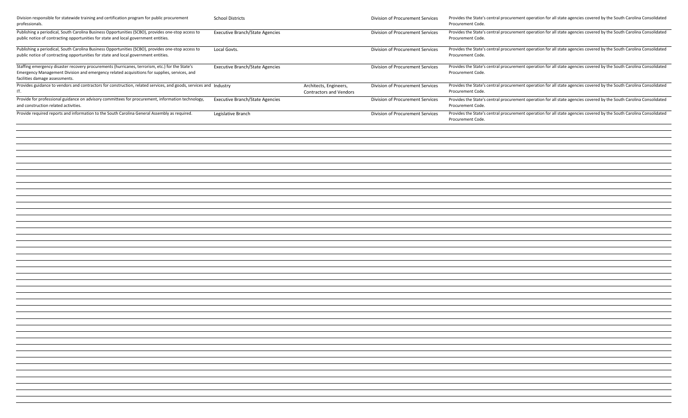| Publishing a periodical, South Carolina Business Opportunities (SCBO), provides one-stop access to<br>Provides the State's central procurement operation for all state agencies covered by the South Carolina Consolidated<br><b>Executive Branch/State Agencies</b><br>Division of Procurement Services<br>public notice of contracting opportunities for state and local government entities.<br>Procurement Code.                                         |  |
|--------------------------------------------------------------------------------------------------------------------------------------------------------------------------------------------------------------------------------------------------------------------------------------------------------------------------------------------------------------------------------------------------------------------------------------------------------------|--|
|                                                                                                                                                                                                                                                                                                                                                                                                                                                              |  |
| Publishing a periodical, South Carolina Business Opportunities (SCBO), provides one-stop access to<br>Provides the State's central procurement operation for all state agencies covered by the South Carolina Consolidated<br>Division of Procurement Services<br>Local Govts.<br>public notice of contracting opportunities for state and local government entities.<br>Procurement Code.                                                                   |  |
| Staffing emergency disaster recovery procurements (hurricanes, terrorism, etc.) for the State's<br>Provides the State's central procurement operation for all state agencies covered by the South Carolina Consolidated<br><b>Executive Branch/State Agencies</b><br>Division of Procurement Services<br>Emergency Management Division and emergency related acquisitions for supplies, services, and<br>Procurement Code.<br>facilities damage assessments. |  |
| Provides guidance to vendors and contractors for construction, related services, and goods, services and Industry<br>Architects, Engineers,<br><b>Division of Procurement Services</b><br>Provides the State's central procurement operation for all state agencies covered by the South Carolina Consolidated<br>Procurement Code.<br>IT.<br><b>Contractors and Vendors</b>                                                                                 |  |
| Provide for professional guidance on advisory committees for procurement, information technology,<br>Provides the State's central procurement operation for all state agencies covered by the South Carolina Consolidated<br><b>Executive Branch/State Agencies</b><br>Division of Procurement Services<br>and construction related activities.<br>Procurement Code.                                                                                         |  |
| Provide required reports and information to the South Carolina General Assembly as required.<br>Division of Procurement Services<br>Provides the State's central procurement operation for all state agencies covered by the South Carolina Consolidated<br>Legislative Branch<br>Procurement Code.                                                                                                                                                          |  |
|                                                                                                                                                                                                                                                                                                                                                                                                                                                              |  |
|                                                                                                                                                                                                                                                                                                                                                                                                                                                              |  |
|                                                                                                                                                                                                                                                                                                                                                                                                                                                              |  |
|                                                                                                                                                                                                                                                                                                                                                                                                                                                              |  |
|                                                                                                                                                                                                                                                                                                                                                                                                                                                              |  |
|                                                                                                                                                                                                                                                                                                                                                                                                                                                              |  |
|                                                                                                                                                                                                                                                                                                                                                                                                                                                              |  |
|                                                                                                                                                                                                                                                                                                                                                                                                                                                              |  |
|                                                                                                                                                                                                                                                                                                                                                                                                                                                              |  |
|                                                                                                                                                                                                                                                                                                                                                                                                                                                              |  |
|                                                                                                                                                                                                                                                                                                                                                                                                                                                              |  |
|                                                                                                                                                                                                                                                                                                                                                                                                                                                              |  |
|                                                                                                                                                                                                                                                                                                                                                                                                                                                              |  |
|                                                                                                                                                                                                                                                                                                                                                                                                                                                              |  |
|                                                                                                                                                                                                                                                                                                                                                                                                                                                              |  |
|                                                                                                                                                                                                                                                                                                                                                                                                                                                              |  |
|                                                                                                                                                                                                                                                                                                                                                                                                                                                              |  |
|                                                                                                                                                                                                                                                                                                                                                                                                                                                              |  |
|                                                                                                                                                                                                                                                                                                                                                                                                                                                              |  |
| the contract of the contract of the contract of the contract of the contract of                                                                                                                                                                                                                                                                                                                                                                              |  |
|                                                                                                                                                                                                                                                                                                                                                                                                                                                              |  |
|                                                                                                                                                                                                                                                                                                                                                                                                                                                              |  |
| the contract of the contract of the contract of the contract of the contract of the contract of the contract of                                                                                                                                                                                                                                                                                                                                              |  |
|                                                                                                                                                                                                                                                                                                                                                                                                                                                              |  |
|                                                                                                                                                                                                                                                                                                                                                                                                                                                              |  |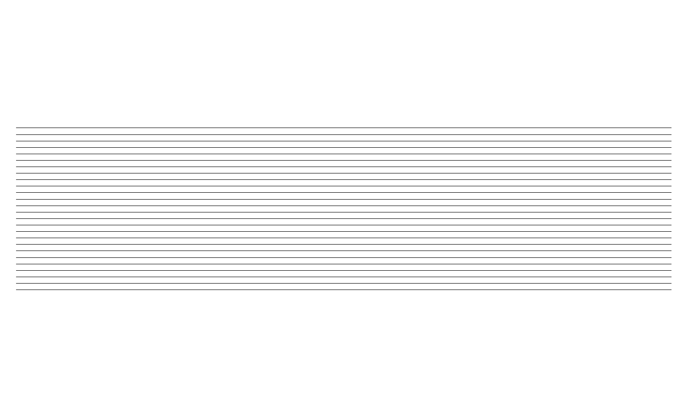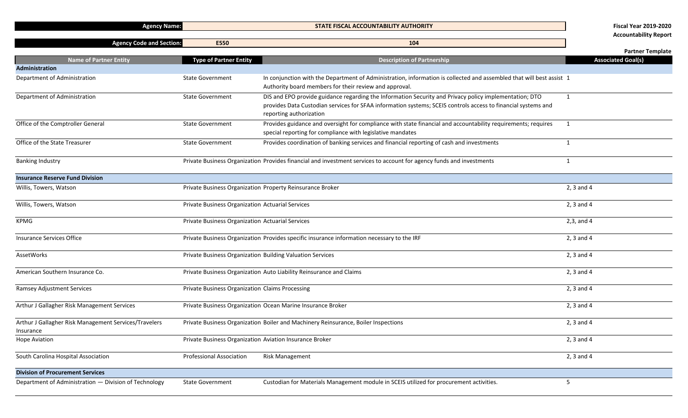| <b>Agency Name:</b>                                                |                                                           | <b>Fiscal Year 2019-2020</b>                                                                                                                                                                                                                       |                           |
|--------------------------------------------------------------------|-----------------------------------------------------------|----------------------------------------------------------------------------------------------------------------------------------------------------------------------------------------------------------------------------------------------------|---------------------------|
| <b>Agency Code and Section:</b>                                    | E550                                                      | <b>Accountability Report</b>                                                                                                                                                                                                                       |                           |
|                                                                    |                                                           | 104                                                                                                                                                                                                                                                | <b>Partner Template</b>   |
| <b>Name of Partner Entity</b>                                      | <b>Type of Partner Entity</b>                             | <b>Description of Partnership</b>                                                                                                                                                                                                                  | <b>Associated Goal(s)</b> |
| Administration                                                     |                                                           |                                                                                                                                                                                                                                                    |                           |
| Department of Administration                                       | <b>State Government</b>                                   | In conjunction with the Department of Administration, information is collected and assembled that will best assist 1<br>Authority board members for their review and approval.                                                                     |                           |
| Department of Administration                                       | <b>State Government</b>                                   | DIS and EPO provide guidance regarding the Information Security and Privacy policy implementation; DTO<br>provides Data Custodian services for SFAA information systems; SCEIS controls access to financial systems and<br>reporting authorization | $\mathbf{1}$              |
| Office of the Comptroller General                                  | <b>State Government</b>                                   | Provides guidance and oversight for compliance with state financial and accountability requirements; requires<br>special reporting for compliance with legislative mandates                                                                        | 1                         |
| Office of the State Treasurer                                      | <b>State Government</b>                                   | Provides coordination of banking services and financial reporting of cash and investments                                                                                                                                                          | $\mathbf{1}$              |
| <b>Banking Industry</b>                                            |                                                           | Private Business Organization Provides financial and investment services to account for agency funds and investments                                                                                                                               | 1                         |
| <b>Insurance Reserve Fund Division</b>                             |                                                           |                                                                                                                                                                                                                                                    |                           |
| Willis, Towers, Watson                                             | Private Business Organization Property Reinsurance Broker |                                                                                                                                                                                                                                                    | $2, 3$ and 4              |
| Willis, Towers, Watson                                             | Private Business Organization Actuarial Services          |                                                                                                                                                                                                                                                    | 2, 3 and 4                |
| KPMG                                                               | Private Business Organization Actuarial Services          |                                                                                                                                                                                                                                                    | $2,3$ , and 4             |
| Insurance Services Office                                          |                                                           | Private Business Organization Provides specific insurance information necessary to the IRF                                                                                                                                                         | 2, 3 and 4                |
| AssetWorks                                                         | Private Business Organization Building Valuation Services |                                                                                                                                                                                                                                                    | $2, 3$ and 4              |
| American Southern Insurance Co.                                    |                                                           | Private Business Organization Auto Liability Reinsurance and Claims                                                                                                                                                                                | $2, 3$ and 4              |
| Ramsey Adjustment Services                                         | Private Business Organization Claims Processing           |                                                                                                                                                                                                                                                    | $2, 3$ and 4              |
| Arthur J Gallagher Risk Management Services                        |                                                           | Private Business Organization Ocean Marine Insurance Broker                                                                                                                                                                                        | 2, 3 and 4                |
| Arthur J Gallagher Risk Management Services/Travelers<br>Insurance |                                                           | Private Business Organization Boiler and Machinery Reinsurance, Boiler Inspections                                                                                                                                                                 | $2, 3$ and 4              |
| <b>Hope Aviation</b>                                               | Private Business Organization Aviation Insurance Broker   |                                                                                                                                                                                                                                                    | 2, 3 and 4                |
| South Carolina Hospital Association                                | <b>Professional Association</b>                           | Risk Management                                                                                                                                                                                                                                    | 2, 3 and 4                |
| <b>Division of Procurement Services</b>                            |                                                           |                                                                                                                                                                                                                                                    |                           |
| Department of Administration - Division of Technology              | <b>State Government</b>                                   | Custodian for Materials Management module in SCEIS utilized for procurement activities.                                                                                                                                                            | 5                         |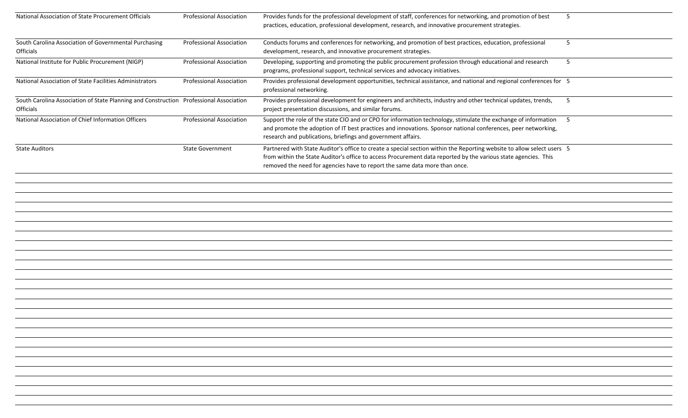| National Association of State Procurement Officials                                                 | <b>Professional Association</b> | Provides funds for the professional development of staff, conferences for networking, and promotion of best<br>practices, education, professional development, research, and innovative procurement strategies.                                                                                                        | 5  |
|-----------------------------------------------------------------------------------------------------|---------------------------------|------------------------------------------------------------------------------------------------------------------------------------------------------------------------------------------------------------------------------------------------------------------------------------------------------------------------|----|
|                                                                                                     |                                 |                                                                                                                                                                                                                                                                                                                        |    |
| South Carolina Association of Governmental Purchasing                                               | <b>Professional Association</b> | Conducts forums and conferences for networking, and promotion of best practices, education, professional                                                                                                                                                                                                               | 5  |
| <b>Officials</b>                                                                                    |                                 | development, research, and innovative procurement strategies.                                                                                                                                                                                                                                                          |    |
| National Institute for Public Procurement (NIGP)                                                    | <b>Professional Association</b> | Developing, supporting and promoting the public procurement profession through educational and research<br>programs, professional support, technical services and advocacy initiatives.                                                                                                                                | 5  |
| National Association of State Facilities Administrators                                             | <b>Professional Association</b> | Provides professional development opportunities, technical assistance, and national and regional conferences for 5<br>professional networking.                                                                                                                                                                         |    |
| South Carolina Association of State Planning and Construction Professional Association<br>Officials |                                 | Provides professional development for engineers and architects, industry and other technical updates, trends,<br>project presentation discussions, and similar forums.                                                                                                                                                 | -5 |
| National Association of Chief Information Officers                                                  | <b>Professional Association</b> | Support the role of the state CIO and or CPO for information technology, stimulate the exchange of information 5<br>and promote the adoption of IT best practices and innovations. Sponsor national conferences, peer networking,<br>research and publications, briefings and government affairs.                      |    |
| <b>State Auditors</b>                                                                               | <b>State Government</b>         | Partnered with State Auditor's office to create a special section within the Reporting website to allow select users 5<br>from within the State Auditor's office to access Procurement data reported by the various state agencies. This<br>removed the need for agencies have to report the same data more than once. |    |
|                                                                                                     |                                 |                                                                                                                                                                                                                                                                                                                        |    |
|                                                                                                     |                                 |                                                                                                                                                                                                                                                                                                                        |    |
|                                                                                                     |                                 |                                                                                                                                                                                                                                                                                                                        |    |
|                                                                                                     |                                 |                                                                                                                                                                                                                                                                                                                        |    |
|                                                                                                     |                                 |                                                                                                                                                                                                                                                                                                                        |    |
|                                                                                                     |                                 |                                                                                                                                                                                                                                                                                                                        |    |
|                                                                                                     |                                 |                                                                                                                                                                                                                                                                                                                        |    |
|                                                                                                     |                                 |                                                                                                                                                                                                                                                                                                                        |    |
|                                                                                                     |                                 |                                                                                                                                                                                                                                                                                                                        |    |
|                                                                                                     |                                 |                                                                                                                                                                                                                                                                                                                        |    |
|                                                                                                     |                                 |                                                                                                                                                                                                                                                                                                                        |    |
|                                                                                                     |                                 |                                                                                                                                                                                                                                                                                                                        |    |
|                                                                                                     |                                 |                                                                                                                                                                                                                                                                                                                        |    |
|                                                                                                     |                                 |                                                                                                                                                                                                                                                                                                                        |    |
|                                                                                                     |                                 |                                                                                                                                                                                                                                                                                                                        |    |
|                                                                                                     |                                 |                                                                                                                                                                                                                                                                                                                        |    |
|                                                                                                     |                                 |                                                                                                                                                                                                                                                                                                                        |    |
|                                                                                                     |                                 |                                                                                                                                                                                                                                                                                                                        |    |
|                                                                                                     |                                 |                                                                                                                                                                                                                                                                                                                        |    |
|                                                                                                     |                                 |                                                                                                                                                                                                                                                                                                                        |    |
|                                                                                                     |                                 |                                                                                                                                                                                                                                                                                                                        |    |
|                                                                                                     |                                 |                                                                                                                                                                                                                                                                                                                        |    |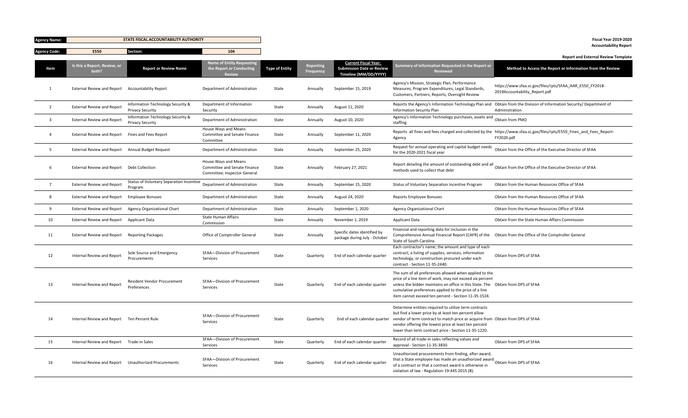| <b>Agency Name:</b> | STATE FISCAL ACCOUNTABILITY AUTHORITY            |                                                              |                                                                                      |                       |                               |                                                                                          |                                                                                                                                                                                                                                                                                                                          | <b>Fiscal Year 2019-2020</b>                                                                                                           |
|---------------------|--------------------------------------------------|--------------------------------------------------------------|--------------------------------------------------------------------------------------|-----------------------|-------------------------------|------------------------------------------------------------------------------------------|--------------------------------------------------------------------------------------------------------------------------------------------------------------------------------------------------------------------------------------------------------------------------------------------------------------------------|----------------------------------------------------------------------------------------------------------------------------------------|
| <b>Agency Code:</b> | E550<br>Section:                                 |                                                              | 104                                                                                  |                       |                               |                                                                                          |                                                                                                                                                                                                                                                                                                                          | <b>Accountability Report</b>                                                                                                           |
| Item                | Is this a Report, Review, or<br>both?            | <b>Report or Review Name</b>                                 | <b>Name of Entity Requesting</b><br>the Report or Conducting<br><b>Review</b>        | <b>Type of Entity</b> | <b>Reporting</b><br>Frequency | <b>Current Fiscal Year:</b><br><b>Submission Date or Review</b><br>Timeline (MM/DD/YYYY) | Summary of Information Requested in the Report or<br>Reviewed                                                                                                                                                                                                                                                            | <b>Report and External Review Template</b><br>Method to Access the Report or Information from the Review                               |
| 1                   | External Review and Report Accountability Report |                                                              | Department of Administration                                                         | State                 | Annually                      | September 15, 2019                                                                       | Agency's Mission, Strategic Plan, Performance<br>Measures, Program Expenditures, Legal Standards,<br>Customers, Partners, Reports, Oversight Review                                                                                                                                                                      | https://www.sfaa.sc.gov/files/rpts/SFAA_AAR_E550_FY2018-<br>2019Accountability Report.pdf                                              |
| $\overline{2}$      | <b>External Review and Report</b>                | Information Technology Security &<br><b>Privacy Security</b> | Department of Information<br>Security                                                | State                 | Annually                      | August 11, 2020                                                                          | Information Security Plan                                                                                                                                                                                                                                                                                                | Reports the Agency's Information Technology Plan and Obtain from the Division of Information Security/ Department of<br>Administration |
| $\overline{3}$      | <b>External Review and Report</b>                | Information Technology Security &<br><b>Privacy Security</b> | Department of Administration                                                         | State                 | Annually                      | August 10, 2020                                                                          | Agency's Information Technology purchases, assets and<br>staffing                                                                                                                                                                                                                                                        | Obtain from PMO                                                                                                                        |
| 4                   | External Review and Report Fines and Fees Report |                                                              | House Ways and Means<br>Committee and Senate Finance<br>Committee                    | State                 | Annually                      | September 11, 2020                                                                       | Agency                                                                                                                                                                                                                                                                                                                   | Reports all fines and fees charged and collected by the https://www.sfaa.sc.gov/files/rpts/E550_Fines_and_Fees_Report-<br>FY2020.pdf   |
| 5                   | External Review and Report Annual Budget Request |                                                              | Department of Administration                                                         | State                 | Annually                      | September 25, 2020                                                                       | Request for annual operating and capital budget needs<br>for the 2020-2021 fiscal year                                                                                                                                                                                                                                   | Obtain from the Office of the Executive Director of SFAA                                                                               |
| 6                   | External Review and Report Debt Collection       |                                                              | House Ways and Means<br>Committee and Senate Finance<br>Committee; Inspector General | State                 | Annually                      | February 27, 2021                                                                        | Report detailing the amount of outstanding debt and all<br>methods used to collect that debt                                                                                                                                                                                                                             | Obtain from the Office of the Executive Director of SFAA                                                                               |
| $\overline{7}$      | <b>External Review and Report</b>                | Status of Voluntary Separation Incentive<br>Program          | Department of Administration                                                         | State                 | Annually                      | September 15, 2020                                                                       | Status of Voluntary Separation Incentive Program                                                                                                                                                                                                                                                                         | Obtain from the Human Resources Office of SFAA                                                                                         |
| 8                   | <b>External Review and Report</b>                | <b>Employee Bonuses</b>                                      | Department of Administration                                                         | State                 | Annually                      | August 24, 2020                                                                          | <b>Reports Employee Bonuses</b>                                                                                                                                                                                                                                                                                          | Obtain from the Human Resources Office of SFAA                                                                                         |
| 9                   | <b>External Review and Report</b>                | Agency Organizational Chart                                  | Department of Administration                                                         | State                 | Annually                      | September 1, 2020                                                                        | Agency Organizational Chart                                                                                                                                                                                                                                                                                              | Obtain from the Human Resources Office of SFAA                                                                                         |
| 10                  | <b>External Review and Report</b>                | <b>Applicant Data</b>                                        | <b>State Human Affairs</b><br>Commission                                             | State                 | Annually                      | November 1, 2019                                                                         | <b>Applicant Data</b>                                                                                                                                                                                                                                                                                                    | Obtain from the State Human Affairs Commission                                                                                         |
| 11                  | External Review and Report Reporting Packages    |                                                              | Office of Comptroller General                                                        | State                 | Annually                      | Specific dates identified by<br>package during July - October                            | Financial and reporting data for inclusion in the<br>Comprehensive Annual Financial Report (CAFR) of the<br>State of South Carolina                                                                                                                                                                                      | Obtain from the Office of the Comptroller General                                                                                      |
| 12                  | Internal Review and Report                       | Sole Source and Emergency<br>Procurements                    | SFAA-Division of Procurement<br>Services                                             | State                 | Quarterly                     | End of each calendar quarter                                                             | Each contractor's name; the amount and type of each<br>contract; a listing of supplies, services, information<br>technology, or construction procured under each<br>contract - Section 11-35-2440.                                                                                                                       | Obtain from DPS of SFAA                                                                                                                |
| 13                  | Internal Review and Report                       | <b>Resident Vendor Procurement</b><br>Preferences            | SFAA-Division of Procurement<br>Services                                             | State                 | Quarterly                     | End of each calendar quarter                                                             | The sum of all preferences allowed when applied to the<br>price of a line item of work, may not exceed six percent<br>unless the bidder maintains an office in this State. The  Obtain from DPS of SFAA<br>cumulative preferences applied to the price of a line<br>item cannot exceed ten percent - Section 11-35-1524. |                                                                                                                                        |
| 14                  | Internal Review and Report Ten Percent Rule      |                                                              | SFAA-Division of Procurement<br>Services                                             | State                 | Quarterly                     | End of each calendar quarter                                                             | Determine entities required to utilize term contracts<br>but find a lower price by at least ten percent allow<br>vendor of term contract to match price or acquire from Obtain from DPS of SFAA<br>vendor offering the lowest price at least ten percent<br>lower than term contract price - Section 11-35-1220.         |                                                                                                                                        |
| 15                  | Internal Review and Report Trade-in Sales        |                                                              | SFAA-Division of Procurement<br>Services                                             | State                 | Quarterly                     | End of each calendar quarter                                                             | Record of all trade-in sales reflecting values and<br>approval - Section 11-35-3830.                                                                                                                                                                                                                                     | Obtain from DPS of SFAA                                                                                                                |
| 16                  |                                                  | Internal Review and Report Unauthorized Procurements         | SFAA-Division of Procurement<br>Services                                             | State                 | Quarterly                     | End of each calendar quarter                                                             | Unauthorized procurements from finding, after award,<br>that a State employee has made an unauthorized award<br>that a State employee has made an unauthorized award<br>Obtain from DPS of SFAA<br>of a contract or that a contract award is otherwise in<br>violation of law - Regulation 19-445.2015 (B).              |                                                                                                                                        |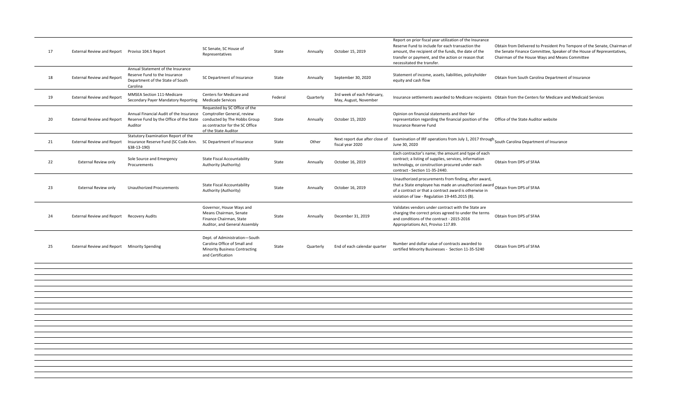| 17 | External Review and Report Proviso 104.5 Report |                                                                                                                       | SC Senate, SC House of<br>Representatives                                                                                                               | State   | Annually  | October 15, 2019                                    | Report on prior fiscal year utilization of the Insurance<br>Reserve Fund to include for each transaction the<br>amount, the recipient of the funds, the date of the<br>transfer or payment, and the action or reason that<br>necessitated the transfer.                                                  | Obtain from Delivered to President Pro Tempore of the Senate, Chairman of<br>the Senate Finance Committee, Speaker of the House of Representatives,<br>Chairman of the House Ways and Means Committee |
|----|-------------------------------------------------|-----------------------------------------------------------------------------------------------------------------------|---------------------------------------------------------------------------------------------------------------------------------------------------------|---------|-----------|-----------------------------------------------------|----------------------------------------------------------------------------------------------------------------------------------------------------------------------------------------------------------------------------------------------------------------------------------------------------------|-------------------------------------------------------------------------------------------------------------------------------------------------------------------------------------------------------|
| 18 | <b>External Review and Report</b>               | Annual Statement of the Insurance<br>Reserve Fund to the Insurance<br>Department of the State of South<br>Carolina    | SC Department of Insurance                                                                                                                              | State   | Annually  | September 30, 2020                                  | Statement of income, assets, liabilities, policyholder<br>equity and cash flow                                                                                                                                                                                                                           | Obtain from South Carolina Department of Insurance                                                                                                                                                    |
| 19 | <b>External Review and Report</b>               | MMSEA Section 111-Medicare<br>Secondary Payer Mandatory Reporting                                                     | Centers for Medicare and<br><b>Medicade Services</b>                                                                                                    | Federal | Quarterly | 3rd week of each February,<br>May, August, November |                                                                                                                                                                                                                                                                                                          | Insurance settlements awarded to Medicare recipients  Obtain from the Centers for Medicare and Medicaid Services                                                                                      |
| 20 | <b>External Review and Report</b>               | Annual Financial Audit of the Insurance<br>Reserve Fund by the Office of the State<br>Auditor                         | Requested by SC Office of the<br>Comptroller General, review<br>conducted by The Hobbs Group<br>as contractor for the SC Office<br>of the State Auditor | State   | Annually  | October 15, 2020                                    | Opinion on financial statements and their fair<br>representation regarding the financial position of the  Office of the State Auditor website<br>Insurance Reserve Fund                                                                                                                                  |                                                                                                                                                                                                       |
| 21 | <b>External Review and Report</b>               | Statutory Examination Report of the<br>Insurance Reserve Fund (SC Code Ann. SC Department of Insurance<br>§38-13-190) |                                                                                                                                                         | State   | Other     | Next report due after close of<br>fiscal year 2020  | Examination of IRF operations from July 1, 2017 through South Carolina Department of Insurance<br>June 30, 2020                                                                                                                                                                                          |                                                                                                                                                                                                       |
| 22 | <b>External Review only</b>                     | Sole Source and Emergency<br>Procurements                                                                             | <b>State Fiscal Accountability</b><br>Authority (Authority)                                                                                             | State   | Annually  | October 16, 2019                                    | Each contractor's name; the amount and type of each<br>contract; a listing of supplies, services, information<br>technology, or construction procured under each<br>contract - Section 11-35-2440.                                                                                                       | Obtain from DPS of SFAA                                                                                                                                                                               |
| 23 | <b>External Review only</b>                     | Unauthorized Procurements                                                                                             | <b>State Fiscal Accountability</b><br>Authority (Authority)                                                                                             | State   | Annually  | October 16, 2019                                    | Unauthorized procurements from finding, after award,<br>that a State employee has made an unauthorized award<br>that a State employee has made an unauthorized award Obtain from DPS of SFAA<br>of a contract or that a contract award is otherwise in<br>violation of law - Regulation 19-445.2015 (B). |                                                                                                                                                                                                       |
| 24 | External Review and Report Recovery Audits      |                                                                                                                       | Governor, House Ways and<br>Means Chairman, Senate<br>Finance Chairman, State<br>Auditor, and General Assembly                                          | State   | Annually  | December 31, 2019                                   | Validates vendors under contract with the State are<br>charging the correct prices agreed to under the terms<br>and conditions of the contract - 2015-2016<br>Appropriations Act, Proviso 117.89.                                                                                                        | Obtain from DPS of SFAA                                                                                                                                                                               |
| 25 | External Review and Report Minority Spending    |                                                                                                                       | Dept. of Administration-South<br>Carolina Office of Small and<br><b>Minority Business Contracting</b><br>and Certification                              | State   | Quarterly | End of each calendar quarter                        | Number and dollar value of contracts awarded to<br>certified Minority Businesses - Section 11-35-5240                                                                                                                                                                                                    | Obtain from DPS of SFAA                                                                                                                                                                               |
|    |                                                 |                                                                                                                       |                                                                                                                                                         |         |           |                                                     |                                                                                                                                                                                                                                                                                                          |                                                                                                                                                                                                       |
|    |                                                 |                                                                                                                       |                                                                                                                                                         |         |           |                                                     |                                                                                                                                                                                                                                                                                                          |                                                                                                                                                                                                       |
|    |                                                 |                                                                                                                       |                                                                                                                                                         |         |           |                                                     |                                                                                                                                                                                                                                                                                                          |                                                                                                                                                                                                       |
|    |                                                 |                                                                                                                       |                                                                                                                                                         |         |           |                                                     |                                                                                                                                                                                                                                                                                                          |                                                                                                                                                                                                       |
|    |                                                 |                                                                                                                       |                                                                                                                                                         |         |           |                                                     |                                                                                                                                                                                                                                                                                                          |                                                                                                                                                                                                       |
|    |                                                 |                                                                                                                       |                                                                                                                                                         |         |           |                                                     |                                                                                                                                                                                                                                                                                                          |                                                                                                                                                                                                       |
|    |                                                 |                                                                                                                       |                                                                                                                                                         |         |           |                                                     |                                                                                                                                                                                                                                                                                                          |                                                                                                                                                                                                       |
|    |                                                 |                                                                                                                       |                                                                                                                                                         |         |           |                                                     |                                                                                                                                                                                                                                                                                                          |                                                                                                                                                                                                       |
|    |                                                 |                                                                                                                       |                                                                                                                                                         |         |           |                                                     |                                                                                                                                                                                                                                                                                                          |                                                                                                                                                                                                       |
|    |                                                 |                                                                                                                       |                                                                                                                                                         |         |           |                                                     |                                                                                                                                                                                                                                                                                                          |                                                                                                                                                                                                       |
|    |                                                 |                                                                                                                       |                                                                                                                                                         |         |           |                                                     |                                                                                                                                                                                                                                                                                                          |                                                                                                                                                                                                       |
|    |                                                 |                                                                                                                       |                                                                                                                                                         |         |           |                                                     |                                                                                                                                                                                                                                                                                                          |                                                                                                                                                                                                       |